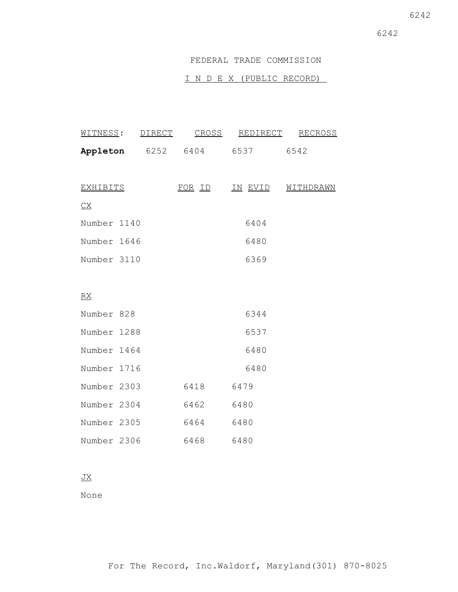### FEDERAL TRADE COMMISSION

# I N D E X (PUBLIC RECORD)

| WITNESS:    | <b>DIRECT</b> | CROSS  |      | REDIRECT | RECROSS   |
|-------------|---------------|--------|------|----------|-----------|
| Appleton    | 6252          | 6404   | 6537 |          | 6542      |
|             |               |        |      |          |           |
| EXHIBITS    |               | FOR ID | IN   | EVID     | WITHDRAWN |
| C X         |               |        |      |          |           |
| Number 1140 |               |        |      | 6404     |           |
| Number 1646 |               |        |      | 6480     |           |
| Number 3110 |               |        |      | 6369     |           |
|             |               |        |      |          |           |

# RX

| Number 828  |      | 6344 |
|-------------|------|------|
| Number 1288 |      | 6537 |
| Number 1464 |      | 6480 |
| Number 1716 |      | 6480 |
| Number 2303 | 6418 | 6479 |
| Number 2304 | 6462 | 6480 |
| Number 2305 | 6464 | 6480 |
| Number 2306 | 6468 | 6480 |

# JX

None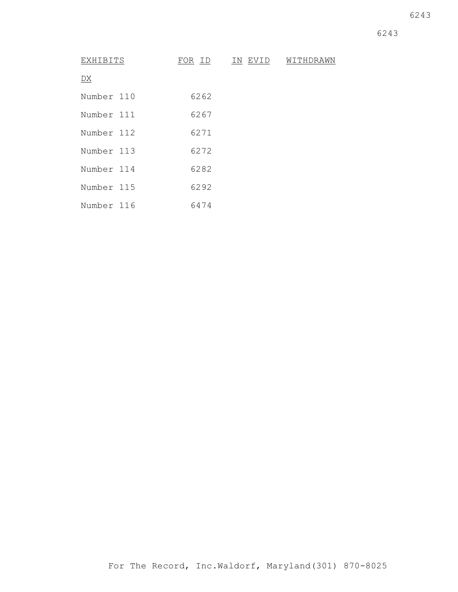6243

6243

| EXHIBITS   |  | FOR ID | IN EVID | WITHDRAWN |
|------------|--|--------|---------|-----------|
| DX         |  |        |         |           |
| Number 110 |  | 6262   |         |           |
| Number 111 |  | 6267   |         |           |
| Number 112 |  | 6271   |         |           |
| Number 113 |  | 6272   |         |           |
| Number 114 |  | 6282   |         |           |
| Number 115 |  | 6292   |         |           |
| Number 116 |  | 6474   |         |           |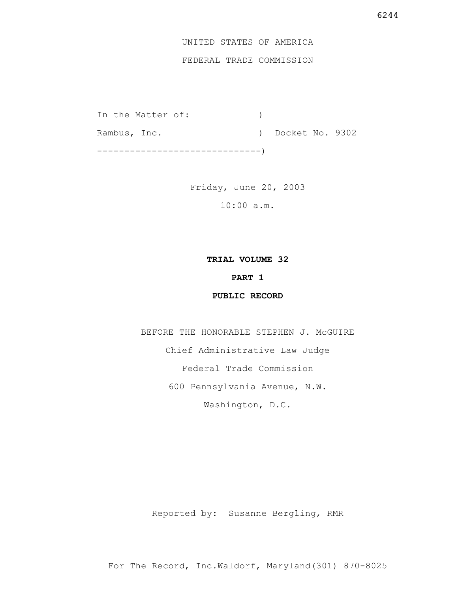# UNITED STATES OF AMERICA

# FEDERAL TRADE COMMISSION

In the Matter of: (1) Rambus, Inc. (a) Docket No. 9302 ------------------------------)

> Friday, June 20, 2003 10:00 a.m.

#### **TRIAL VOLUME 32**

# **PART 1**

## **PUBLIC RECORD**

BEFORE THE HONORABLE STEPHEN J. McGUIRE Chief Administrative Law Judge Federal Trade Commission 600 Pennsylvania Avenue, N.W. Washington, D.C.

Reported by: Susanne Bergling, RMR

For The Record, Inc.Waldorf, Maryland(301) 870-8025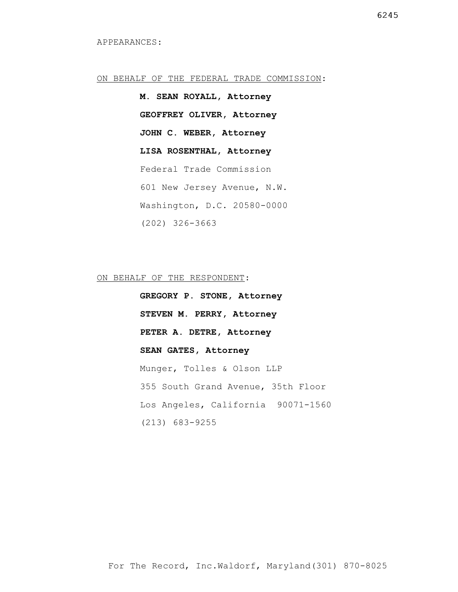#### ON BEHALF OF THE FEDERAL TRADE COMMISSION:

**M. SEAN ROYALL, Attorney GEOFFREY OLIVER, Attorney JOHN C. WEBER, Attorney LISA ROSENTHAL, Attorney** Federal Trade Commission 601 New Jersey Avenue, N.W. Washington, D.C. 20580-0000 (202) 326-3663

ON BEHALF OF THE RESPONDENT:

**GREGORY P. STONE, Attorney STEVEN M. PERRY, Attorney PETER A. DETRE, Attorney SEAN GATES, Attorney** Munger, Tolles & Olson LLP 355 South Grand Avenue, 35th Floor Los Angeles, California 90071-1560 (213) 683-9255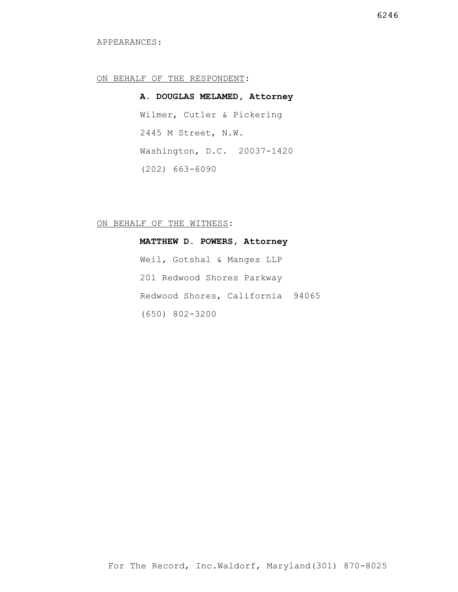#### APPEARANCES:

#### ON BEHALF OF THE RESPONDENT:

**A. DOUGLAS MELAMED, Attorney** Wilmer, Cutler & Pickering 2445 M Street, N.W. Washington, D.C. 20037-1420 (202) 663-6090

#### ON BEHALF OF THE WITNESS:

**MATTHEW D. POWERS, Attorney** Weil, Gotshal & Manges LLP 201 Redwood Shores Parkway Redwood Shores, California 94065 (650) 802-3200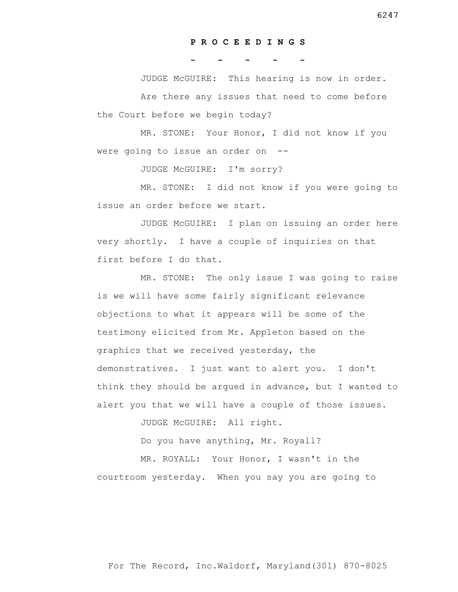#### **P R O C E E D I N G S**

**- - - - -**

 JUDGE McGUIRE: This hearing is now in order. Are there any issues that need to come before the Court before we begin today?

 MR. STONE: Your Honor, I did not know if you were going to issue an order on --

JUDGE McGUIRE: I'm sorry?

 MR. STONE: I did not know if you were going to issue an order before we start.

 JUDGE McGUIRE: I plan on issuing an order here very shortly. I have a couple of inquiries on that first before I do that.

 MR. STONE: The only issue I was going to raise is we will have some fairly significant relevance objections to what it appears will be some of the testimony elicited from Mr. Appleton based on the graphics that we received yesterday, the demonstratives. I just want to alert you. I don't think they should be argued in advance, but I wanted to alert you that we will have a couple of those issues.

JUDGE McGUIRE: All right.

Do you have anything, Mr. Royall?

 MR. ROYALL: Your Honor, I wasn't in the courtroom yesterday. When you say you are going to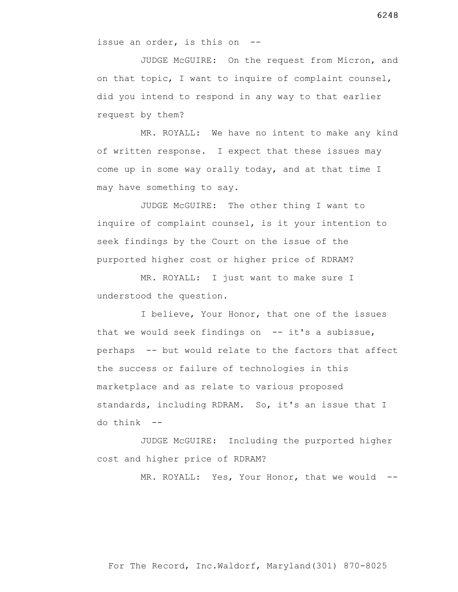issue an order, is this on --

 JUDGE McGUIRE: On the request from Micron, and on that topic, I want to inquire of complaint counsel, did you intend to respond in any way to that earlier request by them?

 MR. ROYALL: We have no intent to make any kind of written response. I expect that these issues may come up in some way orally today, and at that time I may have something to say.

 JUDGE McGUIRE: The other thing I want to inquire of complaint counsel, is it your intention to seek findings by the Court on the issue of the purported higher cost or higher price of RDRAM?

 MR. ROYALL: I just want to make sure I understood the question.

 I believe, Your Honor, that one of the issues that we would seek findings on  $-$  it's a subissue, perhaps -- but would relate to the factors that affect the success or failure of technologies in this marketplace and as relate to various proposed standards, including RDRAM. So, it's an issue that I  $d$ o think  $-$ 

 JUDGE McGUIRE: Including the purported higher cost and higher price of RDRAM?

MR. ROYALL: Yes, Your Honor, that we would --

For The Record, Inc.Waldorf, Maryland(301) 870-8025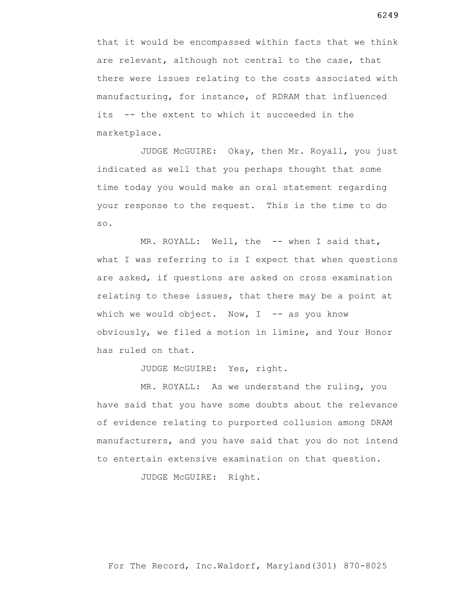that it would be encompassed within facts that we think are relevant, although not central to the case, that there were issues relating to the costs associated with manufacturing, for instance, of RDRAM that influenced its -- the extent to which it succeeded in the marketplace.

 JUDGE McGUIRE: Okay, then Mr. Royall, you just indicated as well that you perhaps thought that some time today you would make an oral statement regarding your response to the request. This is the time to do so.

MR. ROYALL: Well, the -- when I said that, what I was referring to is I expect that when questions are asked, if questions are asked on cross examination relating to these issues, that there may be a point at which we would object. Now,  $I$  -- as you know obviously, we filed a motion in limine, and Your Honor has ruled on that.

JUDGE McGUIRE: Yes, right.

 MR. ROYALL: As we understand the ruling, you have said that you have some doubts about the relevance of evidence relating to purported collusion among DRAM manufacturers, and you have said that you do not intend to entertain extensive examination on that question.

JUDGE McGUIRE: Right.

6249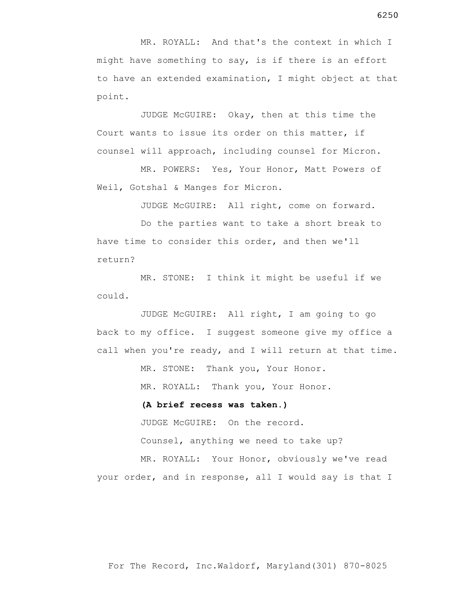MR. ROYALL: And that's the context in which I might have something to say, is if there is an effort to have an extended examination, I might object at that point.

 JUDGE McGUIRE: Okay, then at this time the Court wants to issue its order on this matter, if counsel will approach, including counsel for Micron.

 MR. POWERS: Yes, Your Honor, Matt Powers of Weil, Gotshal & Manges for Micron.

JUDGE McGUIRE: All right, come on forward.

 Do the parties want to take a short break to have time to consider this order, and then we'll return?

 MR. STONE: I think it might be useful if we could.

 JUDGE McGUIRE: All right, I am going to go back to my office. I suggest someone give my office a call when you're ready, and I will return at that time.

> MR. STONE: Thank you, Your Honor. MR. ROYALL: Thank you, Your Honor.

#### **(A brief recess was taken.)**

 JUDGE McGUIRE: On the record. Counsel, anything we need to take up?

 MR. ROYALL: Your Honor, obviously we've read your order, and in response, all I would say is that I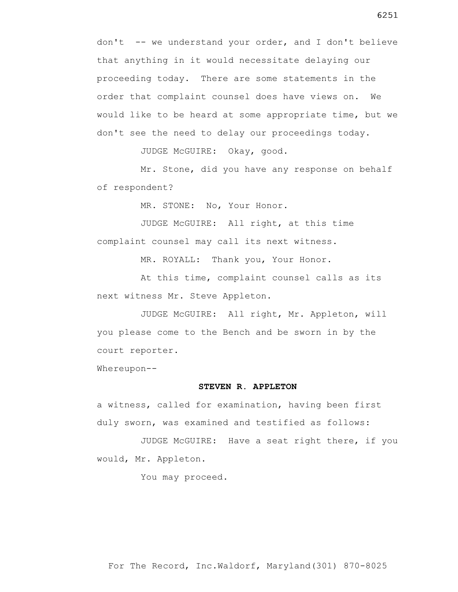don't -- we understand your order, and I don't believe that anything in it would necessitate delaying our proceeding today. There are some statements in the order that complaint counsel does have views on. We would like to be heard at some appropriate time, but we don't see the need to delay our proceedings today.

JUDGE McGUIRE: Okay, good.

 Mr. Stone, did you have any response on behalf of respondent?

MR. STONE: No, Your Honor.

 JUDGE McGUIRE: All right, at this time complaint counsel may call its next witness.

MR. ROYALL: Thank you, Your Honor.

 At this time, complaint counsel calls as its next witness Mr. Steve Appleton.

 JUDGE McGUIRE: All right, Mr. Appleton, will you please come to the Bench and be sworn in by the court reporter.

Whereupon--

#### **STEVEN R. APPLETON**

a witness, called for examination, having been first duly sworn, was examined and testified as follows:

 JUDGE McGUIRE: Have a seat right there, if you would, Mr. Appleton.

You may proceed.

6251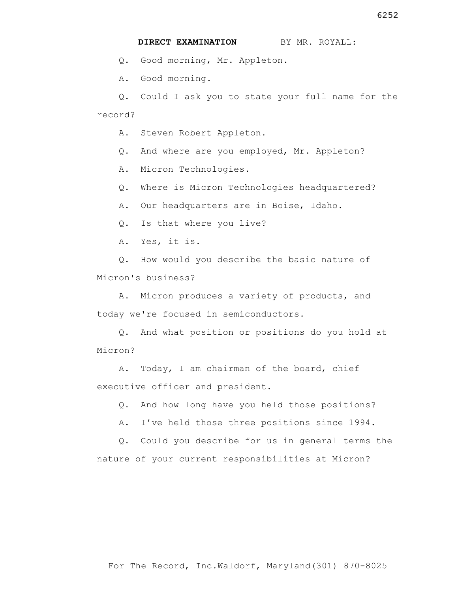**DIRECT EXAMINATION** BY MR. ROYALL:

Q. Good morning, Mr. Appleton.

A. Good morning.

 Q. Could I ask you to state your full name for the record?

A. Steven Robert Appleton.

Q. And where are you employed, Mr. Appleton?

A. Micron Technologies.

Q. Where is Micron Technologies headquartered?

A. Our headquarters are in Boise, Idaho.

Q. Is that where you live?

A. Yes, it is.

 Q. How would you describe the basic nature of Micron's business?

 A. Micron produces a variety of products, and today we're focused in semiconductors.

 Q. And what position or positions do you hold at Micron?

 A. Today, I am chairman of the board, chief executive officer and president.

Q. And how long have you held those positions?

A. I've held those three positions since 1994.

 Q. Could you describe for us in general terms the nature of your current responsibilities at Micron?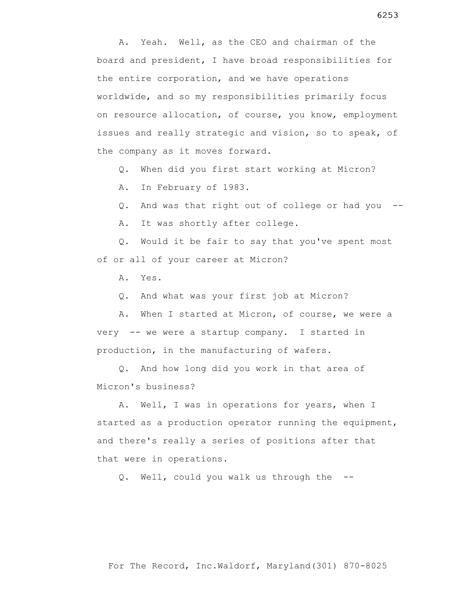A. Yeah. Well, as the CEO and chairman of the board and president, I have broad responsibilities for the entire corporation, and we have operations worldwide, and so my responsibilities primarily focus on resource allocation, of course, you know, employment issues and really strategic and vision, so to speak, of the company as it moves forward.

Q. When did you first start working at Micron?

A. In February of 1983.

Q. And was that right out of college or had you --

A. It was shortly after college.

 Q. Would it be fair to say that you've spent most of or all of your career at Micron?

A. Yes.

Q. And what was your first job at Micron?

 A. When I started at Micron, of course, we were a very -- we were a startup company. I started in production, in the manufacturing of wafers.

 Q. And how long did you work in that area of Micron's business?

 A. Well, I was in operations for years, when I started as a production operator running the equipment, and there's really a series of positions after that that were in operations.

Q. Well, could you walk us through the --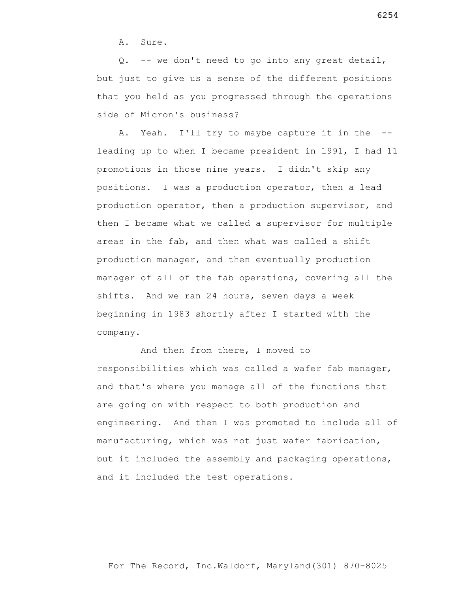A. Sure.

 Q. -- we don't need to go into any great detail, but just to give us a sense of the different positions that you held as you progressed through the operations side of Micron's business?

A. Yeah. I'll try to maybe capture it in the -leading up to when I became president in 1991, I had 11 promotions in those nine years. I didn't skip any positions. I was a production operator, then a lead production operator, then a production supervisor, and then I became what we called a supervisor for multiple areas in the fab, and then what was called a shift production manager, and then eventually production manager of all of the fab operations, covering all the shifts. And we ran 24 hours, seven days a week beginning in 1983 shortly after I started with the company.

 And then from there, I moved to responsibilities which was called a wafer fab manager, and that's where you manage all of the functions that are going on with respect to both production and engineering. And then I was promoted to include all of manufacturing, which was not just wafer fabrication, but it included the assembly and packaging operations, and it included the test operations.

6254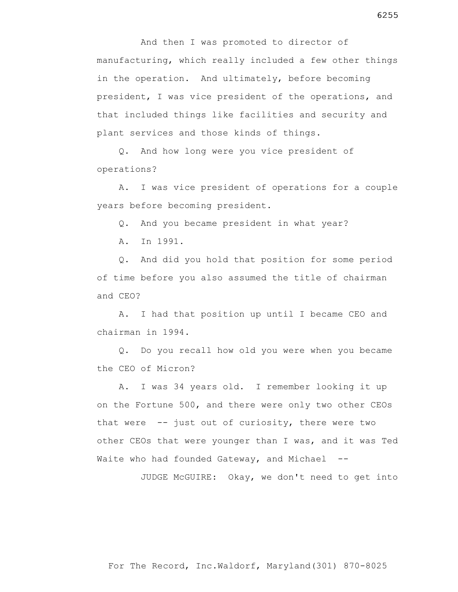And then I was promoted to director of manufacturing, which really included a few other things in the operation. And ultimately, before becoming president, I was vice president of the operations, and that included things like facilities and security and plant services and those kinds of things.

 Q. And how long were you vice president of operations?

 A. I was vice president of operations for a couple years before becoming president.

Q. And you became president in what year?

A. In 1991.

 Q. And did you hold that position for some period of time before you also assumed the title of chairman and CEO?

 A. I had that position up until I became CEO and chairman in 1994.

 Q. Do you recall how old you were when you became the CEO of Micron?

 A. I was 34 years old. I remember looking it up on the Fortune 500, and there were only two other CEOs that were  $-$ - just out of curiosity, there were two other CEOs that were younger than I was, and it was Ted Waite who had founded Gateway, and Michael --

JUDGE McGUIRE: Okay, we don't need to get into

For The Record, Inc.Waldorf, Maryland(301) 870-8025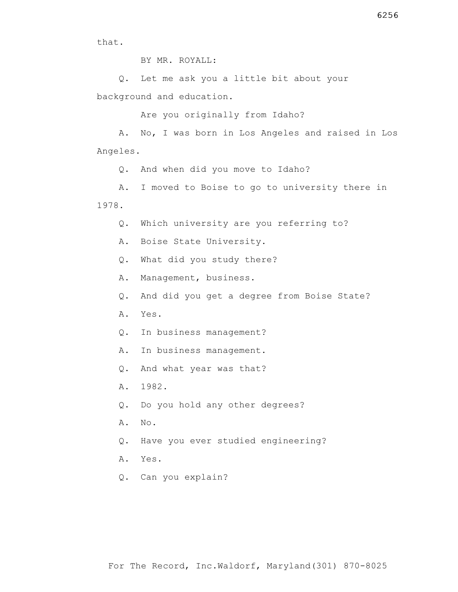that.

BY MR. ROYALL:

 Q. Let me ask you a little bit about your background and education.

Are you originally from Idaho?

 A. No, I was born in Los Angeles and raised in Los Angeles.

Q. And when did you move to Idaho?

 A. I moved to Boise to go to university there in 1978.

Q. Which university are you referring to?

A. Boise State University.

Q. What did you study there?

A. Management, business.

Q. And did you get a degree from Boise State?

A. Yes.

Q. In business management?

A. In business management.

Q. And what year was that?

A. 1982.

Q. Do you hold any other degrees?

A. No.

Q. Have you ever studied engineering?

A. Yes.

Q. Can you explain?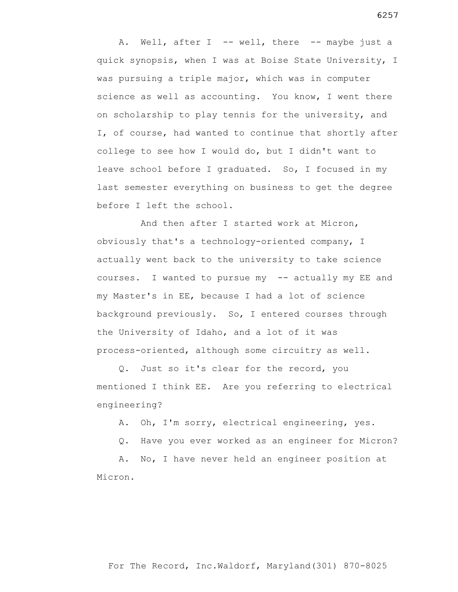A. Well, after I -- well, there -- maybe just a quick synopsis, when I was at Boise State University, I was pursuing a triple major, which was in computer science as well as accounting. You know, I went there on scholarship to play tennis for the university, and I, of course, had wanted to continue that shortly after college to see how I would do, but I didn't want to leave school before I graduated. So, I focused in my last semester everything on business to get the degree before I left the school.

 And then after I started work at Micron, obviously that's a technology-oriented company, I actually went back to the university to take science courses. I wanted to pursue my -- actually my EE and my Master's in EE, because I had a lot of science background previously. So, I entered courses through the University of Idaho, and a lot of it was process-oriented, although some circuitry as well.

 Q. Just so it's clear for the record, you mentioned I think EE. Are you referring to electrical engineering?

A. Oh, I'm sorry, electrical engineering, yes.

Q. Have you ever worked as an engineer for Micron?

 A. No, I have never held an engineer position at Micron.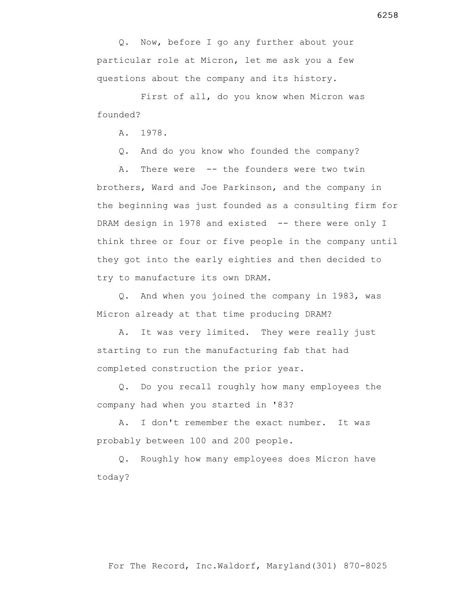Q. Now, before I go any further about your particular role at Micron, let me ask you a few questions about the company and its history.

 First of all, do you know when Micron was founded?

A. 1978.

Q. And do you know who founded the company?

 A. There were -- the founders were two twin brothers, Ward and Joe Parkinson, and the company in the beginning was just founded as a consulting firm for DRAM design in 1978 and existed -- there were only I think three or four or five people in the company until they got into the early eighties and then decided to try to manufacture its own DRAM.

 Q. And when you joined the company in 1983, was Micron already at that time producing DRAM?

 A. It was very limited. They were really just starting to run the manufacturing fab that had completed construction the prior year.

 Q. Do you recall roughly how many employees the company had when you started in '83?

 A. I don't remember the exact number. It was probably between 100 and 200 people.

 Q. Roughly how many employees does Micron have today?

For The Record, Inc.Waldorf, Maryland(301) 870-8025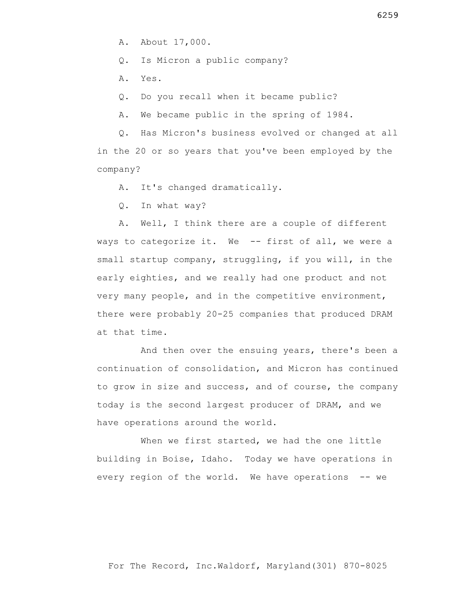Q. Is Micron a public company?

A. Yes.

Q. Do you recall when it became public?

A. We became public in the spring of 1984.

 Q. Has Micron's business evolved or changed at all in the 20 or so years that you've been employed by the company?

A. It's changed dramatically.

Q. In what way?

 A. Well, I think there are a couple of different ways to categorize it. We -- first of all, we were a small startup company, struggling, if you will, in the early eighties, and we really had one product and not very many people, and in the competitive environment, there were probably 20-25 companies that produced DRAM at that time.

 And then over the ensuing years, there's been a continuation of consolidation, and Micron has continued to grow in size and success, and of course, the company today is the second largest producer of DRAM, and we have operations around the world.

When we first started, we had the one little building in Boise, Idaho. Today we have operations in every region of the world. We have operations -- we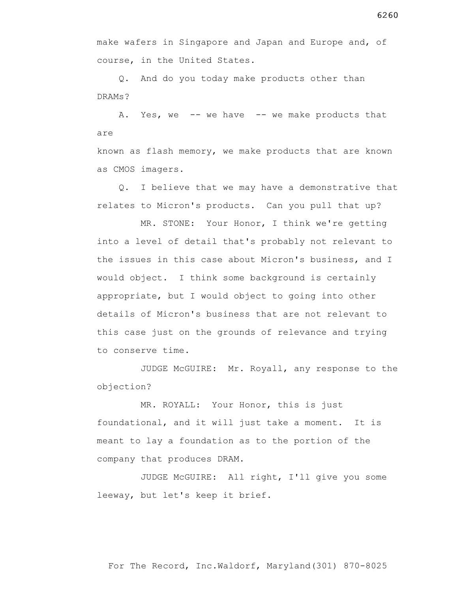6260

make wafers in Singapore and Japan and Europe and, of course, in the United States.

 Q. And do you today make products other than DRAMs?

A. Yes, we -- we have -- we make products that are

known as flash memory, we make products that are known as CMOS imagers.

 Q. I believe that we may have a demonstrative that relates to Micron's products. Can you pull that up?

 MR. STONE: Your Honor, I think we're getting into a level of detail that's probably not relevant to the issues in this case about Micron's business, and I would object. I think some background is certainly appropriate, but I would object to going into other details of Micron's business that are not relevant to this case just on the grounds of relevance and trying to conserve time.

 JUDGE McGUIRE: Mr. Royall, any response to the objection?

 MR. ROYALL: Your Honor, this is just foundational, and it will just take a moment. It is meant to lay a foundation as to the portion of the company that produces DRAM.

 JUDGE McGUIRE: All right, I'll give you some leeway, but let's keep it brief.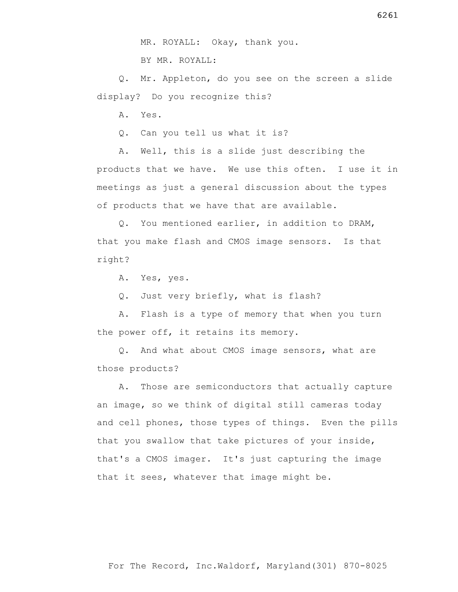BY MR. ROYALL:

 Q. Mr. Appleton, do you see on the screen a slide display? Do you recognize this?

A. Yes.

Q. Can you tell us what it is?

 A. Well, this is a slide just describing the products that we have. We use this often. I use it in meetings as just a general discussion about the types of products that we have that are available.

 Q. You mentioned earlier, in addition to DRAM, that you make flash and CMOS image sensors. Is that right?

A. Yes, yes.

Q. Just very briefly, what is flash?

 A. Flash is a type of memory that when you turn the power off, it retains its memory.

 Q. And what about CMOS image sensors, what are those products?

 A. Those are semiconductors that actually capture an image, so we think of digital still cameras today and cell phones, those types of things. Even the pills that you swallow that take pictures of your inside, that's a CMOS imager. It's just capturing the image that it sees, whatever that image might be.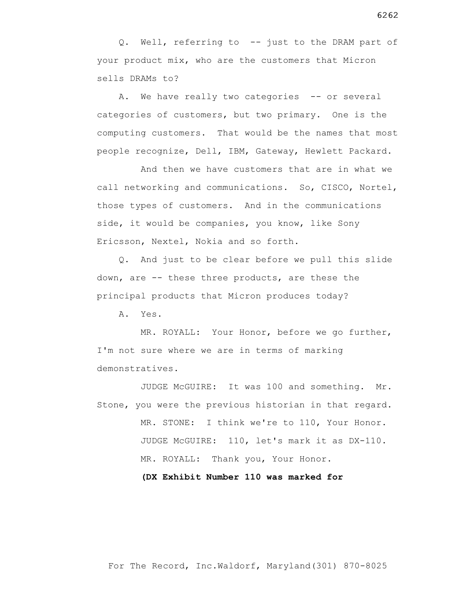Q. Well, referring to -- just to the DRAM part of your product mix, who are the customers that Micron sells DRAMs to?

A. We have really two categories -- or several categories of customers, but two primary. One is the computing customers. That would be the names that most people recognize, Dell, IBM, Gateway, Hewlett Packard.

 And then we have customers that are in what we call networking and communications. So, CISCO, Nortel, those types of customers. And in the communications side, it would be companies, you know, like Sony Ericsson, Nextel, Nokia and so forth.

 Q. And just to be clear before we pull this slide down, are -- these three products, are these the principal products that Micron produces today?

A. Yes.

 MR. ROYALL: Your Honor, before we go further, I'm not sure where we are in terms of marking demonstratives.

 JUDGE McGUIRE: It was 100 and something. Mr. Stone, you were the previous historian in that regard. MR. STONE: I think we're to 110, Your Honor. JUDGE McGUIRE: 110, let's mark it as DX-110. MR. ROYALL: Thank you, Your Honor.

 **(DX Exhibit Number 110 was marked for** 

6262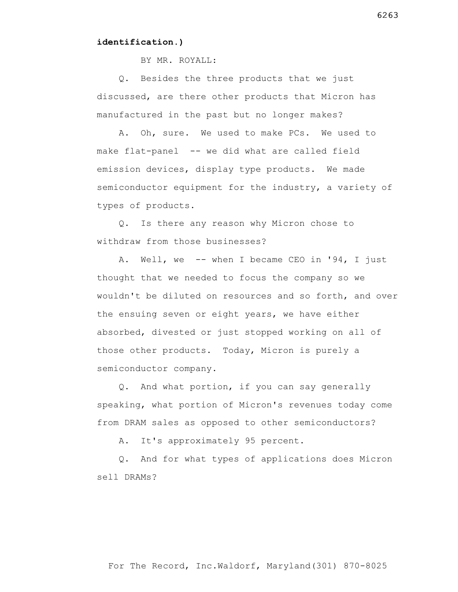#### **identification.)**

BY MR. ROYALL:

 Q. Besides the three products that we just discussed, are there other products that Micron has manufactured in the past but no longer makes?

 A. Oh, sure. We used to make PCs. We used to make flat-panel -- we did what are called field emission devices, display type products. We made semiconductor equipment for the industry, a variety of types of products.

 Q. Is there any reason why Micron chose to withdraw from those businesses?

 A. Well, we -- when I became CEO in '94, I just thought that we needed to focus the company so we wouldn't be diluted on resources and so forth, and over the ensuing seven or eight years, we have either absorbed, divested or just stopped working on all of those other products. Today, Micron is purely a semiconductor company.

 Q. And what portion, if you can say generally speaking, what portion of Micron's revenues today come from DRAM sales as opposed to other semiconductors?

A. It's approximately 95 percent.

 Q. And for what types of applications does Micron sell DRAMs?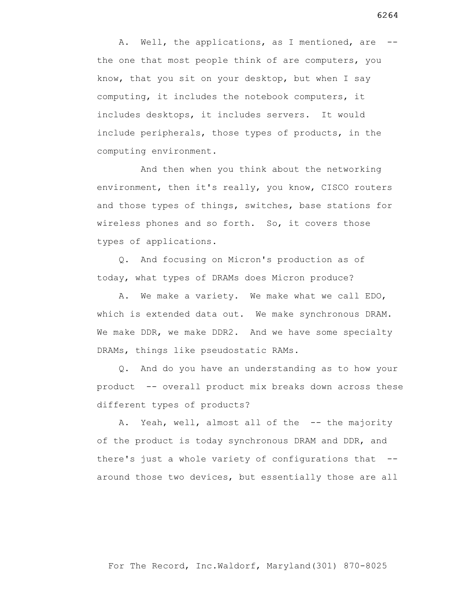A. Well, the applications, as I mentioned, are -the one that most people think of are computers, you know, that you sit on your desktop, but when I say computing, it includes the notebook computers, it includes desktops, it includes servers. It would include peripherals, those types of products, in the computing environment.

 And then when you think about the networking environment, then it's really, you know, CISCO routers and those types of things, switches, base stations for wireless phones and so forth. So, it covers those types of applications.

 Q. And focusing on Micron's production as of today, what types of DRAMs does Micron produce?

 A. We make a variety. We make what we call EDO, which is extended data out. We make synchronous DRAM. We make DDR, we make DDR2. And we have some specialty DRAMs, things like pseudostatic RAMs.

 Q. And do you have an understanding as to how your product -- overall product mix breaks down across these different types of products?

A. Yeah, well, almost all of the -- the majority of the product is today synchronous DRAM and DDR, and there's just a whole variety of configurations that - around those two devices, but essentially those are all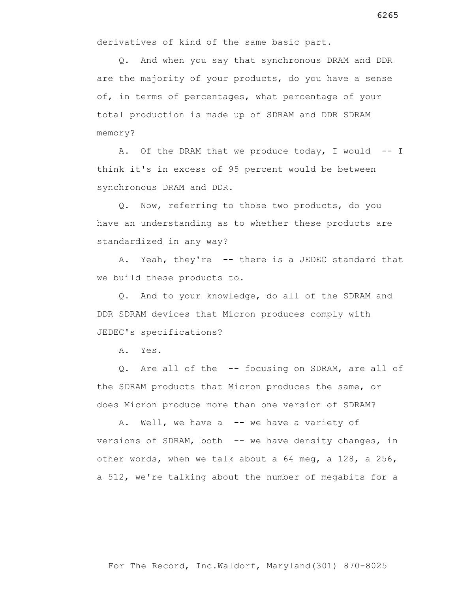derivatives of kind of the same basic part.

 Q. And when you say that synchronous DRAM and DDR are the majority of your products, do you have a sense of, in terms of percentages, what percentage of your total production is made up of SDRAM and DDR SDRAM memory?

A. Of the DRAM that we produce today, I would -- I think it's in excess of 95 percent would be between synchronous DRAM and DDR.

 Q. Now, referring to those two products, do you have an understanding as to whether these products are standardized in any way?

 A. Yeah, they're -- there is a JEDEC standard that we build these products to.

 Q. And to your knowledge, do all of the SDRAM and DDR SDRAM devices that Micron produces comply with JEDEC's specifications?

A. Yes.

 Q. Are all of the -- focusing on SDRAM, are all of the SDRAM products that Micron produces the same, or does Micron produce more than one version of SDRAM?

A. Well, we have a -- we have a variety of versions of SDRAM, both -- we have density changes, in other words, when we talk about a 64 meg, a 128, a 256, a 512, we're talking about the number of megabits for a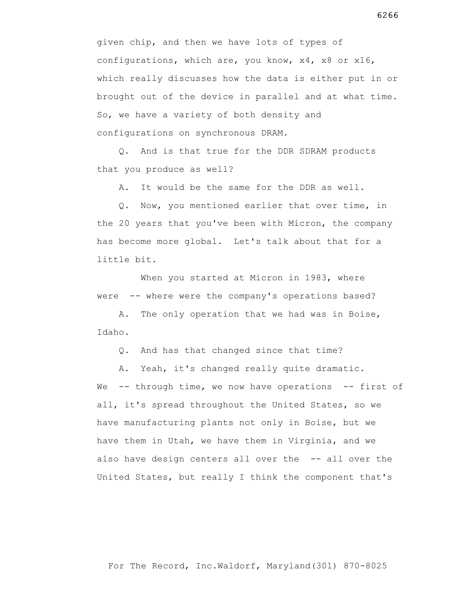given chip, and then we have lots of types of configurations, which are, you know, x4, x8 or x16, which really discusses how the data is either put in or brought out of the device in parallel and at what time. So, we have a variety of both density and configurations on synchronous DRAM.

 Q. And is that true for the DDR SDRAM products that you produce as well?

A. It would be the same for the DDR as well.

 Q. Now, you mentioned earlier that over time, in the 20 years that you've been with Micron, the company has become more global. Let's talk about that for a little bit.

When you started at Micron in 1983, where were -- where were the company's operations based?

 A. The only operation that we had was in Boise, Idaho.

Q. And has that changed since that time?

 A. Yeah, it's changed really quite dramatic. We -- through time, we now have operations -- first of all, it's spread throughout the United States, so we have manufacturing plants not only in Boise, but we have them in Utah, we have them in Virginia, and we also have design centers all over the -- all over the United States, but really I think the component that's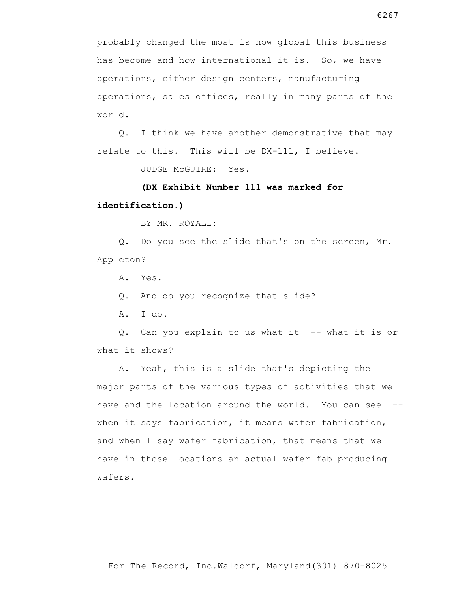probably changed the most is how global this business has become and how international it is. So, we have operations, either design centers, manufacturing operations, sales offices, really in many parts of the world.

 Q. I think we have another demonstrative that may relate to this. This will be DX-111, I believe.

JUDGE McGUIRE: Yes.

# **(DX Exhibit Number 111 was marked for identification.)**

BY MR. ROYALL:

 Q. Do you see the slide that's on the screen, Mr. Appleton?

A. Yes.

Q. And do you recognize that slide?

A. I do.

 Q. Can you explain to us what it -- what it is or what it shows?

 A. Yeah, this is a slide that's depicting the major parts of the various types of activities that we have and the location around the world. You can see -when it says fabrication, it means wafer fabrication, and when I say wafer fabrication, that means that we have in those locations an actual wafer fab producing wafers.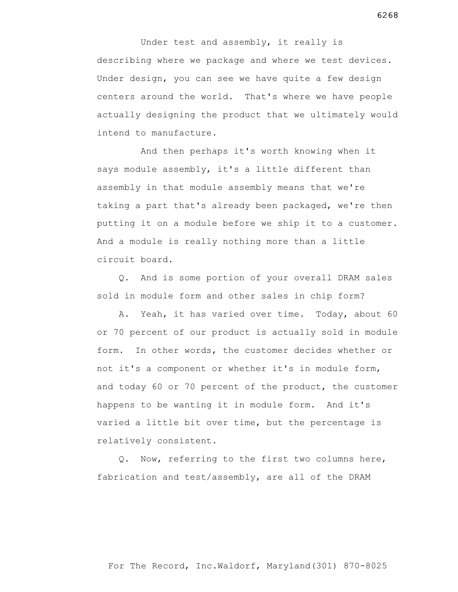Under test and assembly, it really is describing where we package and where we test devices. Under design, you can see we have quite a few design centers around the world. That's where we have people actually designing the product that we ultimately would intend to manufacture.

 And then perhaps it's worth knowing when it says module assembly, it's a little different than assembly in that module assembly means that we're taking a part that's already been packaged, we're then putting it on a module before we ship it to a customer. And a module is really nothing more than a little circuit board.

 Q. And is some portion of your overall DRAM sales sold in module form and other sales in chip form?

 A. Yeah, it has varied over time. Today, about 60 or 70 percent of our product is actually sold in module form. In other words, the customer decides whether or not it's a component or whether it's in module form, and today 60 or 70 percent of the product, the customer happens to be wanting it in module form. And it's varied a little bit over time, but the percentage is relatively consistent.

 Q. Now, referring to the first two columns here, fabrication and test/assembly, are all of the DRAM

## For The Record, Inc.Waldorf, Maryland(301) 870-8025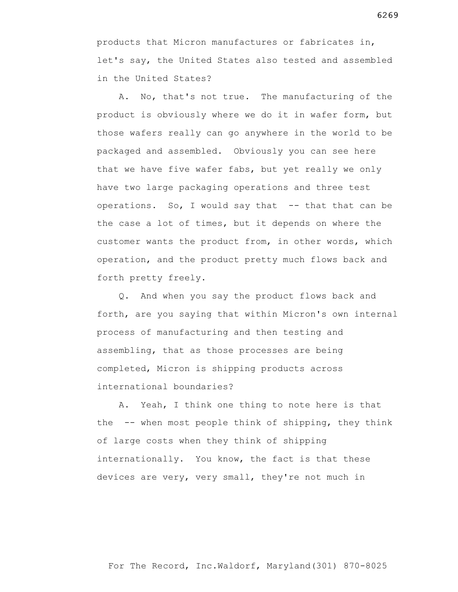products that Micron manufactures or fabricates in, let's say, the United States also tested and assembled in the United States?

 A. No, that's not true. The manufacturing of the product is obviously where we do it in wafer form, but those wafers really can go anywhere in the world to be packaged and assembled. Obviously you can see here that we have five wafer fabs, but yet really we only have two large packaging operations and three test operations. So, I would say that -- that that can be the case a lot of times, but it depends on where the customer wants the product from, in other words, which operation, and the product pretty much flows back and forth pretty freely.

 Q. And when you say the product flows back and forth, are you saying that within Micron's own internal process of manufacturing and then testing and assembling, that as those processes are being completed, Micron is shipping products across international boundaries?

 A. Yeah, I think one thing to note here is that the -- when most people think of shipping, they think of large costs when they think of shipping internationally. You know, the fact is that these devices are very, very small, they're not much in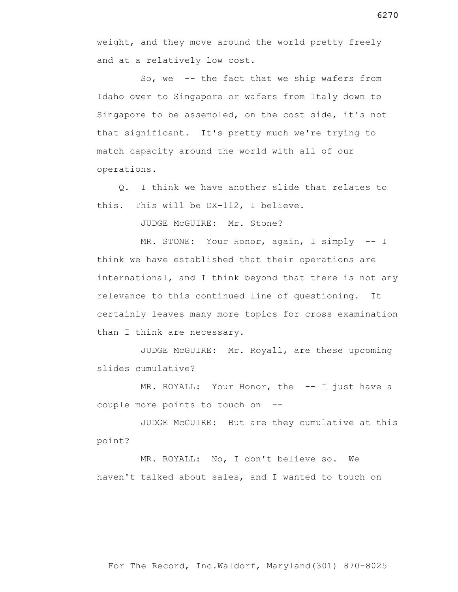weight, and they move around the world pretty freely and at a relatively low cost.

 So, we -- the fact that we ship wafers from Idaho over to Singapore or wafers from Italy down to Singapore to be assembled, on the cost side, it's not that significant. It's pretty much we're trying to match capacity around the world with all of our operations.

 Q. I think we have another slide that relates to this. This will be DX-112, I believe.

JUDGE McGUIRE: Mr. Stone?

MR. STONE: Your Honor, again, I simply -- I think we have established that their operations are international, and I think beyond that there is not any relevance to this continued line of questioning. It certainly leaves many more topics for cross examination than I think are necessary.

 JUDGE McGUIRE: Mr. Royall, are these upcoming slides cumulative?

MR. ROYALL: Your Honor, the -- I just have a couple more points to touch on --

 JUDGE McGUIRE: But are they cumulative at this point?

For The Record, Inc.Waldorf, Maryland(301) 870-8025

 MR. ROYALL: No, I don't believe so. We haven't talked about sales, and I wanted to touch on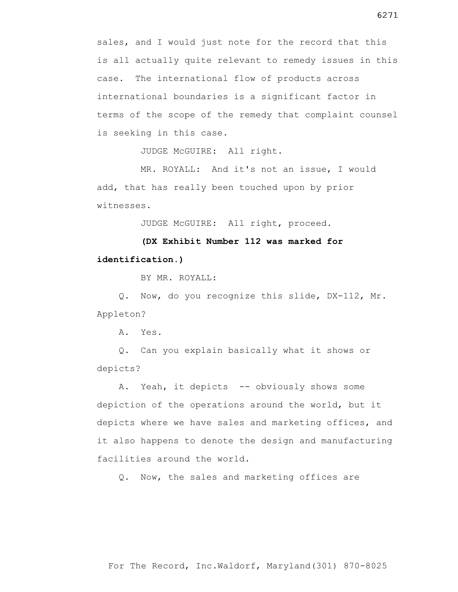sales, and I would just note for the record that this is all actually quite relevant to remedy issues in this case. The international flow of products across international boundaries is a significant factor in terms of the scope of the remedy that complaint counsel is seeking in this case.

JUDGE McGUIRE: All right.

 MR. ROYALL: And it's not an issue, I would add, that has really been touched upon by prior witnesses.

JUDGE McGUIRE: All right, proceed.

**(DX Exhibit Number 112 was marked for identification.)**

BY MR. ROYALL:

 Q. Now, do you recognize this slide, DX-112, Mr. Appleton?

A. Yes.

 Q. Can you explain basically what it shows or depicts?

A. Yeah, it depicts -- obviously shows some depiction of the operations around the world, but it depicts where we have sales and marketing offices, and it also happens to denote the design and manufacturing facilities around the world.

Q. Now, the sales and marketing offices are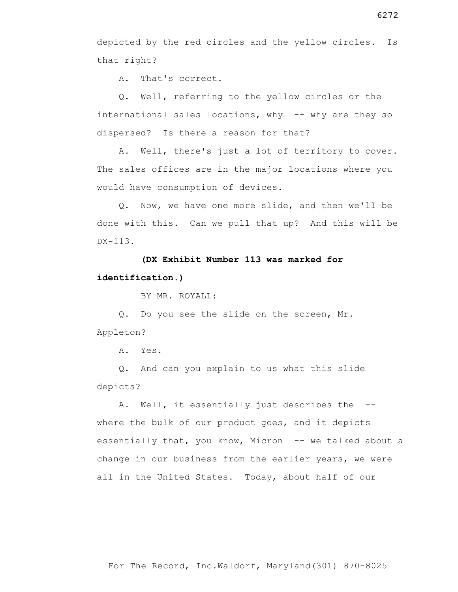depicted by the red circles and the yellow circles. Is that right?

A. That's correct.

 Q. Well, referring to the yellow circles or the international sales locations, why -- why are they so dispersed? Is there a reason for that?

 A. Well, there's just a lot of territory to cover. The sales offices are in the major locations where you would have consumption of devices.

 Q. Now, we have one more slide, and then we'll be done with this. Can we pull that up? And this will be DX-113.

# **(DX Exhibit Number 113 was marked for identification.)**

BY MR. ROYALL:

 Q. Do you see the slide on the screen, Mr. Appleton?

A. Yes.

 Q. And can you explain to us what this slide depicts?

A. Well, it essentially just describes the -where the bulk of our product goes, and it depicts essentially that, you know, Micron -- we talked about a change in our business from the earlier years, we were all in the United States. Today, about half of our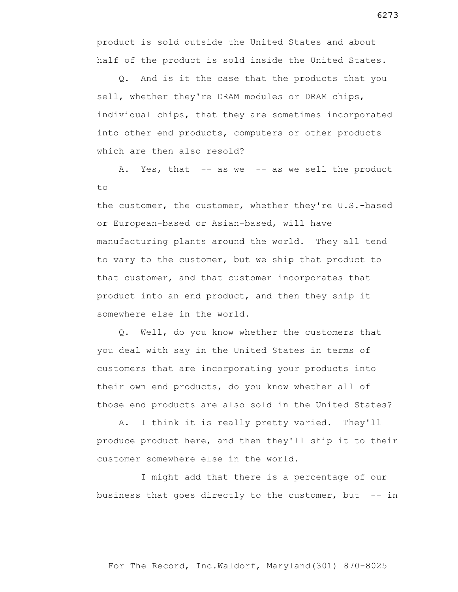product is sold outside the United States and about half of the product is sold inside the United States.

 Q. And is it the case that the products that you sell, whether they're DRAM modules or DRAM chips, individual chips, that they are sometimes incorporated into other end products, computers or other products which are then also resold?

A. Yes, that -- as we -- as we sell the product to

the customer, the customer, whether they're U.S.-based or European-based or Asian-based, will have manufacturing plants around the world. They all tend to vary to the customer, but we ship that product to that customer, and that customer incorporates that product into an end product, and then they ship it somewhere else in the world.

 Q. Well, do you know whether the customers that you deal with say in the United States in terms of customers that are incorporating your products into their own end products, do you know whether all of those end products are also sold in the United States?

 A. I think it is really pretty varied. They'll produce product here, and then they'll ship it to their customer somewhere else in the world.

 I might add that there is a percentage of our business that goes directly to the customer, but  $-$ - in

For The Record, Inc.Waldorf, Maryland(301) 870-8025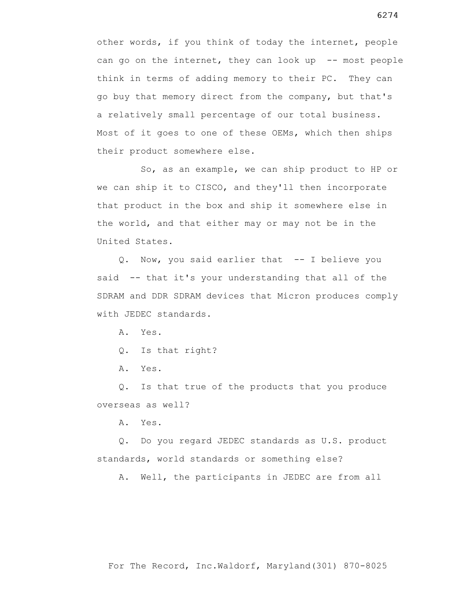other words, if you think of today the internet, people can go on the internet, they can look up -- most people think in terms of adding memory to their PC. They can go buy that memory direct from the company, but that's a relatively small percentage of our total business. Most of it goes to one of these OEMs, which then ships their product somewhere else.

 So, as an example, we can ship product to HP or we can ship it to CISCO, and they'll then incorporate that product in the box and ship it somewhere else in the world, and that either may or may not be in the United States.

 Q. Now, you said earlier that -- I believe you said -- that it's your understanding that all of the SDRAM and DDR SDRAM devices that Micron produces comply with JEDEC standards.

A. Yes.

Q. Is that right?

A. Yes.

 Q. Is that true of the products that you produce overseas as well?

A. Yes.

 Q. Do you regard JEDEC standards as U.S. product standards, world standards or something else?

A. Well, the participants in JEDEC are from all

For The Record, Inc.Waldorf, Maryland(301) 870-8025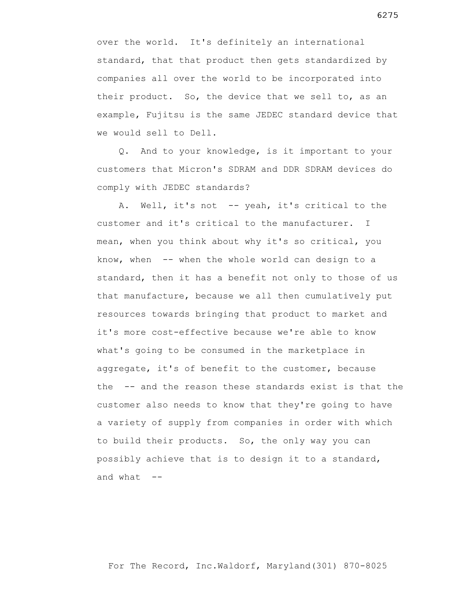over the world. It's definitely an international standard, that that product then gets standardized by companies all over the world to be incorporated into their product. So, the device that we sell to, as an example, Fujitsu is the same JEDEC standard device that we would sell to Dell.

 Q. And to your knowledge, is it important to your customers that Micron's SDRAM and DDR SDRAM devices do comply with JEDEC standards?

 A. Well, it's not -- yeah, it's critical to the customer and it's critical to the manufacturer. I mean, when you think about why it's so critical, you know, when -- when the whole world can design to a standard, then it has a benefit not only to those of us that manufacture, because we all then cumulatively put resources towards bringing that product to market and it's more cost-effective because we're able to know what's going to be consumed in the marketplace in aggregate, it's of benefit to the customer, because the -- and the reason these standards exist is that the customer also needs to know that they're going to have a variety of supply from companies in order with which to build their products. So, the only way you can possibly achieve that is to design it to a standard, and what  $--$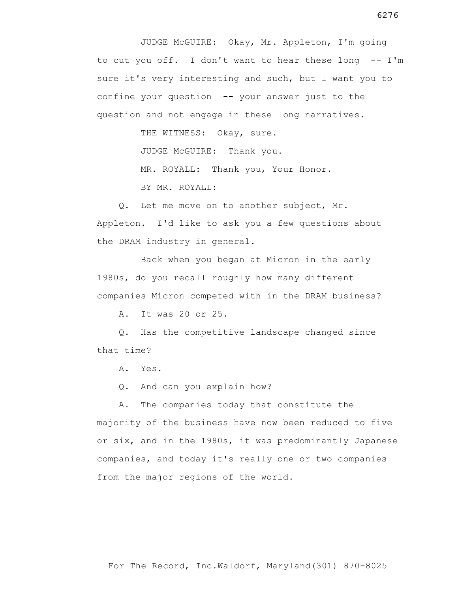JUDGE McGUIRE: Okay, Mr. Appleton, I'm going to cut you off. I don't want to hear these long -- I'm sure it's very interesting and such, but I want you to confine your question -- your answer just to the question and not engage in these long narratives.

THE WITNESS: Okay, sure.

JUDGE McGUIRE: Thank you.

MR. ROYALL: Thank you, Your Honor.

BY MR. ROYALL:

 Q. Let me move on to another subject, Mr. Appleton. I'd like to ask you a few questions about the DRAM industry in general.

 Back when you began at Micron in the early 1980s, do you recall roughly how many different companies Micron competed with in the DRAM business?

A. It was 20 or 25.

 Q. Has the competitive landscape changed since that time?

A. Yes.

Q. And can you explain how?

 A. The companies today that constitute the majority of the business have now been reduced to five or six, and in the 1980s, it was predominantly Japanese companies, and today it's really one or two companies from the major regions of the world.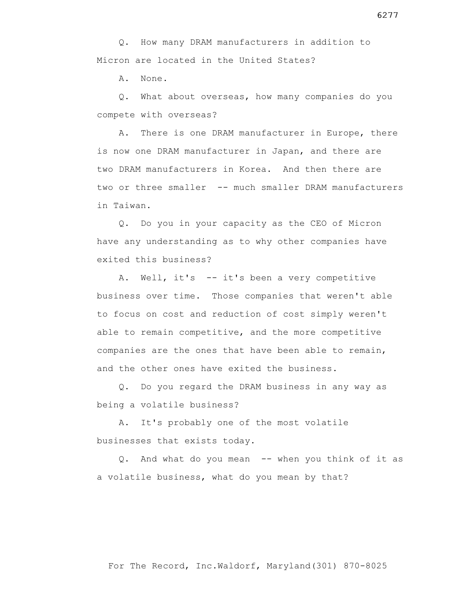Q. How many DRAM manufacturers in addition to Micron are located in the United States?

A. None.

 Q. What about overseas, how many companies do you compete with overseas?

 A. There is one DRAM manufacturer in Europe, there is now one DRAM manufacturer in Japan, and there are two DRAM manufacturers in Korea. And then there are two or three smaller -- much smaller DRAM manufacturers in Taiwan.

 Q. Do you in your capacity as the CEO of Micron have any understanding as to why other companies have exited this business?

 A. Well, it's -- it's been a very competitive business over time. Those companies that weren't able to focus on cost and reduction of cost simply weren't able to remain competitive, and the more competitive companies are the ones that have been able to remain, and the other ones have exited the business.

 Q. Do you regard the DRAM business in any way as being a volatile business?

 A. It's probably one of the most volatile businesses that exists today.

 Q. And what do you mean -- when you think of it as a volatile business, what do you mean by that?

6277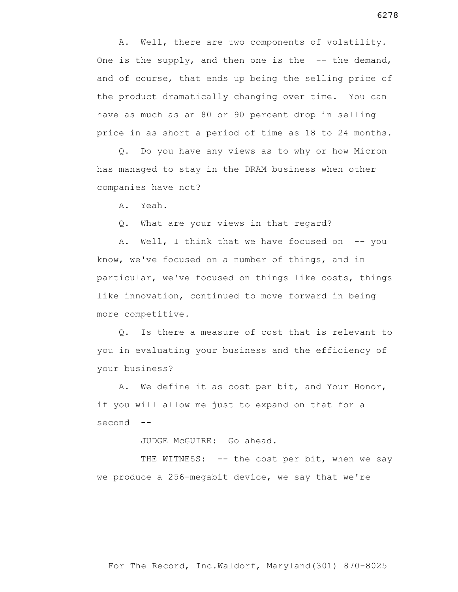A. Well, there are two components of volatility. One is the supply, and then one is the  $-$ - the demand, and of course, that ends up being the selling price of the product dramatically changing over time. You can have as much as an 80 or 90 percent drop in selling price in as short a period of time as 18 to 24 months.

 Q. Do you have any views as to why or how Micron has managed to stay in the DRAM business when other companies have not?

A. Yeah.

Q. What are your views in that regard?

A. Well, I think that we have focused on  $-$ - you know, we've focused on a number of things, and in particular, we've focused on things like costs, things like innovation, continued to move forward in being more competitive.

 Q. Is there a measure of cost that is relevant to you in evaluating your business and the efficiency of your business?

 A. We define it as cost per bit, and Your Honor, if you will allow me just to expand on that for a second --

JUDGE McGUIRE: Go ahead.

THE WITNESS: -- the cost per bit, when we say we produce a 256-megabit device, we say that we're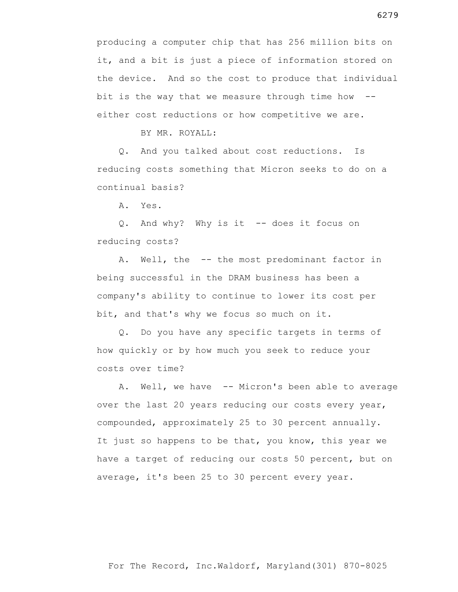producing a computer chip that has 256 million bits on it, and a bit is just a piece of information stored on the device. And so the cost to produce that individual bit is the way that we measure through time how  $-$ either cost reductions or how competitive we are.

BY MR. ROYALL:

 Q. And you talked about cost reductions. Is reducing costs something that Micron seeks to do on a continual basis?

A. Yes.

 Q. And why? Why is it -- does it focus on reducing costs?

 A. Well, the -- the most predominant factor in being successful in the DRAM business has been a company's ability to continue to lower its cost per bit, and that's why we focus so much on it.

 Q. Do you have any specific targets in terms of how quickly or by how much you seek to reduce your costs over time?

A. Well, we have -- Micron's been able to average over the last 20 years reducing our costs every year, compounded, approximately 25 to 30 percent annually. It just so happens to be that, you know, this year we have a target of reducing our costs 50 percent, but on average, it's been 25 to 30 percent every year.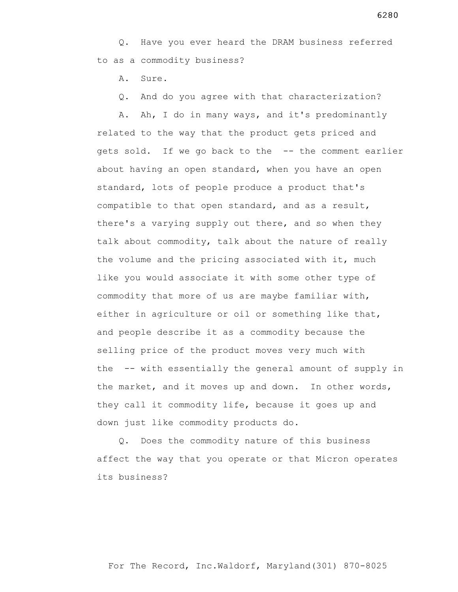Q. Have you ever heard the DRAM business referred to as a commodity business?

A. Sure.

Q. And do you agree with that characterization?

 A. Ah, I do in many ways, and it's predominantly related to the way that the product gets priced and gets sold. If we go back to the -- the comment earlier about having an open standard, when you have an open standard, lots of people produce a product that's compatible to that open standard, and as a result, there's a varying supply out there, and so when they talk about commodity, talk about the nature of really the volume and the pricing associated with it, much like you would associate it with some other type of commodity that more of us are maybe familiar with, either in agriculture or oil or something like that, and people describe it as a commodity because the selling price of the product moves very much with the -- with essentially the general amount of supply in the market, and it moves up and down. In other words, they call it commodity life, because it goes up and down just like commodity products do.

 Q. Does the commodity nature of this business affect the way that you operate or that Micron operates its business?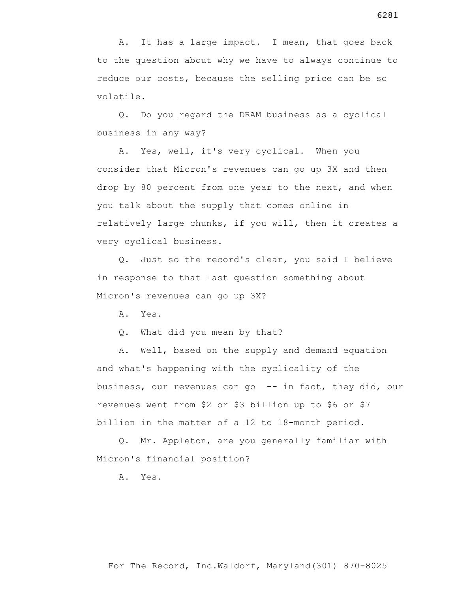A. It has a large impact. I mean, that goes back to the question about why we have to always continue to reduce our costs, because the selling price can be so volatile.

 Q. Do you regard the DRAM business as a cyclical business in any way?

 A. Yes, well, it's very cyclical. When you consider that Micron's revenues can go up 3X and then drop by 80 percent from one year to the next, and when you talk about the supply that comes online in relatively large chunks, if you will, then it creates a very cyclical business.

 Q. Just so the record's clear, you said I believe in response to that last question something about Micron's revenues can go up 3X?

A. Yes.

Q. What did you mean by that?

 A. Well, based on the supply and demand equation and what's happening with the cyclicality of the business, our revenues can go -- in fact, they did, our revenues went from \$2 or \$3 billion up to \$6 or \$7 billion in the matter of a 12 to 18-month period.

 Q. Mr. Appleton, are you generally familiar with Micron's financial position?

A. Yes.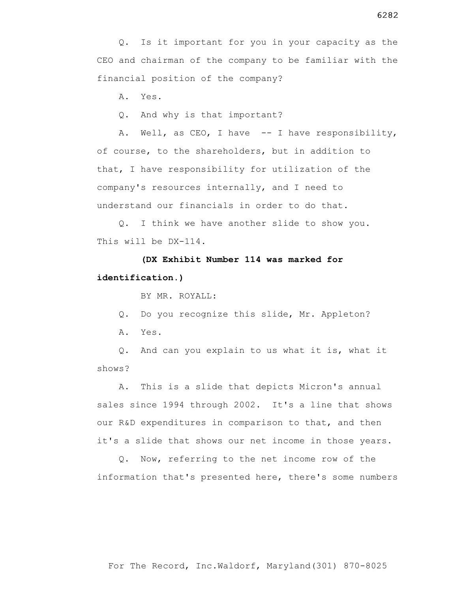A. Yes.

Q. And why is that important?

A. Well, as CEO, I have -- I have responsibility, of course, to the shareholders, but in addition to that, I have responsibility for utilization of the company's resources internally, and I need to understand our financials in order to do that.

 Q. I think we have another slide to show you. This will be DX-114.

 **(DX Exhibit Number 114 was marked for identification.)**

BY MR. ROYALL:

Q. Do you recognize this slide, Mr. Appleton?

A. Yes.

 Q. And can you explain to us what it is, what it shows?

 A. This is a slide that depicts Micron's annual sales since 1994 through 2002. It's a line that shows our R&D expenditures in comparison to that, and then it's a slide that shows our net income in those years.

 Q. Now, referring to the net income row of the information that's presented here, there's some numbers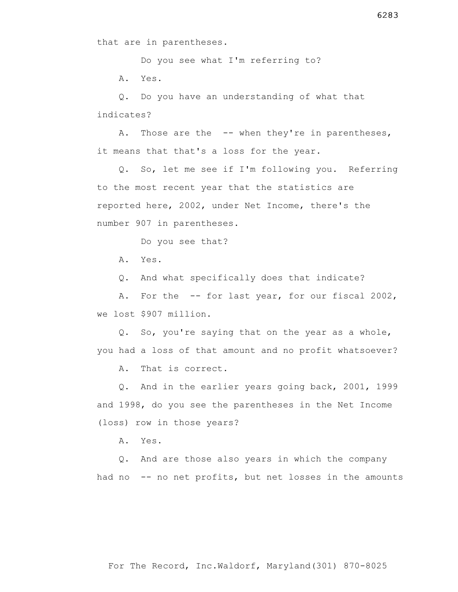Do you see what I'm referring to?

A. Yes.

 Q. Do you have an understanding of what that indicates?

A. Those are the -- when they're in parentheses, it means that that's a loss for the year.

 Q. So, let me see if I'm following you. Referring to the most recent year that the statistics are reported here, 2002, under Net Income, there's the number 907 in parentheses.

Do you see that?

A. Yes.

Q. And what specifically does that indicate?

A. For the -- for last year, for our fiscal 2002, we lost \$907 million.

 Q. So, you're saying that on the year as a whole, you had a loss of that amount and no profit whatsoever?

A. That is correct.

 Q. And in the earlier years going back, 2001, 1999 and 1998, do you see the parentheses in the Net Income (loss) row in those years?

A. Yes.

 Q. And are those also years in which the company had no -- no net profits, but net losses in the amounts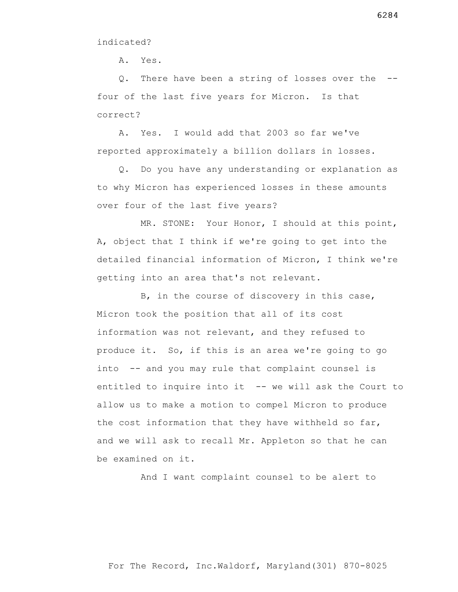A. Yes.

 Q. There have been a string of losses over the - four of the last five years for Micron. Is that correct?

 A. Yes. I would add that 2003 so far we've reported approximately a billion dollars in losses.

 Q. Do you have any understanding or explanation as to why Micron has experienced losses in these amounts over four of the last five years?

 MR. STONE: Your Honor, I should at this point, A, object that I think if we're going to get into the detailed financial information of Micron, I think we're getting into an area that's not relevant.

 B, in the course of discovery in this case, Micron took the position that all of its cost information was not relevant, and they refused to produce it. So, if this is an area we're going to go into -- and you may rule that complaint counsel is entitled to inquire into it -- we will ask the Court to allow us to make a motion to compel Micron to produce the cost information that they have withheld so far, and we will ask to recall Mr. Appleton so that he can be examined on it.

And I want complaint counsel to be alert to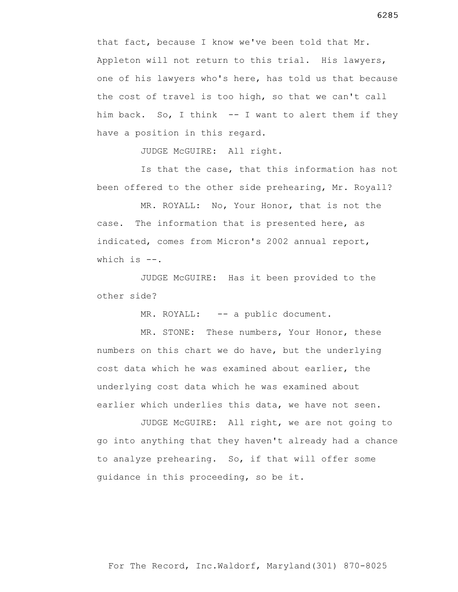that fact, because I know we've been told that Mr. Appleton will not return to this trial. His lawyers, one of his lawyers who's here, has told us that because the cost of travel is too high, so that we can't call him back. So, I think -- I want to alert them if they have a position in this regard.

JUDGE McGUIRE: All right.

 Is that the case, that this information has not been offered to the other side prehearing, Mr. Royall?

 MR. ROYALL: No, Your Honor, that is not the case. The information that is presented here, as indicated, comes from Micron's 2002 annual report, which is  $--$ .

 JUDGE McGUIRE: Has it been provided to the other side?

MR. ROYALL: -- a public document.

MR. STONE: These numbers, Your Honor, these numbers on this chart we do have, but the underlying cost data which he was examined about earlier, the underlying cost data which he was examined about earlier which underlies this data, we have not seen.

 JUDGE McGUIRE: All right, we are not going to go into anything that they haven't already had a chance to analyze prehearing. So, if that will offer some guidance in this proceeding, so be it.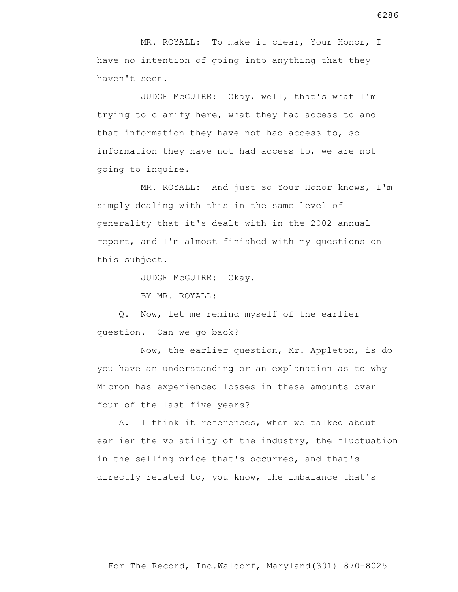MR. ROYALL: To make it clear, Your Honor, I have no intention of going into anything that they haven't seen.

 JUDGE McGUIRE: Okay, well, that's what I'm trying to clarify here, what they had access to and that information they have not had access to, so information they have not had access to, we are not going to inquire.

 MR. ROYALL: And just so Your Honor knows, I'm simply dealing with this in the same level of generality that it's dealt with in the 2002 annual report, and I'm almost finished with my questions on this subject.

JUDGE McGUIRE: Okay.

BY MR. ROYALL:

 Q. Now, let me remind myself of the earlier question. Can we go back?

 Now, the earlier question, Mr. Appleton, is do you have an understanding or an explanation as to why Micron has experienced losses in these amounts over four of the last five years?

 A. I think it references, when we talked about earlier the volatility of the industry, the fluctuation in the selling price that's occurred, and that's directly related to, you know, the imbalance that's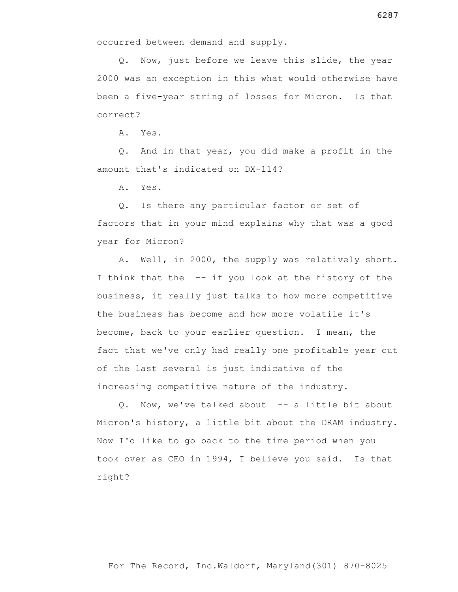Q. Now, just before we leave this slide, the year 2000 was an exception in this what would otherwise have been a five-year string of losses for Micron. Is that correct?

A. Yes.

 Q. And in that year, you did make a profit in the amount that's indicated on DX-114?

A. Yes.

 Q. Is there any particular factor or set of factors that in your mind explains why that was a good year for Micron?

 A. Well, in 2000, the supply was relatively short. I think that the -- if you look at the history of the business, it really just talks to how more competitive the business has become and how more volatile it's become, back to your earlier question. I mean, the fact that we've only had really one profitable year out of the last several is just indicative of the increasing competitive nature of the industry.

 Q. Now, we've talked about -- a little bit about Micron's history, a little bit about the DRAM industry. Now I'd like to go back to the time period when you took over as CEO in 1994, I believe you said. Is that right?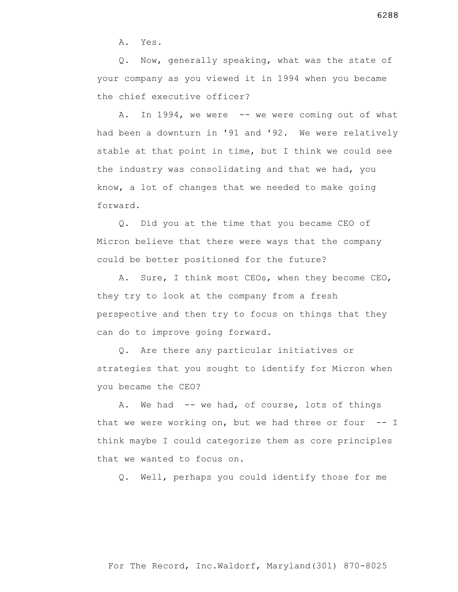A. Yes.

 Q. Now, generally speaking, what was the state of your company as you viewed it in 1994 when you became the chief executive officer?

A. In 1994, we were -- we were coming out of what had been a downturn in '91 and '92. We were relatively stable at that point in time, but I think we could see the industry was consolidating and that we had, you know, a lot of changes that we needed to make going forward.

 Q. Did you at the time that you became CEO of Micron believe that there were ways that the company could be better positioned for the future?

 A. Sure, I think most CEOs, when they become CEO, they try to look at the company from a fresh perspective and then try to focus on things that they can do to improve going forward.

 Q. Are there any particular initiatives or strategies that you sought to identify for Micron when you became the CEO?

 A. We had -- we had, of course, lots of things that we were working on, but we had three or four -- I think maybe I could categorize them as core principles that we wanted to focus on.

Q. Well, perhaps you could identify those for me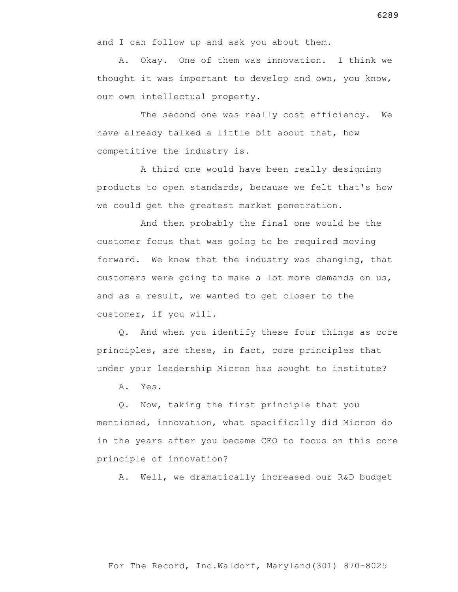and I can follow up and ask you about them.

 A. Okay. One of them was innovation. I think we thought it was important to develop and own, you know, our own intellectual property.

 The second one was really cost efficiency. We have already talked a little bit about that, how competitive the industry is.

 A third one would have been really designing products to open standards, because we felt that's how we could get the greatest market penetration.

 And then probably the final one would be the customer focus that was going to be required moving forward. We knew that the industry was changing, that customers were going to make a lot more demands on us, and as a result, we wanted to get closer to the customer, if you will.

 Q. And when you identify these four things as core principles, are these, in fact, core principles that under your leadership Micron has sought to institute?

A. Yes.

 Q. Now, taking the first principle that you mentioned, innovation, what specifically did Micron do in the years after you became CEO to focus on this core principle of innovation?

A. Well, we dramatically increased our R&D budget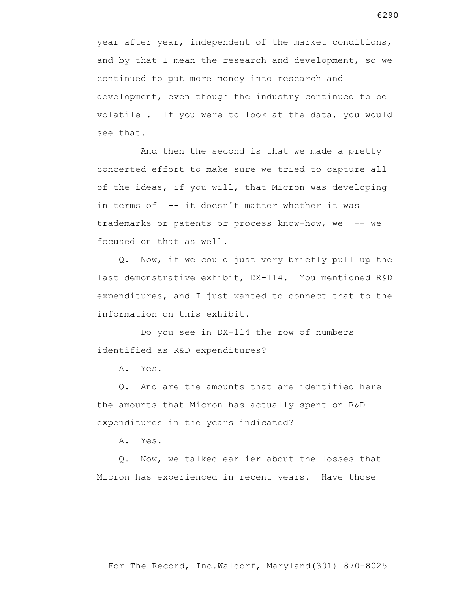year after year, independent of the market conditions, and by that I mean the research and development, so we continued to put more money into research and development, even though the industry continued to be volatile . If you were to look at the data, you would see that.

 And then the second is that we made a pretty concerted effort to make sure we tried to capture all of the ideas, if you will, that Micron was developing in terms of -- it doesn't matter whether it was trademarks or patents or process know-how, we -- we focused on that as well.

 Q. Now, if we could just very briefly pull up the last demonstrative exhibit, DX-114. You mentioned R&D expenditures, and I just wanted to connect that to the information on this exhibit.

 Do you see in DX-114 the row of numbers identified as R&D expenditures?

A. Yes.

 Q. And are the amounts that are identified here the amounts that Micron has actually spent on R&D expenditures in the years indicated?

A. Yes.

 Q. Now, we talked earlier about the losses that Micron has experienced in recent years. Have those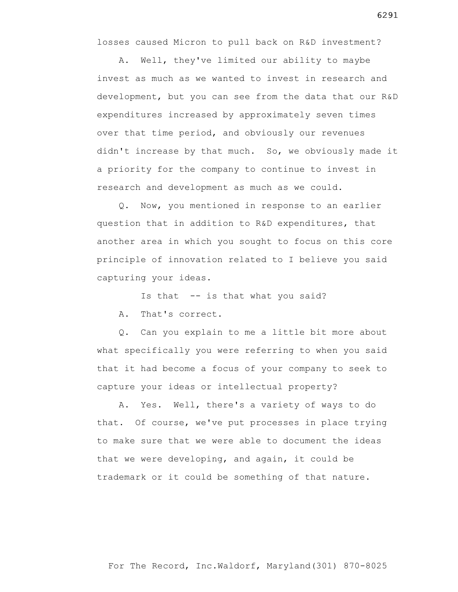losses caused Micron to pull back on R&D investment?

 A. Well, they've limited our ability to maybe invest as much as we wanted to invest in research and development, but you can see from the data that our R&D expenditures increased by approximately seven times over that time period, and obviously our revenues didn't increase by that much. So, we obviously made it a priority for the company to continue to invest in research and development as much as we could.

 Q. Now, you mentioned in response to an earlier question that in addition to R&D expenditures, that another area in which you sought to focus on this core principle of innovation related to I believe you said capturing your ideas.

Is that -- is that what you said?

A. That's correct.

 Q. Can you explain to me a little bit more about what specifically you were referring to when you said that it had become a focus of your company to seek to capture your ideas or intellectual property?

 A. Yes. Well, there's a variety of ways to do that. Of course, we've put processes in place trying to make sure that we were able to document the ideas that we were developing, and again, it could be trademark or it could be something of that nature.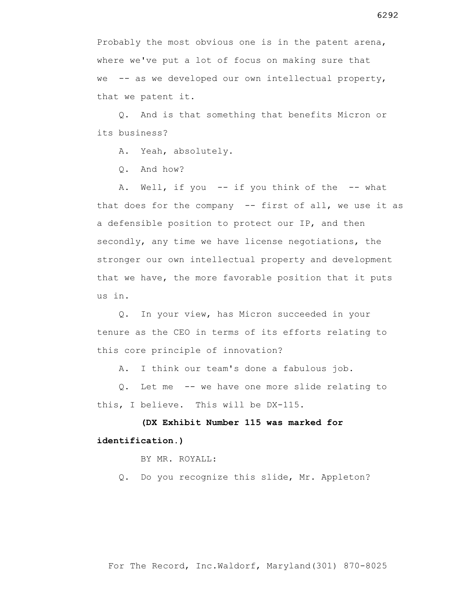Probably the most obvious one is in the patent arena, where we've put a lot of focus on making sure that we -- as we developed our own intellectual property, that we patent it.

 Q. And is that something that benefits Micron or its business?

A. Yeah, absolutely.

Q. And how?

A. Well, if you -- if you think of the -- what that does for the company -- first of all, we use it as a defensible position to protect our IP, and then secondly, any time we have license negotiations, the stronger our own intellectual property and development that we have, the more favorable position that it puts us in.

 Q. In your view, has Micron succeeded in your tenure as the CEO in terms of its efforts relating to this core principle of innovation?

A. I think our team's done a fabulous job.

 Q. Let me -- we have one more slide relating to this, I believe. This will be DX-115.

 **(DX Exhibit Number 115 was marked for identification.)**

BY MR. ROYALL:

Q. Do you recognize this slide, Mr. Appleton?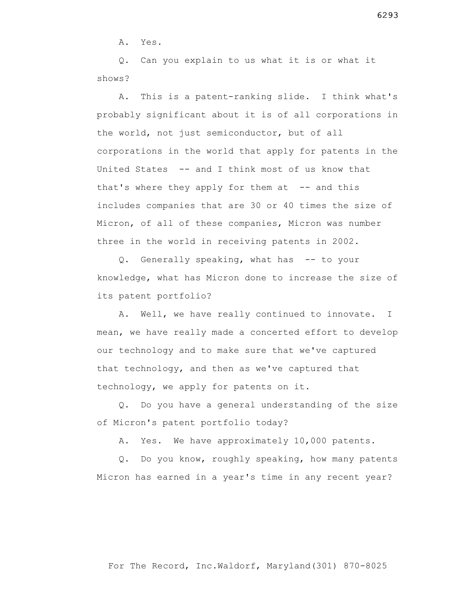A. Yes.

 Q. Can you explain to us what it is or what it shows?

 A. This is a patent-ranking slide. I think what's probably significant about it is of all corporations in the world, not just semiconductor, but of all corporations in the world that apply for patents in the United States -- and I think most of us know that that's where they apply for them at  $-$  and this includes companies that are 30 or 40 times the size of Micron, of all of these companies, Micron was number three in the world in receiving patents in 2002.

 Q. Generally speaking, what has -- to your knowledge, what has Micron done to increase the size of its patent portfolio?

 A. Well, we have really continued to innovate. I mean, we have really made a concerted effort to develop our technology and to make sure that we've captured that technology, and then as we've captured that technology, we apply for patents on it.

 Q. Do you have a general understanding of the size of Micron's patent portfolio today?

A. Yes. We have approximately 10,000 patents.

 Q. Do you know, roughly speaking, how many patents Micron has earned in a year's time in any recent year?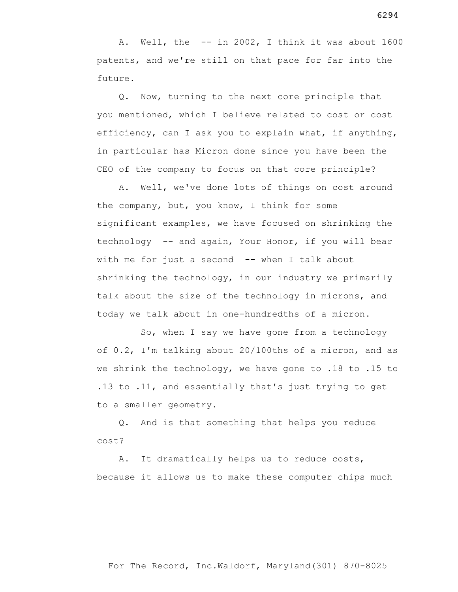A. Well, the -- in 2002, I think it was about 1600 patents, and we're still on that pace for far into the future.

 Q. Now, turning to the next core principle that you mentioned, which I believe related to cost or cost efficiency, can I ask you to explain what, if anything, in particular has Micron done since you have been the CEO of the company to focus on that core principle?

 A. Well, we've done lots of things on cost around the company, but, you know, I think for some significant examples, we have focused on shrinking the technology -- and again, Your Honor, if you will bear with me for just a second  $-$ - when I talk about shrinking the technology, in our industry we primarily talk about the size of the technology in microns, and today we talk about in one-hundredths of a micron.

 So, when I say we have gone from a technology of 0.2, I'm talking about 20/100ths of a micron, and as we shrink the technology, we have gone to .18 to .15 to .13 to .11, and essentially that's just trying to get to a smaller geometry.

 Q. And is that something that helps you reduce cost?

 A. It dramatically helps us to reduce costs, because it allows us to make these computer chips much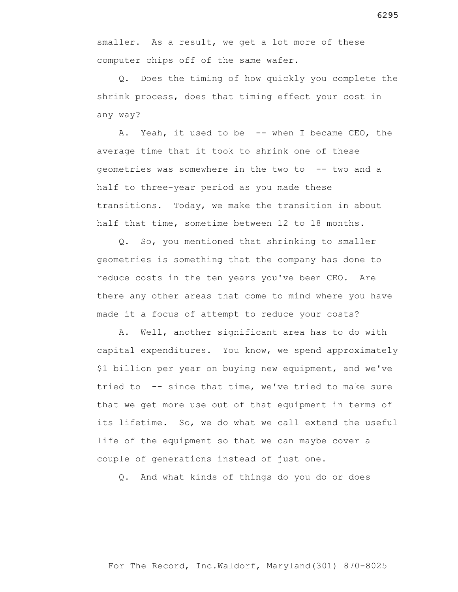smaller. As a result, we get a lot more of these computer chips off of the same wafer.

 Q. Does the timing of how quickly you complete the shrink process, does that timing effect your cost in any way?

A. Yeah, it used to be -- when I became CEO, the average time that it took to shrink one of these geometries was somewhere in the two to -- two and a half to three-year period as you made these transitions. Today, we make the transition in about half that time, sometime between 12 to 18 months.

 Q. So, you mentioned that shrinking to smaller geometries is something that the company has done to reduce costs in the ten years you've been CEO. Are there any other areas that come to mind where you have made it a focus of attempt to reduce your costs?

 A. Well, another significant area has to do with capital expenditures. You know, we spend approximately \$1 billion per year on buying new equipment, and we've tried to -- since that time, we've tried to make sure that we get more use out of that equipment in terms of its lifetime. So, we do what we call extend the useful life of the equipment so that we can maybe cover a couple of generations instead of just one.

Q. And what kinds of things do you do or does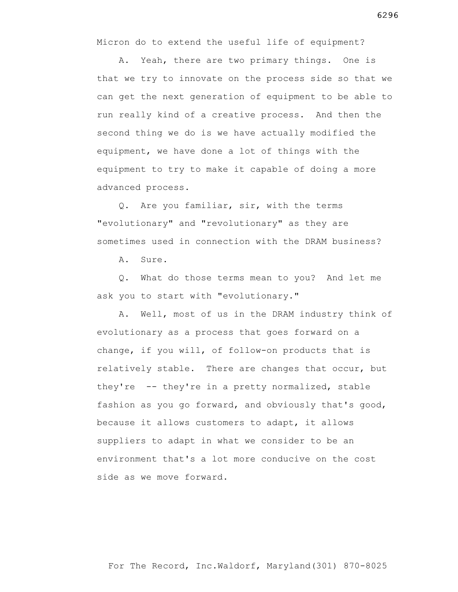Micron do to extend the useful life of equipment?

 A. Yeah, there are two primary things. One is that we try to innovate on the process side so that we can get the next generation of equipment to be able to run really kind of a creative process. And then the second thing we do is we have actually modified the equipment, we have done a lot of things with the equipment to try to make it capable of doing a more advanced process.

 Q. Are you familiar, sir, with the terms "evolutionary" and "revolutionary" as they are sometimes used in connection with the DRAM business?

A. Sure.

 Q. What do those terms mean to you? And let me ask you to start with "evolutionary."

 A. Well, most of us in the DRAM industry think of evolutionary as a process that goes forward on a change, if you will, of follow-on products that is relatively stable. There are changes that occur, but they're -- they're in a pretty normalized, stable fashion as you go forward, and obviously that's good, because it allows customers to adapt, it allows suppliers to adapt in what we consider to be an environment that's a lot more conducive on the cost side as we move forward.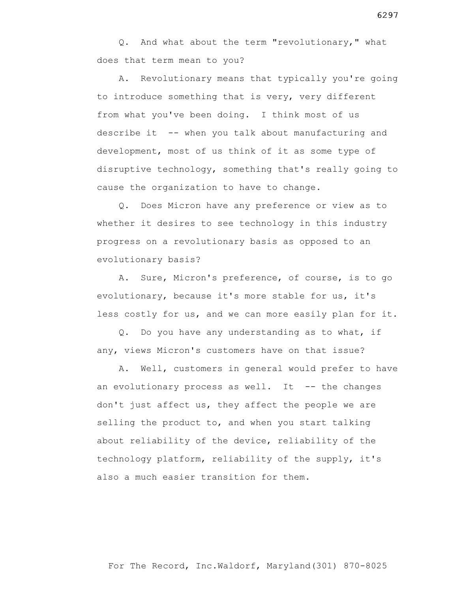Q. And what about the term "revolutionary," what does that term mean to you?

 A. Revolutionary means that typically you're going to introduce something that is very, very different from what you've been doing. I think most of us describe it -- when you talk about manufacturing and development, most of us think of it as some type of disruptive technology, something that's really going to cause the organization to have to change.

 Q. Does Micron have any preference or view as to whether it desires to see technology in this industry progress on a revolutionary basis as opposed to an evolutionary basis?

 A. Sure, Micron's preference, of course, is to go evolutionary, because it's more stable for us, it's less costly for us, and we can more easily plan for it.

 Q. Do you have any understanding as to what, if any, views Micron's customers have on that issue?

 A. Well, customers in general would prefer to have an evolutionary process as well. It  $-$ - the changes don't just affect us, they affect the people we are selling the product to, and when you start talking about reliability of the device, reliability of the technology platform, reliability of the supply, it's also a much easier transition for them.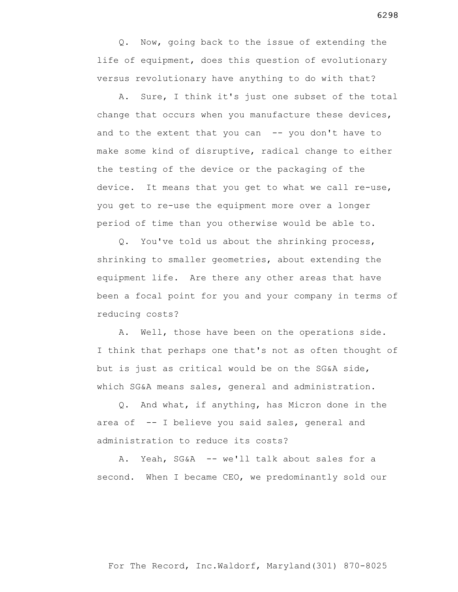Q. Now, going back to the issue of extending the life of equipment, does this question of evolutionary versus revolutionary have anything to do with that?

 A. Sure, I think it's just one subset of the total change that occurs when you manufacture these devices, and to the extent that you can  $-$ - you don't have to make some kind of disruptive, radical change to either the testing of the device or the packaging of the device. It means that you get to what we call re-use, you get to re-use the equipment more over a longer period of time than you otherwise would be able to.

 Q. You've told us about the shrinking process, shrinking to smaller geometries, about extending the equipment life. Are there any other areas that have been a focal point for you and your company in terms of reducing costs?

 A. Well, those have been on the operations side. I think that perhaps one that's not as often thought of but is just as critical would be on the SG&A side, which SG&A means sales, general and administration.

 Q. And what, if anything, has Micron done in the area of -- I believe you said sales, general and administration to reduce its costs?

 A. Yeah, SG&A -- we'll talk about sales for a second. When I became CEO, we predominantly sold our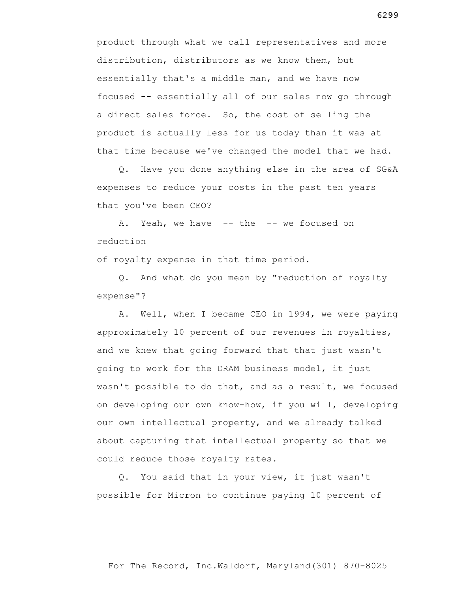product through what we call representatives and more distribution, distributors as we know them, but essentially that's a middle man, and we have now focused -- essentially all of our sales now go through a direct sales force. So, the cost of selling the product is actually less for us today than it was at that time because we've changed the model that we had.

 Q. Have you done anything else in the area of SG&A expenses to reduce your costs in the past ten years that you've been CEO?

A. Yeah, we have -- the -- we focused on reduction

of royalty expense in that time period.

 Q. And what do you mean by "reduction of royalty expense"?

 A. Well, when I became CEO in 1994, we were paying approximately 10 percent of our revenues in royalties, and we knew that going forward that that just wasn't going to work for the DRAM business model, it just wasn't possible to do that, and as a result, we focused on developing our own know-how, if you will, developing our own intellectual property, and we already talked about capturing that intellectual property so that we could reduce those royalty rates.

 Q. You said that in your view, it just wasn't possible for Micron to continue paying 10 percent of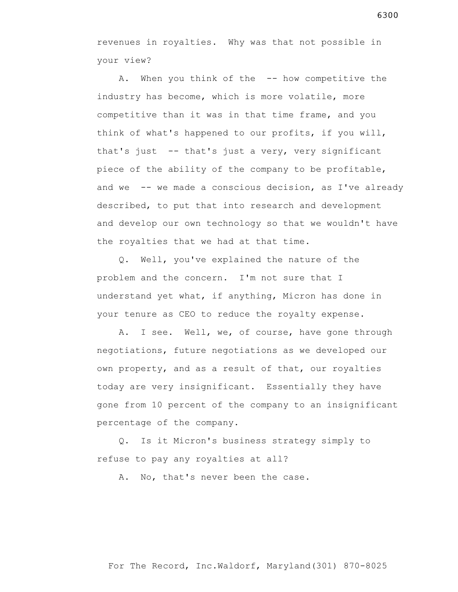revenues in royalties. Why was that not possible in your view?

A. When you think of the -- how competitive the industry has become, which is more volatile, more competitive than it was in that time frame, and you think of what's happened to our profits, if you will, that's just -- that's just a very, very significant piece of the ability of the company to be profitable, and we -- we made a conscious decision, as I've already described, to put that into research and development and develop our own technology so that we wouldn't have the royalties that we had at that time.

 Q. Well, you've explained the nature of the problem and the concern. I'm not sure that I understand yet what, if anything, Micron has done in your tenure as CEO to reduce the royalty expense.

 A. I see. Well, we, of course, have gone through negotiations, future negotiations as we developed our own property, and as a result of that, our royalties today are very insignificant. Essentially they have gone from 10 percent of the company to an insignificant percentage of the company.

 Q. Is it Micron's business strategy simply to refuse to pay any royalties at all?

A. No, that's never been the case.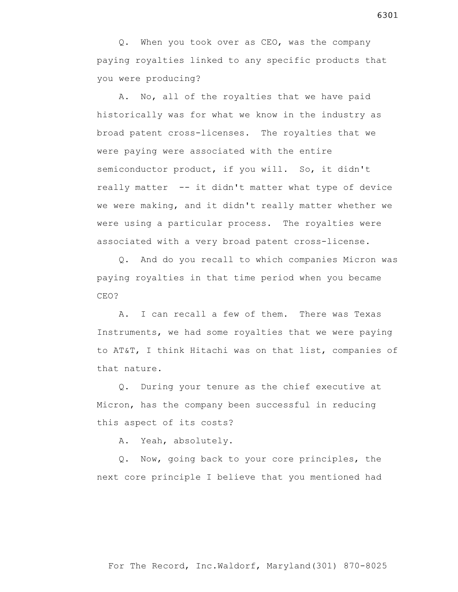Q. When you took over as CEO, was the company paying royalties linked to any specific products that you were producing?

 A. No, all of the royalties that we have paid historically was for what we know in the industry as broad patent cross-licenses. The royalties that we were paying were associated with the entire semiconductor product, if you will. So, it didn't really matter -- it didn't matter what type of device we were making, and it didn't really matter whether we were using a particular process. The royalties were associated with a very broad patent cross-license.

 Q. And do you recall to which companies Micron was paying royalties in that time period when you became CEO?

 A. I can recall a few of them. There was Texas Instruments, we had some royalties that we were paying to AT&T, I think Hitachi was on that list, companies of that nature.

 Q. During your tenure as the chief executive at Micron, has the company been successful in reducing this aspect of its costs?

A. Yeah, absolutely.

 Q. Now, going back to your core principles, the next core principle I believe that you mentioned had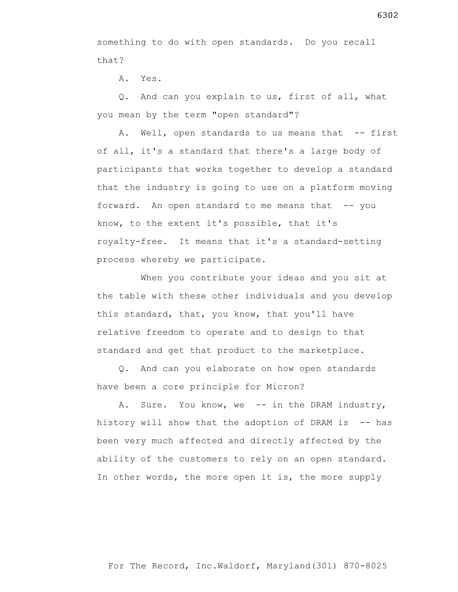something to do with open standards. Do you recall that?

A. Yes.

 Q. And can you explain to us, first of all, what you mean by the term "open standard"?

A. Well, open standards to us means that -- first of all, it's a standard that there's a large body of participants that works together to develop a standard that the industry is going to use on a platform moving forward. An open standard to me means that  $-$ - you know, to the extent it's possible, that it's royalty-free. It means that it's a standard-setting process whereby we participate.

 When you contribute your ideas and you sit at the table with these other individuals and you develop this standard, that, you know, that you'll have relative freedom to operate and to design to that standard and get that product to the marketplace.

 Q. And can you elaborate on how open standards have been a core principle for Micron?

A. Sure. You know, we -- in the DRAM industry, history will show that the adoption of DRAM is  $-$ - has been very much affected and directly affected by the ability of the customers to rely on an open standard. In other words, the more open it is, the more supply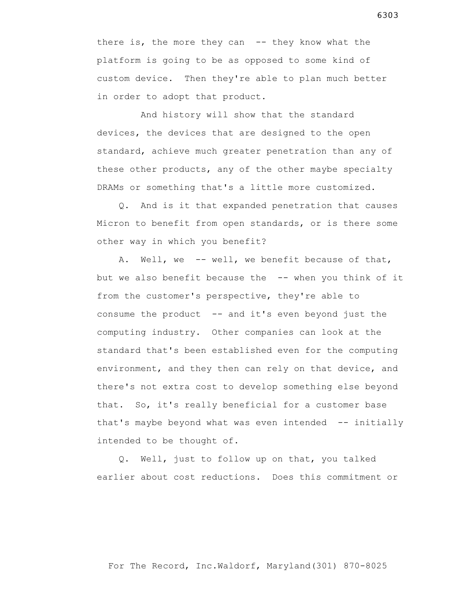there is, the more they can  $-$ - they know what the platform is going to be as opposed to some kind of custom device. Then they're able to plan much better in order to adopt that product.

 And history will show that the standard devices, the devices that are designed to the open standard, achieve much greater penetration than any of these other products, any of the other maybe specialty DRAMs or something that's a little more customized.

 Q. And is it that expanded penetration that causes Micron to benefit from open standards, or is there some other way in which you benefit?

 A. Well, we -- well, we benefit because of that, but we also benefit because the -- when you think of it from the customer's perspective, they're able to consume the product -- and it's even beyond just the computing industry. Other companies can look at the standard that's been established even for the computing environment, and they then can rely on that device, and there's not extra cost to develop something else beyond that. So, it's really beneficial for a customer base that's maybe beyond what was even intended -- initially intended to be thought of.

 Q. Well, just to follow up on that, you talked earlier about cost reductions. Does this commitment or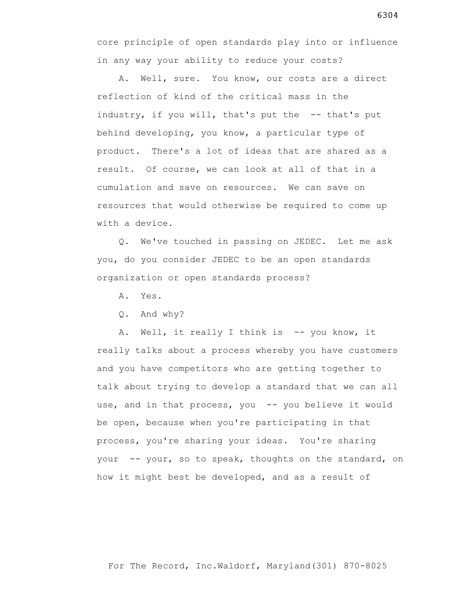core principle of open standards play into or influence in any way your ability to reduce your costs?

 A. Well, sure. You know, our costs are a direct reflection of kind of the critical mass in the industry, if you will, that's put the -- that's put behind developing, you know, a particular type of product. There's a lot of ideas that are shared as a result. Of course, we can look at all of that in a cumulation and save on resources. We can save on resources that would otherwise be required to come up with a device.

 Q. We've touched in passing on JEDEC. Let me ask you, do you consider JEDEC to be an open standards organization or open standards process?

A. Yes.

Q. And why?

A. Well, it really I think is -- you know, it really talks about a process whereby you have customers and you have competitors who are getting together to talk about trying to develop a standard that we can all use, and in that process, you -- you believe it would be open, because when you're participating in that process, you're sharing your ideas. You're sharing your -- your, so to speak, thoughts on the standard, on how it might best be developed, and as a result of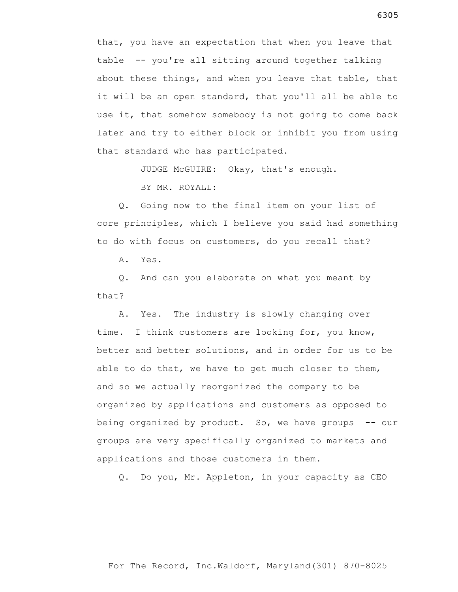that, you have an expectation that when you leave that table -- you're all sitting around together talking about these things, and when you leave that table, that it will be an open standard, that you'll all be able to use it, that somehow somebody is not going to come back later and try to either block or inhibit you from using that standard who has participated.

JUDGE McGUIRE: Okay, that's enough.

BY MR. ROYALL:

 Q. Going now to the final item on your list of core principles, which I believe you said had something to do with focus on customers, do you recall that?

A. Yes.

 Q. And can you elaborate on what you meant by that?

 A. Yes. The industry is slowly changing over time. I think customers are looking for, you know, better and better solutions, and in order for us to be able to do that, we have to get much closer to them, and so we actually reorganized the company to be organized by applications and customers as opposed to being organized by product. So, we have groups -- our groups are very specifically organized to markets and applications and those customers in them.

Q. Do you, Mr. Appleton, in your capacity as CEO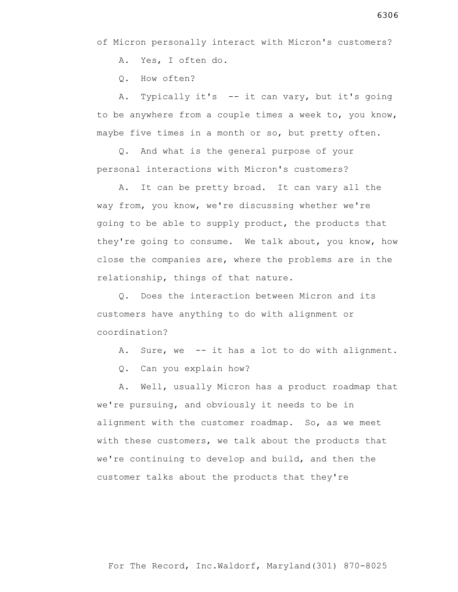A. Yes, I often do.

Q. How often?

 A. Typically it's -- it can vary, but it's going to be anywhere from a couple times a week to, you know, maybe five times in a month or so, but pretty often.

 Q. And what is the general purpose of your personal interactions with Micron's customers?

 A. It can be pretty broad. It can vary all the way from, you know, we're discussing whether we're going to be able to supply product, the products that they're going to consume. We talk about, you know, how close the companies are, where the problems are in the relationship, things of that nature.

 Q. Does the interaction between Micron and its customers have anything to do with alignment or coordination?

- A. Sure, we -- it has a lot to do with alignment.
- Q. Can you explain how?

 A. Well, usually Micron has a product roadmap that we're pursuing, and obviously it needs to be in alignment with the customer roadmap. So, as we meet with these customers, we talk about the products that we're continuing to develop and build, and then the customer talks about the products that they're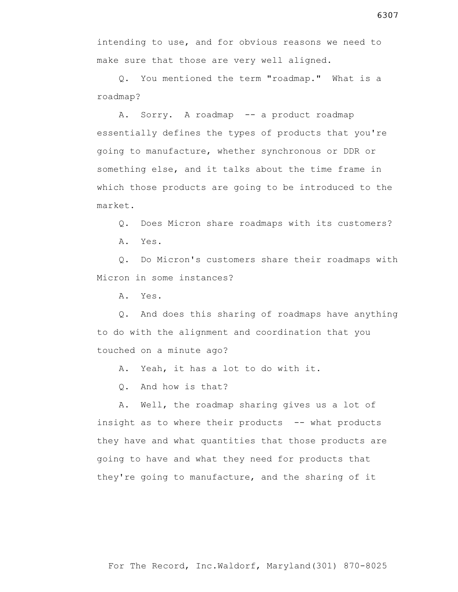For The Record, Inc.Waldorf, Maryland(301) 870-8025

intending to use, and for obvious reasons we need to make sure that those are very well aligned.

 Q. You mentioned the term "roadmap." What is a roadmap?

 A. Sorry. A roadmap -- a product roadmap essentially defines the types of products that you're going to manufacture, whether synchronous or DDR or something else, and it talks about the time frame in which those products are going to be introduced to the market.

Q. Does Micron share roadmaps with its customers?

A. Yes.

 Q. Do Micron's customers share their roadmaps with Micron in some instances?

A. Yes.

 Q. And does this sharing of roadmaps have anything to do with the alignment and coordination that you touched on a minute ago?

A. Yeah, it has a lot to do with it.

Q. And how is that?

 A. Well, the roadmap sharing gives us a lot of insight as to where their products -- what products they have and what quantities that those products are going to have and what they need for products that they're going to manufacture, and the sharing of it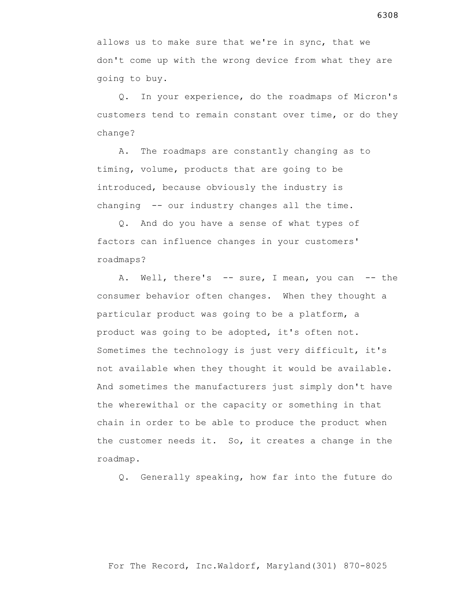allows us to make sure that we're in sync, that we don't come up with the wrong device from what they are going to buy.

 Q. In your experience, do the roadmaps of Micron's customers tend to remain constant over time, or do they change?

 A. The roadmaps are constantly changing as to timing, volume, products that are going to be introduced, because obviously the industry is changing -- our industry changes all the time.

 Q. And do you have a sense of what types of factors can influence changes in your customers' roadmaps?

A. Well, there's -- sure, I mean, you can -- the consumer behavior often changes. When they thought a particular product was going to be a platform, a product was going to be adopted, it's often not. Sometimes the technology is just very difficult, it's not available when they thought it would be available. And sometimes the manufacturers just simply don't have the wherewithal or the capacity or something in that chain in order to be able to produce the product when the customer needs it. So, it creates a change in the roadmap.

Q. Generally speaking, how far into the future do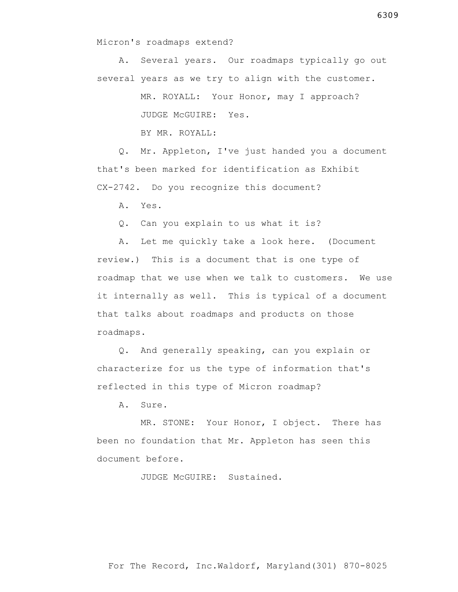Micron's roadmaps extend?

 A. Several years. Our roadmaps typically go out several years as we try to align with the customer.

> MR. ROYALL: Your Honor, may I approach? JUDGE McGUIRE: Yes.

BY MR. ROYALL:

 Q. Mr. Appleton, I've just handed you a document that's been marked for identification as Exhibit CX-2742. Do you recognize this document?

A. Yes.

Q. Can you explain to us what it is?

 A. Let me quickly take a look here. (Document review.) This is a document that is one type of roadmap that we use when we talk to customers. We use it internally as well. This is typical of a document that talks about roadmaps and products on those roadmaps.

 Q. And generally speaking, can you explain or characterize for us the type of information that's reflected in this type of Micron roadmap?

A. Sure.

 MR. STONE: Your Honor, I object. There has been no foundation that Mr. Appleton has seen this document before.

JUDGE McGUIRE: Sustained.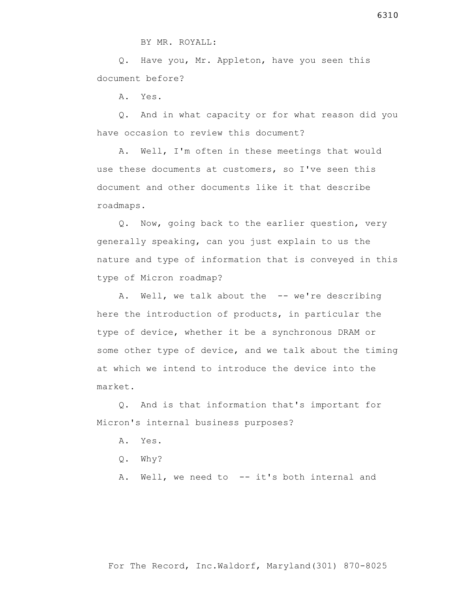Q. Have you, Mr. Appleton, have you seen this document before?

A. Yes.

 Q. And in what capacity or for what reason did you have occasion to review this document?

 A. Well, I'm often in these meetings that would use these documents at customers, so I've seen this document and other documents like it that describe roadmaps.

 Q. Now, going back to the earlier question, very generally speaking, can you just explain to us the nature and type of information that is conveyed in this type of Micron roadmap?

A. Well, we talk about the -- we're describing here the introduction of products, in particular the type of device, whether it be a synchronous DRAM or some other type of device, and we talk about the timing at which we intend to introduce the device into the market.

 Q. And is that information that's important for Micron's internal business purposes?

- A. Yes.
- Q. Why?

A. Well, we need to -- it's both internal and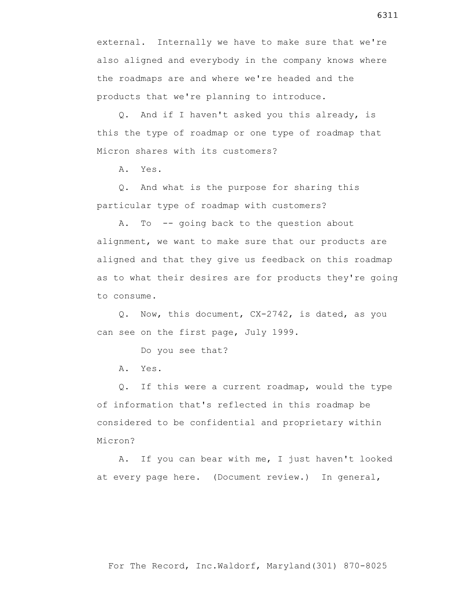external. Internally we have to make sure that we're also aligned and everybody in the company knows where the roadmaps are and where we're headed and the products that we're planning to introduce.

 Q. And if I haven't asked you this already, is this the type of roadmap or one type of roadmap that Micron shares with its customers?

A. Yes.

 Q. And what is the purpose for sharing this particular type of roadmap with customers?

 A. To -- going back to the question about alignment, we want to make sure that our products are aligned and that they give us feedback on this roadmap as to what their desires are for products they're going to consume.

 Q. Now, this document, CX-2742, is dated, as you can see on the first page, July 1999.

Do you see that?

A. Yes.

 Q. If this were a current roadmap, would the type of information that's reflected in this roadmap be considered to be confidential and proprietary within Micron?

 A. If you can bear with me, I just haven't looked at every page here. (Document review.) In general,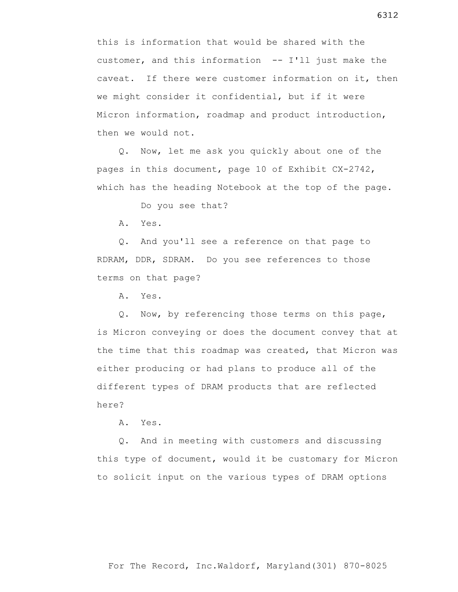this is information that would be shared with the customer, and this information -- I'll just make the caveat. If there were customer information on it, then we might consider it confidential, but if it were Micron information, roadmap and product introduction, then we would not.

 Q. Now, let me ask you quickly about one of the pages in this document, page 10 of Exhibit CX-2742, which has the heading Notebook at the top of the page.

Do you see that?

A. Yes.

 Q. And you'll see a reference on that page to RDRAM, DDR, SDRAM. Do you see references to those terms on that page?

A. Yes.

 Q. Now, by referencing those terms on this page, is Micron conveying or does the document convey that at the time that this roadmap was created, that Micron was either producing or had plans to produce all of the different types of DRAM products that are reflected here?

A. Yes.

 Q. And in meeting with customers and discussing this type of document, would it be customary for Micron to solicit input on the various types of DRAM options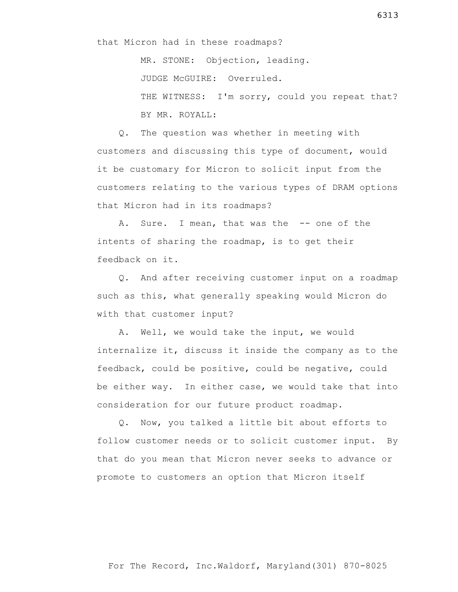MR. STONE: Objection, leading. JUDGE McGUIRE: Overruled. THE WITNESS: I'm sorry, could you repeat that? BY MR. ROYALL:

 Q. The question was whether in meeting with customers and discussing this type of document, would it be customary for Micron to solicit input from the customers relating to the various types of DRAM options that Micron had in its roadmaps?

A. Sure. I mean, that was the -- one of the intents of sharing the roadmap, is to get their feedback on it.

 Q. And after receiving customer input on a roadmap such as this, what generally speaking would Micron do with that customer input?

 A. Well, we would take the input, we would internalize it, discuss it inside the company as to the feedback, could be positive, could be negative, could be either way. In either case, we would take that into consideration for our future product roadmap.

 Q. Now, you talked a little bit about efforts to follow customer needs or to solicit customer input. By that do you mean that Micron never seeks to advance or promote to customers an option that Micron itself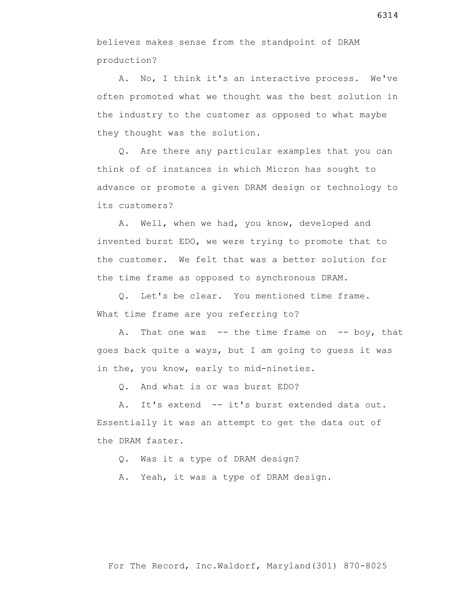believes makes sense from the standpoint of DRAM production?

 A. No, I think it's an interactive process. We've often promoted what we thought was the best solution in the industry to the customer as opposed to what maybe they thought was the solution.

 Q. Are there any particular examples that you can think of of instances in which Micron has sought to advance or promote a given DRAM design or technology to its customers?

 A. Well, when we had, you know, developed and invented burst EDO, we were trying to promote that to the customer. We felt that was a better solution for the time frame as opposed to synchronous DRAM.

 Q. Let's be clear. You mentioned time frame. What time frame are you referring to?

A. That one was  $-$ - the time frame on  $-$ - boy, that goes back quite a ways, but I am going to guess it was in the, you know, early to mid-nineties.

Q. And what is or was burst EDO?

 A. It's extend -- it's burst extended data out. Essentially it was an attempt to get the data out of the DRAM faster.

Q. Was it a type of DRAM design?

A. Yeah, it was a type of DRAM design.

6314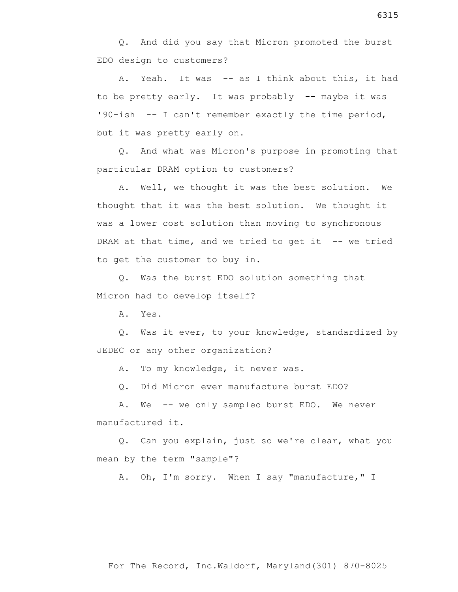A. Yeah. It was -- as I think about this, it had to be pretty early. It was probably -- maybe it was '90-ish -- I can't remember exactly the time period, but it was pretty early on.

 Q. And what was Micron's purpose in promoting that particular DRAM option to customers?

 A. Well, we thought it was the best solution. We thought that it was the best solution. We thought it was a lower cost solution than moving to synchronous DRAM at that time, and we tried to get it  $-$ - we tried to get the customer to buy in.

 Q. Was the burst EDO solution something that Micron had to develop itself?

A. Yes.

 Q. Was it ever, to your knowledge, standardized by JEDEC or any other organization?

A. To my knowledge, it never was.

Q. Did Micron ever manufacture burst EDO?

A. We -- we only sampled burst EDO. We never manufactured it.

 Q. Can you explain, just so we're clear, what you mean by the term "sample"?

A. Oh, I'm sorry. When I say "manufacture," I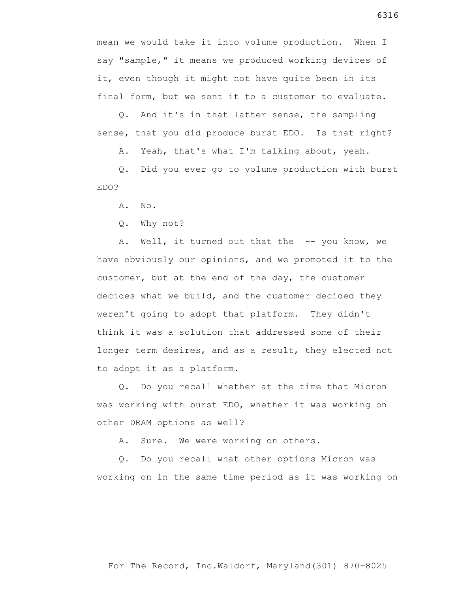mean we would take it into volume production. When I say "sample," it means we produced working devices of it, even though it might not have quite been in its final form, but we sent it to a customer to evaluate.

 Q. And it's in that latter sense, the sampling sense, that you did produce burst EDO. Is that right?

A. Yeah, that's what I'm talking about, yeah.

 Q. Did you ever go to volume production with burst EDO?

A. No.

Q. Why not?

A. Well, it turned out that the -- you know, we have obviously our opinions, and we promoted it to the customer, but at the end of the day, the customer decides what we build, and the customer decided they weren't going to adopt that platform. They didn't think it was a solution that addressed some of their longer term desires, and as a result, they elected not to adopt it as a platform.

 Q. Do you recall whether at the time that Micron was working with burst EDO, whether it was working on other DRAM options as well?

A. Sure. We were working on others.

 Q. Do you recall what other options Micron was working on in the same time period as it was working on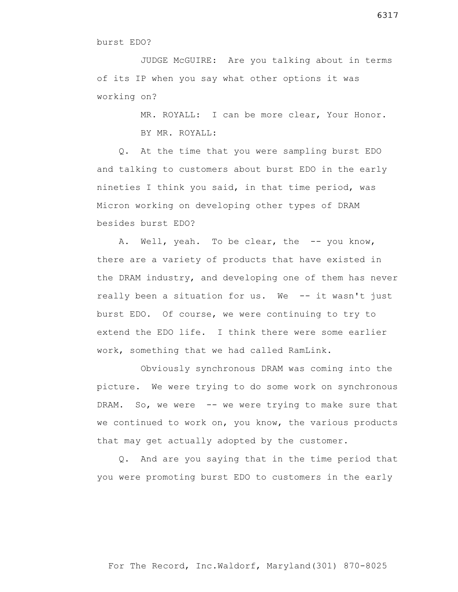JUDGE McGUIRE: Are you talking about in terms of its IP when you say what other options it was working on?

MR. ROYALL: I can be more clear, Your Honor.

BY MR. ROYALL:

 Q. At the time that you were sampling burst EDO and talking to customers about burst EDO in the early nineties I think you said, in that time period, was Micron working on developing other types of DRAM besides burst EDO?

A. Well, yeah. To be clear, the -- you know, there are a variety of products that have existed in the DRAM industry, and developing one of them has never really been a situation for us. We -- it wasn't just burst EDO. Of course, we were continuing to try to extend the EDO life. I think there were some earlier work, something that we had called RamLink.

 Obviously synchronous DRAM was coming into the picture. We were trying to do some work on synchronous DRAM. So, we were -- we were trying to make sure that we continued to work on, you know, the various products that may get actually adopted by the customer.

 Q. And are you saying that in the time period that you were promoting burst EDO to customers in the early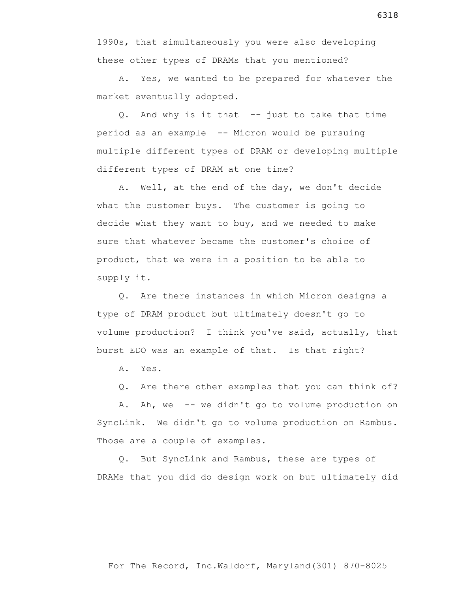1990s, that simultaneously you were also developing these other types of DRAMs that you mentioned?

 A. Yes, we wanted to be prepared for whatever the market eventually adopted.

 Q. And why is it that -- just to take that time period as an example -- Micron would be pursuing multiple different types of DRAM or developing multiple different types of DRAM at one time?

 A. Well, at the end of the day, we don't decide what the customer buys. The customer is going to decide what they want to buy, and we needed to make sure that whatever became the customer's choice of product, that we were in a position to be able to supply it.

 Q. Are there instances in which Micron designs a type of DRAM product but ultimately doesn't go to volume production? I think you've said, actually, that burst EDO was an example of that. Is that right?

A. Yes.

Q. Are there other examples that you can think of?

 A. Ah, we -- we didn't go to volume production on SyncLink. We didn't go to volume production on Rambus. Those are a couple of examples.

 Q. But SyncLink and Rambus, these are types of DRAMs that you did do design work on but ultimately did

6318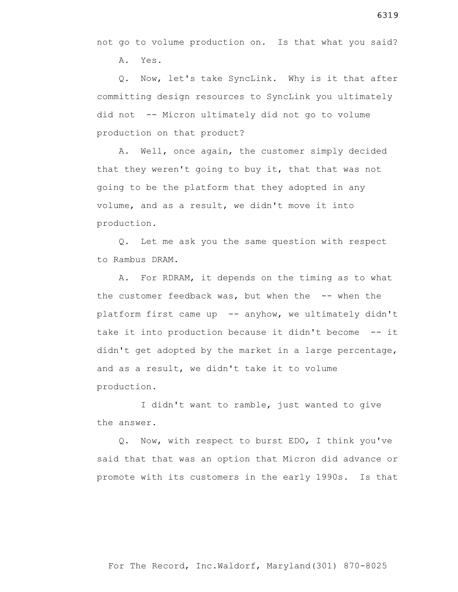not go to volume production on. Is that what you said?

A. Yes.

 Q. Now, let's take SyncLink. Why is it that after committing design resources to SyncLink you ultimately did not -- Micron ultimately did not go to volume production on that product?

 A. Well, once again, the customer simply decided that they weren't going to buy it, that that was not going to be the platform that they adopted in any volume, and as a result, we didn't move it into production.

 Q. Let me ask you the same question with respect to Rambus DRAM.

 A. For RDRAM, it depends on the timing as to what the customer feedback was, but when the -- when the platform first came up -- anyhow, we ultimately didn't take it into production because it didn't become -- it didn't get adopted by the market in a large percentage, and as a result, we didn't take it to volume production.

 I didn't want to ramble, just wanted to give the answer.

 Q. Now, with respect to burst EDO, I think you've said that that was an option that Micron did advance or promote with its customers in the early 1990s. Is that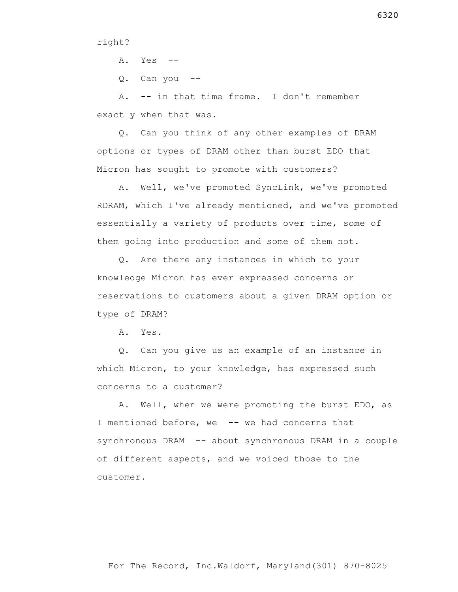## right?

A. Yes --

Q. Can you --

 A. -- in that time frame. I don't remember exactly when that was.

 Q. Can you think of any other examples of DRAM options or types of DRAM other than burst EDO that Micron has sought to promote with customers?

 A. Well, we've promoted SyncLink, we've promoted RDRAM, which I've already mentioned, and we've promoted essentially a variety of products over time, some of them going into production and some of them not.

 Q. Are there any instances in which to your knowledge Micron has ever expressed concerns or reservations to customers about a given DRAM option or type of DRAM?

A. Yes.

 Q. Can you give us an example of an instance in which Micron, to your knowledge, has expressed such concerns to a customer?

 A. Well, when we were promoting the burst EDO, as I mentioned before, we -- we had concerns that synchronous DRAM -- about synchronous DRAM in a couple of different aspects, and we voiced those to the customer.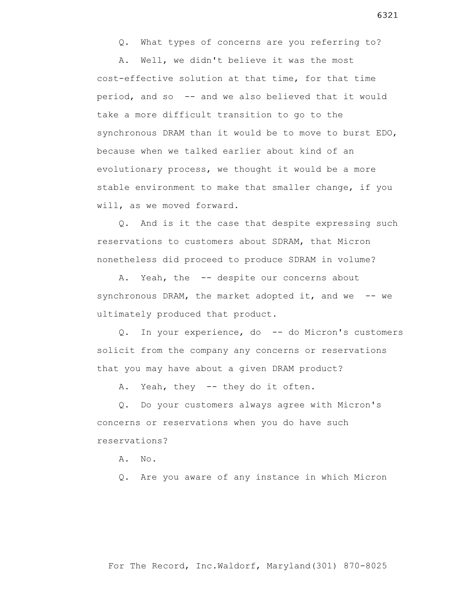Q. What types of concerns are you referring to?

 A. Well, we didn't believe it was the most cost-effective solution at that time, for that time period, and so -- and we also believed that it would take a more difficult transition to go to the synchronous DRAM than it would be to move to burst EDO, because when we talked earlier about kind of an evolutionary process, we thought it would be a more stable environment to make that smaller change, if you will, as we moved forward.

 Q. And is it the case that despite expressing such reservations to customers about SDRAM, that Micron nonetheless did proceed to produce SDRAM in volume?

A. Yeah, the -- despite our concerns about synchronous DRAM, the market adopted it, and we  $-$ - we ultimately produced that product.

 Q. In your experience, do -- do Micron's customers solicit from the company any concerns or reservations that you may have about a given DRAM product?

A. Yeah, they -- they do it often.

 Q. Do your customers always agree with Micron's concerns or reservations when you do have such reservations?

A. No.

Q. Are you aware of any instance in which Micron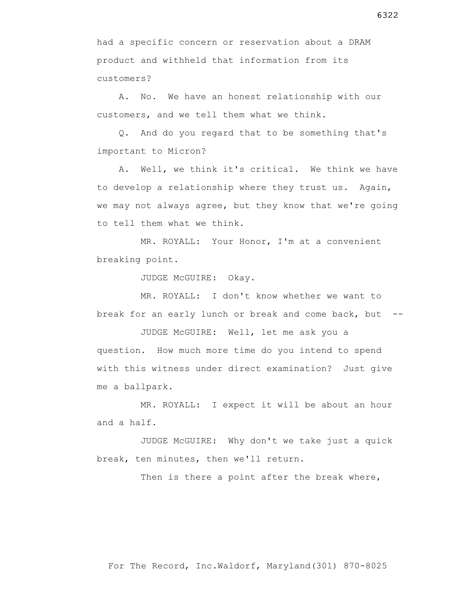had a specific concern or reservation about a DRAM product and withheld that information from its customers?

 A. No. We have an honest relationship with our customers, and we tell them what we think.

 Q. And do you regard that to be something that's important to Micron?

 A. Well, we think it's critical. We think we have to develop a relationship where they trust us. Again, we may not always agree, but they know that we're going to tell them what we think.

 MR. ROYALL: Your Honor, I'm at a convenient breaking point.

JUDGE McGUIRE: Okay.

 MR. ROYALL: I don't know whether we want to break for an early lunch or break and come back, but --

 JUDGE McGUIRE: Well, let me ask you a question. How much more time do you intend to spend with this witness under direct examination? Just give me a ballpark.

 MR. ROYALL: I expect it will be about an hour and a half.

 JUDGE McGUIRE: Why don't we take just a quick break, ten minutes, then we'll return.

Then is there a point after the break where,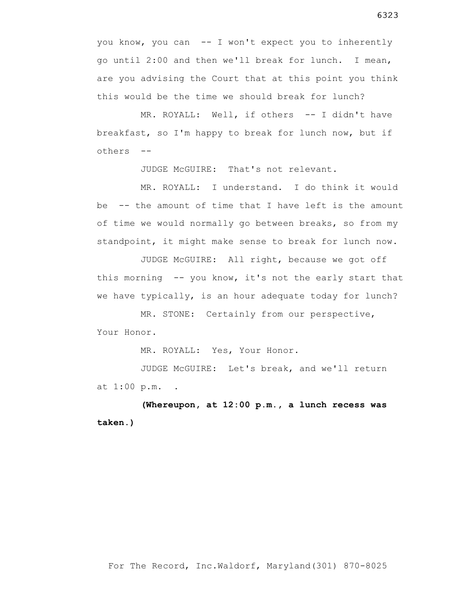you know, you can -- I won't expect you to inherently go until 2:00 and then we'll break for lunch. I mean, are you advising the Court that at this point you think this would be the time we should break for lunch?

MR. ROYALL: Well, if others -- I didn't have breakfast, so I'm happy to break for lunch now, but if others --

JUDGE McGUIRE: That's not relevant.

 MR. ROYALL: I understand. I do think it would be -- the amount of time that I have left is the amount of time we would normally go between breaks, so from my standpoint, it might make sense to break for lunch now.

 JUDGE McGUIRE: All right, because we got off this morning -- you know, it's not the early start that we have typically, is an hour adequate today for lunch?

 MR. STONE: Certainly from our perspective, Your Honor.

MR. ROYALL: Yes, Your Honor.

 JUDGE McGUIRE: Let's break, and we'll return at 1:00 p.m. **.**

 **(Whereupon, at 12:00 p.m., a lunch recess was taken.)**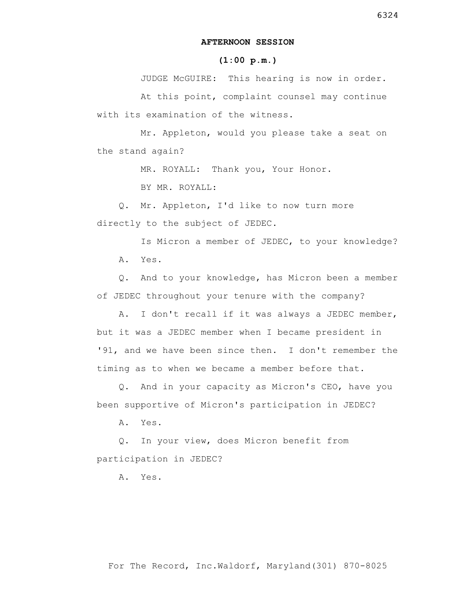## **AFTERNOON SESSION**

## **(1:00 p.m.)**

 JUDGE McGUIRE: This hearing is now in order. At this point, complaint counsel may continue with its examination of the witness.

 Mr. Appleton, would you please take a seat on the stand again?

MR. ROYALL: Thank you, Your Honor.

BY MR. ROYALL:

 Q. Mr. Appleton, I'd like to now turn more directly to the subject of JEDEC.

 Is Micron a member of JEDEC, to your knowledge? A. Yes.

 Q. And to your knowledge, has Micron been a member of JEDEC throughout your tenure with the company?

 A. I don't recall if it was always a JEDEC member, but it was a JEDEC member when I became president in '91, and we have been since then. I don't remember the timing as to when we became a member before that.

 Q. And in your capacity as Micron's CEO, have you been supportive of Micron's participation in JEDEC?

A. Yes.

 Q. In your view, does Micron benefit from participation in JEDEC?

A. Yes.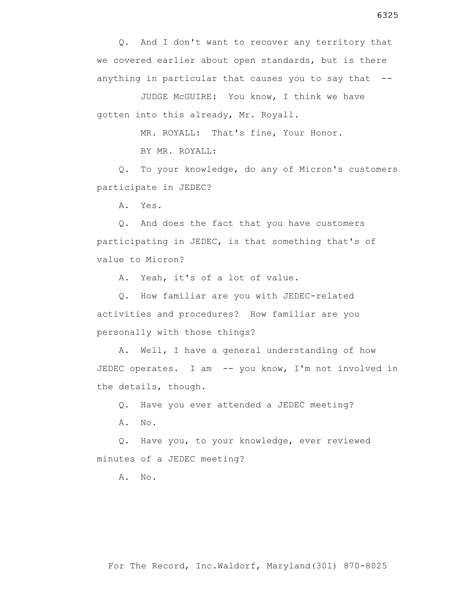Q. And I don't want to recover any territory that we covered earlier about open standards, but is there anything in particular that causes you to say that  $-$ -

 JUDGE McGUIRE: You know, I think we have gotten into this already, Mr. Royall.

MR. ROYALL: That's fine, Your Honor.

BY MR. ROYALL:

 Q. To your knowledge, do any of Micron's customers participate in JEDEC?

A. Yes.

 Q. And does the fact that you have customers participating in JEDEC, is that something that's of value to Micron?

A. Yeah, it's of a lot of value.

 Q. How familiar are you with JEDEC-related activities and procedures? How familiar are you personally with those things?

 A. Well, I have a general understanding of how JEDEC operates. I am -- you know, I'm not involved in the details, though.

Q. Have you ever attended a JEDEC meeting?

A. No.

 Q. Have you, to your knowledge, ever reviewed minutes of a JEDEC meeting?

A. No.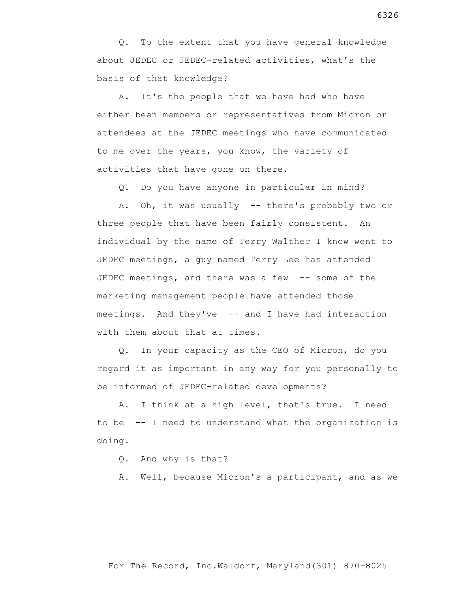Q. To the extent that you have general knowledge about JEDEC or JEDEC-related activities, what's the basis of that knowledge?

 A. It's the people that we have had who have either been members or representatives from Micron or attendees at the JEDEC meetings who have communicated to me over the years, you know, the variety of activities that have gone on there.

Q. Do you have anyone in particular in mind?

A. Oh, it was usually -- there's probably two or three people that have been fairly consistent. An individual by the name of Terry Walther I know went to JEDEC meetings, a guy named Terry Lee has attended JEDEC meetings, and there was a few -- some of the marketing management people have attended those meetings. And they've -- and I have had interaction with them about that at times.

 Q. In your capacity as the CEO of Micron, do you regard it as important in any way for you personally to be informed of JEDEC-related developments?

 A. I think at a high level, that's true. I need to be -- I need to understand what the organization is doing.

Q. And why is that?

A. Well, because Micron's a participant, and as we

## 6326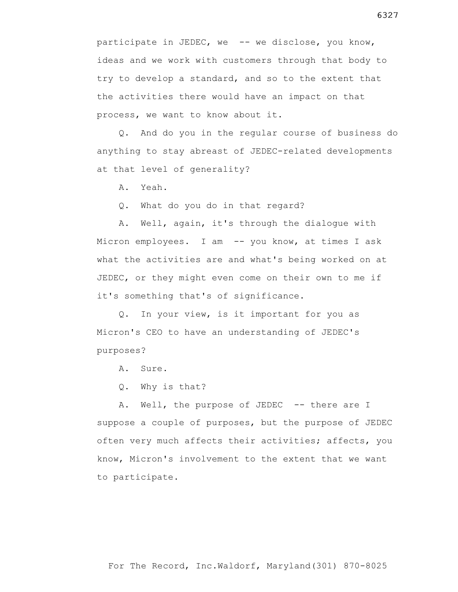participate in JEDEC, we -- we disclose, you know, ideas and we work with customers through that body to try to develop a standard, and so to the extent that the activities there would have an impact on that process, we want to know about it.

 Q. And do you in the regular course of business do anything to stay abreast of JEDEC-related developments at that level of generality?

A. Yeah.

Q. What do you do in that regard?

 A. Well, again, it's through the dialogue with Micron employees. I am -- you know, at times I ask what the activities are and what's being worked on at JEDEC, or they might even come on their own to me if it's something that's of significance.

 Q. In your view, is it important for you as Micron's CEO to have an understanding of JEDEC's purposes?

A. Sure.

Q. Why is that?

A. Well, the purpose of JEDEC -- there are I suppose a couple of purposes, but the purpose of JEDEC often very much affects their activities; affects, you know, Micron's involvement to the extent that we want to participate.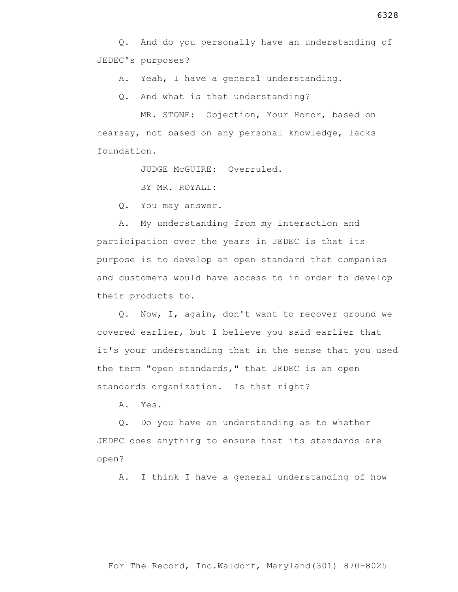Q. And do you personally have an understanding of JEDEC's purposes?

A. Yeah, I have a general understanding.

Q. And what is that understanding?

 MR. STONE: Objection, Your Honor, based on hearsay, not based on any personal knowledge, lacks foundation.

JUDGE McGUIRE: Overruled.

BY MR. ROYALL:

Q. You may answer.

 A. My understanding from my interaction and participation over the years in JEDEC is that its purpose is to develop an open standard that companies and customers would have access to in order to develop their products to.

 Q. Now, I, again, don't want to recover ground we covered earlier, but I believe you said earlier that it's your understanding that in the sense that you used the term "open standards," that JEDEC is an open standards organization. Is that right?

A. Yes.

 Q. Do you have an understanding as to whether JEDEC does anything to ensure that its standards are open?

A. I think I have a general understanding of how

For The Record, Inc.Waldorf, Maryland(301) 870-8025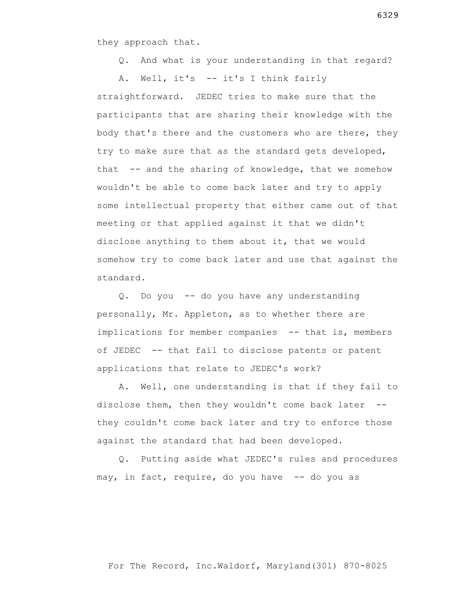they approach that.

Q. And what is your understanding in that regard?

 A. Well, it's -- it's I think fairly straightforward. JEDEC tries to make sure that the participants that are sharing their knowledge with the body that's there and the customers who are there, they try to make sure that as the standard gets developed, that -- and the sharing of knowledge, that we somehow wouldn't be able to come back later and try to apply some intellectual property that either came out of that meeting or that applied against it that we didn't disclose anything to them about it, that we would somehow try to come back later and use that against the standard.

 Q. Do you -- do you have any understanding personally, Mr. Appleton, as to whether there are implications for member companies -- that is, members of JEDEC -- that fail to disclose patents or patent applications that relate to JEDEC's work?

 A. Well, one understanding is that if they fail to disclose them, then they wouldn't come back later - they couldn't come back later and try to enforce those against the standard that had been developed.

 Q. Putting aside what JEDEC's rules and procedures may, in fact, require, do you have -- do you as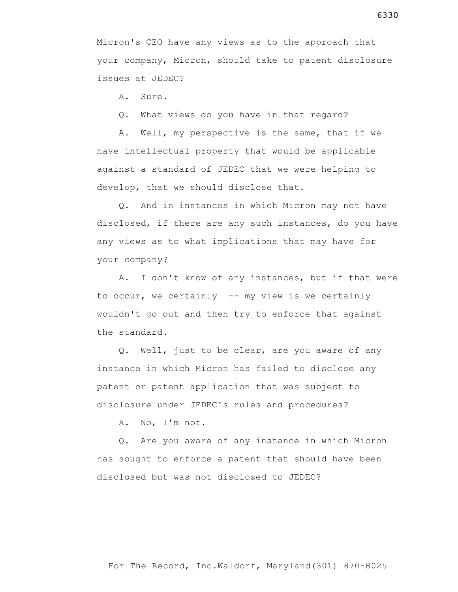Micron's CEO have any views as to the approach that your company, Micron, should take to patent disclosure issues at JEDEC?

A. Sure.

Q. What views do you have in that regard?

 A. Well, my perspective is the same, that if we have intellectual property that would be applicable against a standard of JEDEC that we were helping to develop, that we should disclose that.

 Q. And in instances in which Micron may not have disclosed, if there are any such instances, do you have any views as to what implications that may have for your company?

 A. I don't know of any instances, but if that were to occur, we certainly -- my view is we certainly wouldn't go out and then try to enforce that against the standard.

 Q. Well, just to be clear, are you aware of any instance in which Micron has failed to disclose any patent or patent application that was subject to disclosure under JEDEC's rules and procedures?

A. No, I'm not.

 Q. Are you aware of any instance in which Micron has sought to enforce a patent that should have been disclosed but was not disclosed to JEDEC?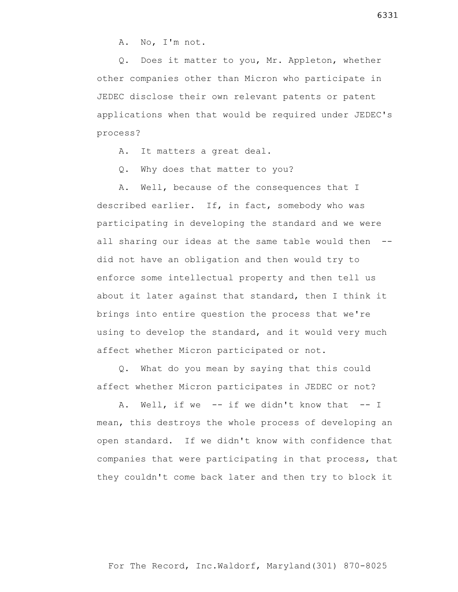A. No, I'm not.

 Q. Does it matter to you, Mr. Appleton, whether other companies other than Micron who participate in JEDEC disclose their own relevant patents or patent applications when that would be required under JEDEC's process?

A. It matters a great deal.

Q. Why does that matter to you?

 A. Well, because of the consequences that I described earlier. If, in fact, somebody who was participating in developing the standard and we were all sharing our ideas at the same table would then - did not have an obligation and then would try to enforce some intellectual property and then tell us about it later against that standard, then I think it brings into entire question the process that we're using to develop the standard, and it would very much affect whether Micron participated or not.

 Q. What do you mean by saying that this could affect whether Micron participates in JEDEC or not?

 A. Well, if we -- if we didn't know that -- I mean, this destroys the whole process of developing an open standard. If we didn't know with confidence that companies that were participating in that process, that they couldn't come back later and then try to block it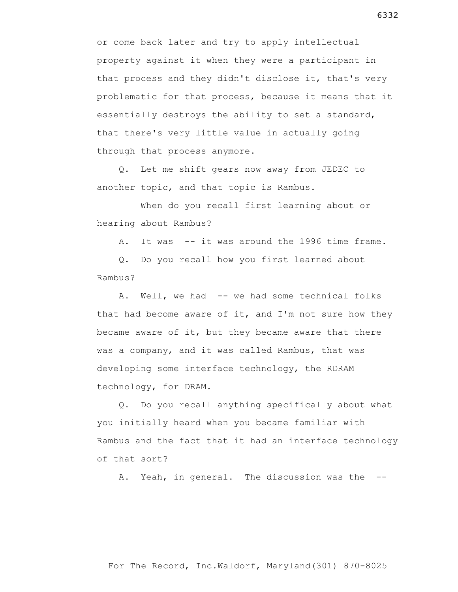or come back later and try to apply intellectual property against it when they were a participant in that process and they didn't disclose it, that's very problematic for that process, because it means that it essentially destroys the ability to set a standard, that there's very little value in actually going through that process anymore.

 Q. Let me shift gears now away from JEDEC to another topic, and that topic is Rambus.

 When do you recall first learning about or hearing about Rambus?

A. It was -- it was around the 1996 time frame.

 Q. Do you recall how you first learned about Rambus?

A. Well, we had -- we had some technical folks that had become aware of it, and I'm not sure how they became aware of it, but they became aware that there was a company, and it was called Rambus, that was developing some interface technology, the RDRAM technology, for DRAM.

 Q. Do you recall anything specifically about what you initially heard when you became familiar with Rambus and the fact that it had an interface technology of that sort?

A. Yeah, in general. The discussion was the --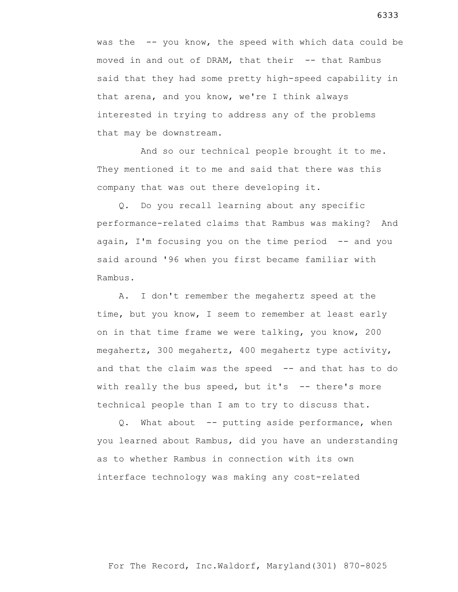was the -- you know, the speed with which data could be moved in and out of DRAM, that their -- that Rambus said that they had some pretty high-speed capability in that arena, and you know, we're I think always interested in trying to address any of the problems that may be downstream.

 And so our technical people brought it to me. They mentioned it to me and said that there was this company that was out there developing it.

 Q. Do you recall learning about any specific performance-related claims that Rambus was making? And again, I'm focusing you on the time period  $-$  and you said around '96 when you first became familiar with Rambus.

 A. I don't remember the megahertz speed at the time, but you know, I seem to remember at least early on in that time frame we were talking, you know, 200 megahertz, 300 megahertz, 400 megahertz type activity, and that the claim was the speed -- and that has to do with really the bus speed, but it's  $-$ - there's more technical people than I am to try to discuss that.

Q. What about -- putting aside performance, when you learned about Rambus, did you have an understanding as to whether Rambus in connection with its own interface technology was making any cost-related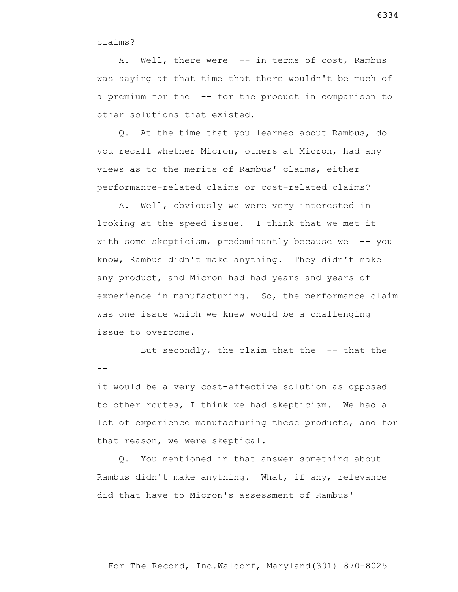claims?

A. Well, there were -- in terms of cost, Rambus was saying at that time that there wouldn't be much of a premium for the -- for the product in comparison to other solutions that existed.

 Q. At the time that you learned about Rambus, do you recall whether Micron, others at Micron, had any views as to the merits of Rambus' claims, either performance-related claims or cost-related claims?

 A. Well, obviously we were very interested in looking at the speed issue. I think that we met it with some skepticism, predominantly because we -- you know, Rambus didn't make anything. They didn't make any product, and Micron had had years and years of experience in manufacturing. So, the performance claim was one issue which we knew would be a challenging issue to overcome.

 But secondly, the claim that the -- that the  $-$ 

it would be a very cost-effective solution as opposed to other routes, I think we had skepticism. We had a lot of experience manufacturing these products, and for that reason, we were skeptical.

 Q. You mentioned in that answer something about Rambus didn't make anything. What, if any, relevance did that have to Micron's assessment of Rambus'

6334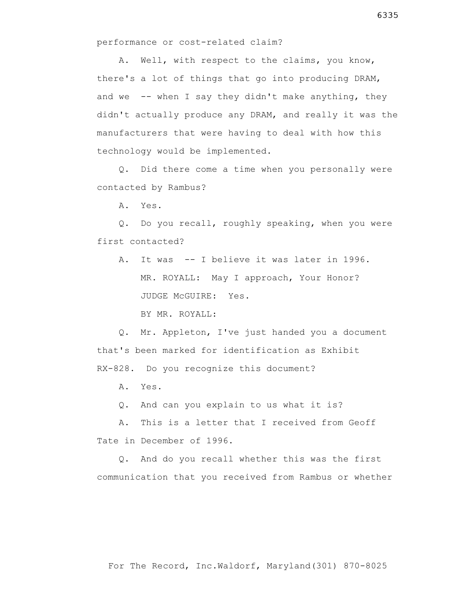performance or cost-related claim?

 A. Well, with respect to the claims, you know, there's a lot of things that go into producing DRAM, and we  $-$ - when I say they didn't make anything, they didn't actually produce any DRAM, and really it was the manufacturers that were having to deal with how this technology would be implemented.

 Q. Did there come a time when you personally were contacted by Rambus?

A. Yes.

 Q. Do you recall, roughly speaking, when you were first contacted?

 A. It was -- I believe it was later in 1996. MR. ROYALL: May I approach, Your Honor? JUDGE McGUIRE: Yes.

BY MR. ROYALL:

 Q. Mr. Appleton, I've just handed you a document that's been marked for identification as Exhibit RX-828. Do you recognize this document?

A. Yes.

Q. And can you explain to us what it is?

 A. This is a letter that I received from Geoff Tate in December of 1996.

 Q. And do you recall whether this was the first communication that you received from Rambus or whether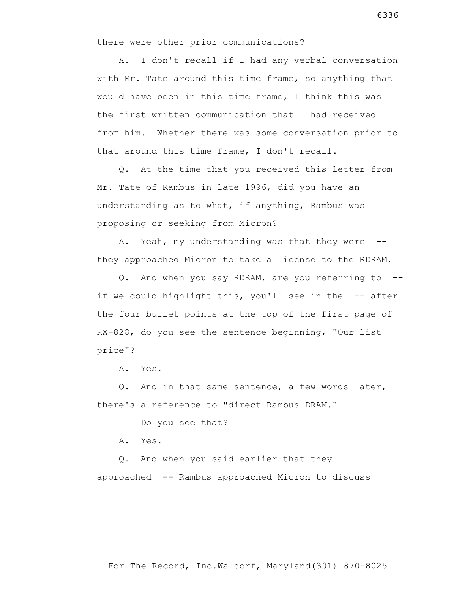there were other prior communications?

 A. I don't recall if I had any verbal conversation with Mr. Tate around this time frame, so anything that would have been in this time frame, I think this was the first written communication that I had received from him. Whether there was some conversation prior to that around this time frame, I don't recall.

 Q. At the time that you received this letter from Mr. Tate of Rambus in late 1996, did you have an understanding as to what, if anything, Rambus was proposing or seeking from Micron?

A. Yeah, my understanding was that they were -they approached Micron to take a license to the RDRAM.

 Q. And when you say RDRAM, are you referring to - if we could highlight this, you'll see in the -- after the four bullet points at the top of the first page of RX-828, do you see the sentence beginning, "Our list price"?

A. Yes.

 Q. And in that same sentence, a few words later, there's a reference to "direct Rambus DRAM."

Do you see that?

A. Yes.

 Q. And when you said earlier that they approached -- Rambus approached Micron to discuss

For The Record, Inc.Waldorf, Maryland(301) 870-8025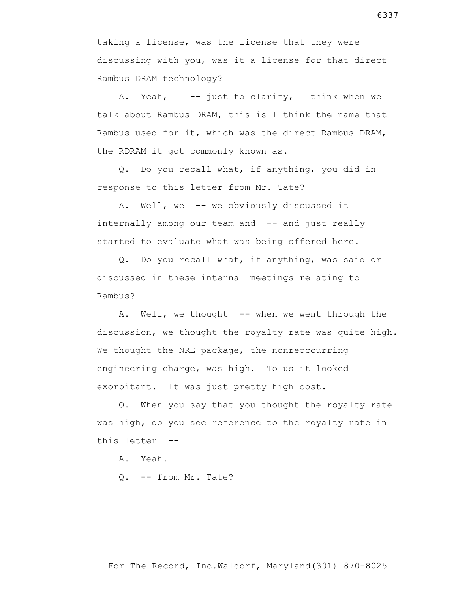taking a license, was the license that they were discussing with you, was it a license for that direct Rambus DRAM technology?

A. Yeah,  $I$  -- just to clarify, I think when we talk about Rambus DRAM, this is I think the name that Rambus used for it, which was the direct Rambus DRAM, the RDRAM it got commonly known as.

 Q. Do you recall what, if anything, you did in response to this letter from Mr. Tate?

 A. Well, we -- we obviously discussed it internally among our team and -- and just really started to evaluate what was being offered here.

 Q. Do you recall what, if anything, was said or discussed in these internal meetings relating to Rambus?

A. Well, we thought -- when we went through the discussion, we thought the royalty rate was quite high. We thought the NRE package, the nonreoccurring engineering charge, was high. To us it looked exorbitant. It was just pretty high cost.

 Q. When you say that you thought the royalty rate was high, do you see reference to the royalty rate in this letter --

A. Yeah.

Q. -- from Mr. Tate?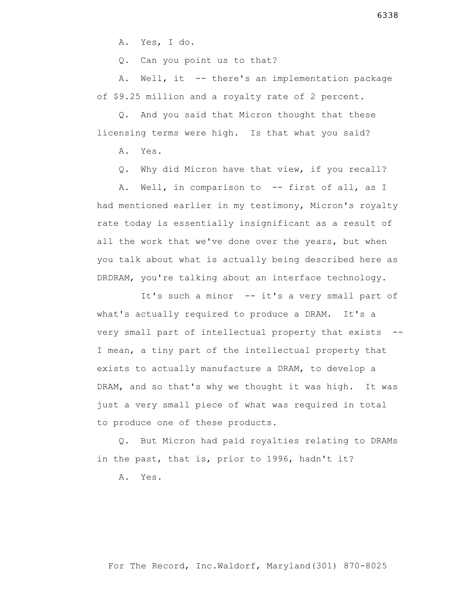A. Yes, I do.

Q. Can you point us to that?

 A. Well, it -- there's an implementation package of \$9.25 million and a royalty rate of 2 percent.

 Q. And you said that Micron thought that these licensing terms were high. Is that what you said?

A. Yes.

Q. Why did Micron have that view, if you recall?

 A. Well, in comparison to -- first of all, as I had mentioned earlier in my testimony, Micron's royalty rate today is essentially insignificant as a result of all the work that we've done over the years, but when you talk about what is actually being described here as DRDRAM, you're talking about an interface technology.

It's such a minor -- it's a very small part of what's actually required to produce a DRAM. It's a very small part of intellectual property that exists -- I mean, a tiny part of the intellectual property that exists to actually manufacture a DRAM, to develop a DRAM, and so that's why we thought it was high. It was just a very small piece of what was required in total to produce one of these products.

 Q. But Micron had paid royalties relating to DRAMs in the past, that is, prior to 1996, hadn't it?

A. Yes.

6338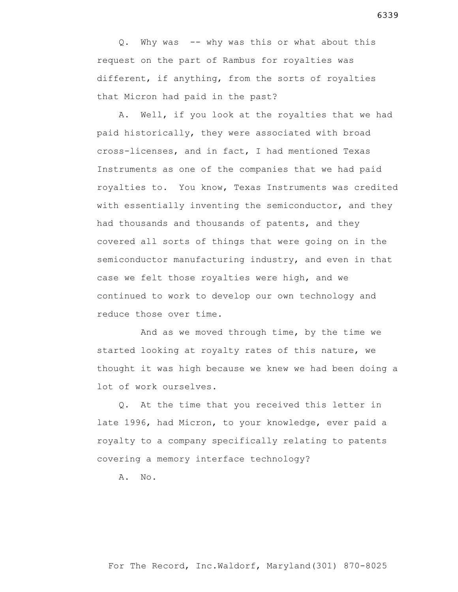Q. Why was -- why was this or what about this request on the part of Rambus for royalties was different, if anything, from the sorts of royalties that Micron had paid in the past?

 A. Well, if you look at the royalties that we had paid historically, they were associated with broad cross-licenses, and in fact, I had mentioned Texas Instruments as one of the companies that we had paid royalties to. You know, Texas Instruments was credited with essentially inventing the semiconductor, and they had thousands and thousands of patents, and they covered all sorts of things that were going on in the semiconductor manufacturing industry, and even in that case we felt those royalties were high, and we continued to work to develop our own technology and reduce those over time.

 And as we moved through time, by the time we started looking at royalty rates of this nature, we thought it was high because we knew we had been doing a lot of work ourselves.

 Q. At the time that you received this letter in late 1996, had Micron, to your knowledge, ever paid a royalty to a company specifically relating to patents covering a memory interface technology?

A. No.

6339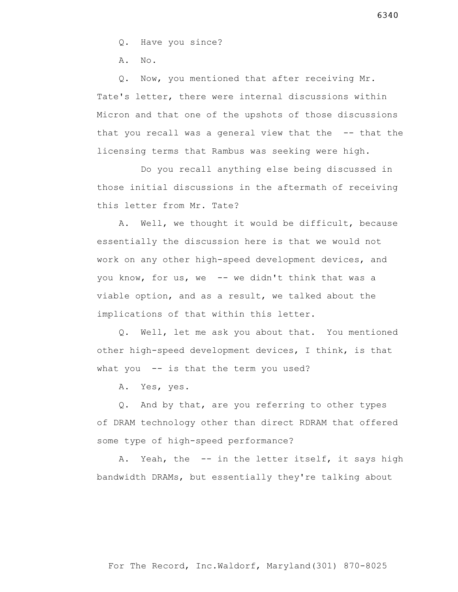Q. Have you since?

A. No.

 Q. Now, you mentioned that after receiving Mr. Tate's letter, there were internal discussions within Micron and that one of the upshots of those discussions that you recall was a general view that the -- that the licensing terms that Rambus was seeking were high.

 Do you recall anything else being discussed in those initial discussions in the aftermath of receiving this letter from Mr. Tate?

 A. Well, we thought it would be difficult, because essentially the discussion here is that we would not work on any other high-speed development devices, and you know, for us, we -- we didn't think that was a viable option, and as a result, we talked about the implications of that within this letter.

 Q. Well, let me ask you about that. You mentioned other high-speed development devices, I think, is that what you -- is that the term you used?

A. Yes, yes.

 Q. And by that, are you referring to other types of DRAM technology other than direct RDRAM that offered some type of high-speed performance?

A. Yeah, the -- in the letter itself, it says high bandwidth DRAMs, but essentially they're talking about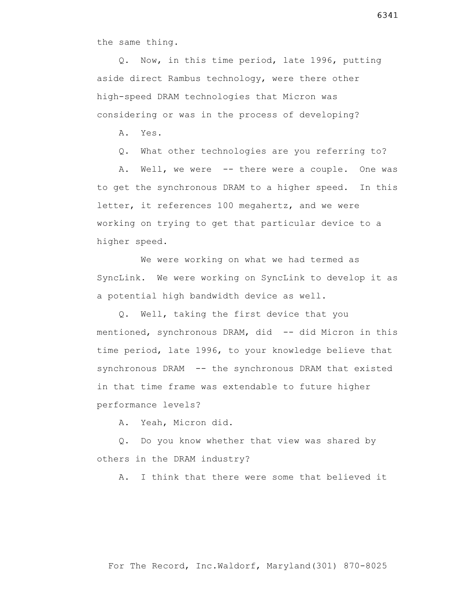the same thing.

 Q. Now, in this time period, late 1996, putting aside direct Rambus technology, were there other high-speed DRAM technologies that Micron was considering or was in the process of developing?

A. Yes.

Q. What other technologies are you referring to?

A. Well, we were -- there were a couple. One was to get the synchronous DRAM to a higher speed. In this letter, it references 100 megahertz, and we were working on trying to get that particular device to a higher speed.

 We were working on what we had termed as SyncLink. We were working on SyncLink to develop it as a potential high bandwidth device as well.

 Q. Well, taking the first device that you mentioned, synchronous DRAM, did -- did Micron in this time period, late 1996, to your knowledge believe that synchronous DRAM -- the synchronous DRAM that existed in that time frame was extendable to future higher performance levels?

A. Yeah, Micron did.

 Q. Do you know whether that view was shared by others in the DRAM industry?

A. I think that there were some that believed it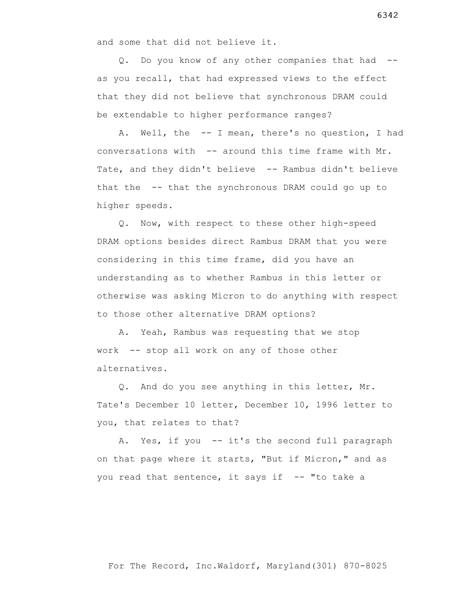and some that did not believe it.

 Q. Do you know of any other companies that had - as you recall, that had expressed views to the effect that they did not believe that synchronous DRAM could be extendable to higher performance ranges?

 A. Well, the -- I mean, there's no question, I had conversations with -- around this time frame with Mr. Tate, and they didn't believe -- Rambus didn't believe that the -- that the synchronous DRAM could go up to higher speeds.

 Q. Now, with respect to these other high-speed DRAM options besides direct Rambus DRAM that you were considering in this time frame, did you have an understanding as to whether Rambus in this letter or otherwise was asking Micron to do anything with respect to those other alternative DRAM options?

 A. Yeah, Rambus was requesting that we stop work -- stop all work on any of those other alternatives.

 Q. And do you see anything in this letter, Mr. Tate's December 10 letter, December 10, 1996 letter to you, that relates to that?

A. Yes, if you -- it's the second full paragraph on that page where it starts, "But if Micron," and as you read that sentence, it says if -- "to take a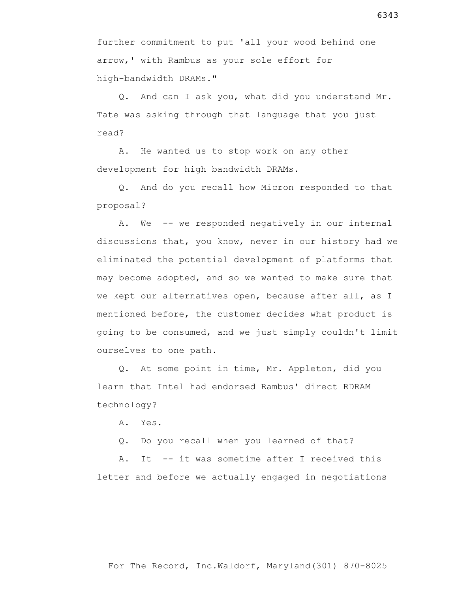further commitment to put 'all your wood behind one arrow,' with Rambus as your sole effort for high-bandwidth DRAMs."

 Q. And can I ask you, what did you understand Mr. Tate was asking through that language that you just read?

 A. He wanted us to stop work on any other development for high bandwidth DRAMs.

 Q. And do you recall how Micron responded to that proposal?

A. We -- we responded negatively in our internal discussions that, you know, never in our history had we eliminated the potential development of platforms that may become adopted, and so we wanted to make sure that we kept our alternatives open, because after all, as I mentioned before, the customer decides what product is going to be consumed, and we just simply couldn't limit ourselves to one path.

 Q. At some point in time, Mr. Appleton, did you learn that Intel had endorsed Rambus' direct RDRAM technology?

A. Yes.

Q. Do you recall when you learned of that?

A. It -- it was sometime after I received this letter and before we actually engaged in negotiations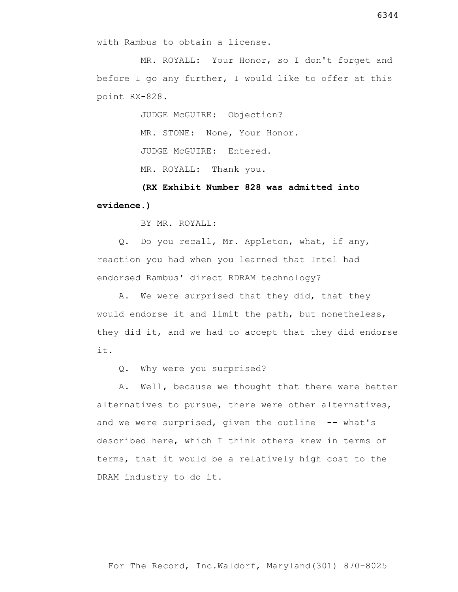with Rambus to obtain a license.

 MR. ROYALL: Your Honor, so I don't forget and before I go any further, I would like to offer at this point RX-828.

> JUDGE McGUIRE: Objection? MR. STONE: None, Your Honor. JUDGE McGUIRE: Entered. MR. ROYALL: Thank you.

 **(RX Exhibit Number 828 was admitted into evidence.)**

BY MR. ROYALL:

 Q. Do you recall, Mr. Appleton, what, if any, reaction you had when you learned that Intel had endorsed Rambus' direct RDRAM technology?

 A. We were surprised that they did, that they would endorse it and limit the path, but nonetheless, they did it, and we had to accept that they did endorse it.

Q. Why were you surprised?

 A. Well, because we thought that there were better alternatives to pursue, there were other alternatives, and we were surprised, given the outline -- what's described here, which I think others knew in terms of terms, that it would be a relatively high cost to the DRAM industry to do it.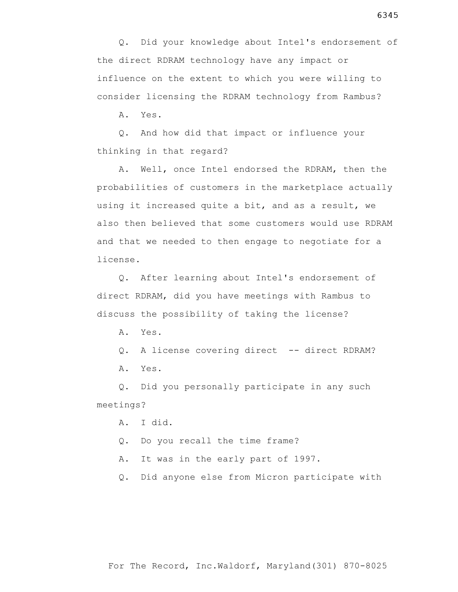Q. Did your knowledge about Intel's endorsement of the direct RDRAM technology have any impact or influence on the extent to which you were willing to consider licensing the RDRAM technology from Rambus?

A. Yes.

 Q. And how did that impact or influence your thinking in that regard?

 A. Well, once Intel endorsed the RDRAM, then the probabilities of customers in the marketplace actually using it increased quite a bit, and as a result, we also then believed that some customers would use RDRAM and that we needed to then engage to negotiate for a license.

 Q. After learning about Intel's endorsement of direct RDRAM, did you have meetings with Rambus to discuss the possibility of taking the license?

A. Yes.

Q. A license covering direct -- direct RDRAM? A. Yes.

 Q. Did you personally participate in any such meetings?

A. I did.

Q. Do you recall the time frame?

A. It was in the early part of 1997.

Q. Did anyone else from Micron participate with

6345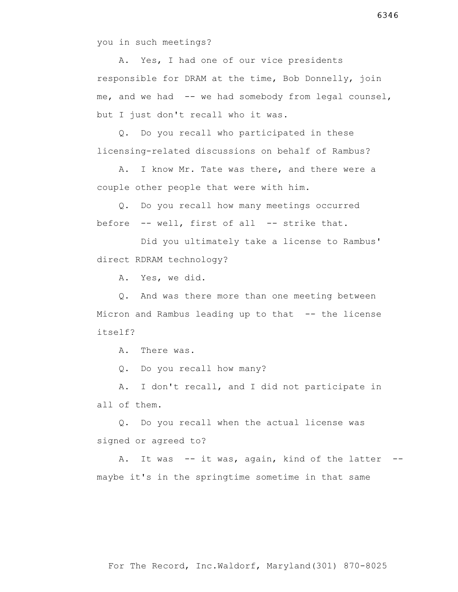you in such meetings?

 A. Yes, I had one of our vice presidents responsible for DRAM at the time, Bob Donnelly, join me, and we had -- we had somebody from legal counsel, but I just don't recall who it was.

 Q. Do you recall who participated in these licensing-related discussions on behalf of Rambus?

 A. I know Mr. Tate was there, and there were a couple other people that were with him.

 Q. Do you recall how many meetings occurred before -- well, first of all -- strike that.

 Did you ultimately take a license to Rambus' direct RDRAM technology?

A. Yes, we did.

 Q. And was there more than one meeting between Micron and Rambus leading up to that -- the license itself?

A. There was.

Q. Do you recall how many?

 A. I don't recall, and I did not participate in all of them.

 Q. Do you recall when the actual license was signed or agreed to?

 A. It was -- it was, again, kind of the latter - maybe it's in the springtime sometime in that same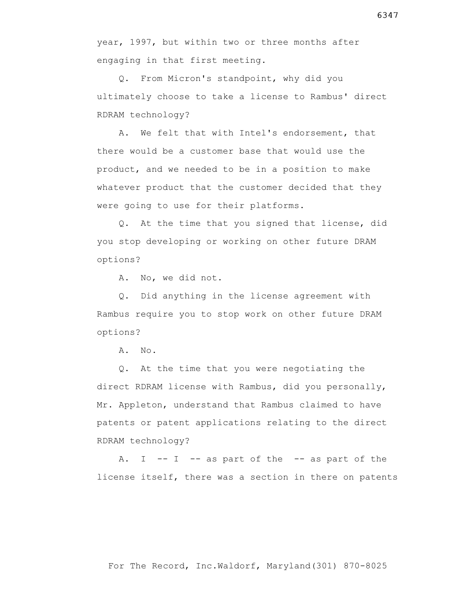year, 1997, but within two or three months after engaging in that first meeting.

 Q. From Micron's standpoint, why did you ultimately choose to take a license to Rambus' direct RDRAM technology?

 A. We felt that with Intel's endorsement, that there would be a customer base that would use the product, and we needed to be in a position to make whatever product that the customer decided that they were going to use for their platforms.

 Q. At the time that you signed that license, did you stop developing or working on other future DRAM options?

A. No, we did not.

 Q. Did anything in the license agreement with Rambus require you to stop work on other future DRAM options?

A. No.

 Q. At the time that you were negotiating the direct RDRAM license with Rambus, did you personally, Mr. Appleton, understand that Rambus claimed to have patents or patent applications relating to the direct RDRAM technology?

A. I  $-$  I  $-$  as part of the  $-$  as part of the license itself, there was a section in there on patents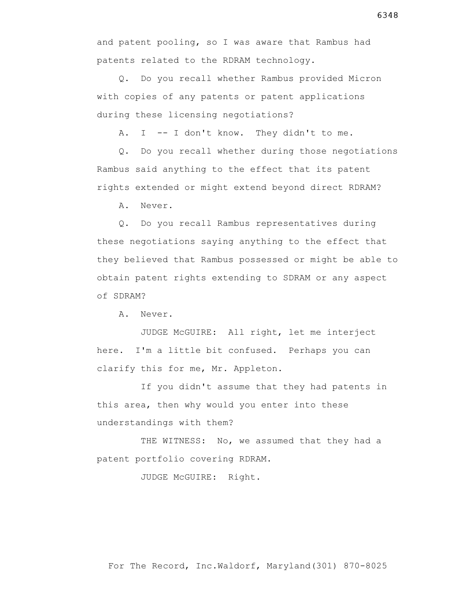Q. Do you recall whether Rambus provided Micron with copies of any patents or patent applications during these licensing negotiations?

A. I -- I don't know. They didn't to me.

 Q. Do you recall whether during those negotiations Rambus said anything to the effect that its patent rights extended or might extend beyond direct RDRAM?

A. Never.

 Q. Do you recall Rambus representatives during these negotiations saying anything to the effect that they believed that Rambus possessed or might be able to obtain patent rights extending to SDRAM or any aspect of SDRAM?

A. Never.

 JUDGE McGUIRE: All right, let me interject here. I'm a little bit confused. Perhaps you can clarify this for me, Mr. Appleton.

 If you didn't assume that they had patents in this area, then why would you enter into these understandings with them?

THE WITNESS: No, we assumed that they had a patent portfolio covering RDRAM.

JUDGE McGUIRE: Right.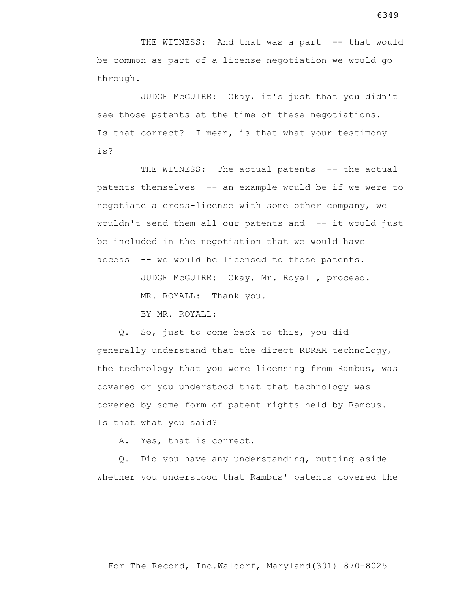THE WITNESS: And that was a part -- that would be common as part of a license negotiation we would go through.

 JUDGE McGUIRE: Okay, it's just that you didn't see those patents at the time of these negotiations. Is that correct? I mean, is that what your testimony is?

THE WITNESS: The actual patents -- the actual patents themselves -- an example would be if we were to negotiate a cross-license with some other company, we wouldn't send them all our patents and -- it would just be included in the negotiation that we would have access -- we would be licensed to those patents.

JUDGE McGUIRE: Okay, Mr. Royall, proceed.

MR. ROYALL: Thank you.

BY MR. ROYALL:

 Q. So, just to come back to this, you did generally understand that the direct RDRAM technology, the technology that you were licensing from Rambus, was covered or you understood that that technology was covered by some form of patent rights held by Rambus. Is that what you said?

A. Yes, that is correct.

 Q. Did you have any understanding, putting aside whether you understood that Rambus' patents covered the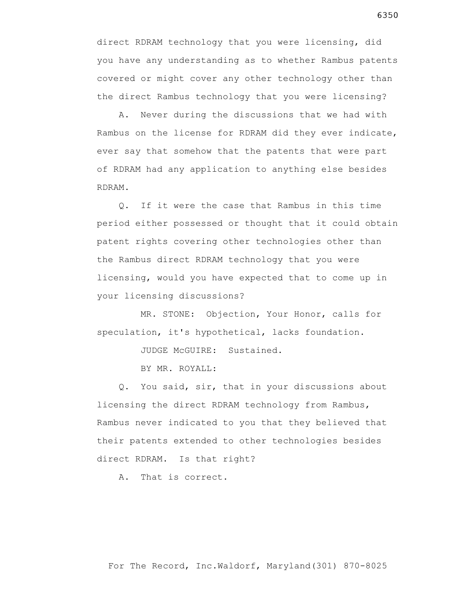direct RDRAM technology that you were licensing, did you have any understanding as to whether Rambus patents covered or might cover any other technology other than the direct Rambus technology that you were licensing?

 A. Never during the discussions that we had with Rambus on the license for RDRAM did they ever indicate, ever say that somehow that the patents that were part of RDRAM had any application to anything else besides RDRAM.

 Q. If it were the case that Rambus in this time period either possessed or thought that it could obtain patent rights covering other technologies other than the Rambus direct RDRAM technology that you were licensing, would you have expected that to come up in your licensing discussions?

 MR. STONE: Objection, Your Honor, calls for speculation, it's hypothetical, lacks foundation.

JUDGE McGUIRE: Sustained.

BY MR. ROYALL:

 Q. You said, sir, that in your discussions about licensing the direct RDRAM technology from Rambus, Rambus never indicated to you that they believed that their patents extended to other technologies besides direct RDRAM. Is that right?

A. That is correct.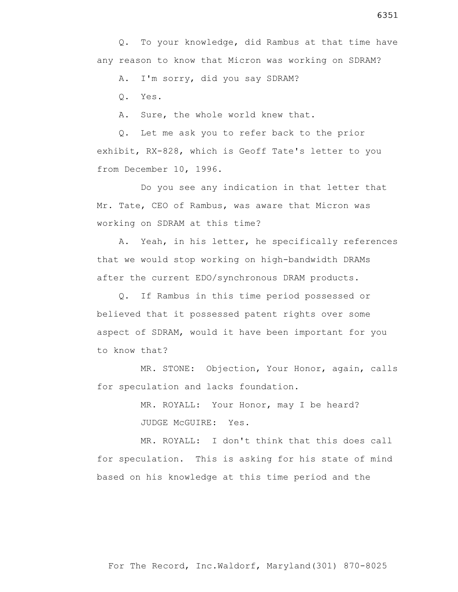Q. To your knowledge, did Rambus at that time have any reason to know that Micron was working on SDRAM?

A. I'm sorry, did you say SDRAM?

Q. Yes.

A. Sure, the whole world knew that.

 Q. Let me ask you to refer back to the prior exhibit, RX-828, which is Geoff Tate's letter to you from December 10, 1996.

 Do you see any indication in that letter that Mr. Tate, CEO of Rambus, was aware that Micron was working on SDRAM at this time?

 A. Yeah, in his letter, he specifically references that we would stop working on high-bandwidth DRAMs after the current EDO/synchronous DRAM products.

 Q. If Rambus in this time period possessed or believed that it possessed patent rights over some aspect of SDRAM, would it have been important for you to know that?

 MR. STONE: Objection, Your Honor, again, calls for speculation and lacks foundation.

> MR. ROYALL: Your Honor, may I be heard? JUDGE McGUIRE: Yes.

 MR. ROYALL: I don't think that this does call for speculation. This is asking for his state of mind based on his knowledge at this time period and the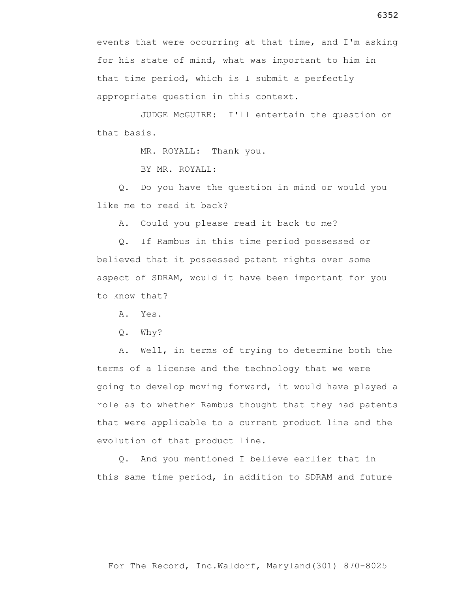events that were occurring at that time, and I'm asking for his state of mind, what was important to him in that time period, which is I submit a perfectly appropriate question in this context.

 JUDGE McGUIRE: I'll entertain the question on that basis.

MR. ROYALL: Thank you.

BY MR. ROYALL:

 Q. Do you have the question in mind or would you like me to read it back?

A. Could you please read it back to me?

 Q. If Rambus in this time period possessed or believed that it possessed patent rights over some aspect of SDRAM, would it have been important for you to know that?

A. Yes.

Q. Why?

 A. Well, in terms of trying to determine both the terms of a license and the technology that we were going to develop moving forward, it would have played a role as to whether Rambus thought that they had patents that were applicable to a current product line and the evolution of that product line.

 Q. And you mentioned I believe earlier that in this same time period, in addition to SDRAM and future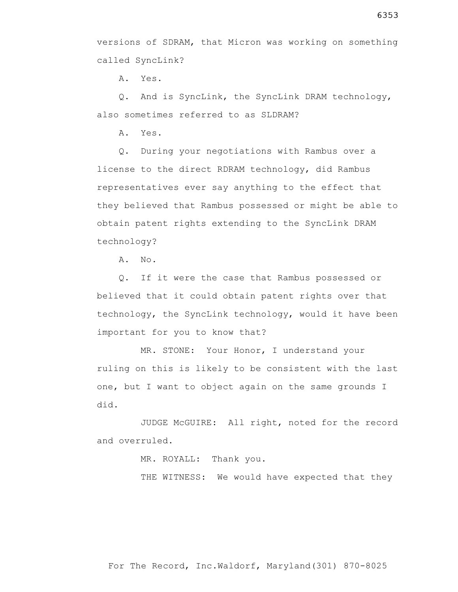versions of SDRAM, that Micron was working on something called SyncLink?

A. Yes.

 Q. And is SyncLink, the SyncLink DRAM technology, also sometimes referred to as SLDRAM?

A. Yes.

 Q. During your negotiations with Rambus over a license to the direct RDRAM technology, did Rambus representatives ever say anything to the effect that they believed that Rambus possessed or might be able to obtain patent rights extending to the SyncLink DRAM technology?

A. No.

 Q. If it were the case that Rambus possessed or believed that it could obtain patent rights over that technology, the SyncLink technology, would it have been important for you to know that?

 MR. STONE: Your Honor, I understand your ruling on this is likely to be consistent with the last one, but I want to object again on the same grounds I did.

 JUDGE McGUIRE: All right, noted for the record and overruled.

MR. ROYALL: Thank you.

THE WITNESS: We would have expected that they

For The Record, Inc.Waldorf, Maryland(301) 870-8025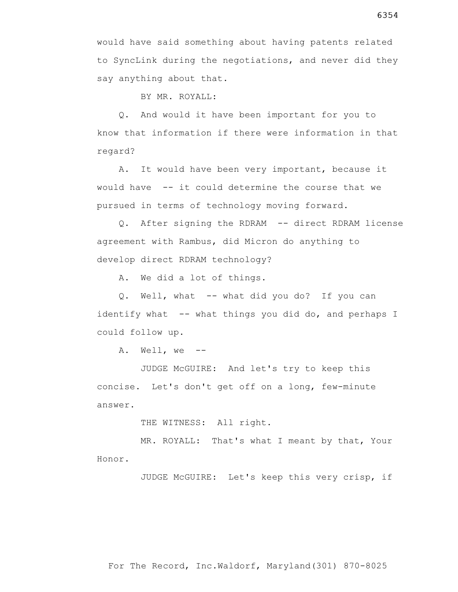BY MR. ROYALL:

say anything about that.

 Q. And would it have been important for you to know that information if there were information in that regard?

 A. It would have been very important, because it would have -- it could determine the course that we pursued in terms of technology moving forward.

 Q. After signing the RDRAM -- direct RDRAM license agreement with Rambus, did Micron do anything to develop direct RDRAM technology?

A. We did a lot of things.

Q. Well, what -- what did you do? If you can identify what  $-$ - what things you did do, and perhaps I could follow up.

A. Well, we --

 JUDGE McGUIRE: And let's try to keep this concise. Let's don't get off on a long, few-minute answer.

THE WITNESS: All right.

 MR. ROYALL: That's what I meant by that, Your Honor.

JUDGE McGUIRE: Let's keep this very crisp, if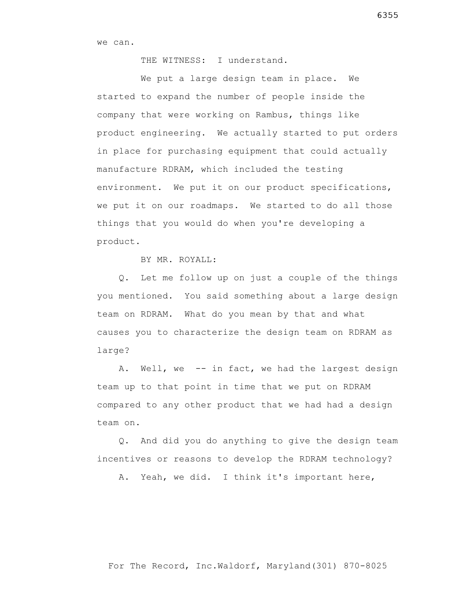we can.

THE WITNESS: I understand.

We put a large design team in place. We started to expand the number of people inside the company that were working on Rambus, things like product engineering. We actually started to put orders in place for purchasing equipment that could actually manufacture RDRAM, which included the testing environment. We put it on our product specifications, we put it on our roadmaps. We started to do all those things that you would do when you're developing a product.

BY MR. ROYALL:

 Q. Let me follow up on just a couple of the things you mentioned. You said something about a large design team on RDRAM. What do you mean by that and what causes you to characterize the design team on RDRAM as large?

A. Well, we -- in fact, we had the largest design team up to that point in time that we put on RDRAM compared to any other product that we had had a design team on.

 Q. And did you do anything to give the design team incentives or reasons to develop the RDRAM technology?

A. Yeah, we did. I think it's important here,

For The Record, Inc.Waldorf, Maryland(301) 870-8025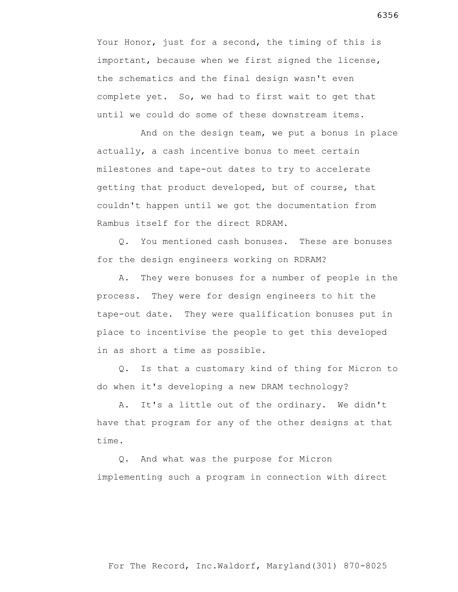Your Honor, just for a second, the timing of this is important, because when we first signed the license, the schematics and the final design wasn't even complete yet. So, we had to first wait to get that until we could do some of these downstream items.

 And on the design team, we put a bonus in place actually, a cash incentive bonus to meet certain milestones and tape-out dates to try to accelerate getting that product developed, but of course, that couldn't happen until we got the documentation from Rambus itself for the direct RDRAM.

 Q. You mentioned cash bonuses. These are bonuses for the design engineers working on RDRAM?

 A. They were bonuses for a number of people in the process. They were for design engineers to hit the tape-out date. They were qualification bonuses put in place to incentivise the people to get this developed in as short a time as possible.

 Q. Is that a customary kind of thing for Micron to do when it's developing a new DRAM technology?

 A. It's a little out of the ordinary. We didn't have that program for any of the other designs at that time.

 Q. And what was the purpose for Micron implementing such a program in connection with direct

6356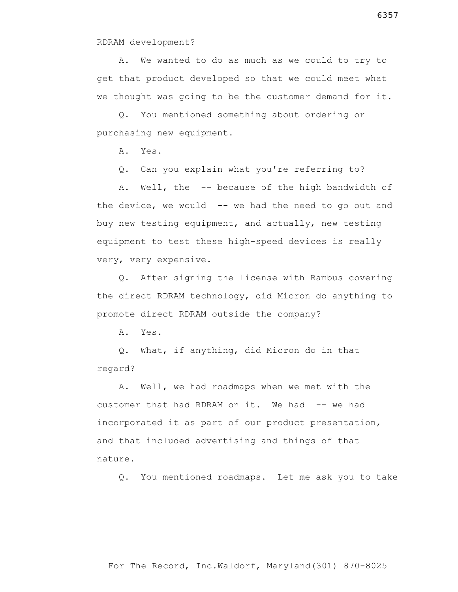RDRAM development?

 A. We wanted to do as much as we could to try to get that product developed so that we could meet what we thought was going to be the customer demand for it.

 Q. You mentioned something about ordering or purchasing new equipment.

A. Yes.

Q. Can you explain what you're referring to?

 A. Well, the -- because of the high bandwidth of the device, we would  $-$  we had the need to go out and buy new testing equipment, and actually, new testing equipment to test these high-speed devices is really very, very expensive.

 Q. After signing the license with Rambus covering the direct RDRAM technology, did Micron do anything to promote direct RDRAM outside the company?

A. Yes.

 Q. What, if anything, did Micron do in that regard?

 A. Well, we had roadmaps when we met with the customer that had RDRAM on it. We had -- we had incorporated it as part of our product presentation, and that included advertising and things of that nature.

Q. You mentioned roadmaps. Let me ask you to take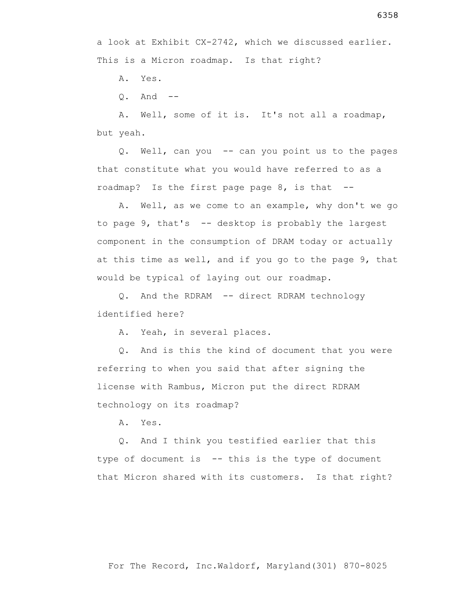A. Yes.

 $0.$  And  $-$ 

 A. Well, some of it is. It's not all a roadmap, but yeah.

 Q. Well, can you -- can you point us to the pages that constitute what you would have referred to as a roadmap? Is the first page page 8, is that --

 A. Well, as we come to an example, why don't we go to page  $9$ , that's  $-$  desktop is probably the largest component in the consumption of DRAM today or actually at this time as well, and if you go to the page 9, that would be typical of laying out our roadmap.

 Q. And the RDRAM -- direct RDRAM technology identified here?

A. Yeah, in several places.

 Q. And is this the kind of document that you were referring to when you said that after signing the license with Rambus, Micron put the direct RDRAM technology on its roadmap?

A. Yes.

 Q. And I think you testified earlier that this type of document is -- this is the type of document that Micron shared with its customers. Is that right?

For The Record, Inc.Waldorf, Maryland(301) 870-8025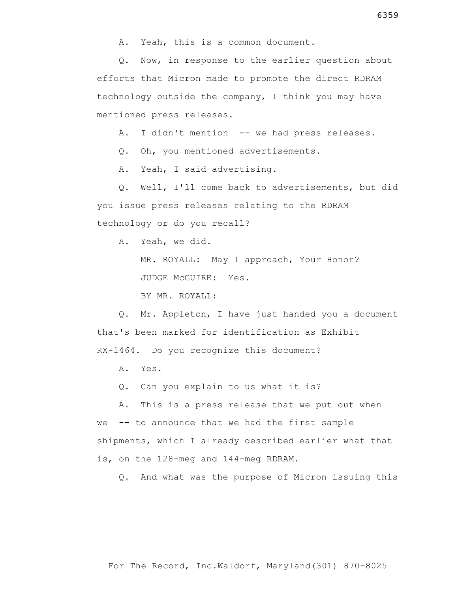A. Yeah, this is a common document.

 Q. Now, in response to the earlier question about efforts that Micron made to promote the direct RDRAM technology outside the company, I think you may have mentioned press releases.

A. I didn't mention -- we had press releases.

Q. Oh, you mentioned advertisements.

A. Yeah, I said advertising.

 Q. Well, I'll come back to advertisements, but did you issue press releases relating to the RDRAM technology or do you recall?

A. Yeah, we did.

 MR. ROYALL: May I approach, Your Honor? JUDGE McGUIRE: Yes.

BY MR. ROYALL:

 Q. Mr. Appleton, I have just handed you a document that's been marked for identification as Exhibit RX-1464. Do you recognize this document?

A. Yes.

Q. Can you explain to us what it is?

 A. This is a press release that we put out when we -- to announce that we had the first sample shipments, which I already described earlier what that is, on the 128-meg and 144-meg RDRAM.

Q. And what was the purpose of Micron issuing this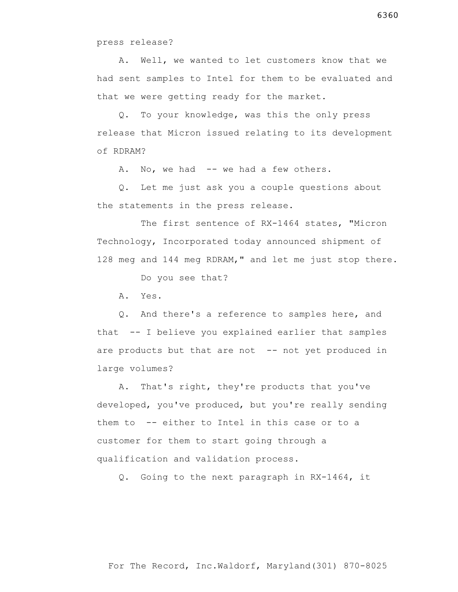press release?

 A. Well, we wanted to let customers know that we had sent samples to Intel for them to be evaluated and that we were getting ready for the market.

 Q. To your knowledge, was this the only press release that Micron issued relating to its development of RDRAM?

A. No, we had -- we had a few others.

 Q. Let me just ask you a couple questions about the statements in the press release.

 The first sentence of RX-1464 states, "Micron Technology, Incorporated today announced shipment of 128 meg and 144 meg RDRAM," and let me just stop there.

Do you see that?

A. Yes.

 Q. And there's a reference to samples here, and that -- I believe you explained earlier that samples are products but that are not -- not yet produced in large volumes?

 A. That's right, they're products that you've developed, you've produced, but you're really sending them to -- either to Intel in this case or to a customer for them to start going through a qualification and validation process.

Q. Going to the next paragraph in RX-1464, it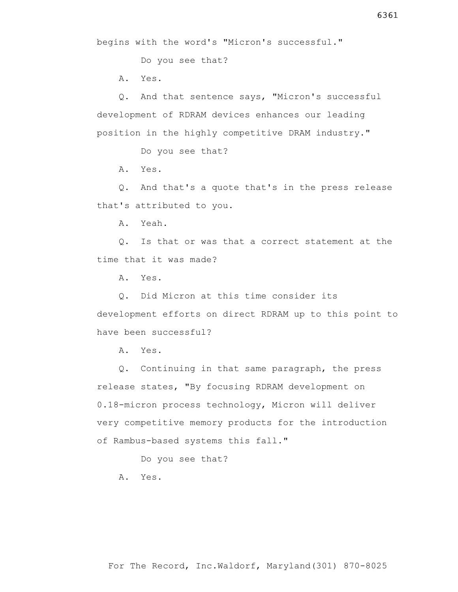begins with the word's "Micron's successful."

Do you see that?

A. Yes.

 Q. And that sentence says, "Micron's successful development of RDRAM devices enhances our leading position in the highly competitive DRAM industry."

Do you see that?

A. Yes.

 Q. And that's a quote that's in the press release that's attributed to you.

A. Yeah.

 Q. Is that or was that a correct statement at the time that it was made?

A. Yes.

 Q. Did Micron at this time consider its development efforts on direct RDRAM up to this point to have been successful?

A. Yes.

 Q. Continuing in that same paragraph, the press release states, "By focusing RDRAM development on 0.18-micron process technology, Micron will deliver very competitive memory products for the introduction of Rambus-based systems this fall."

Do you see that?

A. Yes.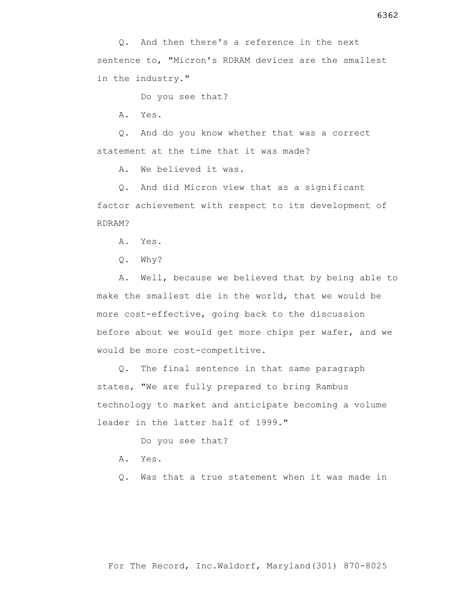Do you see that?

A. Yes.

 Q. And do you know whether that was a correct statement at the time that it was made?

A. We believed it was.

 Q. And did Micron view that as a significant factor achievement with respect to its development of RDRAM?

A. Yes.

Q. Why?

 A. Well, because we believed that by being able to make the smallest die in the world, that we would be more cost-effective, going back to the discussion before about we would get more chips per wafer, and we would be more cost-competitive.

 Q. The final sentence in that same paragraph states, "We are fully prepared to bring Rambus technology to market and anticipate becoming a volume leader in the latter half of 1999."

Do you see that?

A. Yes.

Q. Was that a true statement when it was made in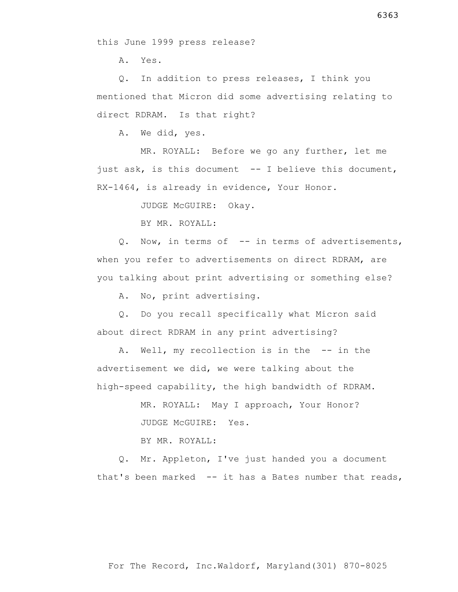A. Yes.

 Q. In addition to press releases, I think you mentioned that Micron did some advertising relating to direct RDRAM. Is that right?

A. We did, yes.

 MR. ROYALL: Before we go any further, let me just ask, is this document -- I believe this document, RX-1464, is already in evidence, Your Honor.

JUDGE McGUIRE: Okay.

BY MR. ROYALL:

 Q. Now, in terms of -- in terms of advertisements, when you refer to advertisements on direct RDRAM, are you talking about print advertising or something else?

A. No, print advertising.

 Q. Do you recall specifically what Micron said about direct RDRAM in any print advertising?

 A. Well, my recollection is in the -- in the advertisement we did, we were talking about the high-speed capability, the high bandwidth of RDRAM.

> MR. ROYALL: May I approach, Your Honor? JUDGE McGUIRE: Yes.

BY MR. ROYALL:

 Q. Mr. Appleton, I've just handed you a document that's been marked -- it has a Bates number that reads,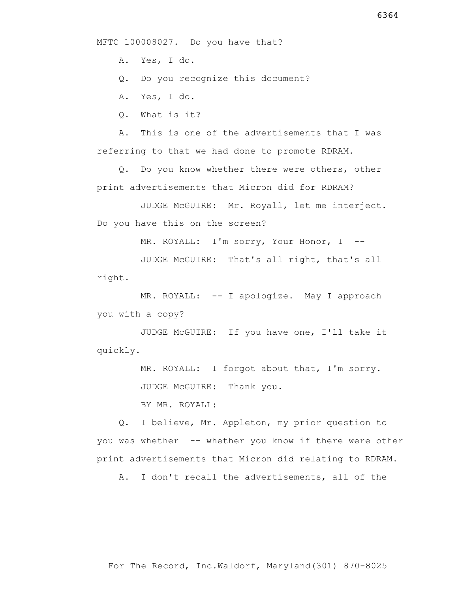MFTC 100008027. Do you have that?

A. Yes, I do.

Q. Do you recognize this document?

A. Yes, I do.

Q. What is it?

 A. This is one of the advertisements that I was referring to that we had done to promote RDRAM.

 Q. Do you know whether there were others, other print advertisements that Micron did for RDRAM?

 JUDGE McGUIRE: Mr. Royall, let me interject. Do you have this on the screen?

MR. ROYALL: I'm sorry, Your Honor, I --

 JUDGE McGUIRE: That's all right, that's all right.

MR. ROYALL: -- I apologize. May I approach you with a copy?

 JUDGE McGUIRE: If you have one, I'll take it quickly.

MR. ROYALL: I forgot about that, I'm sorry.

JUDGE McGUIRE: Thank you.

BY MR. ROYALL:

 Q. I believe, Mr. Appleton, my prior question to you was whether -- whether you know if there were other print advertisements that Micron did relating to RDRAM.

A. I don't recall the advertisements, all of the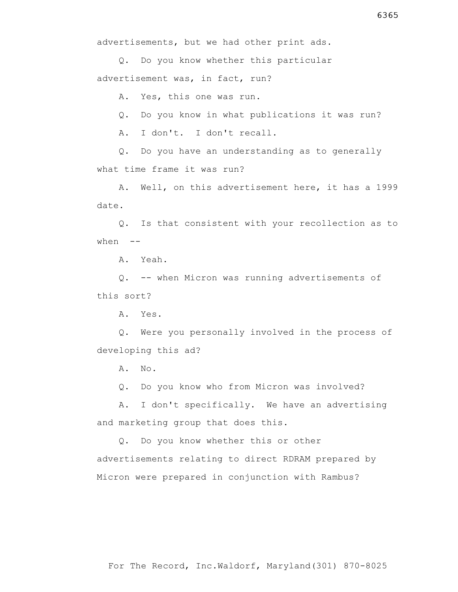Q. Do you know whether this particular advertisement was, in fact, run?

A. Yes, this one was run.

Q. Do you know in what publications it was run?

A. I don't. I don't recall.

 Q. Do you have an understanding as to generally what time frame it was run?

 A. Well, on this advertisement here, it has a 1999 date.

 Q. Is that consistent with your recollection as to when  $--$ 

A. Yeah.

 Q. -- when Micron was running advertisements of this sort?

A. Yes.

 Q. Were you personally involved in the process of developing this ad?

A. No.

Q. Do you know who from Micron was involved?

 A. I don't specifically. We have an advertising and marketing group that does this.

 Q. Do you know whether this or other advertisements relating to direct RDRAM prepared by Micron were prepared in conjunction with Rambus?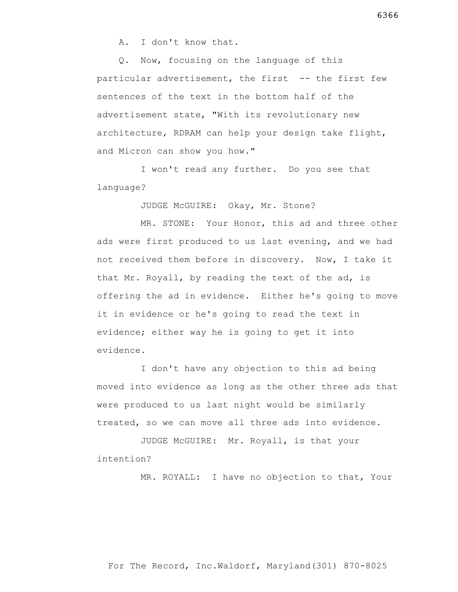A. I don't know that.

 Q. Now, focusing on the language of this particular advertisement, the first -- the first few sentences of the text in the bottom half of the advertisement state, "With its revolutionary new architecture, RDRAM can help your design take flight, and Micron can show you how."

 I won't read any further. Do you see that language?

JUDGE McGUIRE: Okay, Mr. Stone?

 MR. STONE: Your Honor, this ad and three other ads were first produced to us last evening, and we had not received them before in discovery. Now, I take it that Mr. Royall, by reading the text of the ad, is offering the ad in evidence. Either he's going to move it in evidence or he's going to read the text in evidence; either way he is going to get it into evidence.

 I don't have any objection to this ad being moved into evidence as long as the other three ads that were produced to us last night would be similarly treated, so we can move all three ads into evidence.

 JUDGE McGUIRE: Mr. Royall, is that your intention?

MR. ROYALL: I have no objection to that, Your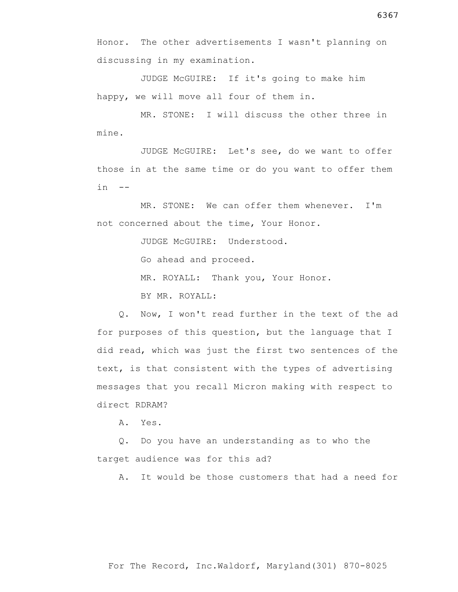Honor. The other advertisements I wasn't planning on discussing in my examination.

 JUDGE McGUIRE: If it's going to make him happy, we will move all four of them in.

 MR. STONE: I will discuss the other three in mine.

 JUDGE McGUIRE: Let's see, do we want to offer those in at the same time or do you want to offer them  $in$   $--$ 

 MR. STONE: We can offer them whenever. I'm not concerned about the time, Your Honor.

JUDGE McGUIRE: Understood.

Go ahead and proceed.

MR. ROYALL: Thank you, Your Honor.

BY MR. ROYALL:

 Q. Now, I won't read further in the text of the ad for purposes of this question, but the language that I did read, which was just the first two sentences of the text, is that consistent with the types of advertising messages that you recall Micron making with respect to direct RDRAM?

A. Yes.

 Q. Do you have an understanding as to who the target audience was for this ad?

A. It would be those customers that had a need for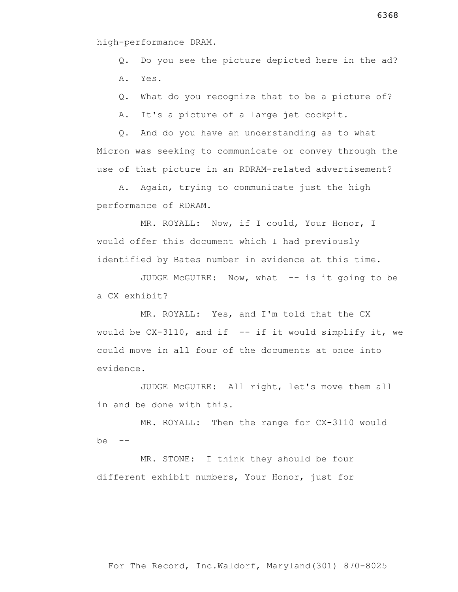## high-performance DRAM.

Q. Do you see the picture depicted here in the ad?

A. Yes.

Q. What do you recognize that to be a picture of?

A. It's a picture of a large jet cockpit.

 Q. And do you have an understanding as to what Micron was seeking to communicate or convey through the use of that picture in an RDRAM-related advertisement?

 A. Again, trying to communicate just the high performance of RDRAM.

 MR. ROYALL: Now, if I could, Your Honor, I would offer this document which I had previously identified by Bates number in evidence at this time.

 JUDGE McGUIRE: Now, what -- is it going to be a CX exhibit?

 MR. ROYALL: Yes, and I'm told that the CX would be  $CX-3110$ , and if  $-$  if it would simplify it, we could move in all four of the documents at once into evidence.

 JUDGE McGUIRE: All right, let's move them all in and be done with this.

 MR. ROYALL: Then the range for CX-3110 would  $be = -$ 

 MR. STONE: I think they should be four different exhibit numbers, Your Honor, just for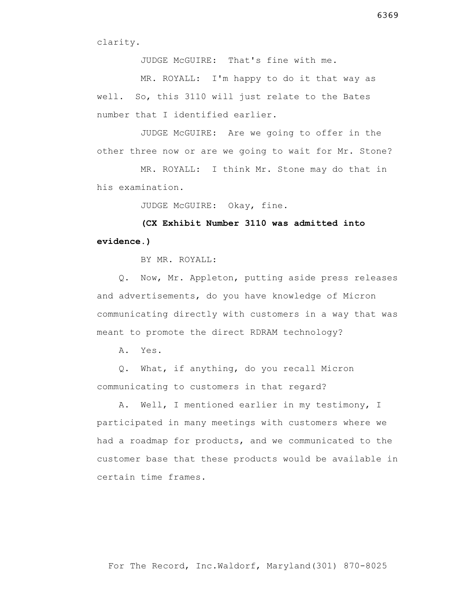JUDGE McGUIRE: That's fine with me.

 MR. ROYALL: I'm happy to do it that way as well. So, this 3110 will just relate to the Bates number that I identified earlier.

 JUDGE McGUIRE: Are we going to offer in the other three now or are we going to wait for Mr. Stone?

 MR. ROYALL: I think Mr. Stone may do that in his examination.

JUDGE McGUIRE: Okay, fine.

 **(CX Exhibit Number 3110 was admitted into evidence.)**

BY MR. ROYALL:

 Q. Now, Mr. Appleton, putting aside press releases and advertisements, do you have knowledge of Micron communicating directly with customers in a way that was meant to promote the direct RDRAM technology?

A. Yes.

 Q. What, if anything, do you recall Micron communicating to customers in that regard?

 A. Well, I mentioned earlier in my testimony, I participated in many meetings with customers where we had a roadmap for products, and we communicated to the customer base that these products would be available in certain time frames.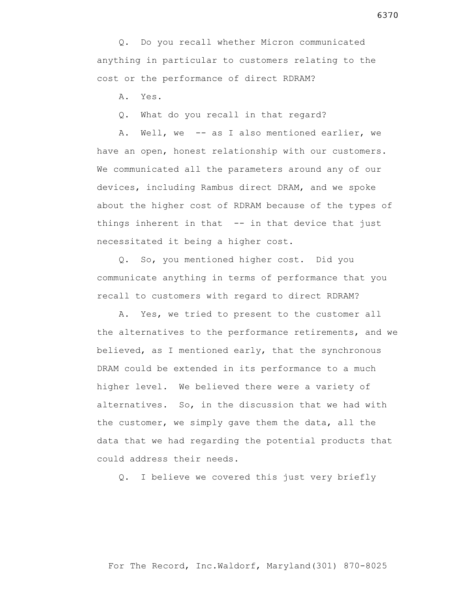Q. Do you recall whether Micron communicated anything in particular to customers relating to the cost or the performance of direct RDRAM?

A. Yes.

Q. What do you recall in that regard?

 A. Well, we -- as I also mentioned earlier, we have an open, honest relationship with our customers. We communicated all the parameters around any of our devices, including Rambus direct DRAM, and we spoke about the higher cost of RDRAM because of the types of things inherent in that  $-$ - in that device that just necessitated it being a higher cost.

 Q. So, you mentioned higher cost. Did you communicate anything in terms of performance that you recall to customers with regard to direct RDRAM?

 A. Yes, we tried to present to the customer all the alternatives to the performance retirements, and we believed, as I mentioned early, that the synchronous DRAM could be extended in its performance to a much higher level. We believed there were a variety of alternatives. So, in the discussion that we had with the customer, we simply gave them the data, all the data that we had regarding the potential products that could address their needs.

Q. I believe we covered this just very briefly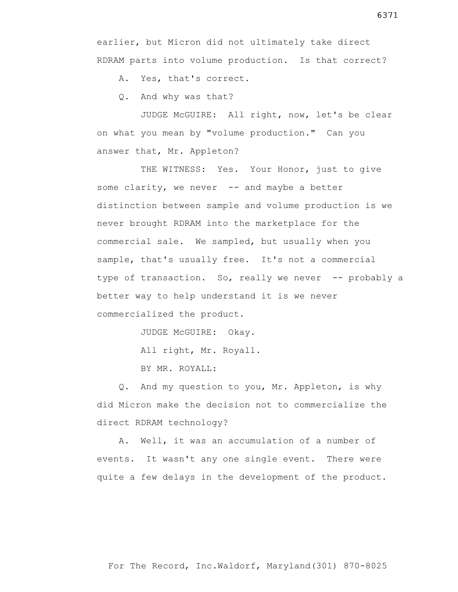earlier, but Micron did not ultimately take direct RDRAM parts into volume production. Is that correct?

A. Yes, that's correct.

Q. And why was that?

 JUDGE McGUIRE: All right, now, let's be clear on what you mean by "volume production." Can you answer that, Mr. Appleton?

THE WITNESS: Yes. Your Honor, just to give some clarity, we never  $-$  and maybe a better distinction between sample and volume production is we never brought RDRAM into the marketplace for the commercial sale. We sampled, but usually when you sample, that's usually free. It's not a commercial type of transaction. So, really we never -- probably a better way to help understand it is we never commercialized the product.

JUDGE McGUIRE: Okay.

All right, Mr. Royall.

BY MR. ROYALL:

 Q. And my question to you, Mr. Appleton, is why did Micron make the decision not to commercialize the direct RDRAM technology?

 A. Well, it was an accumulation of a number of events. It wasn't any one single event. There were quite a few delays in the development of the product.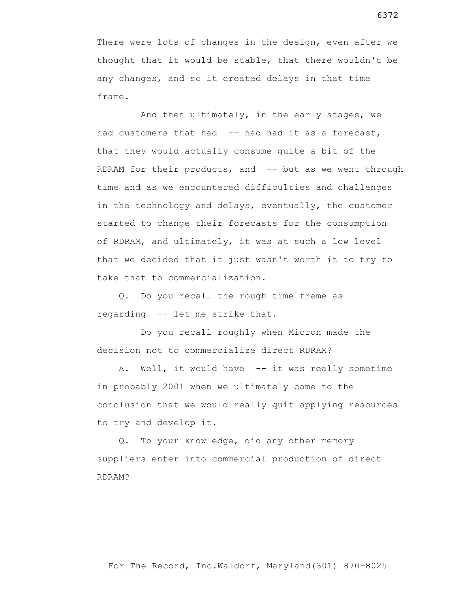There were lots of changes in the design, even after we thought that it would be stable, that there wouldn't be any changes, and so it created delays in that time frame.

 And then ultimately, in the early stages, we had customers that had -- had had it as a forecast, that they would actually consume quite a bit of the RDRAM for their products, and -- but as we went through time and as we encountered difficulties and challenges in the technology and delays, eventually, the customer started to change their forecasts for the consumption of RDRAM, and ultimately, it was at such a low level that we decided that it just wasn't worth it to try to take that to commercialization.

 Q. Do you recall the rough time frame as regarding -- let me strike that.

 Do you recall roughly when Micron made the decision not to commercialize direct RDRAM?

A. Well, it would have -- it was really sometime in probably 2001 when we ultimately came to the conclusion that we would really quit applying resources to try and develop it.

 Q. To your knowledge, did any other memory suppliers enter into commercial production of direct RDRAM?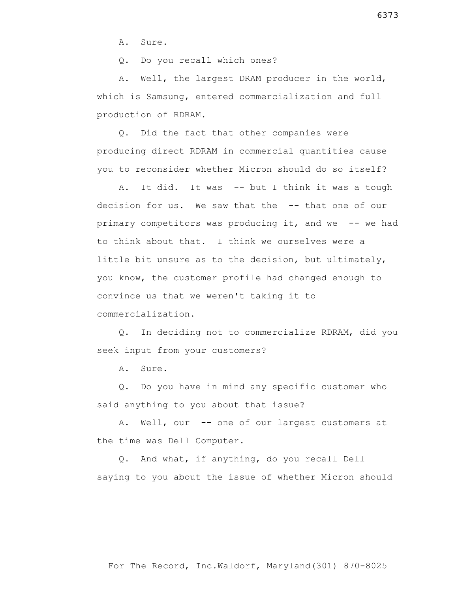A. Sure.

Q. Do you recall which ones?

 A. Well, the largest DRAM producer in the world, which is Samsung, entered commercialization and full production of RDRAM.

 Q. Did the fact that other companies were producing direct RDRAM in commercial quantities cause you to reconsider whether Micron should do so itself?

 A. It did. It was -- but I think it was a tough decision for us. We saw that the -- that one of our primary competitors was producing it, and we -- we had to think about that. I think we ourselves were a little bit unsure as to the decision, but ultimately, you know, the customer profile had changed enough to convince us that we weren't taking it to commercialization.

 Q. In deciding not to commercialize RDRAM, did you seek input from your customers?

A. Sure.

 Q. Do you have in mind any specific customer who said anything to you about that issue?

A. Well, our -- one of our largest customers at the time was Dell Computer.

 Q. And what, if anything, do you recall Dell saying to you about the issue of whether Micron should

6373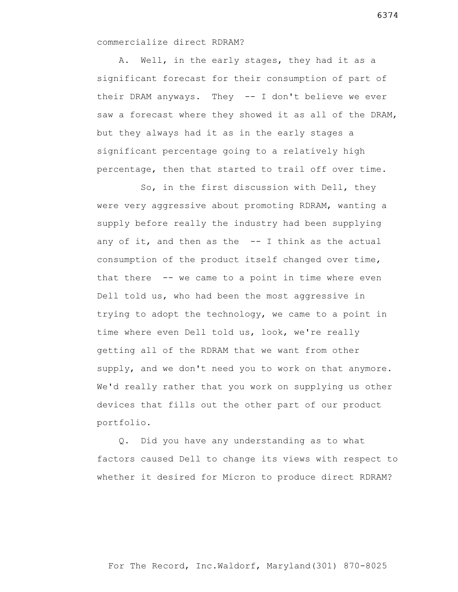commercialize direct RDRAM?

 A. Well, in the early stages, they had it as a significant forecast for their consumption of part of their DRAM anyways. They -- I don't believe we ever saw a forecast where they showed it as all of the DRAM, but they always had it as in the early stages a significant percentage going to a relatively high percentage, then that started to trail off over time.

 So, in the first discussion with Dell, they were very aggressive about promoting RDRAM, wanting a supply before really the industry had been supplying any of it, and then as the  $-$ - I think as the actual consumption of the product itself changed over time, that there -- we came to a point in time where even Dell told us, who had been the most aggressive in trying to adopt the technology, we came to a point in time where even Dell told us, look, we're really getting all of the RDRAM that we want from other supply, and we don't need you to work on that anymore. We'd really rather that you work on supplying us other devices that fills out the other part of our product portfolio.

 Q. Did you have any understanding as to what factors caused Dell to change its views with respect to whether it desired for Micron to produce direct RDRAM?

For The Record, Inc.Waldorf, Maryland(301) 870-8025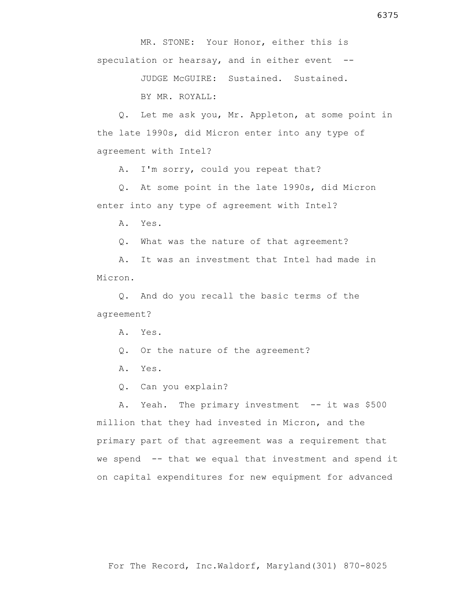MR. STONE: Your Honor, either this is speculation or hearsay, and in either event --

> JUDGE McGUIRE: Sustained. Sustained. BY MR. ROYALL:

 Q. Let me ask you, Mr. Appleton, at some point in the late 1990s, did Micron enter into any type of agreement with Intel?

A. I'm sorry, could you repeat that?

 Q. At some point in the late 1990s, did Micron enter into any type of agreement with Intel?

A. Yes.

Q. What was the nature of that agreement?

 A. It was an investment that Intel had made in Micron.

 Q. And do you recall the basic terms of the agreement?

A. Yes.

- Q. Or the nature of the agreement?
- A. Yes.
- Q. Can you explain?

A. Yeah. The primary investment -- it was \$500 million that they had invested in Micron, and the primary part of that agreement was a requirement that we spend -- that we equal that investment and spend it on capital expenditures for new equipment for advanced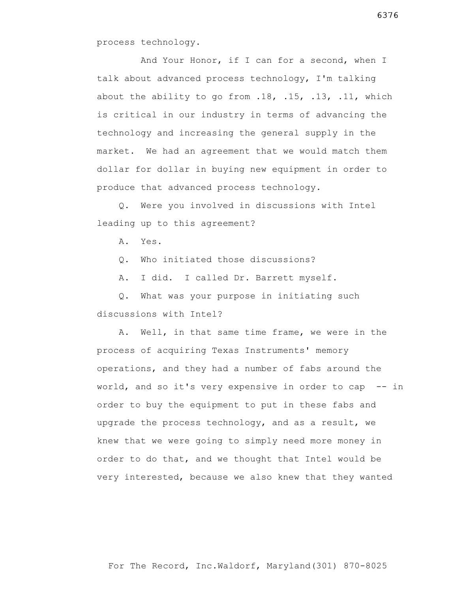process technology.

 And Your Honor, if I can for a second, when I talk about advanced process technology, I'm talking about the ability to go from .18, .15, .13, .11, which is critical in our industry in terms of advancing the technology and increasing the general supply in the market. We had an agreement that we would match them dollar for dollar in buying new equipment in order to produce that advanced process technology.

 Q. Were you involved in discussions with Intel leading up to this agreement?

A. Yes.

Q. Who initiated those discussions?

A. I did. I called Dr. Barrett myself.

 Q. What was your purpose in initiating such discussions with Intel?

 A. Well, in that same time frame, we were in the process of acquiring Texas Instruments' memory operations, and they had a number of fabs around the world, and so it's very expensive in order to cap -- in order to buy the equipment to put in these fabs and upgrade the process technology, and as a result, we knew that we were going to simply need more money in order to do that, and we thought that Intel would be very interested, because we also knew that they wanted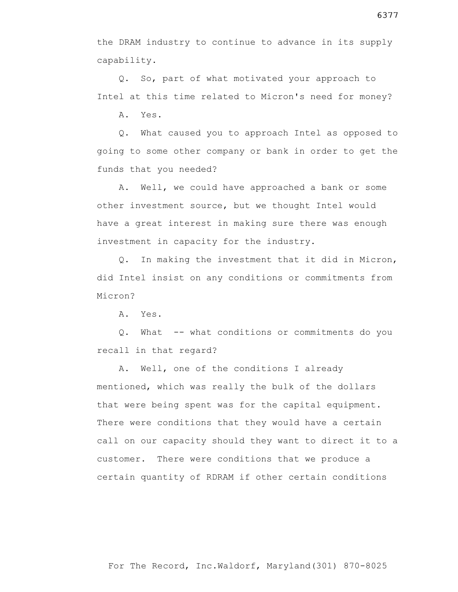the DRAM industry to continue to advance in its supply capability.

 Q. So, part of what motivated your approach to Intel at this time related to Micron's need for money?

A. Yes.

 Q. What caused you to approach Intel as opposed to going to some other company or bank in order to get the funds that you needed?

 A. Well, we could have approached a bank or some other investment source, but we thought Intel would have a great interest in making sure there was enough investment in capacity for the industry.

 Q. In making the investment that it did in Micron, did Intel insist on any conditions or commitments from Micron?

A. Yes.

 Q. What -- what conditions or commitments do you recall in that regard?

 A. Well, one of the conditions I already mentioned, which was really the bulk of the dollars that were being spent was for the capital equipment. There were conditions that they would have a certain call on our capacity should they want to direct it to a customer. There were conditions that we produce a certain quantity of RDRAM if other certain conditions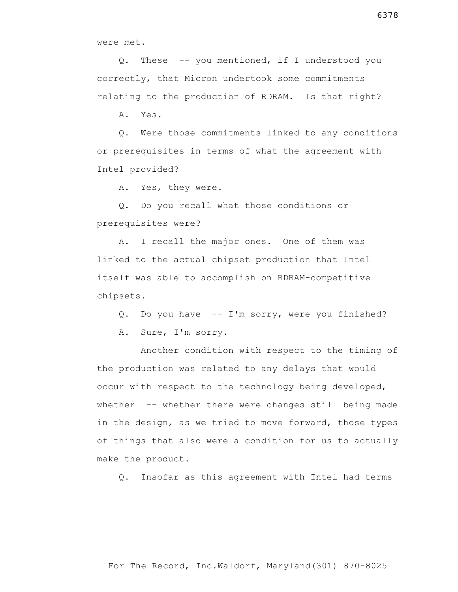were met.

 Q. These -- you mentioned, if I understood you correctly, that Micron undertook some commitments relating to the production of RDRAM. Is that right?

A. Yes.

 Q. Were those commitments linked to any conditions or prerequisites in terms of what the agreement with Intel provided?

A. Yes, they were.

 Q. Do you recall what those conditions or prerequisites were?

 A. I recall the major ones. One of them was linked to the actual chipset production that Intel itself was able to accomplish on RDRAM-competitive chipsets.

Q. Do you have -- I'm sorry, were you finished?

A. Sure, I'm sorry.

 Another condition with respect to the timing of the production was related to any delays that would occur with respect to the technology being developed, whether -- whether there were changes still being made in the design, as we tried to move forward, those types of things that also were a condition for us to actually make the product.

Q. Insofar as this agreement with Intel had terms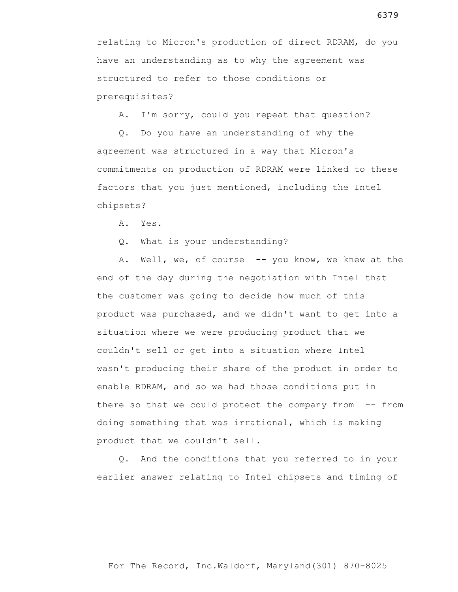relating to Micron's production of direct RDRAM, do you have an understanding as to why the agreement was structured to refer to those conditions or prerequisites?

A. I'm sorry, could you repeat that question?

 Q. Do you have an understanding of why the agreement was structured in a way that Micron's commitments on production of RDRAM were linked to these factors that you just mentioned, including the Intel chipsets?

A. Yes.

Q. What is your understanding?

A. Well, we, of course -- you know, we knew at the end of the day during the negotiation with Intel that the customer was going to decide how much of this product was purchased, and we didn't want to get into a situation where we were producing product that we couldn't sell or get into a situation where Intel wasn't producing their share of the product in order to enable RDRAM, and so we had those conditions put in there so that we could protect the company from -- from doing something that was irrational, which is making product that we couldn't sell.

 Q. And the conditions that you referred to in your earlier answer relating to Intel chipsets and timing of

6379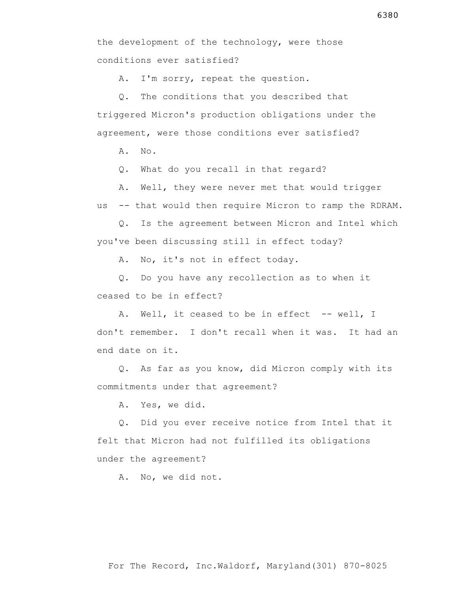A. I'm sorry, repeat the question.

 Q. The conditions that you described that triggered Micron's production obligations under the agreement, were those conditions ever satisfied?

A. No.

Q. What do you recall in that regard?

 A. Well, they were never met that would trigger us -- that would then require Micron to ramp the RDRAM.

 Q. Is the agreement between Micron and Intel which you've been discussing still in effect today?

A. No, it's not in effect today.

 Q. Do you have any recollection as to when it ceased to be in effect?

A. Well, it ceased to be in effect -- well, I don't remember. I don't recall when it was. It had an end date on it.

 Q. As far as you know, did Micron comply with its commitments under that agreement?

A. Yes, we did.

 Q. Did you ever receive notice from Intel that it felt that Micron had not fulfilled its obligations under the agreement?

A. No, we did not.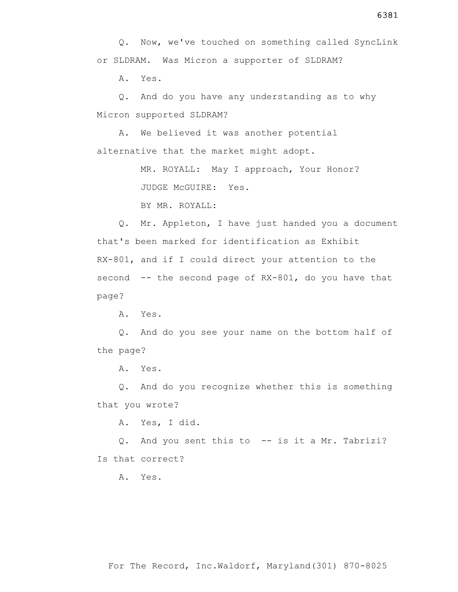Q. Now, we've touched on something called SyncLink or SLDRAM. Was Micron a supporter of SLDRAM?

A. Yes.

 Q. And do you have any understanding as to why Micron supported SLDRAM?

 A. We believed it was another potential alternative that the market might adopt.

> MR. ROYALL: May I approach, Your Honor? JUDGE McGUIRE: Yes.

BY MR. ROYALL:

 Q. Mr. Appleton, I have just handed you a document that's been marked for identification as Exhibit RX-801, and if I could direct your attention to the second  $--$  the second page of  $RX-801$ , do you have that page?

A. Yes.

 Q. And do you see your name on the bottom half of the page?

A. Yes.

 Q. And do you recognize whether this is something that you wrote?

A. Yes, I did.

 Q. And you sent this to -- is it a Mr. Tabrizi? Is that correct?

A. Yes.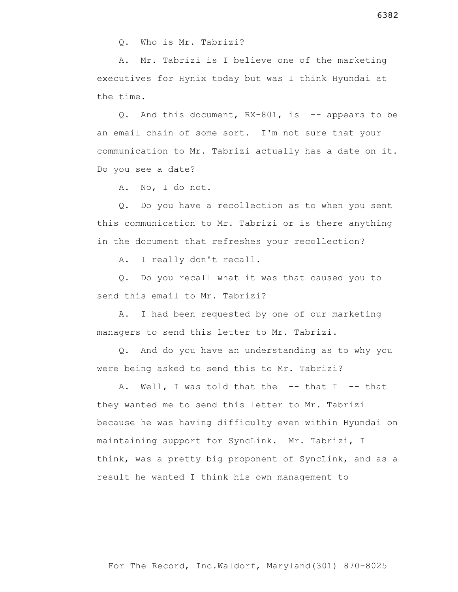A. Mr. Tabrizi is I believe one of the marketing executives for Hynix today but was I think Hyundai at the time.

 Q. And this document, RX-801, is -- appears to be an email chain of some sort. I'm not sure that your communication to Mr. Tabrizi actually has a date on it. Do you see a date?

A. No, I do not.

 Q. Do you have a recollection as to when you sent this communication to Mr. Tabrizi or is there anything in the document that refreshes your recollection?

A. I really don't recall.

 Q. Do you recall what it was that caused you to send this email to Mr. Tabrizi?

 A. I had been requested by one of our marketing managers to send this letter to Mr. Tabrizi.

 Q. And do you have an understanding as to why you were being asked to send this to Mr. Tabrizi?

A. Well, I was told that the -- that I -- that they wanted me to send this letter to Mr. Tabrizi because he was having difficulty even within Hyundai on maintaining support for SyncLink. Mr. Tabrizi, I think, was a pretty big proponent of SyncLink, and as a result he wanted I think his own management to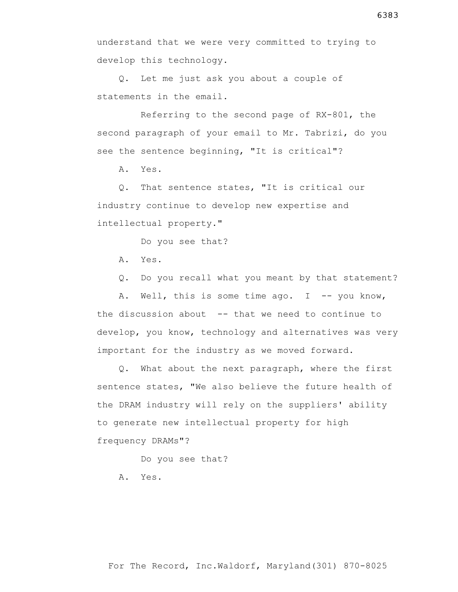Q. Let me just ask you about a couple of statements in the email.

 Referring to the second page of RX-801, the second paragraph of your email to Mr. Tabrizi, do you see the sentence beginning, "It is critical"?

A. Yes.

 Q. That sentence states, "It is critical our industry continue to develop new expertise and intellectual property."

Do you see that?

A. Yes.

Q. Do you recall what you meant by that statement?

A. Well, this is some time ago.  $I$  -- you know, the discussion about -- that we need to continue to develop, you know, technology and alternatives was very important for the industry as we moved forward.

 Q. What about the next paragraph, where the first sentence states, "We also believe the future health of the DRAM industry will rely on the suppliers' ability to generate new intellectual property for high frequency DRAMs"?

Do you see that?

A. Yes.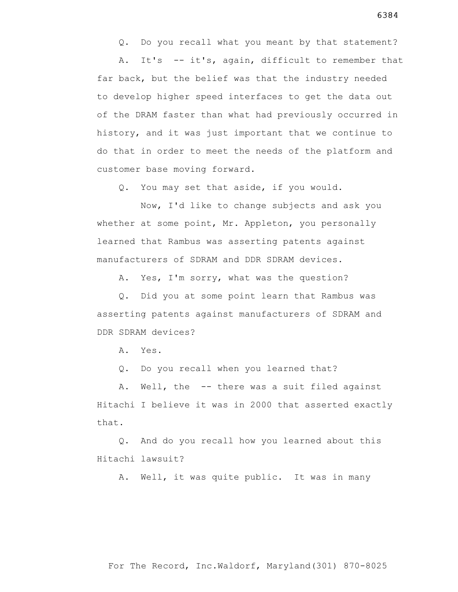Q. Do you recall what you meant by that statement?

 A. It's -- it's, again, difficult to remember that far back, but the belief was that the industry needed to develop higher speed interfaces to get the data out of the DRAM faster than what had previously occurred in history, and it was just important that we continue to do that in order to meet the needs of the platform and customer base moving forward.

Q. You may set that aside, if you would.

 Now, I'd like to change subjects and ask you whether at some point, Mr. Appleton, you personally learned that Rambus was asserting patents against manufacturers of SDRAM and DDR SDRAM devices.

A. Yes, I'm sorry, what was the question?

 Q. Did you at some point learn that Rambus was asserting patents against manufacturers of SDRAM and DDR SDRAM devices?

A. Yes.

Q. Do you recall when you learned that?

 A. Well, the -- there was a suit filed against Hitachi I believe it was in 2000 that asserted exactly that.

 Q. And do you recall how you learned about this Hitachi lawsuit?

A. Well, it was quite public. It was in many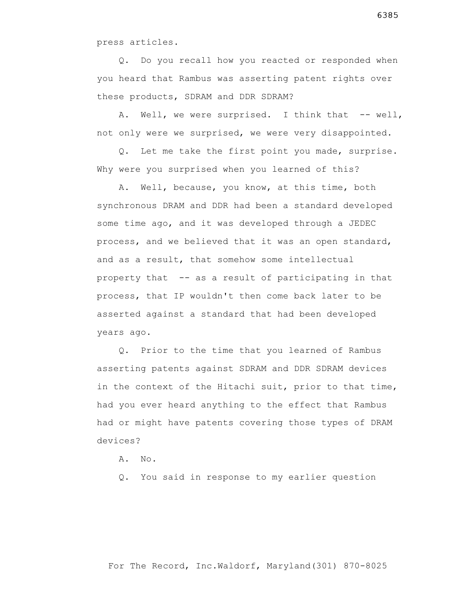press articles.

 Q. Do you recall how you reacted or responded when you heard that Rambus was asserting patent rights over these products, SDRAM and DDR SDRAM?

A. Well, we were surprised. I think that -- well, not only were we surprised, we were very disappointed.

 Q. Let me take the first point you made, surprise. Why were you surprised when you learned of this?

 A. Well, because, you know, at this time, both synchronous DRAM and DDR had been a standard developed some time ago, and it was developed through a JEDEC process, and we believed that it was an open standard, and as a result, that somehow some intellectual property that -- as a result of participating in that process, that IP wouldn't then come back later to be asserted against a standard that had been developed years ago.

 Q. Prior to the time that you learned of Rambus asserting patents against SDRAM and DDR SDRAM devices in the context of the Hitachi suit, prior to that time, had you ever heard anything to the effect that Rambus had or might have patents covering those types of DRAM devices?

A. No.

Q. You said in response to my earlier question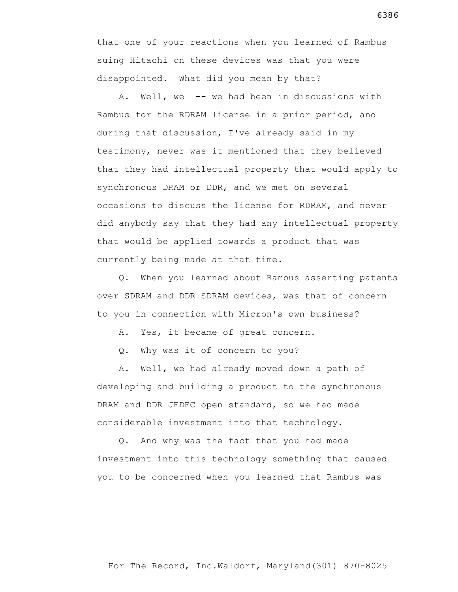that one of your reactions when you learned of Rambus suing Hitachi on these devices was that you were disappointed. What did you mean by that?

 A. Well, we -- we had been in discussions with Rambus for the RDRAM license in a prior period, and during that discussion, I've already said in my testimony, never was it mentioned that they believed that they had intellectual property that would apply to synchronous DRAM or DDR, and we met on several occasions to discuss the license for RDRAM, and never did anybody say that they had any intellectual property that would be applied towards a product that was currently being made at that time.

 Q. When you learned about Rambus asserting patents over SDRAM and DDR SDRAM devices, was that of concern to you in connection with Micron's own business?

A. Yes, it became of great concern.

Q. Why was it of concern to you?

 A. Well, we had already moved down a path of developing and building a product to the synchronous DRAM and DDR JEDEC open standard, so we had made considerable investment into that technology.

 Q. And why was the fact that you had made investment into this technology something that caused you to be concerned when you learned that Rambus was

6386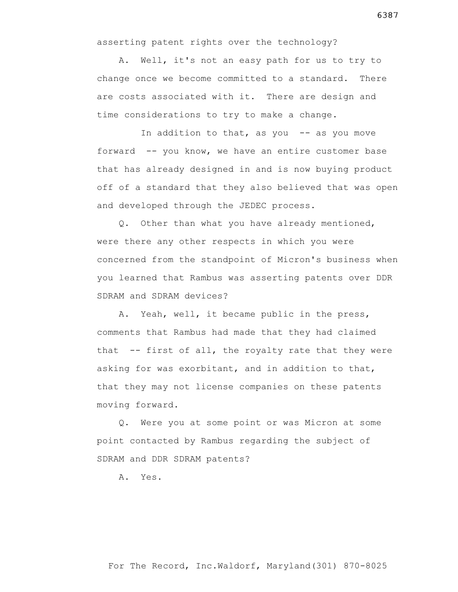asserting patent rights over the technology?

 A. Well, it's not an easy path for us to try to change once we become committed to a standard. There are costs associated with it. There are design and time considerations to try to make a change.

In addition to that, as you  $-$  as you move forward -- you know, we have an entire customer base that has already designed in and is now buying product off of a standard that they also believed that was open and developed through the JEDEC process.

 Q. Other than what you have already mentioned, were there any other respects in which you were concerned from the standpoint of Micron's business when you learned that Rambus was asserting patents over DDR SDRAM and SDRAM devices?

 A. Yeah, well, it became public in the press, comments that Rambus had made that they had claimed that -- first of all, the royalty rate that they were asking for was exorbitant, and in addition to that, that they may not license companies on these patents moving forward.

 Q. Were you at some point or was Micron at some point contacted by Rambus regarding the subject of SDRAM and DDR SDRAM patents?

A. Yes.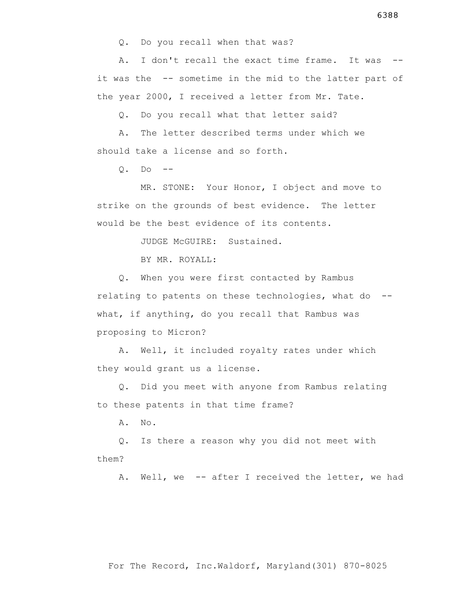A. I don't recall the exact time frame. It was - it was the -- sometime in the mid to the latter part of the year 2000, I received a letter from Mr. Tate.

Q. Do you recall what that letter said?

 A. The letter described terms under which we should take a license and so forth.

 $0.$  Do  $-$ 

 MR. STONE: Your Honor, I object and move to strike on the grounds of best evidence. The letter would be the best evidence of its contents.

JUDGE McGUIRE: Sustained.

BY MR. ROYALL:

 Q. When you were first contacted by Rambus relating to patents on these technologies, what do - what, if anything, do you recall that Rambus was proposing to Micron?

 A. Well, it included royalty rates under which they would grant us a license.

 Q. Did you meet with anyone from Rambus relating to these patents in that time frame?

A. No.

 Q. Is there a reason why you did not meet with them?

A. Well, we -- after I received the letter, we had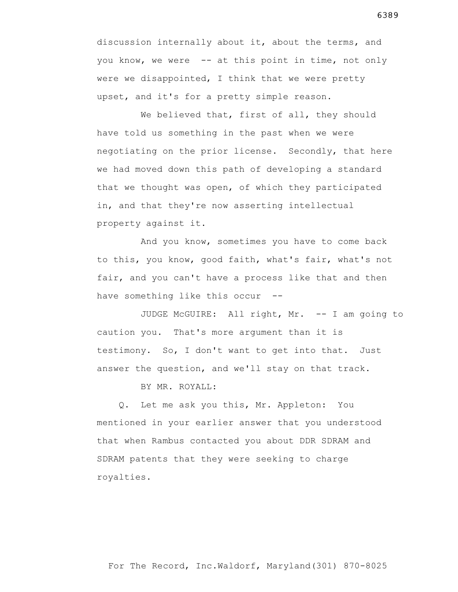discussion internally about it, about the terms, and you know, we were -- at this point in time, not only were we disappointed, I think that we were pretty upset, and it's for a pretty simple reason.

We believed that, first of all, they should have told us something in the past when we were negotiating on the prior license. Secondly, that here we had moved down this path of developing a standard that we thought was open, of which they participated in, and that they're now asserting intellectual property against it.

 And you know, sometimes you have to come back to this, you know, good faith, what's fair, what's not fair, and you can't have a process like that and then have something like this occur --

 JUDGE McGUIRE: All right, Mr. -- I am going to caution you. That's more argument than it is testimony. So, I don't want to get into that. Just answer the question, and we'll stay on that track.

BY MR. ROYALL:

 Q. Let me ask you this, Mr. Appleton: You mentioned in your earlier answer that you understood that when Rambus contacted you about DDR SDRAM and SDRAM patents that they were seeking to charge royalties.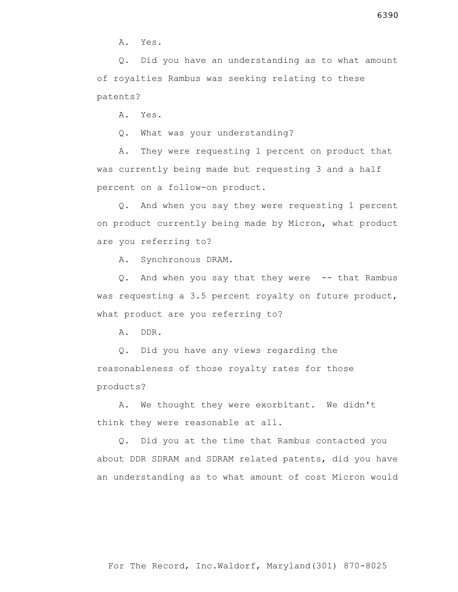A. Yes.

 Q. Did you have an understanding as to what amount of royalties Rambus was seeking relating to these patents?

A. Yes.

Q. What was your understanding?

 A. They were requesting 1 percent on product that was currently being made but requesting 3 and a half percent on a follow-on product.

 Q. And when you say they were requesting 1 percent on product currently being made by Micron, what product are you referring to?

A. Synchronous DRAM.

 Q. And when you say that they were -- that Rambus was requesting a 3.5 percent royalty on future product, what product are you referring to?

A. DDR.

 Q. Did you have any views regarding the reasonableness of those royalty rates for those products?

 A. We thought they were exorbitant. We didn't think they were reasonable at all.

 Q. Did you at the time that Rambus contacted you about DDR SDRAM and SDRAM related patents, did you have an understanding as to what amount of cost Micron would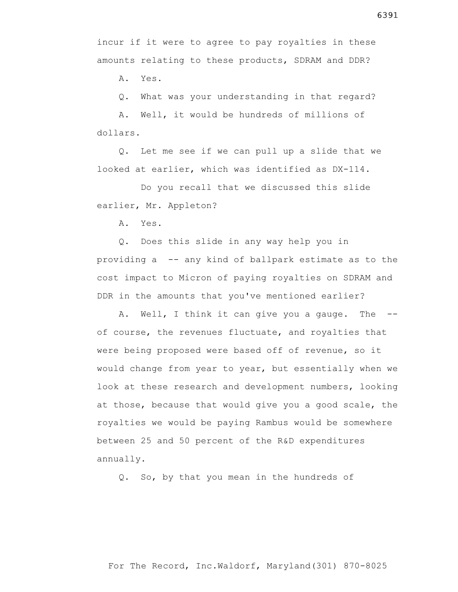incur if it were to agree to pay royalties in these amounts relating to these products, SDRAM and DDR?

A. Yes.

Q. What was your understanding in that regard?

 A. Well, it would be hundreds of millions of dollars.

 Q. Let me see if we can pull up a slide that we looked at earlier, which was identified as DX-114.

 Do you recall that we discussed this slide earlier, Mr. Appleton?

A. Yes.

 Q. Does this slide in any way help you in providing a -- any kind of ballpark estimate as to the cost impact to Micron of paying royalties on SDRAM and DDR in the amounts that you've mentioned earlier?

 A. Well, I think it can give you a gauge. The - of course, the revenues fluctuate, and royalties that were being proposed were based off of revenue, so it would change from year to year, but essentially when we look at these research and development numbers, looking at those, because that would give you a good scale, the royalties we would be paying Rambus would be somewhere between 25 and 50 percent of the R&D expenditures annually.

Q. So, by that you mean in the hundreds of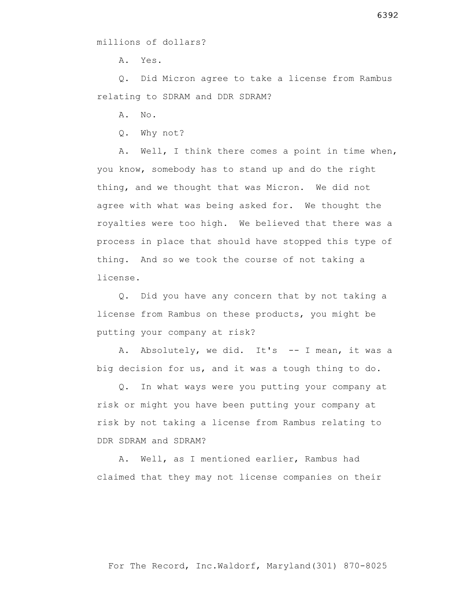A. Yes.

 Q. Did Micron agree to take a license from Rambus relating to SDRAM and DDR SDRAM?

A. No.

Q. Why not?

 A. Well, I think there comes a point in time when, you know, somebody has to stand up and do the right thing, and we thought that was Micron. We did not agree with what was being asked for. We thought the royalties were too high. We believed that there was a process in place that should have stopped this type of thing. And so we took the course of not taking a license.

 Q. Did you have any concern that by not taking a license from Rambus on these products, you might be putting your company at risk?

 A. Absolutely, we did. It's -- I mean, it was a big decision for us, and it was a tough thing to do.

 Q. In what ways were you putting your company at risk or might you have been putting your company at risk by not taking a license from Rambus relating to DDR SDRAM and SDRAM?

 A. Well, as I mentioned earlier, Rambus had claimed that they may not license companies on their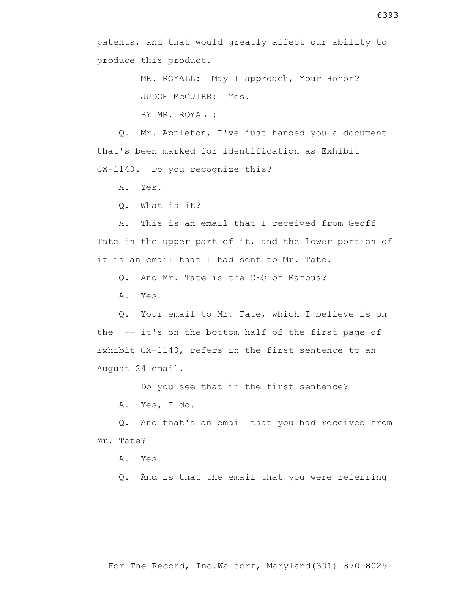patents, and that would greatly affect our ability to produce this product.

> MR. ROYALL: May I approach, Your Honor? JUDGE McGUIRE: Yes. BY MR. ROYALL:

 Q. Mr. Appleton, I've just handed you a document that's been marked for identification as Exhibit CX-1140. Do you recognize this?

A. Yes.

Q. What is it?

 A. This is an email that I received from Geoff Tate in the upper part of it, and the lower portion of it is an email that I had sent to Mr. Tate.

Q. And Mr. Tate is the CEO of Rambus?

A. Yes.

 Q. Your email to Mr. Tate, which I believe is on the -- it's on the bottom half of the first page of Exhibit CX-1140, refers in the first sentence to an August 24 email.

Do you see that in the first sentence?

A. Yes, I do.

 Q. And that's an email that you had received from Mr. Tate?

A. Yes.

Q. And is that the email that you were referring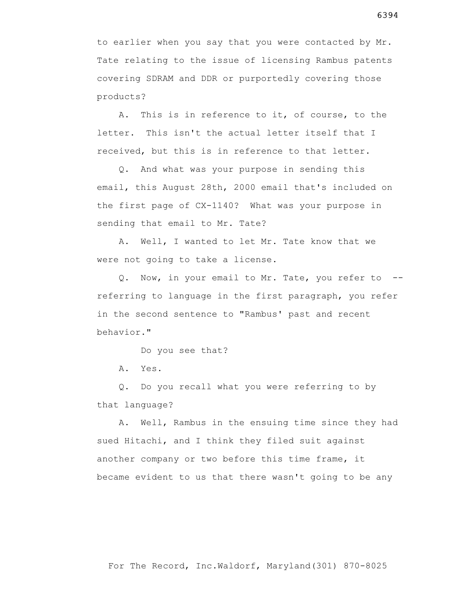to earlier when you say that you were contacted by Mr. Tate relating to the issue of licensing Rambus patents covering SDRAM and DDR or purportedly covering those products?

 A. This is in reference to it, of course, to the letter. This isn't the actual letter itself that I received, but this is in reference to that letter.

 Q. And what was your purpose in sending this email, this August 28th, 2000 email that's included on the first page of CX-1140? What was your purpose in sending that email to Mr. Tate?

 A. Well, I wanted to let Mr. Tate know that we were not going to take a license.

 Q. Now, in your email to Mr. Tate, you refer to - referring to language in the first paragraph, you refer in the second sentence to "Rambus' past and recent behavior."

Do you see that?

A. Yes.

 Q. Do you recall what you were referring to by that language?

 A. Well, Rambus in the ensuing time since they had sued Hitachi, and I think they filed suit against another company or two before this time frame, it became evident to us that there wasn't going to be any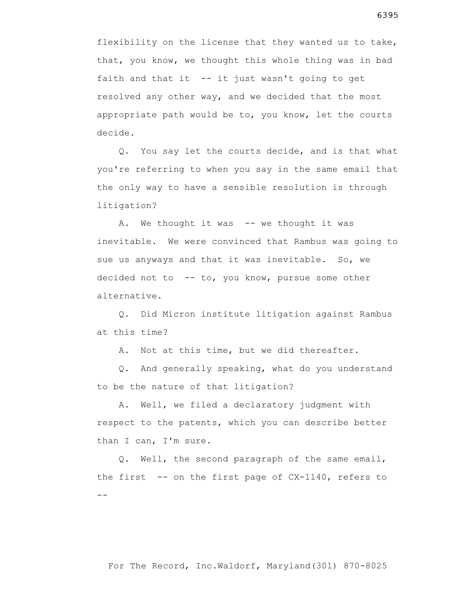flexibility on the license that they wanted us to take, that, you know, we thought this whole thing was in bad faith and that it -- it just wasn't going to get resolved any other way, and we decided that the most appropriate path would be to, you know, let the courts decide.

 Q. You say let the courts decide, and is that what you're referring to when you say in the same email that the only way to have a sensible resolution is through litigation?

 A. We thought it was -- we thought it was inevitable. We were convinced that Rambus was going to sue us anyways and that it was inevitable. So, we decided not to -- to, you know, pursue some other alternative.

 Q. Did Micron institute litigation against Rambus at this time?

A. Not at this time, but we did thereafter.

 Q. And generally speaking, what do you understand to be the nature of that litigation?

 A. Well, we filed a declaratory judgment with respect to the patents, which you can describe better than I can, I'm sure.

 Q. Well, the second paragraph of the same email, the first -- on the first page of CX-1140, refers to  $- -$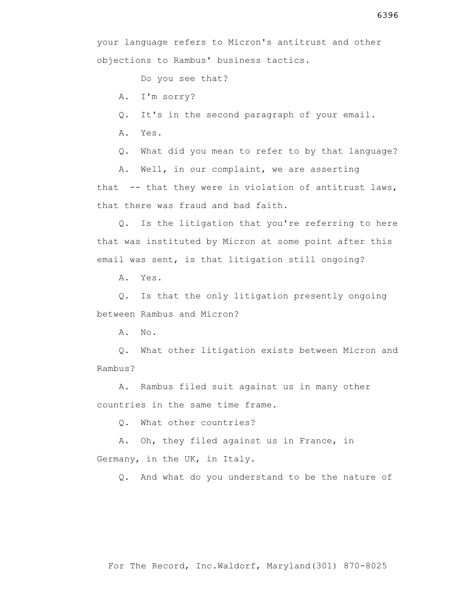Do you see that?

A. I'm sorry?

Q. It's in the second paragraph of your email.

A. Yes.

Q. What did you mean to refer to by that language?

A. Well, in our complaint, we are asserting

that -- that they were in violation of antitrust laws, that there was fraud and bad faith.

 Q. Is the litigation that you're referring to here that was instituted by Micron at some point after this email was sent, is that litigation still ongoing?

A. Yes.

 Q. Is that the only litigation presently ongoing between Rambus and Micron?

A. No.

 Q. What other litigation exists between Micron and Rambus?

 A. Rambus filed suit against us in many other countries in the same time frame.

Q. What other countries?

 A. Oh, they filed against us in France, in Germany, in the UK, in Italy.

Q. And what do you understand to be the nature of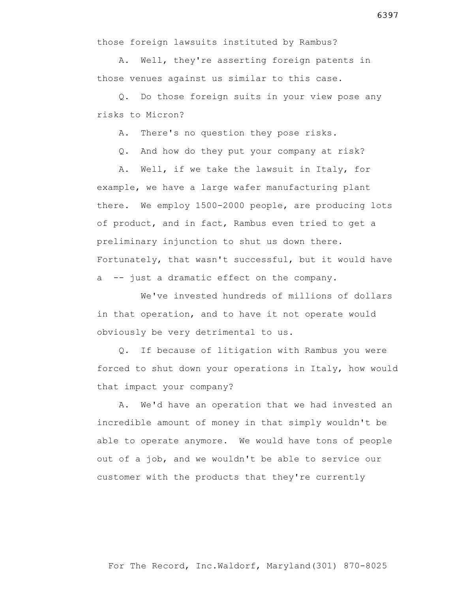those foreign lawsuits instituted by Rambus?

 A. Well, they're asserting foreign patents in those venues against us similar to this case.

 Q. Do those foreign suits in your view pose any risks to Micron?

A. There's no question they pose risks.

Q. And how do they put your company at risk?

 A. Well, if we take the lawsuit in Italy, for example, we have a large wafer manufacturing plant there. We employ 1500-2000 people, are producing lots of product, and in fact, Rambus even tried to get a preliminary injunction to shut us down there. Fortunately, that wasn't successful, but it would have a -- just a dramatic effect on the company.

 We've invested hundreds of millions of dollars in that operation, and to have it not operate would obviously be very detrimental to us.

 Q. If because of litigation with Rambus you were forced to shut down your operations in Italy, how would that impact your company?

 A. We'd have an operation that we had invested an incredible amount of money in that simply wouldn't be able to operate anymore. We would have tons of people out of a job, and we wouldn't be able to service our customer with the products that they're currently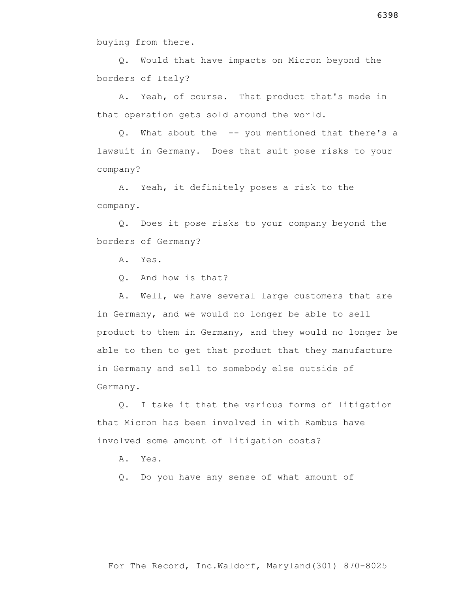buying from there.

 Q. Would that have impacts on Micron beyond the borders of Italy?

 A. Yeah, of course. That product that's made in that operation gets sold around the world.

 Q. What about the -- you mentioned that there's a lawsuit in Germany. Does that suit pose risks to your company?

 A. Yeah, it definitely poses a risk to the company.

 Q. Does it pose risks to your company beyond the borders of Germany?

A. Yes.

Q. And how is that?

 A. Well, we have several large customers that are in Germany, and we would no longer be able to sell product to them in Germany, and they would no longer be able to then to get that product that they manufacture in Germany and sell to somebody else outside of Germany.

 Q. I take it that the various forms of litigation that Micron has been involved in with Rambus have involved some amount of litigation costs?

A. Yes.

Q. Do you have any sense of what amount of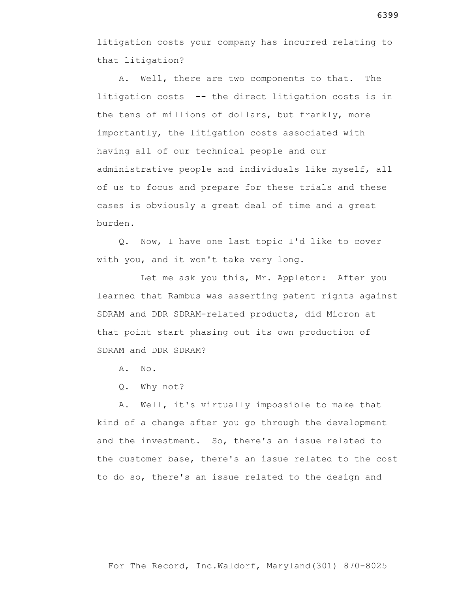litigation costs your company has incurred relating to that litigation?

 A. Well, there are two components to that. The litigation costs -- the direct litigation costs is in the tens of millions of dollars, but frankly, more importantly, the litigation costs associated with having all of our technical people and our administrative people and individuals like myself, all of us to focus and prepare for these trials and these cases is obviously a great deal of time and a great burden.

 Q. Now, I have one last topic I'd like to cover with you, and it won't take very long.

 Let me ask you this, Mr. Appleton: After you learned that Rambus was asserting patent rights against SDRAM and DDR SDRAM-related products, did Micron at that point start phasing out its own production of SDRAM and DDR SDRAM?

A. No.

Q. Why not?

 A. Well, it's virtually impossible to make that kind of a change after you go through the development and the investment. So, there's an issue related to the customer base, there's an issue related to the cost to do so, there's an issue related to the design and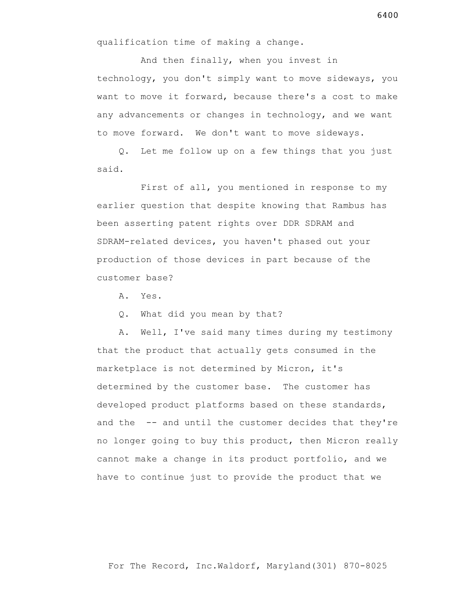And then finally, when you invest in technology, you don't simply want to move sideways, you want to move it forward, because there's a cost to make any advancements or changes in technology, and we want to move forward. We don't want to move sideways.

 Q. Let me follow up on a few things that you just said.

 First of all, you mentioned in response to my earlier question that despite knowing that Rambus has been asserting patent rights over DDR SDRAM and SDRAM-related devices, you haven't phased out your production of those devices in part because of the customer base?

A. Yes.

Q. What did you mean by that?

 A. Well, I've said many times during my testimony that the product that actually gets consumed in the marketplace is not determined by Micron, it's determined by the customer base. The customer has developed product platforms based on these standards, and the -- and until the customer decides that they're no longer going to buy this product, then Micron really cannot make a change in its product portfolio, and we have to continue just to provide the product that we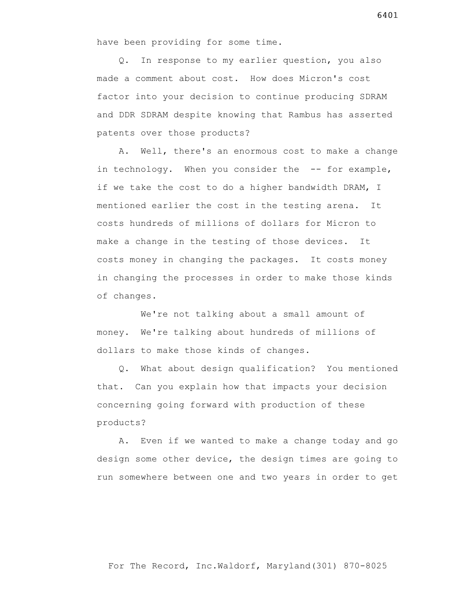have been providing for some time.

 Q. In response to my earlier question, you also made a comment about cost. How does Micron's cost factor into your decision to continue producing SDRAM and DDR SDRAM despite knowing that Rambus has asserted patents over those products?

 A. Well, there's an enormous cost to make a change in technology. When you consider the -- for example, if we take the cost to do a higher bandwidth DRAM, I mentioned earlier the cost in the testing arena. It costs hundreds of millions of dollars for Micron to make a change in the testing of those devices. It costs money in changing the packages. It costs money in changing the processes in order to make those kinds of changes.

We're not talking about a small amount of money. We're talking about hundreds of millions of dollars to make those kinds of changes.

 Q. What about design qualification? You mentioned that. Can you explain how that impacts your decision concerning going forward with production of these products?

 A. Even if we wanted to make a change today and go design some other device, the design times are going to run somewhere between one and two years in order to get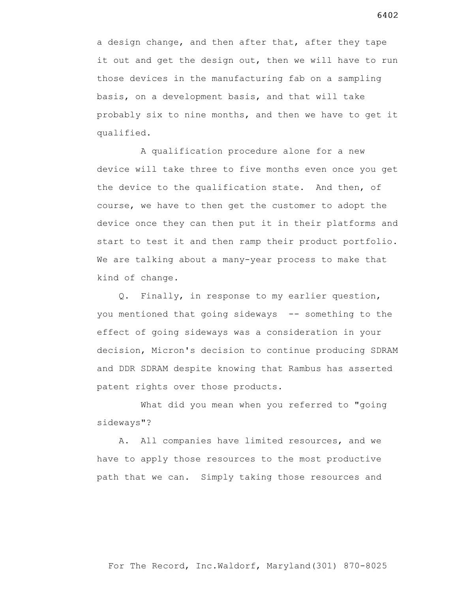a design change, and then after that, after they tape it out and get the design out, then we will have to run those devices in the manufacturing fab on a sampling basis, on a development basis, and that will take probably six to nine months, and then we have to get it qualified.

 A qualification procedure alone for a new device will take three to five months even once you get the device to the qualification state. And then, of course, we have to then get the customer to adopt the device once they can then put it in their platforms and start to test it and then ramp their product portfolio. We are talking about a many-year process to make that kind of change.

 Q. Finally, in response to my earlier question, you mentioned that going sideways -- something to the effect of going sideways was a consideration in your decision, Micron's decision to continue producing SDRAM and DDR SDRAM despite knowing that Rambus has asserted patent rights over those products.

 What did you mean when you referred to "going sideways"?

 A. All companies have limited resources, and we have to apply those resources to the most productive path that we can. Simply taking those resources and

6402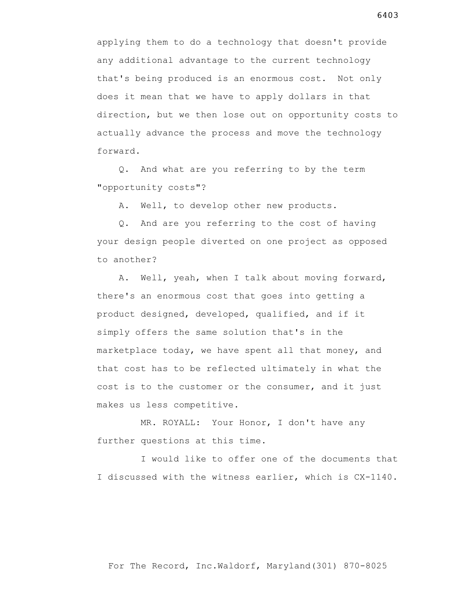applying them to do a technology that doesn't provide any additional advantage to the current technology that's being produced is an enormous cost. Not only does it mean that we have to apply dollars in that direction, but we then lose out on opportunity costs to actually advance the process and move the technology forward.

 Q. And what are you referring to by the term "opportunity costs"?

A. Well, to develop other new products.

 Q. And are you referring to the cost of having your design people diverted on one project as opposed to another?

 A. Well, yeah, when I talk about moving forward, there's an enormous cost that goes into getting a product designed, developed, qualified, and if it simply offers the same solution that's in the marketplace today, we have spent all that money, and that cost has to be reflected ultimately in what the cost is to the customer or the consumer, and it just makes us less competitive.

 MR. ROYALL: Your Honor, I don't have any further questions at this time.

 I would like to offer one of the documents that I discussed with the witness earlier, which is CX-1140.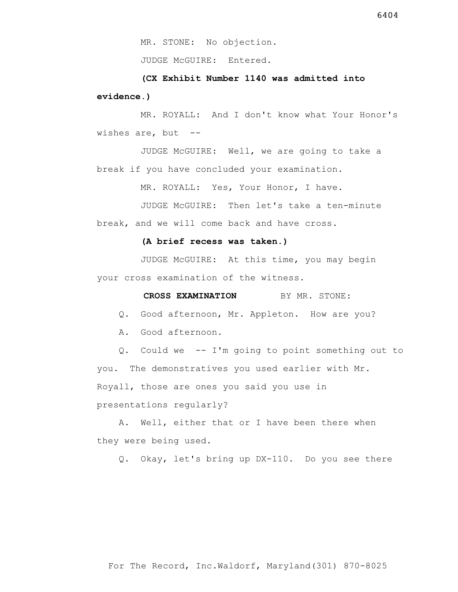JUDGE McGUIRE: Entered.

 **(CX Exhibit Number 1140 was admitted into evidence.)**

 MR. ROYALL: And I don't know what Your Honor's wishes are, but  $-$ 

 JUDGE McGUIRE: Well, we are going to take a break if you have concluded your examination.

MR. ROYALL: Yes, Your Honor, I have.

 JUDGE McGUIRE: Then let's take a ten-minute break, and we will come back and have cross.

#### **(A brief recess was taken.)**

 JUDGE McGUIRE: At this time, you may begin your cross examination of the witness.

# **CROSS EXAMINATION** BY MR. STONE:

Q. Good afternoon, Mr. Appleton. How are you?

A. Good afternoon.

 Q. Could we -- I'm going to point something out to you. The demonstratives you used earlier with Mr. Royall, those are ones you said you use in presentations regularly?

 A. Well, either that or I have been there when they were being used.

Q. Okay, let's bring up DX-110. Do you see there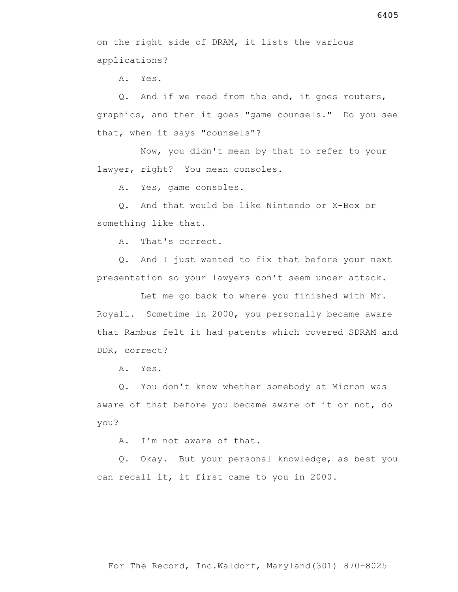on the right side of DRAM, it lists the various applications?

A. Yes.

 Q. And if we read from the end, it goes routers, graphics, and then it goes "game counsels." Do you see that, when it says "counsels"?

 Now, you didn't mean by that to refer to your lawyer, right? You mean consoles.

A. Yes, game consoles.

 Q. And that would be like Nintendo or X-Box or something like that.

A. That's correct.

 Q. And I just wanted to fix that before your next presentation so your lawyers don't seem under attack.

 Let me go back to where you finished with Mr. Royall. Sometime in 2000, you personally became aware that Rambus felt it had patents which covered SDRAM and DDR, correct?

A. Yes.

 Q. You don't know whether somebody at Micron was aware of that before you became aware of it or not, do you?

A. I'm not aware of that.

 Q. Okay. But your personal knowledge, as best you can recall it, it first came to you in 2000.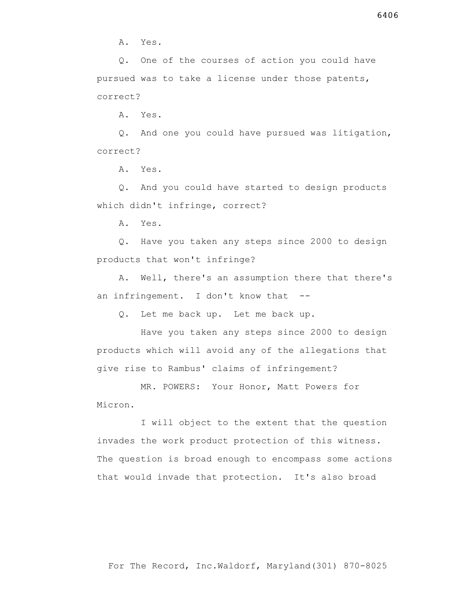A. Yes.

 Q. One of the courses of action you could have pursued was to take a license under those patents, correct?

A. Yes.

 Q. And one you could have pursued was litigation, correct?

A. Yes.

 Q. And you could have started to design products which didn't infringe, correct?

A. Yes.

 Q. Have you taken any steps since 2000 to design products that won't infringe?

 A. Well, there's an assumption there that there's an infringement. I don't know that --

Q. Let me back up. Let me back up.

 Have you taken any steps since 2000 to design products which will avoid any of the allegations that give rise to Rambus' claims of infringement?

 MR. POWERS: Your Honor, Matt Powers for Micron.

 I will object to the extent that the question invades the work product protection of this witness. The question is broad enough to encompass some actions that would invade that protection. It's also broad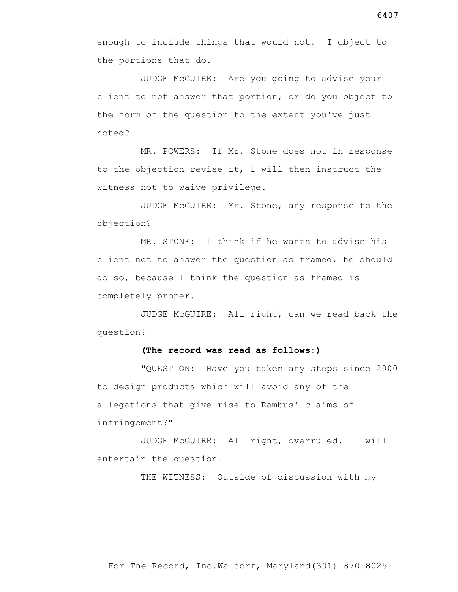JUDGE McGUIRE: Are you going to advise your client to not answer that portion, or do you object to the form of the question to the extent you've just noted?

 MR. POWERS: If Mr. Stone does not in response to the objection revise it, I will then instruct the witness not to waive privilege.

 JUDGE McGUIRE: Mr. Stone, any response to the objection?

 MR. STONE: I think if he wants to advise his client not to answer the question as framed, he should do so, because I think the question as framed is completely proper.

 JUDGE McGUIRE: All right, can we read back the question?

### **(The record was read as follows:)**

 "QUESTION: Have you taken any steps since 2000 to design products which will avoid any of the allegations that give rise to Rambus' claims of infringement?"

 JUDGE McGUIRE: All right, overruled. I will entertain the question.

THE WITNESS: Outside of discussion with my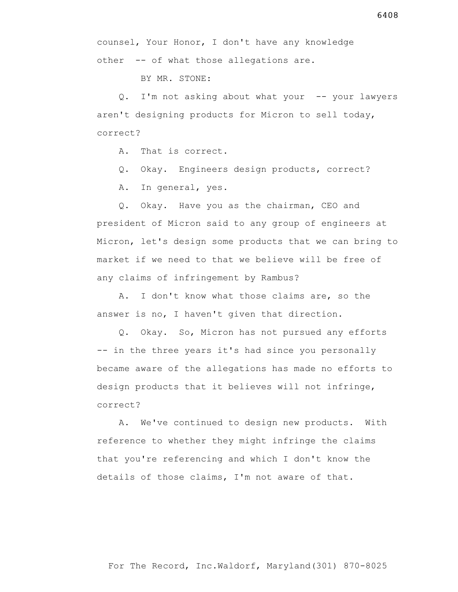BY MR. STONE:

 Q. I'm not asking about what your -- your lawyers aren't designing products for Micron to sell today, correct?

A. That is correct.

Q. Okay. Engineers design products, correct?

A. In general, yes.

 Q. Okay. Have you as the chairman, CEO and president of Micron said to any group of engineers at Micron, let's design some products that we can bring to market if we need to that we believe will be free of any claims of infringement by Rambus?

 A. I don't know what those claims are, so the answer is no, I haven't given that direction.

 Q. Okay. So, Micron has not pursued any efforts -- in the three years it's had since you personally became aware of the allegations has made no efforts to design products that it believes will not infringe, correct?

 A. We've continued to design new products. With reference to whether they might infringe the claims that you're referencing and which I don't know the details of those claims, I'm not aware of that.

6408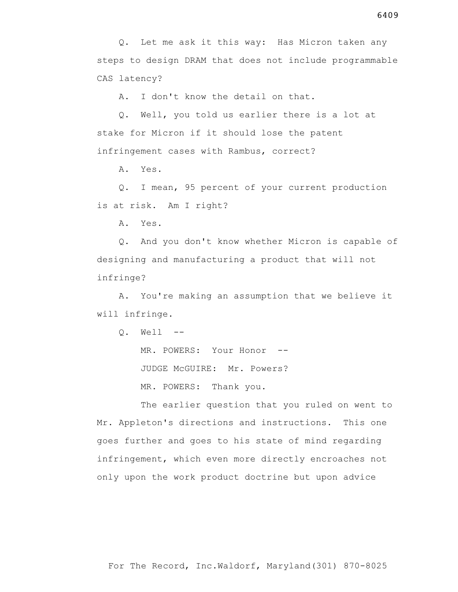A. I don't know the detail on that.

 Q. Well, you told us earlier there is a lot at stake for Micron if it should lose the patent infringement cases with Rambus, correct?

A. Yes.

 Q. I mean, 95 percent of your current production is at risk. Am I right?

A. Yes.

 Q. And you don't know whether Micron is capable of designing and manufacturing a product that will not infringe?

 A. You're making an assumption that we believe it will infringe.

Q. Well --

MR. POWERS: Your Honor --

JUDGE McGUIRE: Mr. Powers?

MR. POWERS: Thank you.

 The earlier question that you ruled on went to Mr. Appleton's directions and instructions. This one goes further and goes to his state of mind regarding infringement, which even more directly encroaches not only upon the work product doctrine but upon advice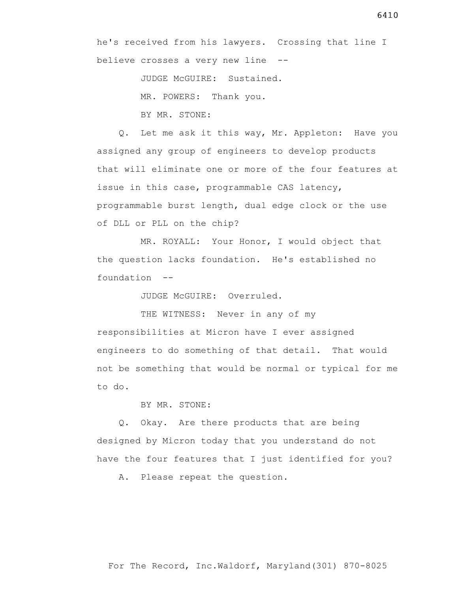believe crosses a very new line --

JUDGE McGUIRE: Sustained.

MR. POWERS: Thank you.

BY MR. STONE:

 Q. Let me ask it this way, Mr. Appleton: Have you assigned any group of engineers to develop products that will eliminate one or more of the four features at issue in this case, programmable CAS latency, programmable burst length, dual edge clock or the use of DLL or PLL on the chip?

 MR. ROYALL: Your Honor, I would object that the question lacks foundation. He's established no foundation --

JUDGE McGUIRE: Overruled.

THE WITNESS: Never in any of my responsibilities at Micron have I ever assigned engineers to do something of that detail. That would not be something that would be normal or typical for me to do.

BY MR. STONE:

 Q. Okay. Are there products that are being designed by Micron today that you understand do not have the four features that I just identified for you?

A. Please repeat the question.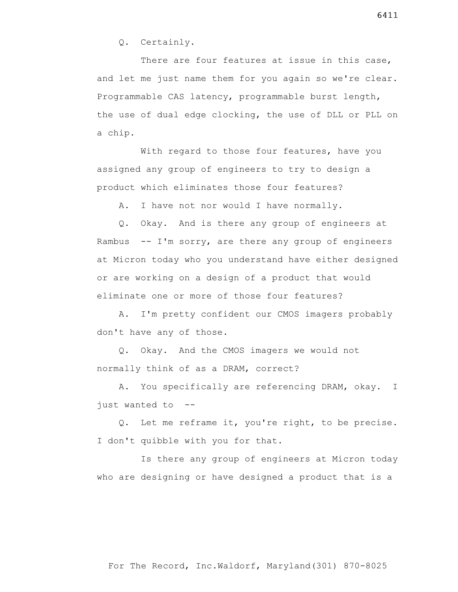Q. Certainly.

There are four features at issue in this case, and let me just name them for you again so we're clear. Programmable CAS latency, programmable burst length, the use of dual edge clocking, the use of DLL or PLL on a chip.

 With regard to those four features, have you assigned any group of engineers to try to design a product which eliminates those four features?

A. I have not nor would I have normally.

 Q. Okay. And is there any group of engineers at Rambus  $-$  I'm sorry, are there any group of engineers at Micron today who you understand have either designed or are working on a design of a product that would eliminate one or more of those four features?

 A. I'm pretty confident our CMOS imagers probably don't have any of those.

 Q. Okay. And the CMOS imagers we would not normally think of as a DRAM, correct?

 A. You specifically are referencing DRAM, okay. I just wanted to --

 Q. Let me reframe it, you're right, to be precise. I don't quibble with you for that.

 Is there any group of engineers at Micron today who are designing or have designed a product that is a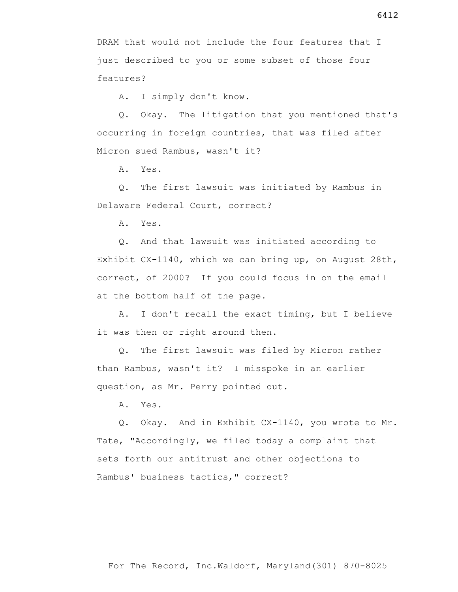6412

DRAM that would not include the four features that I just described to you or some subset of those four features?

A. I simply don't know.

 Q. Okay. The litigation that you mentioned that's occurring in foreign countries, that was filed after Micron sued Rambus, wasn't it?

A. Yes.

 Q. The first lawsuit was initiated by Rambus in Delaware Federal Court, correct?

A. Yes.

 Q. And that lawsuit was initiated according to Exhibit CX-1140, which we can bring up, on August 28th, correct, of 2000? If you could focus in on the email at the bottom half of the page.

 A. I don't recall the exact timing, but I believe it was then or right around then.

 Q. The first lawsuit was filed by Micron rather than Rambus, wasn't it? I misspoke in an earlier question, as Mr. Perry pointed out.

A. Yes.

 Q. Okay. And in Exhibit CX-1140, you wrote to Mr. Tate, "Accordingly, we filed today a complaint that sets forth our antitrust and other objections to Rambus' business tactics," correct?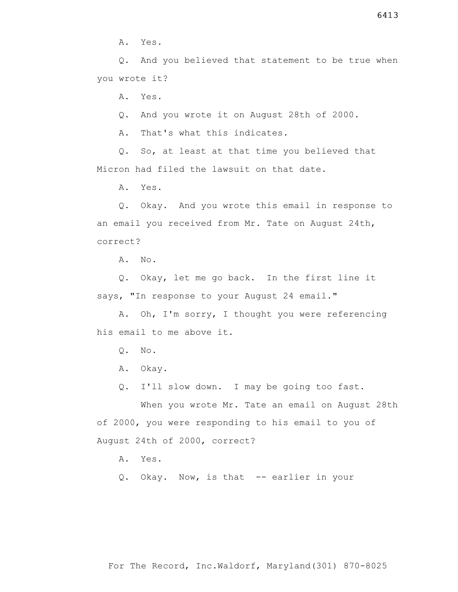A. Yes.

 Q. And you believed that statement to be true when you wrote it?

A. Yes.

Q. And you wrote it on August 28th of 2000.

A. That's what this indicates.

 Q. So, at least at that time you believed that Micron had filed the lawsuit on that date.

A. Yes.

 Q. Okay. And you wrote this email in response to an email you received from Mr. Tate on August 24th, correct?

A. No.

 Q. Okay, let me go back. In the first line it says, "In response to your August 24 email."

 A. Oh, I'm sorry, I thought you were referencing his email to me above it.

- Q. No.
- A. Okay.
- Q. I'll slow down. I may be going too fast.

 When you wrote Mr. Tate an email on August 28th of 2000, you were responding to his email to you of August 24th of 2000, correct?

A. Yes.

Q. Okay. Now, is that -- earlier in your

6413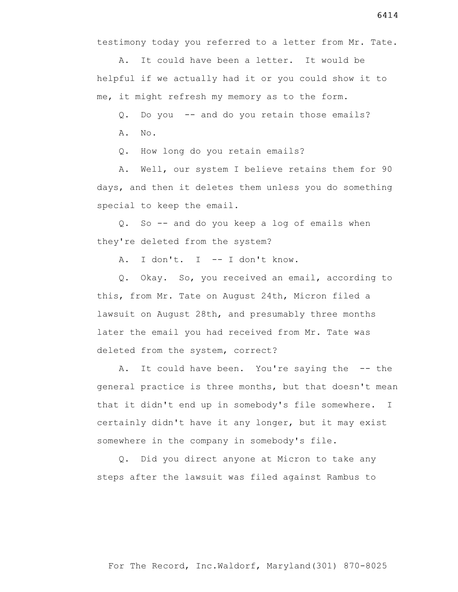testimony today you referred to a letter from Mr. Tate.

 A. It could have been a letter. It would be helpful if we actually had it or you could show it to me, it might refresh my memory as to the form.

Q. Do you -- and do you retain those emails?

A. No.

Q. How long do you retain emails?

 A. Well, our system I believe retains them for 90 days, and then it deletes them unless you do something special to keep the email.

 Q. So -- and do you keep a log of emails when they're deleted from the system?

A. I don't. I -- I don't know.

 Q. Okay. So, you received an email, according to this, from Mr. Tate on August 24th, Micron filed a lawsuit on August 28th, and presumably three months later the email you had received from Mr. Tate was deleted from the system, correct?

A. It could have been. You're saying the -- the general practice is three months, but that doesn't mean that it didn't end up in somebody's file somewhere. I certainly didn't have it any longer, but it may exist somewhere in the company in somebody's file.

 Q. Did you direct anyone at Micron to take any steps after the lawsuit was filed against Rambus to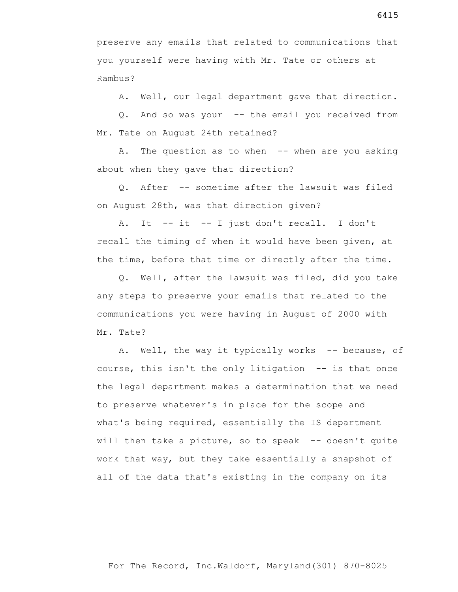preserve any emails that related to communications that you yourself were having with Mr. Tate or others at Rambus?

A. Well, our legal department gave that direction.

 Q. And so was your -- the email you received from Mr. Tate on August 24th retained?

A. The question as to when -- when are you asking about when they gave that direction?

 Q. After -- sometime after the lawsuit was filed on August 28th, was that direction given?

 A. It -- it -- I just don't recall. I don't recall the timing of when it would have been given, at the time, before that time or directly after the time.

 Q. Well, after the lawsuit was filed, did you take any steps to preserve your emails that related to the communications you were having in August of 2000 with Mr. Tate?

A. Well, the way it typically works -- because, of course, this isn't the only litigation -- is that once the legal department makes a determination that we need to preserve whatever's in place for the scope and what's being required, essentially the IS department will then take a picture, so to speak -- doesn't quite work that way, but they take essentially a snapshot of all of the data that's existing in the company on its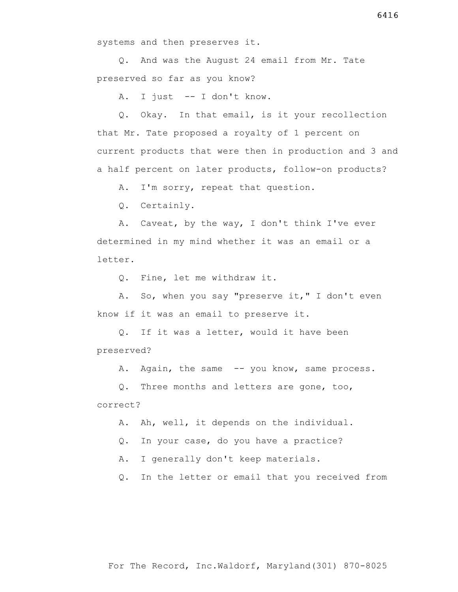systems and then preserves it.

 Q. And was the August 24 email from Mr. Tate preserved so far as you know?

A. I just -- I don't know.

 Q. Okay. In that email, is it your recollection that Mr. Tate proposed a royalty of 1 percent on current products that were then in production and 3 and a half percent on later products, follow-on products?

A. I'm sorry, repeat that question.

Q. Certainly.

 A. Caveat, by the way, I don't think I've ever determined in my mind whether it was an email or a letter.

Q. Fine, let me withdraw it.

 A. So, when you say "preserve it," I don't even know if it was an email to preserve it.

 Q. If it was a letter, would it have been preserved?

A. Again, the same -- you know, same process.

 Q. Three months and letters are gone, too, correct?

A. Ah, well, it depends on the individual.

Q. In your case, do you have a practice?

A. I generally don't keep materials.

Q. In the letter or email that you received from

6416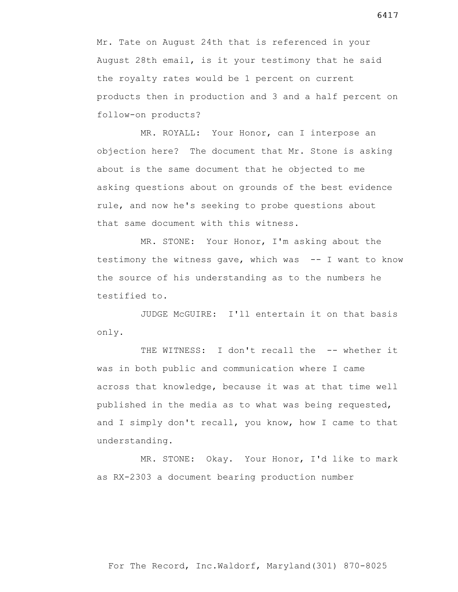Mr. Tate on August 24th that is referenced in your August 28th email, is it your testimony that he said the royalty rates would be 1 percent on current products then in production and 3 and a half percent on follow-on products?

 MR. ROYALL: Your Honor, can I interpose an objection here? The document that Mr. Stone is asking about is the same document that he objected to me asking questions about on grounds of the best evidence rule, and now he's seeking to probe questions about that same document with this witness.

 MR. STONE: Your Honor, I'm asking about the testimony the witness gave, which was -- I want to know the source of his understanding as to the numbers he testified to.

 JUDGE McGUIRE: I'll entertain it on that basis only.

THE WITNESS: I don't recall the -- whether it was in both public and communication where I came across that knowledge, because it was at that time well published in the media as to what was being requested, and I simply don't recall, you know, how I came to that understanding.

 MR. STONE: Okay. Your Honor, I'd like to mark as RX-2303 a document bearing production number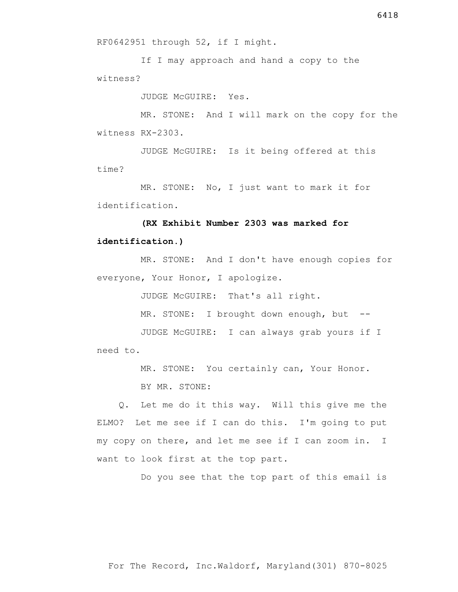RF0642951 through 52, if I might.

 If I may approach and hand a copy to the witness?

JUDGE McGUIRE: Yes.

 MR. STONE: And I will mark on the copy for the witness RX-2303.

 JUDGE McGUIRE: Is it being offered at this time?

 MR. STONE: No, I just want to mark it for identification.

# **(RX Exhibit Number 2303 was marked for identification.)**

 MR. STONE: And I don't have enough copies for everyone, Your Honor, I apologize.

JUDGE McGUIRE: That's all right.

MR. STONE: I brought down enough, but --

 JUDGE McGUIRE: I can always grab yours if I need to.

MR. STONE: You certainly can, Your Honor.

BY MR. STONE:

 Q. Let me do it this way. Will this give me the ELMO? Let me see if I can do this. I'm going to put my copy on there, and let me see if I can zoom in. I want to look first at the top part.

Do you see that the top part of this email is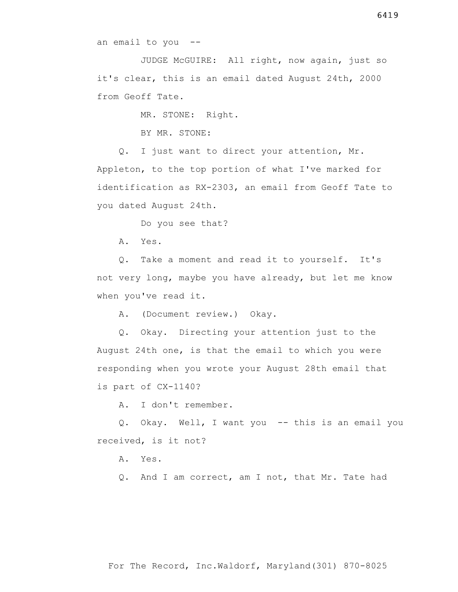an email to you --

 JUDGE McGUIRE: All right, now again, just so it's clear, this is an email dated August 24th, 2000 from Geoff Tate.

MR. STONE: Right.

BY MR. STONE:

 Q. I just want to direct your attention, Mr. Appleton, to the top portion of what I've marked for identification as RX-2303, an email from Geoff Tate to you dated August 24th.

Do you see that?

A. Yes.

 Q. Take a moment and read it to yourself. It's not very long, maybe you have already, but let me know when you've read it.

A. (Document review.) Okay.

 Q. Okay. Directing your attention just to the August 24th one, is that the email to which you were responding when you wrote your August 28th email that is part of CX-1140?

A. I don't remember.

 Q. Okay. Well, I want you -- this is an email you received, is it not?

A. Yes.

Q. And I am correct, am I not, that Mr. Tate had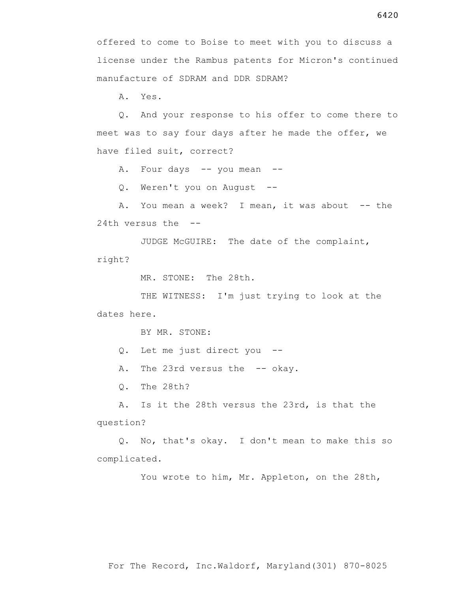offered to come to Boise to meet with you to discuss a license under the Rambus patents for Micron's continued manufacture of SDRAM and DDR SDRAM?

A. Yes.

 Q. And your response to his offer to come there to meet was to say four days after he made the offer, we have filed suit, correct?

A. Four days -- you mean --

Q. Weren't you on August --

A. You mean a week? I mean, it was about -- the 24th versus the --

 JUDGE McGUIRE: The date of the complaint, right?

MR. STONE: The 28th.

THE WITNESS: I'm just trying to look at the dates here.

BY MR. STONE:

- Q. Let me just direct you --
- A. The 23rd versus the -- okay.

Q. The 28th?

 A. Is it the 28th versus the 23rd, is that the question?

 Q. No, that's okay. I don't mean to make this so complicated.

You wrote to him, Mr. Appleton, on the 28th,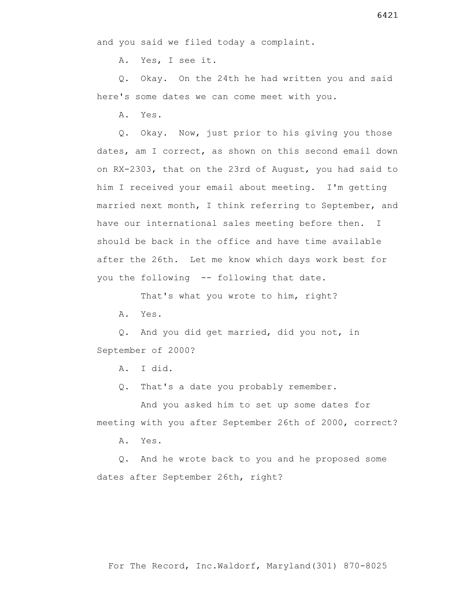and you said we filed today a complaint.

A. Yes, I see it.

 Q. Okay. On the 24th he had written you and said here's some dates we can come meet with you.

A. Yes.

 Q. Okay. Now, just prior to his giving you those dates, am I correct, as shown on this second email down on RX-2303, that on the 23rd of August, you had said to him I received your email about meeting. I'm getting married next month, I think referring to September, and have our international sales meeting before then. I should be back in the office and have time available after the 26th. Let me know which days work best for you the following -- following that date.

That's what you wrote to him, right?

A. Yes.

 Q. And you did get married, did you not, in September of 2000?

A. I did.

Q. That's a date you probably remember.

 And you asked him to set up some dates for meeting with you after September 26th of 2000, correct?

A. Yes.

 Q. And he wrote back to you and he proposed some dates after September 26th, right?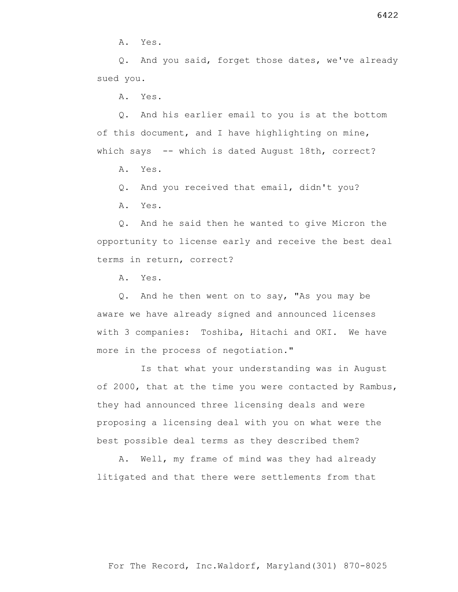A. Yes.

 Q. And you said, forget those dates, we've already sued you.

A. Yes.

 Q. And his earlier email to you is at the bottom of this document, and I have highlighting on mine, which says -- which is dated August 18th, correct?

A. Yes.

Q. And you received that email, didn't you?

A. Yes.

 Q. And he said then he wanted to give Micron the opportunity to license early and receive the best deal terms in return, correct?

A. Yes.

 Q. And he then went on to say, "As you may be aware we have already signed and announced licenses with 3 companies: Toshiba, Hitachi and OKI. We have more in the process of negotiation."

 Is that what your understanding was in August of 2000, that at the time you were contacted by Rambus, they had announced three licensing deals and were proposing a licensing deal with you on what were the best possible deal terms as they described them?

 A. Well, my frame of mind was they had already litigated and that there were settlements from that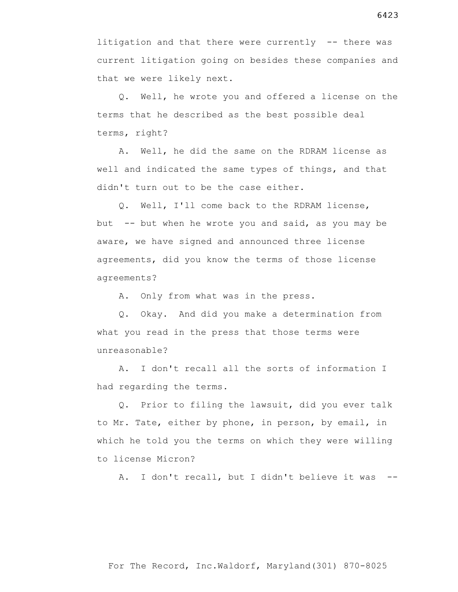litigation and that there were currently -- there was current litigation going on besides these companies and that we were likely next.

 Q. Well, he wrote you and offered a license on the terms that he described as the best possible deal terms, right?

 A. Well, he did the same on the RDRAM license as well and indicated the same types of things, and that didn't turn out to be the case either.

 Q. Well, I'll come back to the RDRAM license, but  $-$ - but when he wrote you and said, as you may be aware, we have signed and announced three license agreements, did you know the terms of those license agreements?

A. Only from what was in the press.

 Q. Okay. And did you make a determination from what you read in the press that those terms were unreasonable?

 A. I don't recall all the sorts of information I had regarding the terms.

 Q. Prior to filing the lawsuit, did you ever talk to Mr. Tate, either by phone, in person, by email, in which he told you the terms on which they were willing to license Micron?

A. I don't recall, but I didn't believe it was --

## For The Record, Inc.Waldorf, Maryland(301) 870-8025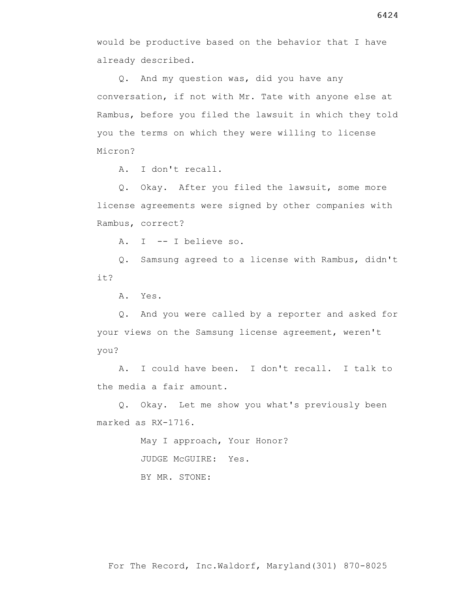would be productive based on the behavior that I have already described.

 Q. And my question was, did you have any conversation, if not with Mr. Tate with anyone else at Rambus, before you filed the lawsuit in which they told you the terms on which they were willing to license Micron?

A. I don't recall.

 Q. Okay. After you filed the lawsuit, some more license agreements were signed by other companies with Rambus, correct?

A. I -- I believe so.

 Q. Samsung agreed to a license with Rambus, didn't it?

A. Yes.

 Q. And you were called by a reporter and asked for your views on the Samsung license agreement, weren't you?

 A. I could have been. I don't recall. I talk to the media a fair amount.

 Q. Okay. Let me show you what's previously been marked as RX-1716.

May I approach, Your Honor?

JUDGE McGUIRE: Yes.

BY MR. STONE: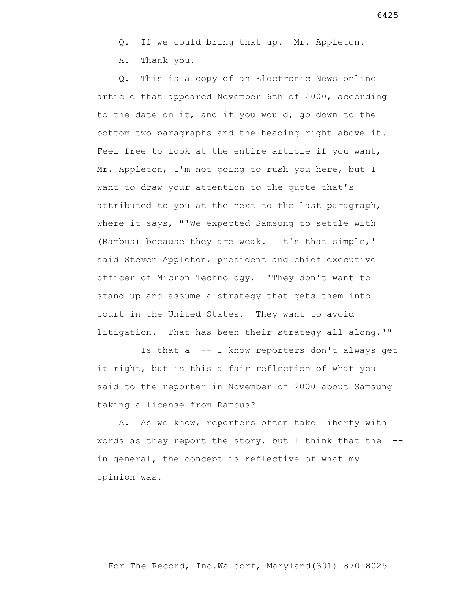A. Thank you.

 Q. This is a copy of an Electronic News online article that appeared November 6th of 2000, according to the date on it, and if you would, go down to the bottom two paragraphs and the heading right above it. Feel free to look at the entire article if you want, Mr. Appleton, I'm not going to rush you here, but I want to draw your attention to the quote that's attributed to you at the next to the last paragraph, where it says, "'We expected Samsung to settle with (Rambus) because they are weak. It's that simple,' said Steven Appleton, president and chief executive officer of Micron Technology. 'They don't want to stand up and assume a strategy that gets them into court in the United States. They want to avoid litigation. That has been their strategy all along.'"

 Is that a -- I know reporters don't always get it right, but is this a fair reflection of what you said to the reporter in November of 2000 about Samsung taking a license from Rambus?

 A. As we know, reporters often take liberty with words as they report the story, but I think that the  $-$ in general, the concept is reflective of what my opinion was.

6425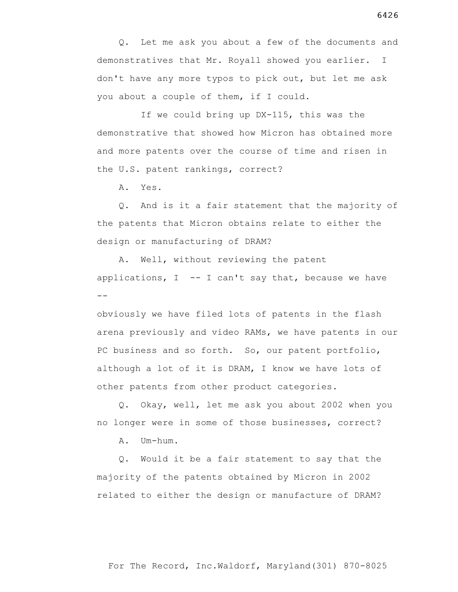Q. Let me ask you about a few of the documents and demonstratives that Mr. Royall showed you earlier. I don't have any more typos to pick out, but let me ask you about a couple of them, if I could.

 If we could bring up DX-115, this was the demonstrative that showed how Micron has obtained more and more patents over the course of time and risen in the U.S. patent rankings, correct?

A. Yes.

 Q. And is it a fair statement that the majority of the patents that Micron obtains relate to either the design or manufacturing of DRAM?

 A. Well, without reviewing the patent applications,  $I$  -- I can't say that, because we have --

obviously we have filed lots of patents in the flash arena previously and video RAMs, we have patents in our PC business and so forth. So, our patent portfolio, although a lot of it is DRAM, I know we have lots of other patents from other product categories.

 Q. Okay, well, let me ask you about 2002 when you no longer were in some of those businesses, correct?

A. Um-hum.

 Q. Would it be a fair statement to say that the majority of the patents obtained by Micron in 2002 related to either the design or manufacture of DRAM?

6426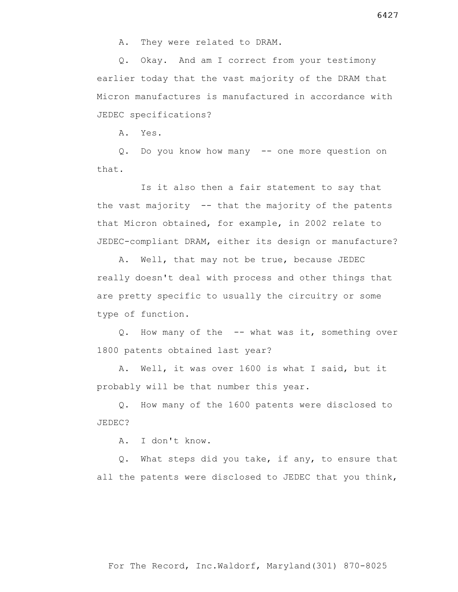Q. Okay. And am I correct from your testimony earlier today that the vast majority of the DRAM that Micron manufactures is manufactured in accordance with JEDEC specifications?

A. Yes.

 Q. Do you know how many -- one more question on that.

 Is it also then a fair statement to say that the vast majority -- that the majority of the patents that Micron obtained, for example, in 2002 relate to JEDEC-compliant DRAM, either its design or manufacture?

 A. Well, that may not be true, because JEDEC really doesn't deal with process and other things that are pretty specific to usually the circuitry or some type of function.

 Q. How many of the -- what was it, something over 1800 patents obtained last year?

 A. Well, it was over 1600 is what I said, but it probably will be that number this year.

 Q. How many of the 1600 patents were disclosed to JEDEC?

A. I don't know.

 Q. What steps did you take, if any, to ensure that all the patents were disclosed to JEDEC that you think,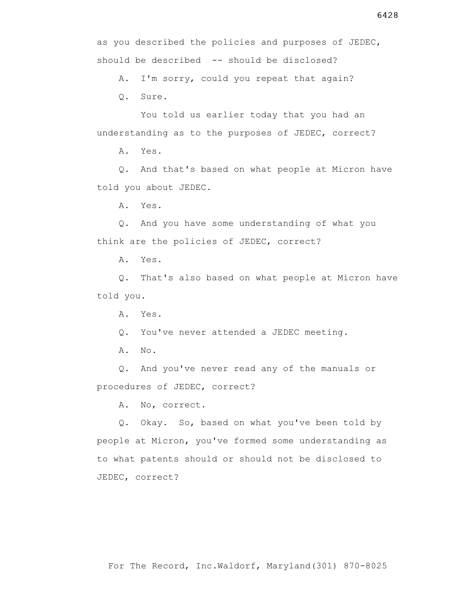as you described the policies and purposes of JEDEC, should be described -- should be disclosed?

A. I'm sorry, could you repeat that again?

Q. Sure.

 You told us earlier today that you had an understanding as to the purposes of JEDEC, correct?

A. Yes.

 Q. And that's based on what people at Micron have told you about JEDEC.

A. Yes.

 Q. And you have some understanding of what you think are the policies of JEDEC, correct?

A. Yes.

 Q. That's also based on what people at Micron have told you.

A. Yes.

Q. You've never attended a JEDEC meeting.

A. No.

 Q. And you've never read any of the manuals or procedures of JEDEC, correct?

A. No, correct.

 Q. Okay. So, based on what you've been told by people at Micron, you've formed some understanding as to what patents should or should not be disclosed to JEDEC, correct?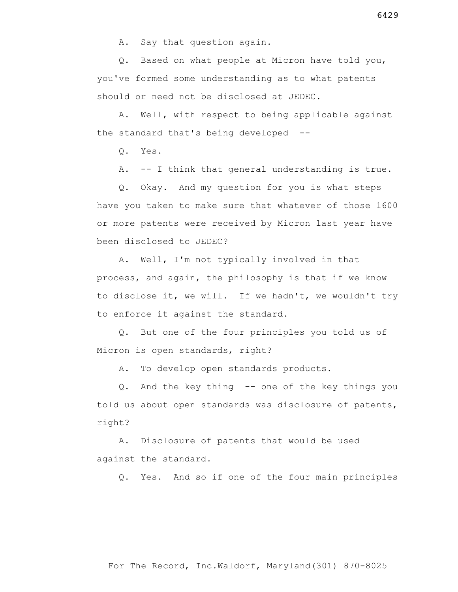Q. Based on what people at Micron have told you, you've formed some understanding as to what patents should or need not be disclosed at JEDEC.

 A. Well, with respect to being applicable against the standard that's being developed --

Q. Yes.

A. -- I think that general understanding is true.

 Q. Okay. And my question for you is what steps have you taken to make sure that whatever of those 1600 or more patents were received by Micron last year have been disclosed to JEDEC?

 A. Well, I'm not typically involved in that process, and again, the philosophy is that if we know to disclose it, we will. If we hadn't, we wouldn't try to enforce it against the standard.

 Q. But one of the four principles you told us of Micron is open standards, right?

A. To develop open standards products.

 Q. And the key thing -- one of the key things you told us about open standards was disclosure of patents, right?

 A. Disclosure of patents that would be used against the standard.

Q. Yes. And so if one of the four main principles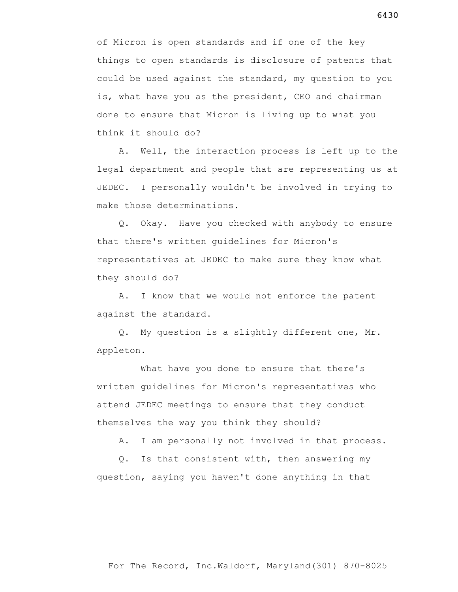of Micron is open standards and if one of the key things to open standards is disclosure of patents that could be used against the standard, my question to you is, what have you as the president, CEO and chairman done to ensure that Micron is living up to what you think it should do?

 A. Well, the interaction process is left up to the legal department and people that are representing us at JEDEC. I personally wouldn't be involved in trying to make those determinations.

 Q. Okay. Have you checked with anybody to ensure that there's written guidelines for Micron's representatives at JEDEC to make sure they know what they should do?

 A. I know that we would not enforce the patent against the standard.

 Q. My question is a slightly different one, Mr. Appleton.

What have you done to ensure that there's written guidelines for Micron's representatives who attend JEDEC meetings to ensure that they conduct themselves the way you think they should?

A. I am personally not involved in that process.

 Q. Is that consistent with, then answering my question, saying you haven't done anything in that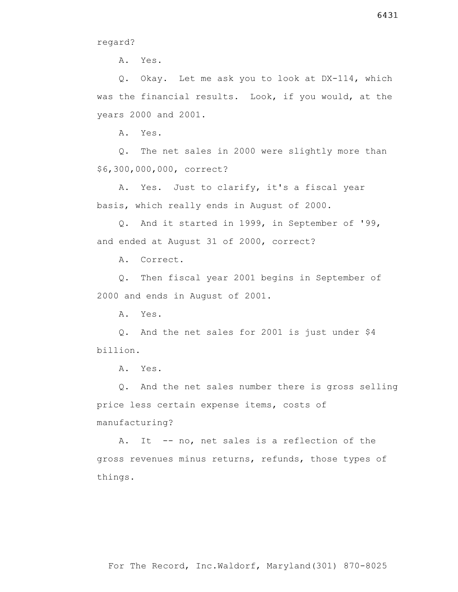regard?

A. Yes.

 Q. Okay. Let me ask you to look at DX-114, which was the financial results. Look, if you would, at the years 2000 and 2001.

A. Yes.

 Q. The net sales in 2000 were slightly more than \$6,300,000,000, correct?

 A. Yes. Just to clarify, it's a fiscal year basis, which really ends in August of 2000.

 Q. And it started in 1999, in September of '99, and ended at August 31 of 2000, correct?

A. Correct.

 Q. Then fiscal year 2001 begins in September of 2000 and ends in August of 2001.

A. Yes.

 Q. And the net sales for 2001 is just under \$4 billion.

A. Yes.

 Q. And the net sales number there is gross selling price less certain expense items, costs of manufacturing?

A. It -- no, net sales is a reflection of the gross revenues minus returns, refunds, those types of things.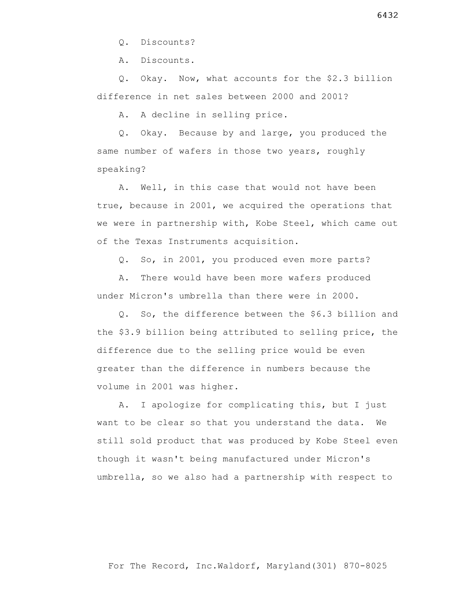Q. Discounts?

A. Discounts.

 Q. Okay. Now, what accounts for the \$2.3 billion difference in net sales between 2000 and 2001?

A. A decline in selling price.

 Q. Okay. Because by and large, you produced the same number of wafers in those two years, roughly speaking?

 A. Well, in this case that would not have been true, because in 2001, we acquired the operations that we were in partnership with, Kobe Steel, which came out of the Texas Instruments acquisition.

Q. So, in 2001, you produced even more parts?

 A. There would have been more wafers produced under Micron's umbrella than there were in 2000.

 Q. So, the difference between the \$6.3 billion and the \$3.9 billion being attributed to selling price, the difference due to the selling price would be even greater than the difference in numbers because the volume in 2001 was higher.

 A. I apologize for complicating this, but I just want to be clear so that you understand the data. We still sold product that was produced by Kobe Steel even though it wasn't being manufactured under Micron's umbrella, so we also had a partnership with respect to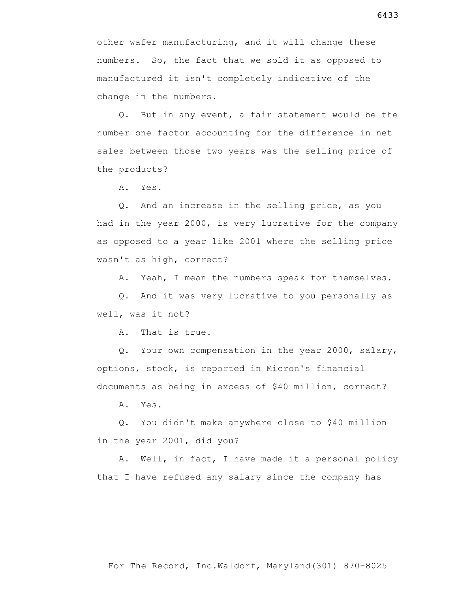other wafer manufacturing, and it will change these numbers. So, the fact that we sold it as opposed to manufactured it isn't completely indicative of the change in the numbers.

 Q. But in any event, a fair statement would be the number one factor accounting for the difference in net sales between those two years was the selling price of the products?

A. Yes.

 Q. And an increase in the selling price, as you had in the year 2000, is very lucrative for the company as opposed to a year like 2001 where the selling price wasn't as high, correct?

A. Yeah, I mean the numbers speak for themselves.

 Q. And it was very lucrative to you personally as well, was it not?

A. That is true.

 Q. Your own compensation in the year 2000, salary, options, stock, is reported in Micron's financial documents as being in excess of \$40 million, correct?

A. Yes.

 Q. You didn't make anywhere close to \$40 million in the year 2001, did you?

 A. Well, in fact, I have made it a personal policy that I have refused any salary since the company has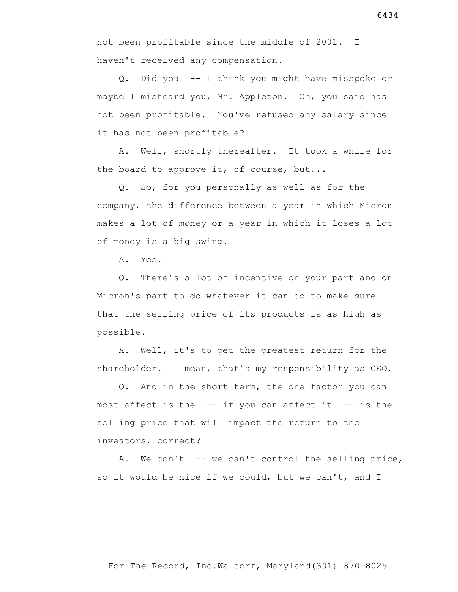Q. Did you -- I think you might have misspoke or maybe I misheard you, Mr. Appleton. Oh, you said has not been profitable. You've refused any salary since it has not been profitable?

 A. Well, shortly thereafter. It took a while for the board to approve it, of course, but...

 Q. So, for you personally as well as for the company, the difference between a year in which Micron makes a lot of money or a year in which it loses a lot of money is a big swing.

A. Yes.

 Q. There's a lot of incentive on your part and on Micron's part to do whatever it can do to make sure that the selling price of its products is as high as possible.

 A. Well, it's to get the greatest return for the shareholder. I mean, that's my responsibility as CEO.

 Q. And in the short term, the one factor you can most affect is the  $-$ - if you can affect it  $-$ - is the selling price that will impact the return to the investors, correct?

 A. We don't -- we can't control the selling price, so it would be nice if we could, but we can't, and I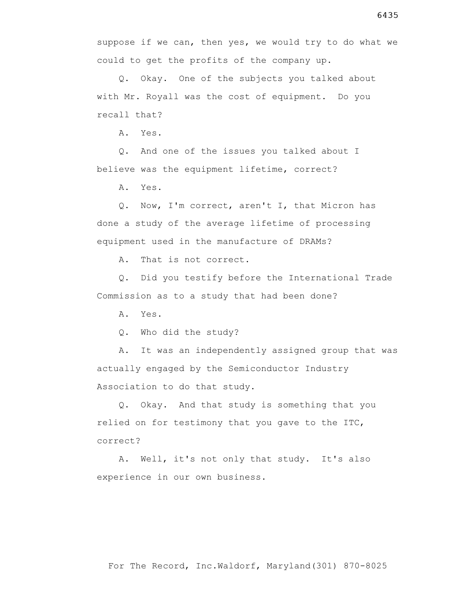suppose if we can, then yes, we would try to do what we could to get the profits of the company up.

 Q. Okay. One of the subjects you talked about with Mr. Royall was the cost of equipment. Do you recall that?

A. Yes.

 Q. And one of the issues you talked about I believe was the equipment lifetime, correct?

A. Yes.

 Q. Now, I'm correct, aren't I, that Micron has done a study of the average lifetime of processing equipment used in the manufacture of DRAMs?

A. That is not correct.

 Q. Did you testify before the International Trade Commission as to a study that had been done?

A. Yes.

Q. Who did the study?

 A. It was an independently assigned group that was actually engaged by the Semiconductor Industry Association to do that study.

 Q. Okay. And that study is something that you relied on for testimony that you gave to the ITC, correct?

 A. Well, it's not only that study. It's also experience in our own business.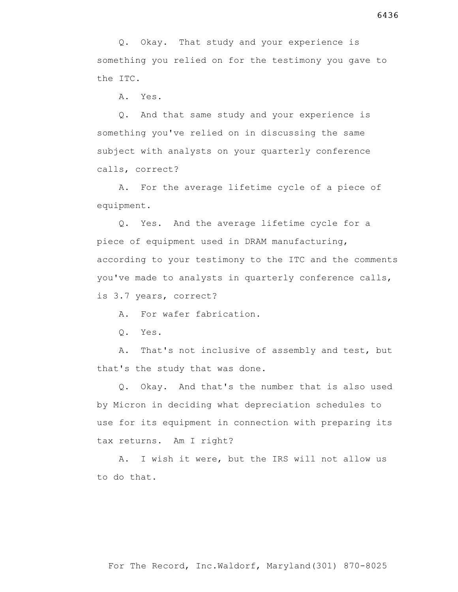Q. Okay. That study and your experience is something you relied on for the testimony you gave to the ITC.

A. Yes.

 Q. And that same study and your experience is something you've relied on in discussing the same subject with analysts on your quarterly conference calls, correct?

 A. For the average lifetime cycle of a piece of equipment.

 Q. Yes. And the average lifetime cycle for a piece of equipment used in DRAM manufacturing, according to your testimony to the ITC and the comments you've made to analysts in quarterly conference calls, is 3.7 years, correct?

A. For wafer fabrication.

Q. Yes.

 A. That's not inclusive of assembly and test, but that's the study that was done.

 Q. Okay. And that's the number that is also used by Micron in deciding what depreciation schedules to use for its equipment in connection with preparing its tax returns. Am I right?

 A. I wish it were, but the IRS will not allow us to do that.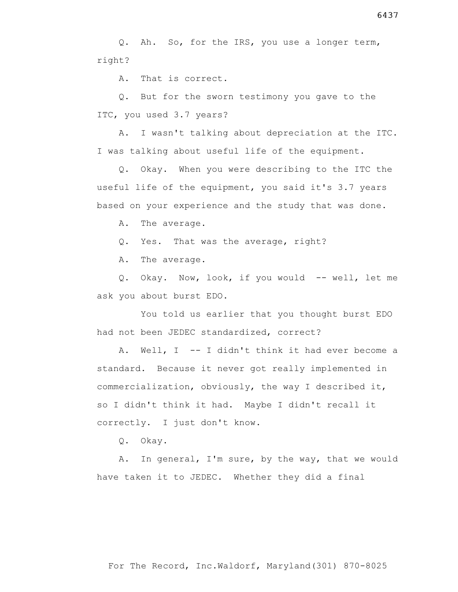Q. Ah. So, for the IRS, you use a longer term, right?

A. That is correct.

 Q. But for the sworn testimony you gave to the ITC, you used 3.7 years?

 A. I wasn't talking about depreciation at the ITC. I was talking about useful life of the equipment.

 Q. Okay. When you were describing to the ITC the useful life of the equipment, you said it's 3.7 years based on your experience and the study that was done.

A. The average.

Q. Yes. That was the average, right?

A. The average.

 Q. Okay. Now, look, if you would -- well, let me ask you about burst EDO.

 You told us earlier that you thought burst EDO had not been JEDEC standardized, correct?

 A. Well, I -- I didn't think it had ever become a standard. Because it never got really implemented in commercialization, obviously, the way I described it, so I didn't think it had. Maybe I didn't recall it correctly. I just don't know.

Q. Okay.

 A. In general, I'm sure, by the way, that we would have taken it to JEDEC. Whether they did a final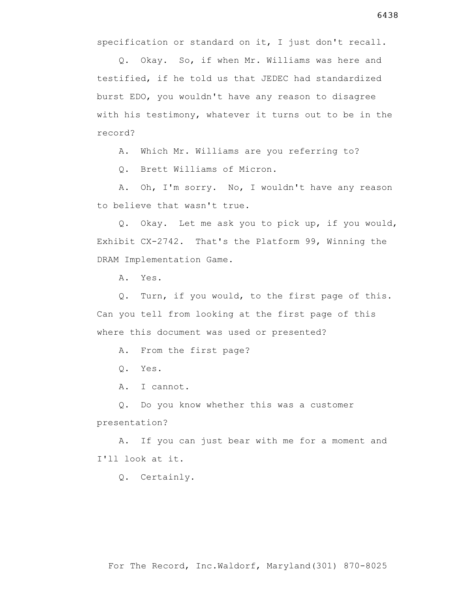specification or standard on it, I just don't recall.

 Q. Okay. So, if when Mr. Williams was here and testified, if he told us that JEDEC had standardized burst EDO, you wouldn't have any reason to disagree with his testimony, whatever it turns out to be in the record?

A. Which Mr. Williams are you referring to?

Q. Brett Williams of Micron.

 A. Oh, I'm sorry. No, I wouldn't have any reason to believe that wasn't true.

 Q. Okay. Let me ask you to pick up, if you would, Exhibit CX-2742. That's the Platform 99, Winning the DRAM Implementation Game.

A. Yes.

 Q. Turn, if you would, to the first page of this. Can you tell from looking at the first page of this where this document was used or presented?

A. From the first page?

Q. Yes.

A. I cannot.

 Q. Do you know whether this was a customer presentation?

 A. If you can just bear with me for a moment and I'll look at it.

Q. Certainly.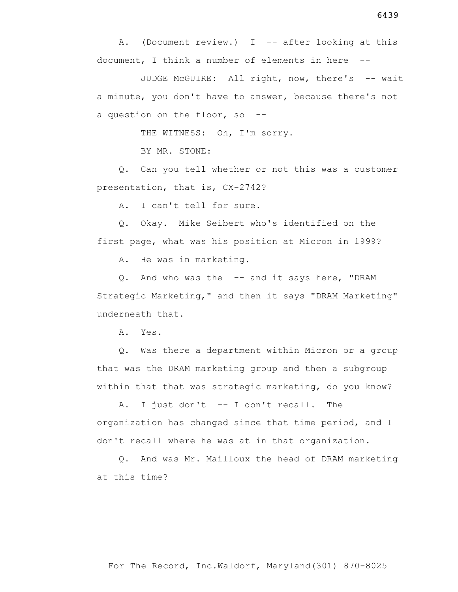document, I think a number of elements in here -- JUDGE McGUIRE: All right, now, there's -- wait

A. (Document review.) I -- after looking at this

a minute, you don't have to answer, because there's not a question on the floor, so --

THE WITNESS: Oh, I'm sorry.

BY MR. STONE:

 Q. Can you tell whether or not this was a customer presentation, that is, CX-2742?

A. I can't tell for sure.

 Q. Okay. Mike Seibert who's identified on the first page, what was his position at Micron in 1999?

A. He was in marketing.

 Q. And who was the -- and it says here, "DRAM Strategic Marketing," and then it says "DRAM Marketing" underneath that.

A. Yes.

 Q. Was there a department within Micron or a group that was the DRAM marketing group and then a subgroup within that that was strategic marketing, do you know?

 A. I just don't -- I don't recall. The organization has changed since that time period, and I don't recall where he was at in that organization.

 Q. And was Mr. Mailloux the head of DRAM marketing at this time?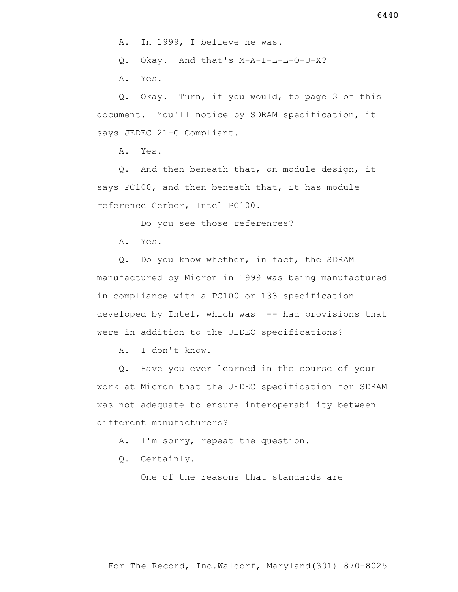Q. Okay. And that's M-A-I-L-L-O-U-X?

A. Yes.

 Q. Okay. Turn, if you would, to page 3 of this document. You'll notice by SDRAM specification, it says JEDEC 21-C Compliant.

A. Yes.

 Q. And then beneath that, on module design, it says PC100, and then beneath that, it has module reference Gerber, Intel PC100.

Do you see those references?

A. Yes.

 Q. Do you know whether, in fact, the SDRAM manufactured by Micron in 1999 was being manufactured in compliance with a PC100 or 133 specification developed by Intel, which was -- had provisions that were in addition to the JEDEC specifications?

A. I don't know.

 Q. Have you ever learned in the course of your work at Micron that the JEDEC specification for SDRAM was not adequate to ensure interoperability between different manufacturers?

A. I'm sorry, repeat the question.

Q. Certainly.

One of the reasons that standards are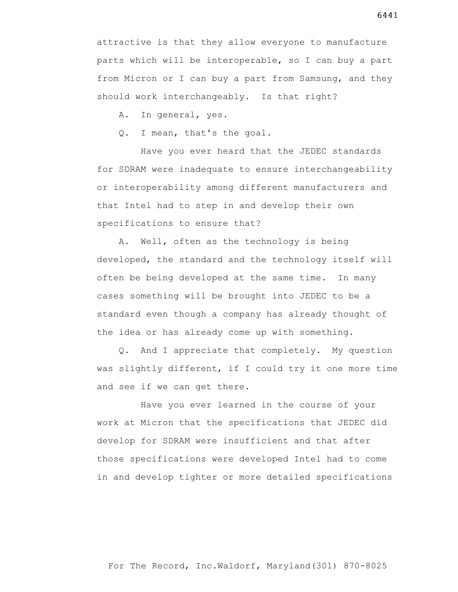attractive is that they allow everyone to manufacture parts which will be interoperable, so I can buy a part from Micron or I can buy a part from Samsung, and they should work interchangeably. Is that right?

A. In general, yes.

Q. I mean, that's the goal.

 Have you ever heard that the JEDEC standards for SDRAM were inadequate to ensure interchangeability or interoperability among different manufacturers and that Intel had to step in and develop their own specifications to ensure that?

 A. Well, often as the technology is being developed, the standard and the technology itself will often be being developed at the same time. In many cases something will be brought into JEDEC to be a standard even though a company has already thought of the idea or has already come up with something.

 Q. And I appreciate that completely. My question was slightly different, if I could try it one more time and see if we can get there.

 Have you ever learned in the course of your work at Micron that the specifications that JEDEC did develop for SDRAM were insufficient and that after those specifications were developed Intel had to come in and develop tighter or more detailed specifications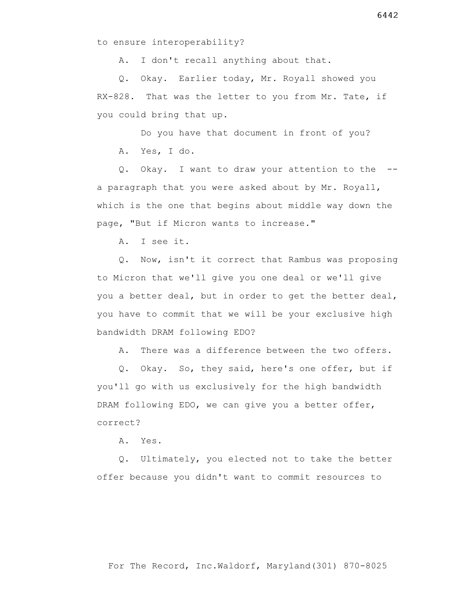to ensure interoperability?

A. I don't recall anything about that.

 Q. Okay. Earlier today, Mr. Royall showed you RX-828. That was the letter to you from Mr. Tate, if you could bring that up.

Do you have that document in front of you?

A. Yes, I do.

 Q. Okay. I want to draw your attention to the - a paragraph that you were asked about by Mr. Royall, which is the one that begins about middle way down the page, "But if Micron wants to increase."

A. I see it.

 Q. Now, isn't it correct that Rambus was proposing to Micron that we'll give you one deal or we'll give you a better deal, but in order to get the better deal, you have to commit that we will be your exclusive high bandwidth DRAM following EDO?

A. There was a difference between the two offers.

 Q. Okay. So, they said, here's one offer, but if you'll go with us exclusively for the high bandwidth DRAM following EDO, we can give you a better offer, correct?

A. Yes.

 Q. Ultimately, you elected not to take the better offer because you didn't want to commit resources to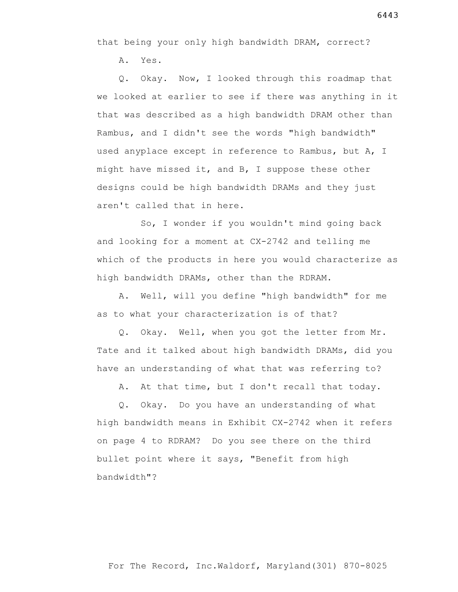that being your only high bandwidth DRAM, correct?

A. Yes.

 Q. Okay. Now, I looked through this roadmap that we looked at earlier to see if there was anything in it that was described as a high bandwidth DRAM other than Rambus, and I didn't see the words "high bandwidth" used anyplace except in reference to Rambus, but A, I might have missed it, and B, I suppose these other designs could be high bandwidth DRAMs and they just aren't called that in here.

 So, I wonder if you wouldn't mind going back and looking for a moment at CX-2742 and telling me which of the products in here you would characterize as high bandwidth DRAMs, other than the RDRAM.

 A. Well, will you define "high bandwidth" for me as to what your characterization is of that?

 Q. Okay. Well, when you got the letter from Mr. Tate and it talked about high bandwidth DRAMs, did you have an understanding of what that was referring to?

A. At that time, but I don't recall that today.

 Q. Okay. Do you have an understanding of what high bandwidth means in Exhibit CX-2742 when it refers on page 4 to RDRAM? Do you see there on the third bullet point where it says, "Benefit from high bandwidth"?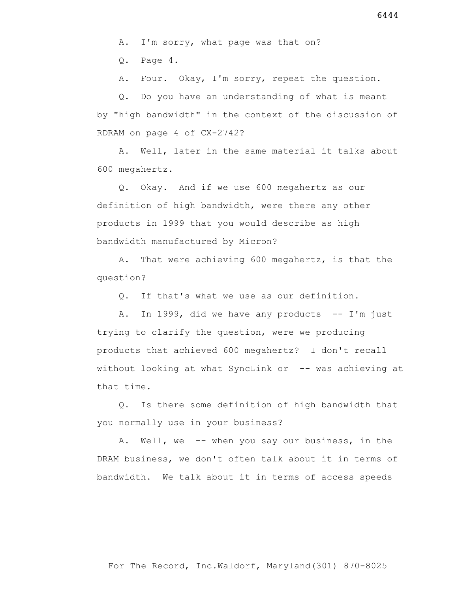A. I'm sorry, what page was that on?

Q. Page 4.

A. Four. Okay, I'm sorry, repeat the question.

 Q. Do you have an understanding of what is meant by "high bandwidth" in the context of the discussion of RDRAM on page 4 of CX-2742?

 A. Well, later in the same material it talks about 600 megahertz.

 Q. Okay. And if we use 600 megahertz as our definition of high bandwidth, were there any other products in 1999 that you would describe as high bandwidth manufactured by Micron?

 A. That were achieving 600 megahertz, is that the question?

Q. If that's what we use as our definition.

A. In 1999, did we have any products  $-$  I'm just trying to clarify the question, were we producing products that achieved 600 megahertz? I don't recall without looking at what SyncLink or -- was achieving at that time.

 Q. Is there some definition of high bandwidth that you normally use in your business?

 A. Well, we -- when you say our business, in the DRAM business, we don't often talk about it in terms of bandwidth. We talk about it in terms of access speeds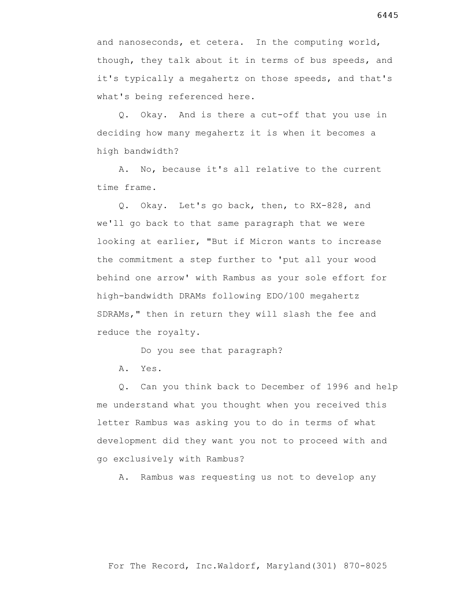and nanoseconds, et cetera. In the computing world, though, they talk about it in terms of bus speeds, and it's typically a megahertz on those speeds, and that's what's being referenced here.

 Q. Okay. And is there a cut-off that you use in deciding how many megahertz it is when it becomes a high bandwidth?

 A. No, because it's all relative to the current time frame.

 Q. Okay. Let's go back, then, to RX-828, and we'll go back to that same paragraph that we were looking at earlier, "But if Micron wants to increase the commitment a step further to 'put all your wood behind one arrow' with Rambus as your sole effort for high-bandwidth DRAMs following EDO/100 megahertz SDRAMs," then in return they will slash the fee and reduce the royalty.

Do you see that paragraph?

A. Yes.

 Q. Can you think back to December of 1996 and help me understand what you thought when you received this letter Rambus was asking you to do in terms of what development did they want you not to proceed with and go exclusively with Rambus?

A. Rambus was requesting us not to develop any

6445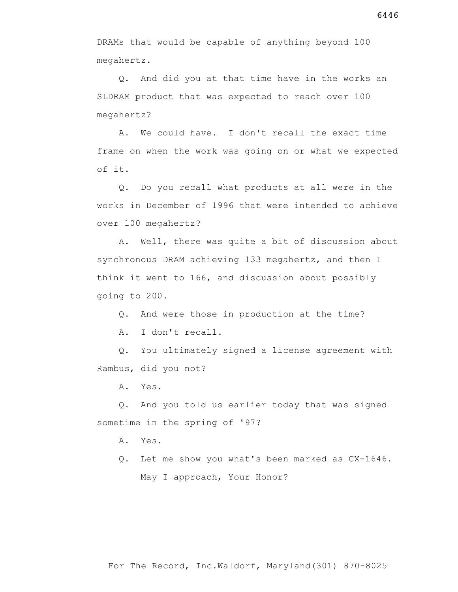Q. And did you at that time have in the works an SLDRAM product that was expected to reach over 100 megahertz?

 A. We could have. I don't recall the exact time frame on when the work was going on or what we expected of it.

 Q. Do you recall what products at all were in the works in December of 1996 that were intended to achieve over 100 megahertz?

 A. Well, there was quite a bit of discussion about synchronous DRAM achieving 133 megahertz, and then I think it went to 166, and discussion about possibly going to 200.

Q. And were those in production at the time?

A. I don't recall.

 Q. You ultimately signed a license agreement with Rambus, did you not?

A. Yes.

 Q. And you told us earlier today that was signed sometime in the spring of '97?

A. Yes.

 Q. Let me show you what's been marked as CX-1646. May I approach, Your Honor?

For The Record, Inc.Waldorf, Maryland(301) 870-8025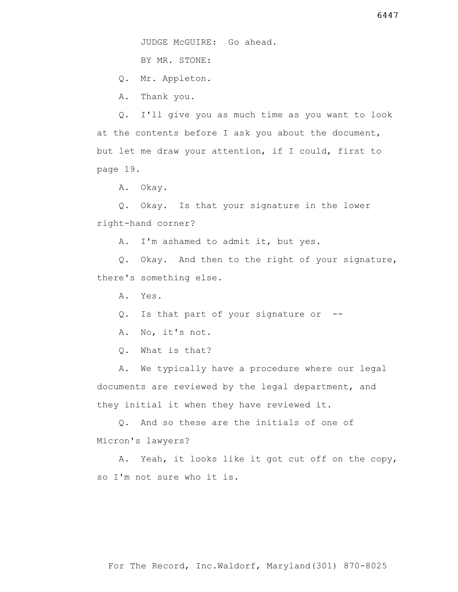BY MR. STONE:

Q. Mr. Appleton.

A. Thank you.

 Q. I'll give you as much time as you want to look at the contents before I ask you about the document, but let me draw your attention, if I could, first to page 19.

A. Okay.

 Q. Okay. Is that your signature in the lower right-hand corner?

A. I'm ashamed to admit it, but yes.

 Q. Okay. And then to the right of your signature, there's something else.

A. Yes.

Q. Is that part of your signature or --

A. No, it's not.

Q. What is that?

 A. We typically have a procedure where our legal documents are reviewed by the legal department, and they initial it when they have reviewed it.

 Q. And so these are the initials of one of Micron's lawyers?

 A. Yeah, it looks like it got cut off on the copy, so I'm not sure who it is.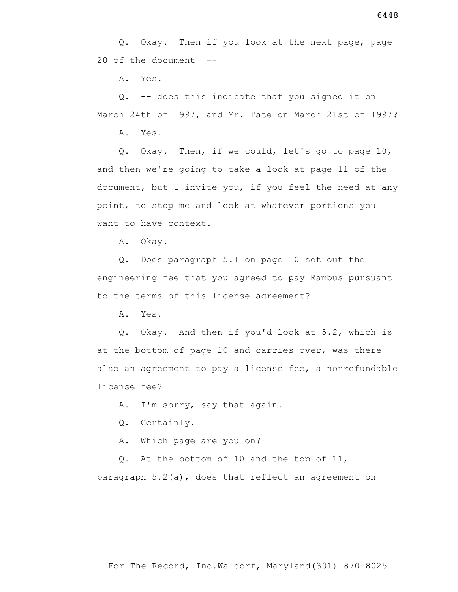A. Yes.

 Q. -- does this indicate that you signed it on March 24th of 1997, and Mr. Tate on March 21st of 1997?

A. Yes.

 Q. Okay. Then, if we could, let's go to page 10, and then we're going to take a look at page 11 of the document, but I invite you, if you feel the need at any point, to stop me and look at whatever portions you want to have context.

A. Okay.

 Q. Does paragraph 5.1 on page 10 set out the engineering fee that you agreed to pay Rambus pursuant to the terms of this license agreement?

A. Yes.

 Q. Okay. And then if you'd look at 5.2, which is at the bottom of page 10 and carries over, was there also an agreement to pay a license fee, a nonrefundable license fee?

A. I'm sorry, say that again.

Q. Certainly.

A. Which page are you on?

 Q. At the bottom of 10 and the top of 11, paragraph 5.2(a), does that reflect an agreement on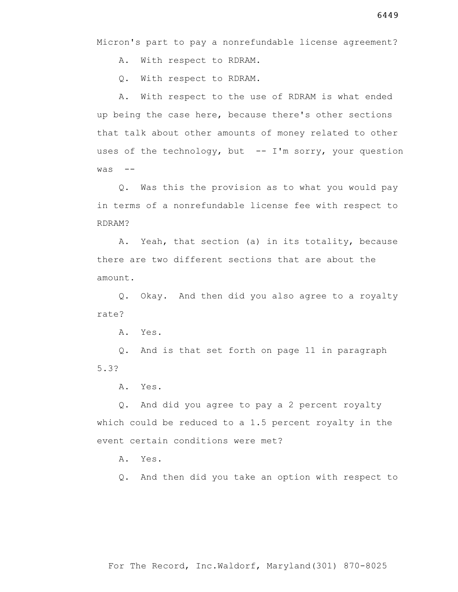Micron's part to pay a nonrefundable license agreement?

A. With respect to RDRAM.

Q. With respect to RDRAM.

 A. With respect to the use of RDRAM is what ended up being the case here, because there's other sections that talk about other amounts of money related to other uses of the technology, but -- I'm sorry, your question  $was$   $-$ 

 Q. Was this the provision as to what you would pay in terms of a nonrefundable license fee with respect to RDRAM?

 A. Yeah, that section (a) in its totality, because there are two different sections that are about the amount.

 Q. Okay. And then did you also agree to a royalty rate?

A. Yes.

 Q. And is that set forth on page 11 in paragraph 5.3?

A. Yes.

 Q. And did you agree to pay a 2 percent royalty which could be reduced to a 1.5 percent royalty in the event certain conditions were met?

A. Yes.

Q. And then did you take an option with respect to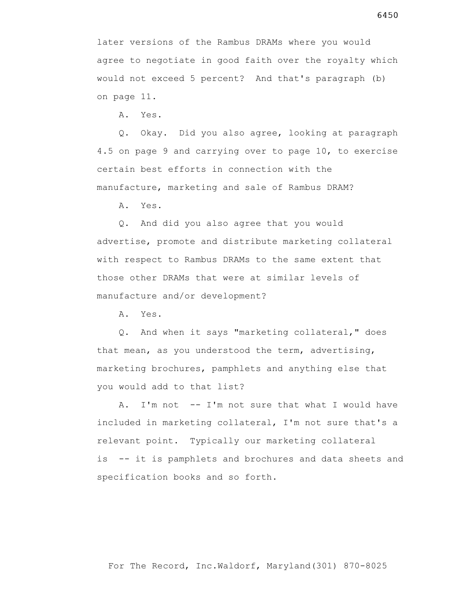later versions of the Rambus DRAMs where you would agree to negotiate in good faith over the royalty which would not exceed 5 percent? And that's paragraph (b) on page 11.

A. Yes.

 Q. Okay. Did you also agree, looking at paragraph 4.5 on page 9 and carrying over to page 10, to exercise certain best efforts in connection with the manufacture, marketing and sale of Rambus DRAM?

A. Yes.

 Q. And did you also agree that you would advertise, promote and distribute marketing collateral with respect to Rambus DRAMs to the same extent that those other DRAMs that were at similar levels of manufacture and/or development?

A. Yes.

 Q. And when it says "marketing collateral," does that mean, as you understood the term, advertising, marketing brochures, pamphlets and anything else that you would add to that list?

 A. I'm not -- I'm not sure that what I would have included in marketing collateral, I'm not sure that's a relevant point. Typically our marketing collateral is -- it is pamphlets and brochures and data sheets and specification books and so forth.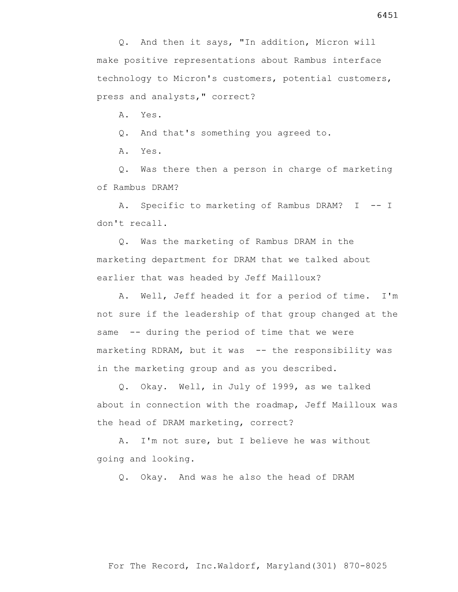Q. And then it says, "In addition, Micron will make positive representations about Rambus interface technology to Micron's customers, potential customers, press and analysts," correct?

A. Yes.

Q. And that's something you agreed to.

A. Yes.

 Q. Was there then a person in charge of marketing of Rambus DRAM?

A. Specific to marketing of Rambus DRAM? I -- I don't recall.

 Q. Was the marketing of Rambus DRAM in the marketing department for DRAM that we talked about earlier that was headed by Jeff Mailloux?

 A. Well, Jeff headed it for a period of time. I'm not sure if the leadership of that group changed at the same -- during the period of time that we were marketing RDRAM, but it was -- the responsibility was in the marketing group and as you described.

 Q. Okay. Well, in July of 1999, as we talked about in connection with the roadmap, Jeff Mailloux was the head of DRAM marketing, correct?

 A. I'm not sure, but I believe he was without going and looking.

Q. Okay. And was he also the head of DRAM

For The Record, Inc.Waldorf, Maryland(301) 870-8025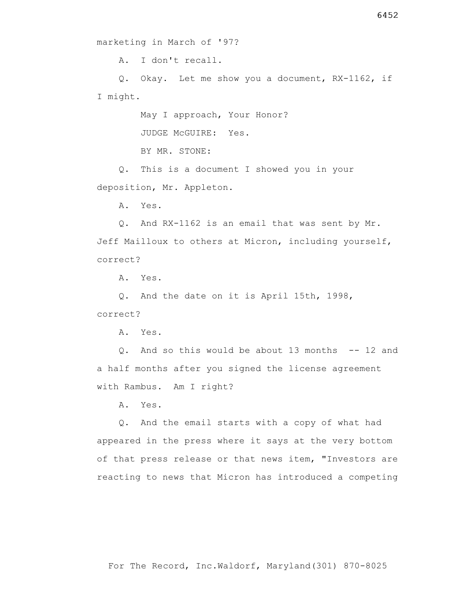A. I don't recall.

 Q. Okay. Let me show you a document, RX-1162, if I might.

May I approach, Your Honor?

JUDGE McGUIRE: Yes.

BY MR. STONE:

 Q. This is a document I showed you in your deposition, Mr. Appleton.

A. Yes.

 Q. And RX-1162 is an email that was sent by Mr. Jeff Mailloux to others at Micron, including yourself, correct?

A. Yes.

 Q. And the date on it is April 15th, 1998, correct?

A. Yes.

 Q. And so this would be about 13 months -- 12 and a half months after you signed the license agreement with Rambus. Am I right?

A. Yes.

 Q. And the email starts with a copy of what had appeared in the press where it says at the very bottom of that press release or that news item, "Investors are reacting to news that Micron has introduced a competing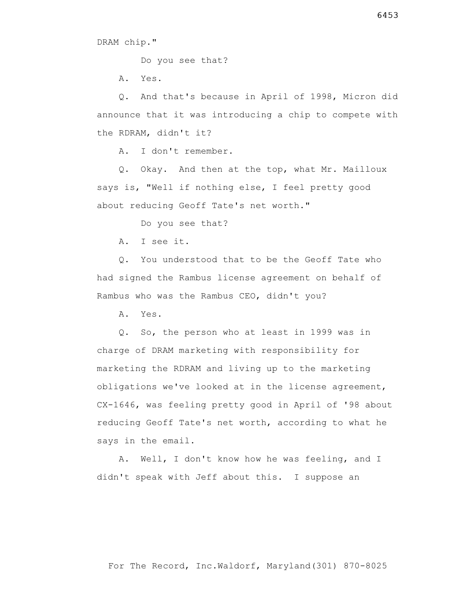DRAM chip."

Do you see that?

A. Yes.

 Q. And that's because in April of 1998, Micron did announce that it was introducing a chip to compete with the RDRAM, didn't it?

A. I don't remember.

 Q. Okay. And then at the top, what Mr. Mailloux says is, "Well if nothing else, I feel pretty good about reducing Geoff Tate's net worth."

Do you see that?

A. I see it.

 Q. You understood that to be the Geoff Tate who had signed the Rambus license agreement on behalf of Rambus who was the Rambus CEO, didn't you?

A. Yes.

 Q. So, the person who at least in 1999 was in charge of DRAM marketing with responsibility for marketing the RDRAM and living up to the marketing obligations we've looked at in the license agreement, CX-1646, was feeling pretty good in April of '98 about reducing Geoff Tate's net worth, according to what he says in the email.

 A. Well, I don't know how he was feeling, and I didn't speak with Jeff about this. I suppose an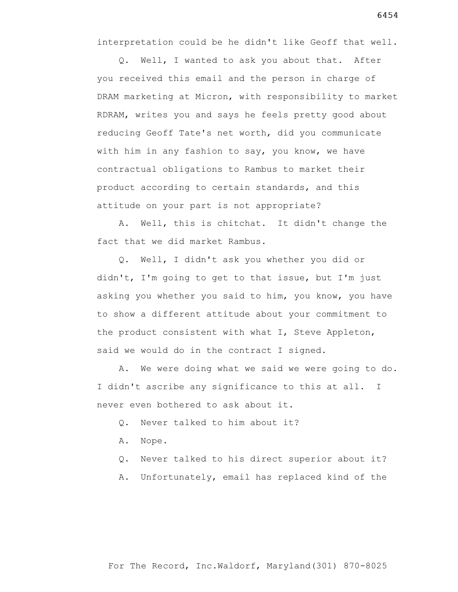interpretation could be he didn't like Geoff that well.

 Q. Well, I wanted to ask you about that. After you received this email and the person in charge of DRAM marketing at Micron, with responsibility to market RDRAM, writes you and says he feels pretty good about reducing Geoff Tate's net worth, did you communicate with him in any fashion to say, you know, we have contractual obligations to Rambus to market their product according to certain standards, and this attitude on your part is not appropriate?

 A. Well, this is chitchat. It didn't change the fact that we did market Rambus.

 Q. Well, I didn't ask you whether you did or didn't, I'm going to get to that issue, but I'm just asking you whether you said to him, you know, you have to show a different attitude about your commitment to the product consistent with what I, Steve Appleton, said we would do in the contract I signed.

 A. We were doing what we said we were going to do. I didn't ascribe any significance to this at all. I never even bothered to ask about it.

- Q. Never talked to him about it?
- A. Nope.

Q. Never talked to his direct superior about it?

A. Unfortunately, email has replaced kind of the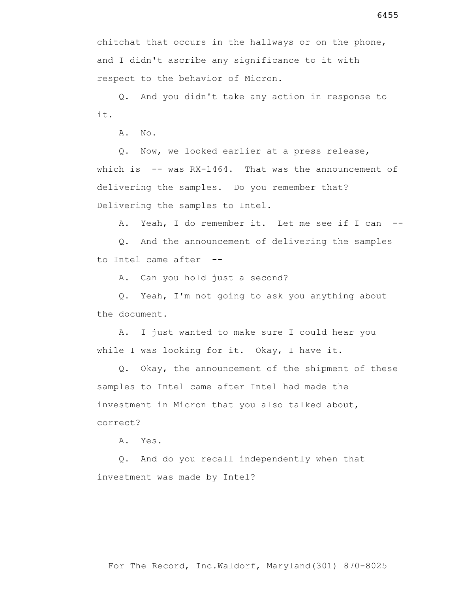chitchat that occurs in the hallways or on the phone, and I didn't ascribe any significance to it with respect to the behavior of Micron.

 Q. And you didn't take any action in response to it.

A. No.

 Q. Now, we looked earlier at a press release, which is -- was RX-1464. That was the announcement of delivering the samples. Do you remember that? Delivering the samples to Intel.

A. Yeah, I do remember it. Let me see if I can --

 Q. And the announcement of delivering the samples to Intel came after --

A. Can you hold just a second?

 Q. Yeah, I'm not going to ask you anything about the document.

 A. I just wanted to make sure I could hear you while I was looking for it. Okay, I have it.

 Q. Okay, the announcement of the shipment of these samples to Intel came after Intel had made the investment in Micron that you also talked about, correct?

A. Yes.

 Q. And do you recall independently when that investment was made by Intel?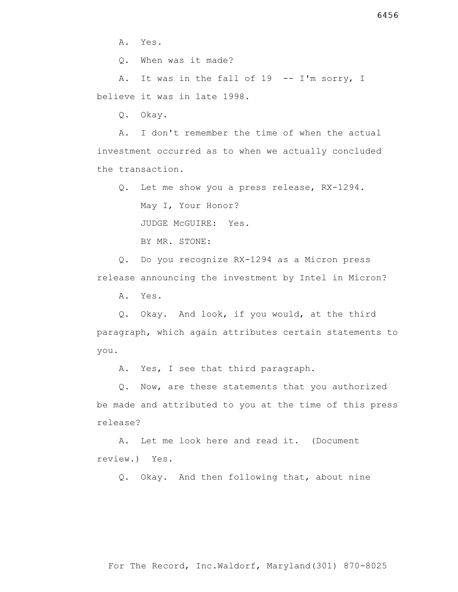A. Yes.

Q. When was it made?

A. It was in the fall of 19 -- I'm sorry, I believe it was in late 1998.

Q. Okay.

 A. I don't remember the time of when the actual investment occurred as to when we actually concluded the transaction.

Q. Let me show you a press release, RX-1294.

May I, Your Honor?

JUDGE McGUIRE: Yes.

BY MR. STONE:

 Q. Do you recognize RX-1294 as a Micron press release announcing the investment by Intel in Micron?

A. Yes.

 Q. Okay. And look, if you would, at the third paragraph, which again attributes certain statements to you.

A. Yes, I see that third paragraph.

 Q. Now, are these statements that you authorized be made and attributed to you at the time of this press release?

 A. Let me look here and read it. (Document review.) Yes.

Q. Okay. And then following that, about nine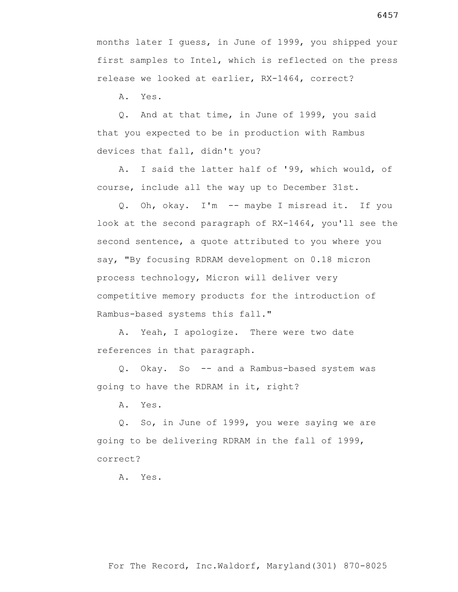months later I guess, in June of 1999, you shipped your first samples to Intel, which is reflected on the press release we looked at earlier, RX-1464, correct?

A. Yes.

 Q. And at that time, in June of 1999, you said that you expected to be in production with Rambus devices that fall, didn't you?

 A. I said the latter half of '99, which would, of course, include all the way up to December 31st.

 Q. Oh, okay. I'm -- maybe I misread it. If you look at the second paragraph of RX-1464, you'll see the second sentence, a quote attributed to you where you say, "By focusing RDRAM development on 0.18 micron process technology, Micron will deliver very competitive memory products for the introduction of Rambus-based systems this fall."

 A. Yeah, I apologize. There were two date references in that paragraph.

 Q. Okay. So -- and a Rambus-based system was going to have the RDRAM in it, right?

A. Yes.

 Q. So, in June of 1999, you were saying we are going to be delivering RDRAM in the fall of 1999, correct?

A. Yes.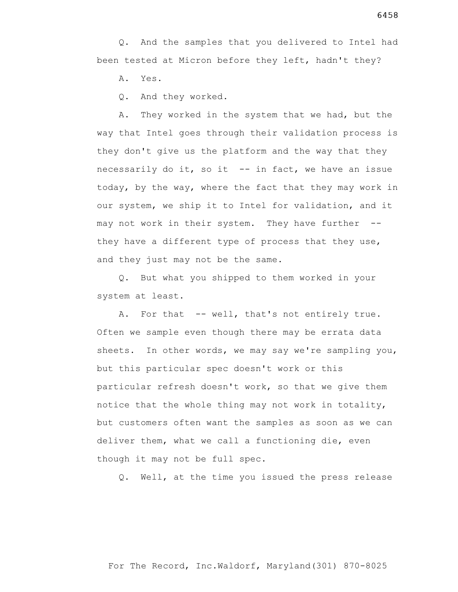Q. And the samples that you delivered to Intel had been tested at Micron before they left, hadn't they?

A. Yes.

Q. And they worked.

 A. They worked in the system that we had, but the way that Intel goes through their validation process is they don't give us the platform and the way that they necessarily do it, so it -- in fact, we have an issue today, by the way, where the fact that they may work in our system, we ship it to Intel for validation, and it may not work in their system. They have further - they have a different type of process that they use, and they just may not be the same.

 Q. But what you shipped to them worked in your system at least.

 A. For that -- well, that's not entirely true. Often we sample even though there may be errata data sheets. In other words, we may say we're sampling you, but this particular spec doesn't work or this particular refresh doesn't work, so that we give them notice that the whole thing may not work in totality, but customers often want the samples as soon as we can deliver them, what we call a functioning die, even though it may not be full spec.

Q. Well, at the time you issued the press release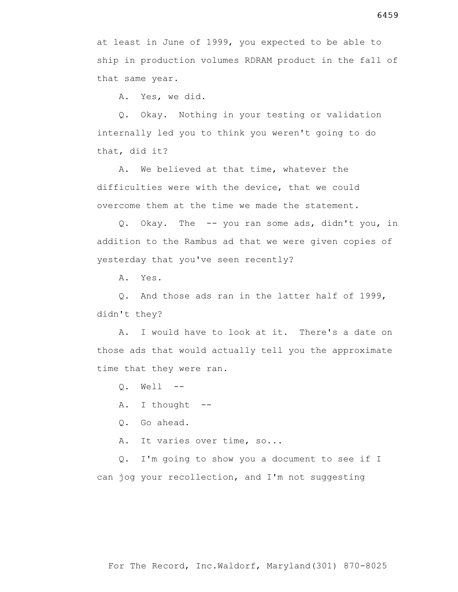A. Yes, we did.

 Q. Okay. Nothing in your testing or validation internally led you to think you weren't going to do that, did it?

 A. We believed at that time, whatever the difficulties were with the device, that we could overcome them at the time we made the statement.

 Q. Okay. The -- you ran some ads, didn't you, in addition to the Rambus ad that we were given copies of yesterday that you've seen recently?

A. Yes.

 Q. And those ads ran in the latter half of 1999, didn't they?

 A. I would have to look at it. There's a date on those ads that would actually tell you the approximate time that they were ran.

Q. Well --

A. I thought --

Q. Go ahead.

A. It varies over time, so...

 Q. I'm going to show you a document to see if I can jog your recollection, and I'm not suggesting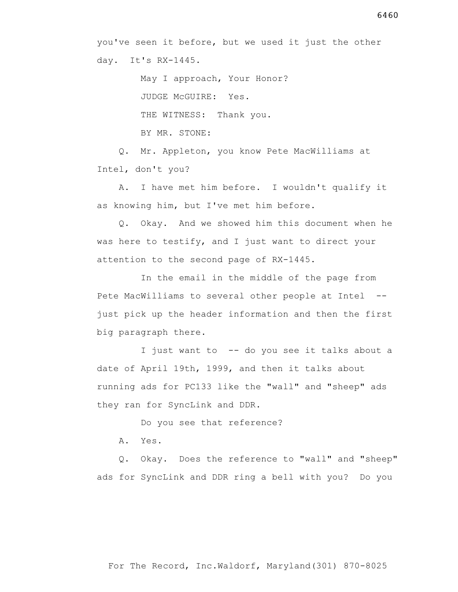May I approach, Your Honor? JUDGE McGUIRE: Yes. THE WITNESS: Thank you. BY MR. STONE:

 Q. Mr. Appleton, you know Pete MacWilliams at Intel, don't you?

 A. I have met him before. I wouldn't qualify it as knowing him, but I've met him before.

 Q. Okay. And we showed him this document when he was here to testify, and I just want to direct your attention to the second page of RX-1445.

 In the email in the middle of the page from Pete MacWilliams to several other people at Intel - just pick up the header information and then the first big paragraph there.

 I just want to -- do you see it talks about a date of April 19th, 1999, and then it talks about running ads for PC133 like the "wall" and "sheep" ads they ran for SyncLink and DDR.

Do you see that reference?

A. Yes.

 Q. Okay. Does the reference to "wall" and "sheep" ads for SyncLink and DDR ring a bell with you? Do you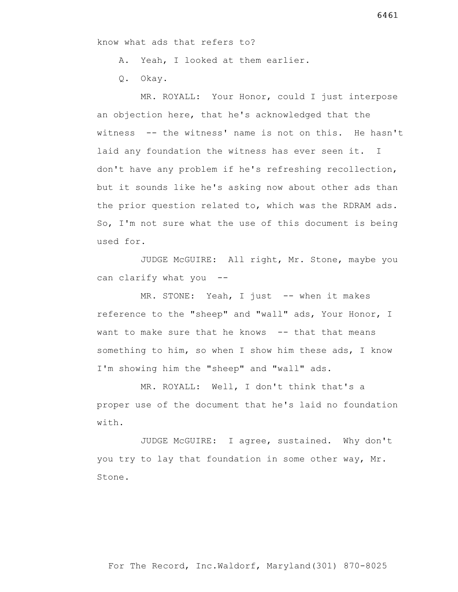know what ads that refers to?

A. Yeah, I looked at them earlier.

Q. Okay.

 MR. ROYALL: Your Honor, could I just interpose an objection here, that he's acknowledged that the witness -- the witness' name is not on this. He hasn't laid any foundation the witness has ever seen it. I don't have any problem if he's refreshing recollection, but it sounds like he's asking now about other ads than the prior question related to, which was the RDRAM ads. So, I'm not sure what the use of this document is being used for.

 JUDGE McGUIRE: All right, Mr. Stone, maybe you can clarify what you --

MR. STONE: Yeah, I just -- when it makes reference to the "sheep" and "wall" ads, Your Honor, I want to make sure that he knows -- that that means something to him, so when I show him these ads, I know I'm showing him the "sheep" and "wall" ads.

 MR. ROYALL: Well, I don't think that's a proper use of the document that he's laid no foundation with.

 JUDGE McGUIRE: I agree, sustained. Why don't you try to lay that foundation in some other way, Mr. Stone.

For The Record, Inc.Waldorf, Maryland(301) 870-8025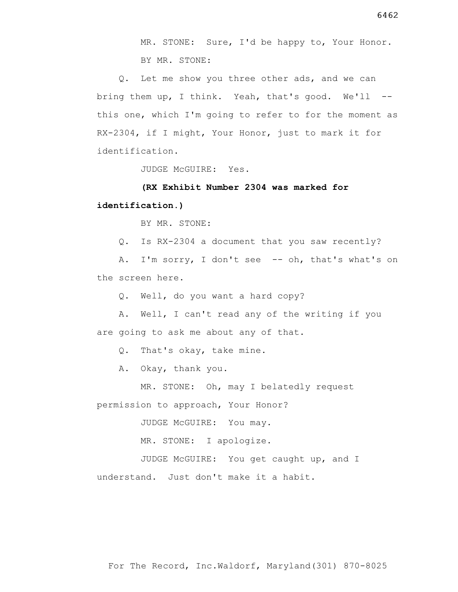MR. STONE: Sure, I'd be happy to, Your Honor. BY MR. STONE:

 Q. Let me show you three other ads, and we can bring them up, I think. Yeah, that's good. We'll - this one, which I'm going to refer to for the moment as RX-2304, if I might, Your Honor, just to mark it for identification.

JUDGE McGUIRE: Yes.

## **(RX Exhibit Number 2304 was marked for**

### **identification.)**

BY MR. STONE:

Q. Is RX-2304 a document that you saw recently?

 A. I'm sorry, I don't see -- oh, that's what's on the screen here.

Q. Well, do you want a hard copy?

 A. Well, I can't read any of the writing if you are going to ask me about any of that.

Q. That's okay, take mine.

A. Okay, thank you.

MR. STONE: Oh, may I belatedly request

permission to approach, Your Honor?

JUDGE McGUIRE: You may.

MR. STONE: I apologize.

 JUDGE McGUIRE: You get caught up, and I understand. Just don't make it a habit.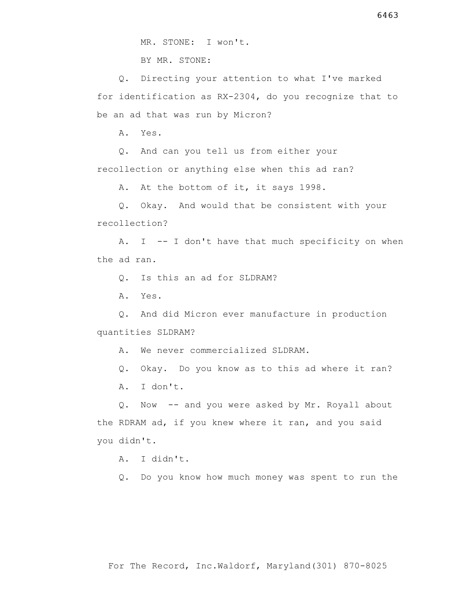MR. STONE: I won't.

BY MR. STONE:

 Q. Directing your attention to what I've marked for identification as RX-2304, do you recognize that to be an ad that was run by Micron?

A. Yes.

 Q. And can you tell us from either your recollection or anything else when this ad ran?

A. At the bottom of it, it says 1998.

 Q. Okay. And would that be consistent with your recollection?

 A. I -- I don't have that much specificity on when the ad ran.

Q. Is this an ad for SLDRAM?

A. Yes.

 Q. And did Micron ever manufacture in production quantities SLDRAM?

A. We never commercialized SLDRAM.

Q. Okay. Do you know as to this ad where it ran?

A. I don't.

 Q. Now -- and you were asked by Mr. Royall about the RDRAM ad, if you knew where it ran, and you said you didn't.

A. I didn't.

Q. Do you know how much money was spent to run the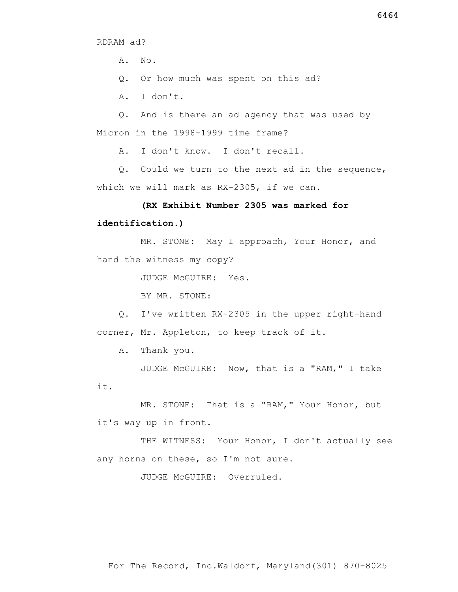RDRAM ad?

A. No.

Q. Or how much was spent on this ad?

A. I don't.

 Q. And is there an ad agency that was used by Micron in the 1998-1999 time frame?

A. I don't know. I don't recall.

 Q. Could we turn to the next ad in the sequence, which we will mark as RX-2305, if we can.

### **(RX Exhibit Number 2305 was marked for**

#### **identification.)**

 MR. STONE: May I approach, Your Honor, and hand the witness my copy?

JUDGE McGUIRE: Yes.

BY MR. STONE:

 Q. I've written RX-2305 in the upper right-hand corner, Mr. Appleton, to keep track of it.

A. Thank you.

 JUDGE McGUIRE: Now, that is a "RAM," I take it.

MR. STONE: That is a "RAM," Your Honor, but it's way up in front.

THE WITNESS: Your Honor, I don't actually see any horns on these, so I'm not sure.

JUDGE McGUIRE: Overruled.

For The Record, Inc.Waldorf, Maryland(301) 870-8025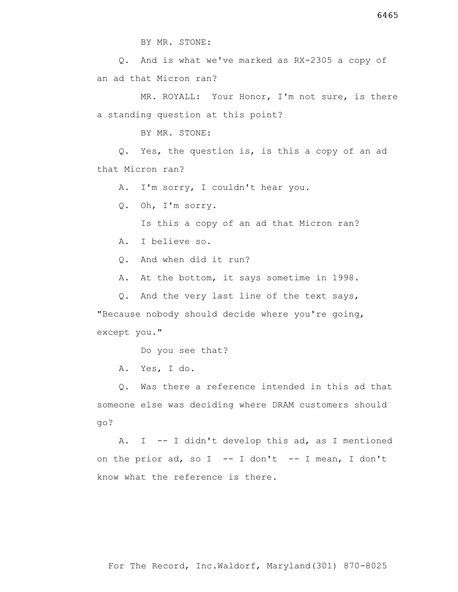BY MR. STONE:

 Q. And is what we've marked as RX-2305 a copy of an ad that Micron ran?

 MR. ROYALL: Your Honor, I'm not sure, is there a standing question at this point?

BY MR. STONE:

 Q. Yes, the question is, is this a copy of an ad that Micron ran?

A. I'm sorry, I couldn't hear you.

Q. Oh, I'm sorry.

Is this a copy of an ad that Micron ran?

A. I believe so.

Q. And when did it run?

A. At the bottom, it says sometime in 1998.

Q. And the very last line of the text says,

"Because nobody should decide where you're going, except you."

Do you see that?

A. Yes, I do.

 Q. Was there a reference intended in this ad that someone else was deciding where DRAM customers should go?

 A. I -- I didn't develop this ad, as I mentioned on the prior ad, so I -- I don't -- I mean, I don't know what the reference is there.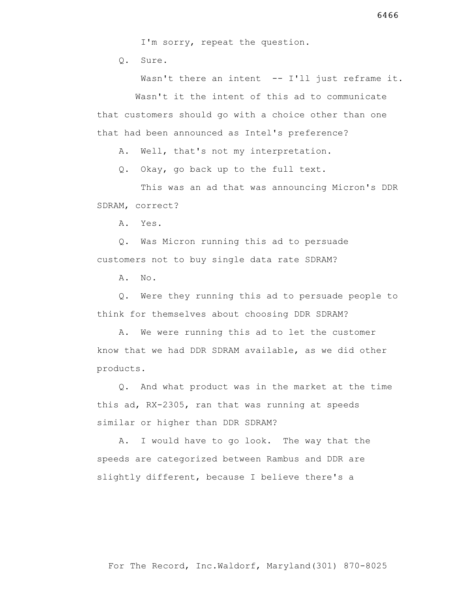I'm sorry, repeat the question.

Q. Sure.

Wasn't there an intent -- I'll just reframe it. Wasn't it the intent of this ad to communicate that customers should go with a choice other than one that had been announced as Intel's preference?

A. Well, that's not my interpretation.

Q. Okay, go back up to the full text.

 This was an ad that was announcing Micron's DDR SDRAM, correct?

A. Yes.

 Q. Was Micron running this ad to persuade customers not to buy single data rate SDRAM?

A. No.

 Q. Were they running this ad to persuade people to think for themselves about choosing DDR SDRAM?

 A. We were running this ad to let the customer know that we had DDR SDRAM available, as we did other products.

 Q. And what product was in the market at the time this ad, RX-2305, ran that was running at speeds similar or higher than DDR SDRAM?

 A. I would have to go look. The way that the speeds are categorized between Rambus and DDR are slightly different, because I believe there's a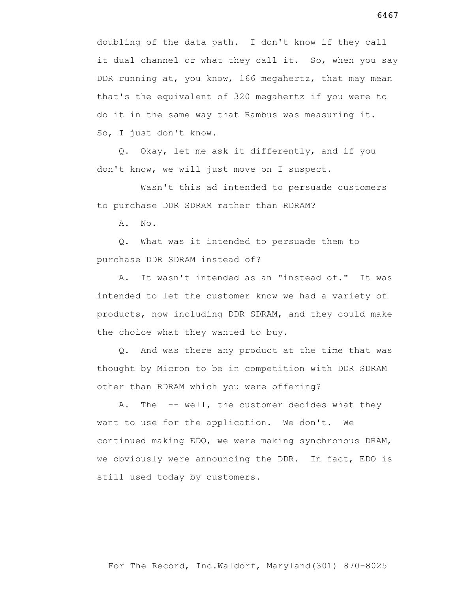doubling of the data path. I don't know if they call it dual channel or what they call it. So, when you say DDR running at, you know, 166 megahertz, that may mean that's the equivalent of 320 megahertz if you were to do it in the same way that Rambus was measuring it. So, I just don't know.

 Q. Okay, let me ask it differently, and if you don't know, we will just move on I suspect.

 Wasn't this ad intended to persuade customers to purchase DDR SDRAM rather than RDRAM?

A. No.

 Q. What was it intended to persuade them to purchase DDR SDRAM instead of?

 A. It wasn't intended as an "instead of." It was intended to let the customer know we had a variety of products, now including DDR SDRAM, and they could make the choice what they wanted to buy.

 Q. And was there any product at the time that was thought by Micron to be in competition with DDR SDRAM other than RDRAM which you were offering?

A. The -- well, the customer decides what they want to use for the application. We don't. We continued making EDO, we were making synchronous DRAM, we obviously were announcing the DDR. In fact, EDO is still used today by customers.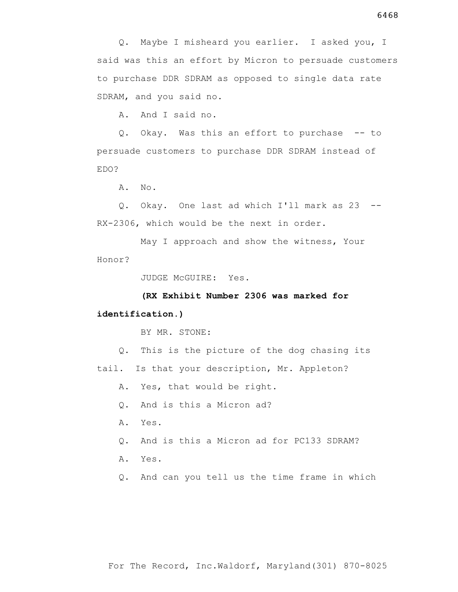Q. Maybe I misheard you earlier. I asked you, I said was this an effort by Micron to persuade customers to purchase DDR SDRAM as opposed to single data rate SDRAM, and you said no.

A. And I said no.

 Q. Okay. Was this an effort to purchase -- to persuade customers to purchase DDR SDRAM instead of EDO?

A. No.

 Q. Okay. One last ad which I'll mark as 23 -- RX-2306, which would be the next in order.

 May I approach and show the witness, Your Honor?

JUDGE McGUIRE: Yes.

**(RX Exhibit Number 2306 was marked for** 

#### **identification.)**

BY MR. STONE:

 Q. This is the picture of the dog chasing its tail. Is that your description, Mr. Appleton?

A. Yes, that would be right.

Q. And is this a Micron ad?

- A. Yes.
- Q. And is this a Micron ad for PC133 SDRAM?
- A. Yes.
- Q. And can you tell us the time frame in which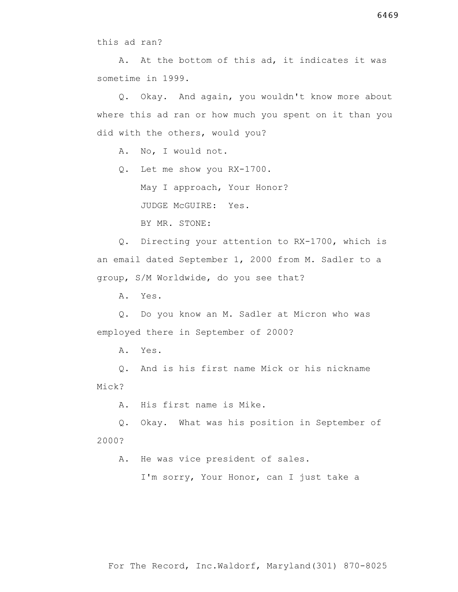this ad ran?

 A. At the bottom of this ad, it indicates it was sometime in 1999.

 Q. Okay. And again, you wouldn't know more about where this ad ran or how much you spent on it than you did with the others, would you?

A. No, I would not.

Q. Let me show you RX-1700.

May I approach, Your Honor?

JUDGE McGUIRE: Yes.

BY MR. STONE:

 Q. Directing your attention to RX-1700, which is an email dated September 1, 2000 from M. Sadler to a group, S/M Worldwide, do you see that?

A. Yes.

 Q. Do you know an M. Sadler at Micron who was employed there in September of 2000?

A. Yes.

 Q. And is his first name Mick or his nickname Mick?

A. His first name is Mike.

 Q. Okay. What was his position in September of 2000?

A. He was vice president of sales.

I'm sorry, Your Honor, can I just take a

For The Record, Inc.Waldorf, Maryland(301) 870-8025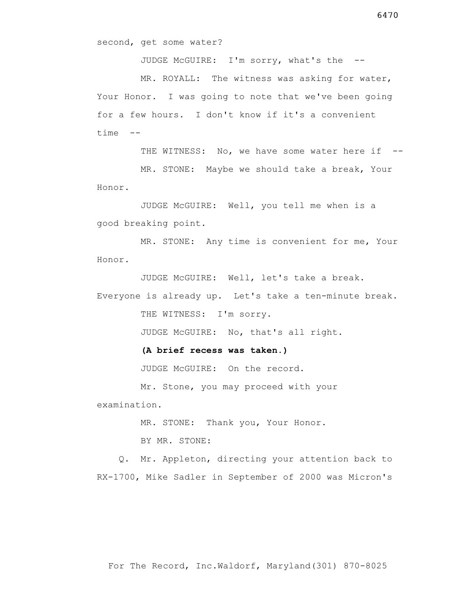JUDGE McGUIRE: I'm sorry, what's the --

 MR. ROYALL: The witness was asking for water, Your Honor. I was going to note that we've been going for a few hours. I don't know if it's a convenient time --

THE WITNESS: No, we have some water here if --

 MR. STONE: Maybe we should take a break, Your Honor.

 JUDGE McGUIRE: Well, you tell me when is a good breaking point.

 MR. STONE: Any time is convenient for me, Your Honor.

JUDGE McGUIRE: Well, let's take a break.

Everyone is already up. Let's take a ten-minute break.

THE WITNESS: I'm sorry.

JUDGE McGUIRE: No, that's all right.

 **(A brief recess was taken.)**

JUDGE McGUIRE: On the record.

 Mr. Stone, you may proceed with your examination.

MR. STONE: Thank you, Your Honor.

BY MR. STONE:

 Q. Mr. Appleton, directing your attention back to RX-1700, Mike Sadler in September of 2000 was Micron's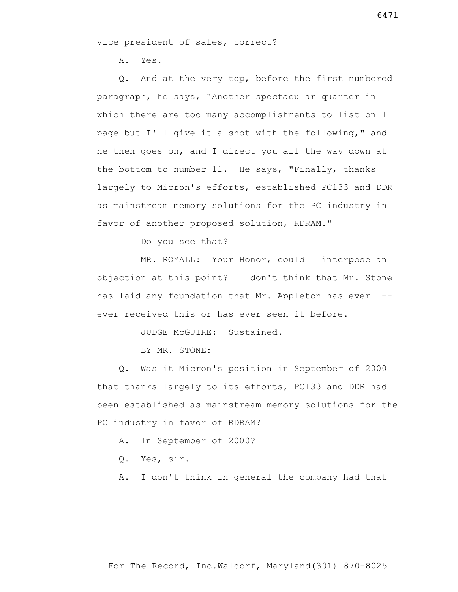vice president of sales, correct?

A. Yes.

 Q. And at the very top, before the first numbered paragraph, he says, "Another spectacular quarter in which there are too many accomplishments to list on 1 page but I'll give it a shot with the following," and he then goes on, and I direct you all the way down at the bottom to number 11. He says, "Finally, thanks largely to Micron's efforts, established PC133 and DDR as mainstream memory solutions for the PC industry in favor of another proposed solution, RDRAM."

Do you see that?

 MR. ROYALL: Your Honor, could I interpose an objection at this point? I don't think that Mr. Stone has laid any foundation that Mr. Appleton has ever -ever received this or has ever seen it before.

JUDGE McGUIRE: Sustained.

BY MR. STONE:

 Q. Was it Micron's position in September of 2000 that thanks largely to its efforts, PC133 and DDR had been established as mainstream memory solutions for the PC industry in favor of RDRAM?

A. In September of 2000?

Q. Yes, sir.

A. I don't think in general the company had that

6471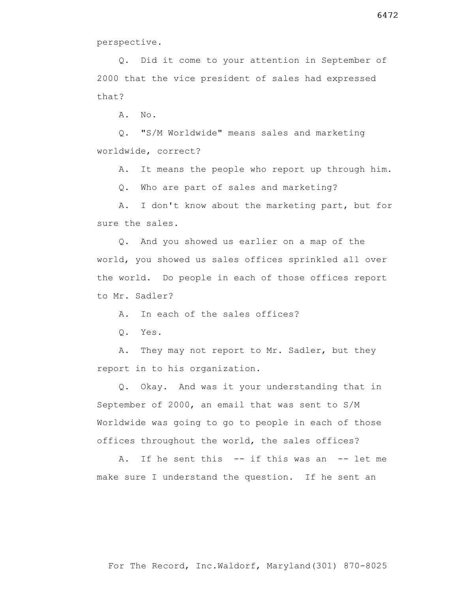perspective.

 Q. Did it come to your attention in September of 2000 that the vice president of sales had expressed that?

A. No.

 Q. "S/M Worldwide" means sales and marketing worldwide, correct?

A. It means the people who report up through him.

Q. Who are part of sales and marketing?

 A. I don't know about the marketing part, but for sure the sales.

 Q. And you showed us earlier on a map of the world, you showed us sales offices sprinkled all over the world. Do people in each of those offices report to Mr. Sadler?

A. In each of the sales offices?

Q. Yes.

 A. They may not report to Mr. Sadler, but they report in to his organization.

 Q. Okay. And was it your understanding that in September of 2000, an email that was sent to S/M Worldwide was going to go to people in each of those offices throughout the world, the sales offices?

A. If he sent this -- if this was an -- let me make sure I understand the question. If he sent an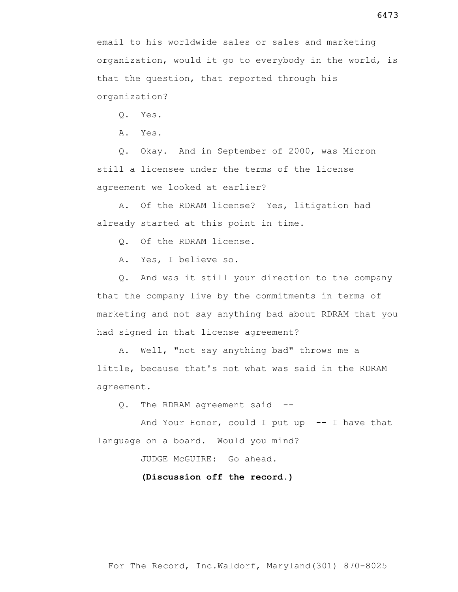email to his worldwide sales or sales and marketing organization, would it go to everybody in the world, is that the question, that reported through his organization?

Q. Yes.

A. Yes.

 Q. Okay. And in September of 2000, was Micron still a licensee under the terms of the license agreement we looked at earlier?

 A. Of the RDRAM license? Yes, litigation had already started at this point in time.

Q. Of the RDRAM license.

A. Yes, I believe so.

 Q. And was it still your direction to the company that the company live by the commitments in terms of marketing and not say anything bad about RDRAM that you had signed in that license agreement?

 A. Well, "not say anything bad" throws me a little, because that's not what was said in the RDRAM agreement.

Q. The RDRAM agreement said --

And Your Honor, could I put up  $-$  I have that language on a board. Would you mind?

JUDGE McGUIRE: Go ahead.

**(Discussion off the record.)**

6473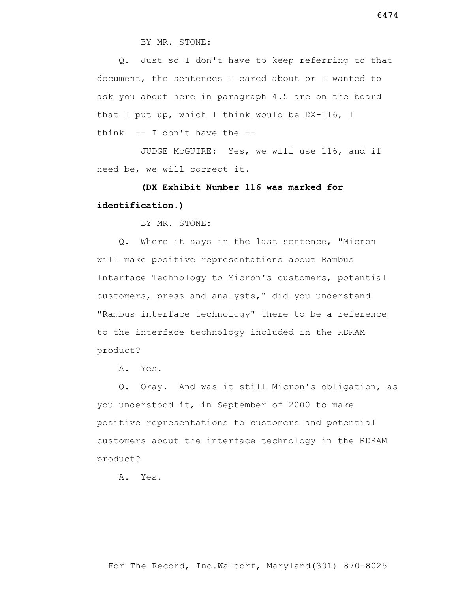BY MR. STONE:

 Q. Just so I don't have to keep referring to that document, the sentences I cared about or I wanted to ask you about here in paragraph 4.5 are on the board that I put up, which I think would be DX-116, I think  $-$ - I don't have the  $-$ -

 JUDGE McGUIRE: Yes, we will use 116, and if need be, we will correct it.

# **(DX Exhibit Number 116 was marked for identification.)**

BY MR. STONE:

 Q. Where it says in the last sentence, "Micron will make positive representations about Rambus Interface Technology to Micron's customers, potential customers, press and analysts," did you understand "Rambus interface technology" there to be a reference to the interface technology included in the RDRAM product?

A. Yes.

 Q. Okay. And was it still Micron's obligation, as you understood it, in September of 2000 to make positive representations to customers and potential customers about the interface technology in the RDRAM product?

A. Yes.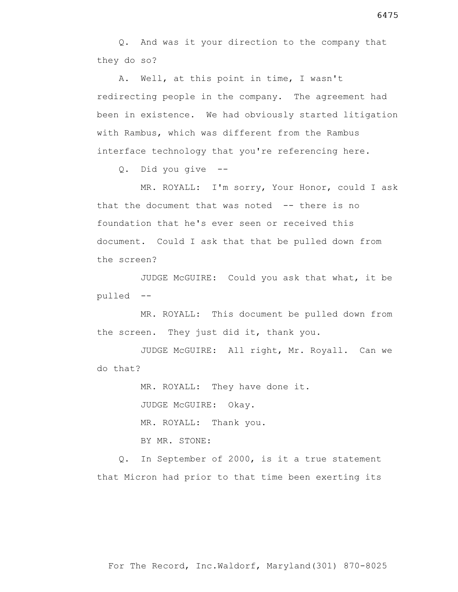Q. And was it your direction to the company that they do so?

 A. Well, at this point in time, I wasn't redirecting people in the company. The agreement had been in existence. We had obviously started litigation with Rambus, which was different from the Rambus interface technology that you're referencing here.

Q. Did you give --

 MR. ROYALL: I'm sorry, Your Honor, could I ask that the document that was noted -- there is no foundation that he's ever seen or received this document. Could I ask that that be pulled down from the screen?

 JUDGE McGUIRE: Could you ask that what, it be pulled --

 MR. ROYALL: This document be pulled down from the screen. They just did it, thank you.

 JUDGE McGUIRE: All right, Mr. Royall. Can we do that?

MR. ROYALL: They have done it.

JUDGE McGUIRE: Okay.

MR. ROYALL: Thank you.

BY MR. STONE:

 Q. In September of 2000, is it a true statement that Micron had prior to that time been exerting its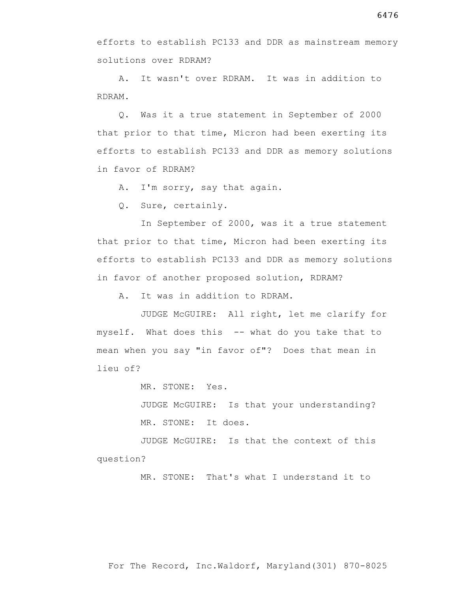efforts to establish PC133 and DDR as mainstream memory solutions over RDRAM?

 A. It wasn't over RDRAM. It was in addition to RDRAM.

 Q. Was it a true statement in September of 2000 that prior to that time, Micron had been exerting its efforts to establish PC133 and DDR as memory solutions in favor of RDRAM?

A. I'm sorry, say that again.

Q. Sure, certainly.

 In September of 2000, was it a true statement that prior to that time, Micron had been exerting its efforts to establish PC133 and DDR as memory solutions in favor of another proposed solution, RDRAM?

A. It was in addition to RDRAM.

 JUDGE McGUIRE: All right, let me clarify for myself. What does this -- what do you take that to mean when you say "in favor of"? Does that mean in lieu of?

MR. STONE: Yes.

 JUDGE McGUIRE: Is that your understanding? MR. STONE: It does.

 JUDGE McGUIRE: Is that the context of this question?

MR. STONE: That's what I understand it to

For The Record, Inc.Waldorf, Maryland(301) 870-8025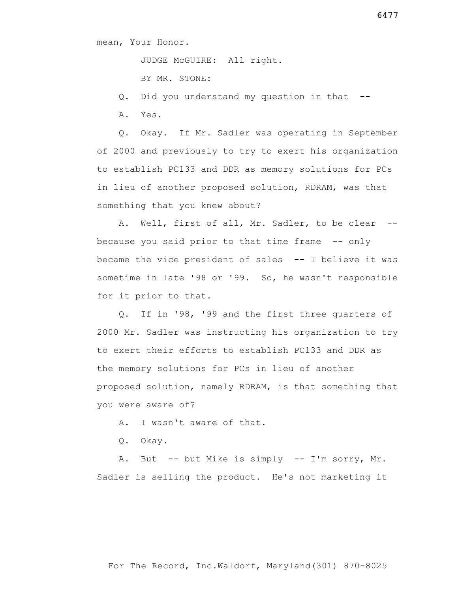JUDGE McGUIRE: All right.

BY MR. STONE:

Q. Did you understand my question in that --

A. Yes.

 Q. Okay. If Mr. Sadler was operating in September of 2000 and previously to try to exert his organization to establish PC133 and DDR as memory solutions for PCs in lieu of another proposed solution, RDRAM, was that something that you knew about?

A. Well, first of all, Mr. Sadler, to be clear -because you said prior to that time frame -- only became the vice president of sales -- I believe it was sometime in late '98 or '99. So, he wasn't responsible for it prior to that.

 Q. If in '98, '99 and the first three quarters of 2000 Mr. Sadler was instructing his organization to try to exert their efforts to establish PC133 and DDR as the memory solutions for PCs in lieu of another proposed solution, namely RDRAM, is that something that you were aware of?

A. I wasn't aware of that.

Q. Okay.

 A. But -- but Mike is simply -- I'm sorry, Mr. Sadler is selling the product. He's not marketing it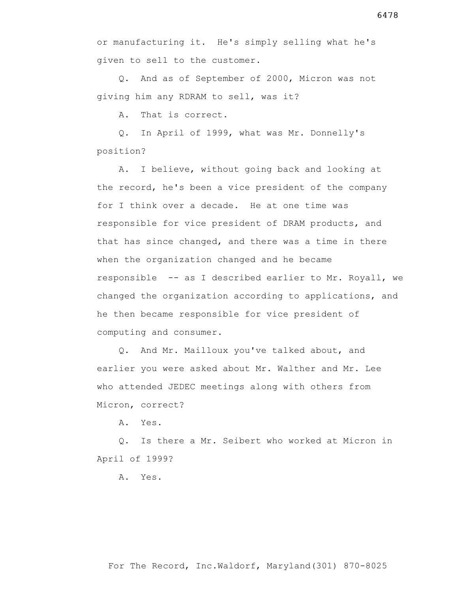Q. And as of September of 2000, Micron was not giving him any RDRAM to sell, was it?

A. That is correct.

 Q. In April of 1999, what was Mr. Donnelly's position?

 A. I believe, without going back and looking at the record, he's been a vice president of the company for I think over a decade. He at one time was responsible for vice president of DRAM products, and that has since changed, and there was a time in there when the organization changed and he became responsible -- as I described earlier to Mr. Royall, we changed the organization according to applications, and he then became responsible for vice president of computing and consumer.

 Q. And Mr. Mailloux you've talked about, and earlier you were asked about Mr. Walther and Mr. Lee who attended JEDEC meetings along with others from Micron, correct?

A. Yes.

 Q. Is there a Mr. Seibert who worked at Micron in April of 1999?

A. Yes.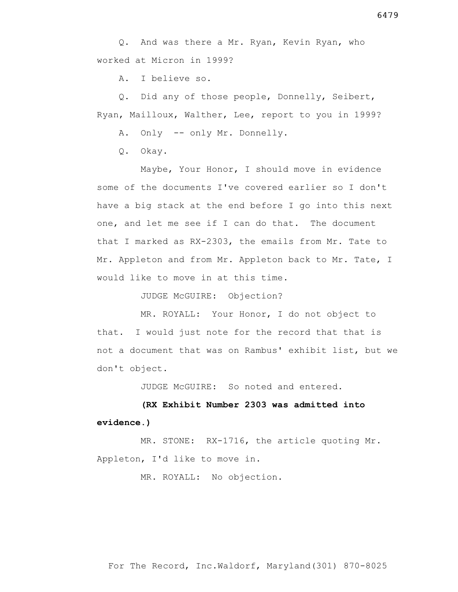Q. And was there a Mr. Ryan, Kevin Ryan, who worked at Micron in 1999?

A. I believe so.

 Q. Did any of those people, Donnelly, Seibert, Ryan, Mailloux, Walther, Lee, report to you in 1999?

A. Only -- only Mr. Donnelly.

Q. Okay.

 Maybe, Your Honor, I should move in evidence some of the documents I've covered earlier so I don't have a big stack at the end before I go into this next one, and let me see if I can do that. The document that I marked as RX-2303, the emails from Mr. Tate to Mr. Appleton and from Mr. Appleton back to Mr. Tate, I would like to move in at this time.

JUDGE McGUIRE: Objection?

 MR. ROYALL: Your Honor, I do not object to that. I would just note for the record that that is not a document that was on Rambus' exhibit list, but we don't object.

JUDGE McGUIRE: So noted and entered.

# **(RX Exhibit Number 2303 was admitted into evidence.)**

 MR. STONE: RX-1716, the article quoting Mr. Appleton, I'd like to move in.

MR. ROYALL: No objection.

For The Record, Inc.Waldorf, Maryland(301) 870-8025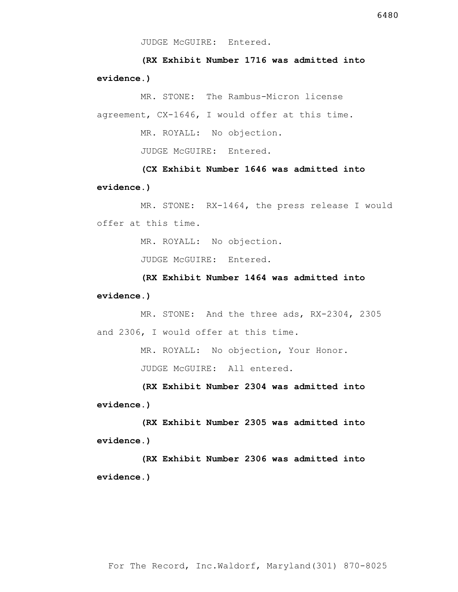**(RX Exhibit Number 1716 was admitted into evidence.)**

 MR. STONE: The Rambus-Micron license agreement, CX-1646, I would offer at this time.

MR. ROYALL: No objection.

JUDGE McGUIRE: Entered.

 **(CX Exhibit Number 1646 was admitted into evidence.)**

 MR. STONE: RX-1464, the press release I would offer at this time.

MR. ROYALL: No objection.

JUDGE McGUIRE: Entered.

 **(RX Exhibit Number 1464 was admitted into evidence.)**

 MR. STONE: And the three ads, RX-2304, 2305 and 2306, I would offer at this time.

MR. ROYALL: No objection, Your Honor.

JUDGE McGUIRE: All entered.

 **(RX Exhibit Number 2304 was admitted into evidence.)**

 **(RX Exhibit Number 2305 was admitted into evidence.)**

 **(RX Exhibit Number 2306 was admitted into evidence.)**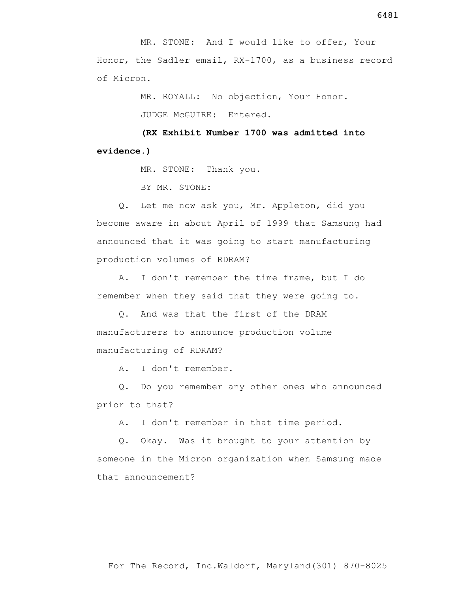MR. STONE: And I would like to offer, Your Honor, the Sadler email, RX-1700, as a business record of Micron.

> MR. ROYALL: No objection, Your Honor. JUDGE McGUIRE: Entered.

 **(RX Exhibit Number 1700 was admitted into evidence.)**

MR. STONE: Thank you.

BY MR. STONE:

 Q. Let me now ask you, Mr. Appleton, did you become aware in about April of 1999 that Samsung had announced that it was going to start manufacturing production volumes of RDRAM?

 A. I don't remember the time frame, but I do remember when they said that they were going to.

 Q. And was that the first of the DRAM manufacturers to announce production volume manufacturing of RDRAM?

A. I don't remember.

 Q. Do you remember any other ones who announced prior to that?

A. I don't remember in that time period.

 Q. Okay. Was it brought to your attention by someone in the Micron organization when Samsung made that announcement?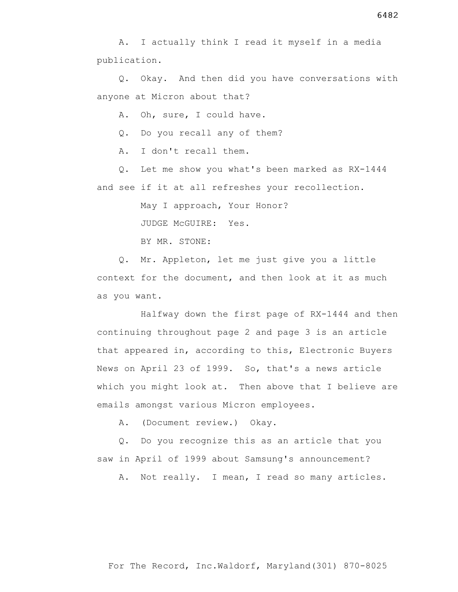Q. Okay. And then did you have conversations with anyone at Micron about that?

A. Oh, sure, I could have.

Q. Do you recall any of them?

A. I don't recall them.

 Q. Let me show you what's been marked as RX-1444 and see if it at all refreshes your recollection.

May I approach, Your Honor?

JUDGE McGUIRE: Yes.

BY MR. STONE:

 Q. Mr. Appleton, let me just give you a little context for the document, and then look at it as much as you want.

 Halfway down the first page of RX-1444 and then continuing throughout page 2 and page 3 is an article that appeared in, according to this, Electronic Buyers News on April 23 of 1999. So, that's a news article which you might look at. Then above that I believe are emails amongst various Micron employees.

A. (Document review.) Okay.

 Q. Do you recognize this as an article that you saw in April of 1999 about Samsung's announcement?

A. Not really. I mean, I read so many articles.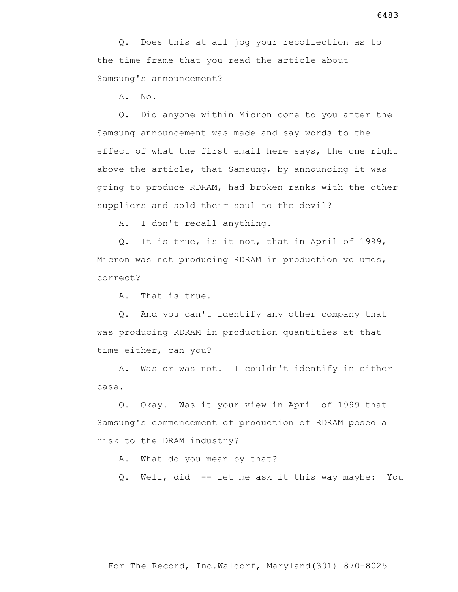Q. Does this at all jog your recollection as to the time frame that you read the article about Samsung's announcement?

A. No.

 Q. Did anyone within Micron come to you after the Samsung announcement was made and say words to the effect of what the first email here says, the one right above the article, that Samsung, by announcing it was going to produce RDRAM, had broken ranks with the other suppliers and sold their soul to the devil?

A. I don't recall anything.

 Q. It is true, is it not, that in April of 1999, Micron was not producing RDRAM in production volumes, correct?

A. That is true.

 Q. And you can't identify any other company that was producing RDRAM in production quantities at that time either, can you?

 A. Was or was not. I couldn't identify in either case.

 Q. Okay. Was it your view in April of 1999 that Samsung's commencement of production of RDRAM posed a risk to the DRAM industry?

A. What do you mean by that?

Q. Well, did -- let me ask it this way maybe: You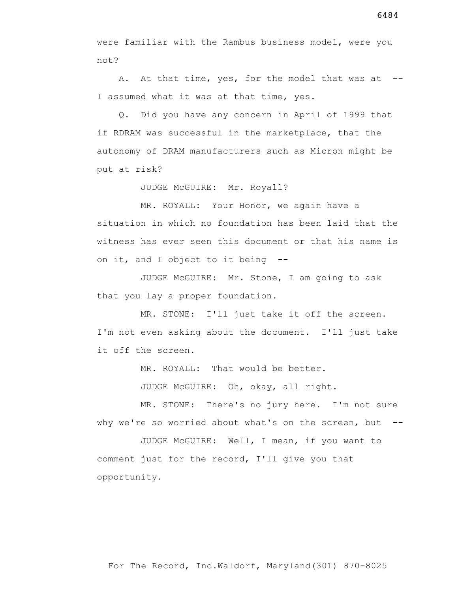were familiar with the Rambus business model, were you not?

A. At that time, yes, for the model that was at --I assumed what it was at that time, yes.

 Q. Did you have any concern in April of 1999 that if RDRAM was successful in the marketplace, that the autonomy of DRAM manufacturers such as Micron might be put at risk?

JUDGE McGUIRE: Mr. Royall?

 MR. ROYALL: Your Honor, we again have a situation in which no foundation has been laid that the witness has ever seen this document or that his name is on it, and I object to it being --

 JUDGE McGUIRE: Mr. Stone, I am going to ask that you lay a proper foundation.

 MR. STONE: I'll just take it off the screen. I'm not even asking about the document. I'll just take it off the screen.

MR. ROYALL: That would be better.

JUDGE McGUIRE: Oh, okay, all right.

 MR. STONE: There's no jury here. I'm not sure why we're so worried about what's on the screen, but --

 JUDGE McGUIRE: Well, I mean, if you want to comment just for the record, I'll give you that opportunity.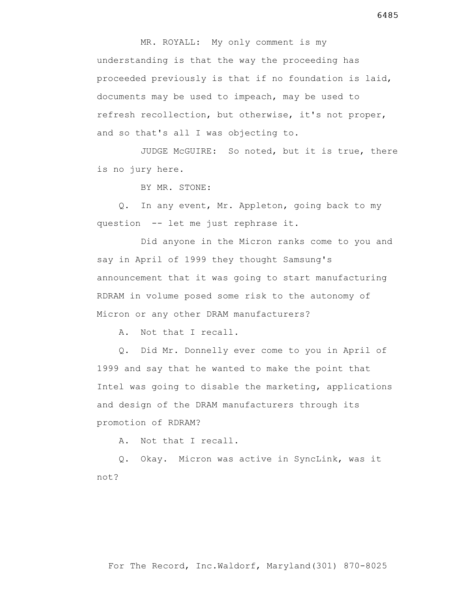MR. ROYALL: My only comment is my understanding is that the way the proceeding has proceeded previously is that if no foundation is laid, documents may be used to impeach, may be used to refresh recollection, but otherwise, it's not proper, and so that's all I was objecting to.

 JUDGE McGUIRE: So noted, but it is true, there is no jury here.

BY MR. STONE:

 Q. In any event, Mr. Appleton, going back to my question -- let me just rephrase it.

 Did anyone in the Micron ranks come to you and say in April of 1999 they thought Samsung's announcement that it was going to start manufacturing RDRAM in volume posed some risk to the autonomy of Micron or any other DRAM manufacturers?

A. Not that I recall.

 Q. Did Mr. Donnelly ever come to you in April of 1999 and say that he wanted to make the point that Intel was going to disable the marketing, applications and design of the DRAM manufacturers through its promotion of RDRAM?

A. Not that I recall.

 Q. Okay. Micron was active in SyncLink, was it not?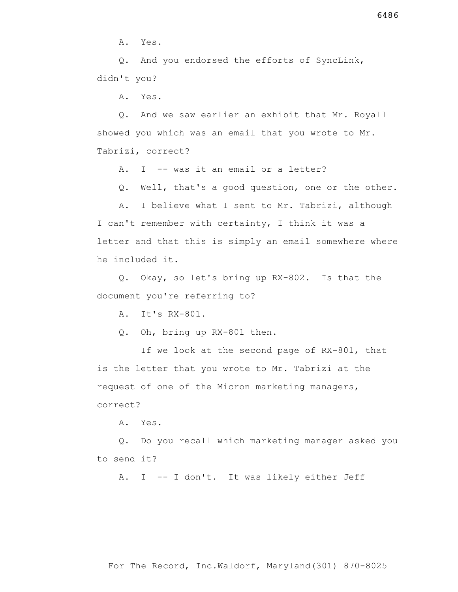A. Yes.

 Q. And you endorsed the efforts of SyncLink, didn't you?

A. Yes.

 Q. And we saw earlier an exhibit that Mr. Royall showed you which was an email that you wrote to Mr. Tabrizi, correct?

A. I -- was it an email or a letter?

Q. Well, that's a good question, one or the other.

 A. I believe what I sent to Mr. Tabrizi, although I can't remember with certainty, I think it was a letter and that this is simply an email somewhere where he included it.

 Q. Okay, so let's bring up RX-802. Is that the document you're referring to?

A. It's RX-801.

Q. Oh, bring up RX-801 then.

 If we look at the second page of RX-801, that is the letter that you wrote to Mr. Tabrizi at the request of one of the Micron marketing managers, correct?

A. Yes.

 Q. Do you recall which marketing manager asked you to send it?

A. I -- I don't. It was likely either Jeff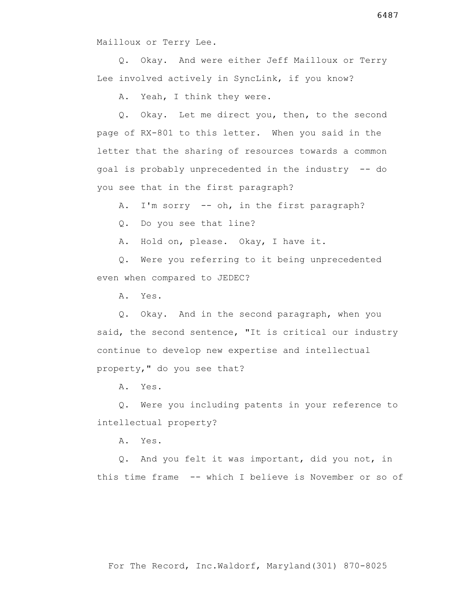Mailloux or Terry Lee.

 Q. Okay. And were either Jeff Mailloux or Terry Lee involved actively in SyncLink, if you know?

A. Yeah, I think they were.

 Q. Okay. Let me direct you, then, to the second page of RX-801 to this letter. When you said in the letter that the sharing of resources towards a common goal is probably unprecedented in the industry -- do you see that in the first paragraph?

A. I'm sorry -- oh, in the first paragraph?

Q. Do you see that line?

A. Hold on, please. Okay, I have it.

 Q. Were you referring to it being unprecedented even when compared to JEDEC?

A. Yes.

 Q. Okay. And in the second paragraph, when you said, the second sentence, "It is critical our industry continue to develop new expertise and intellectual property," do you see that?

A. Yes.

 Q. Were you including patents in your reference to intellectual property?

A. Yes.

 Q. And you felt it was important, did you not, in this time frame -- which I believe is November or so of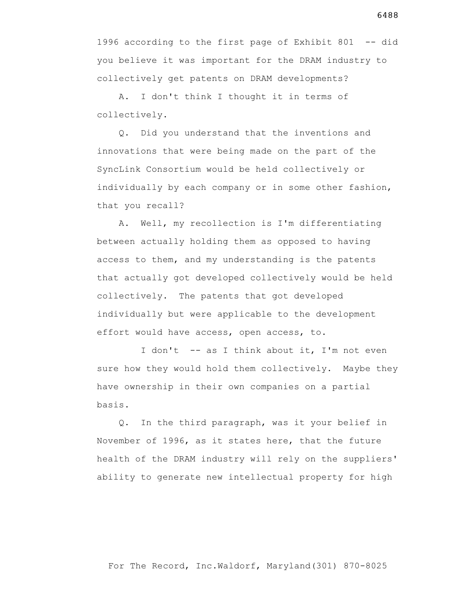1996 according to the first page of Exhibit 801 -- did you believe it was important for the DRAM industry to collectively get patents on DRAM developments?

 A. I don't think I thought it in terms of collectively.

 Q. Did you understand that the inventions and innovations that were being made on the part of the SyncLink Consortium would be held collectively or individually by each company or in some other fashion, that you recall?

 A. Well, my recollection is I'm differentiating between actually holding them as opposed to having access to them, and my understanding is the patents that actually got developed collectively would be held collectively. The patents that got developed individually but were applicable to the development effort would have access, open access, to.

I don't -- as I think about it, I'm not even sure how they would hold them collectively. Maybe they have ownership in their own companies on a partial basis.

 Q. In the third paragraph, was it your belief in November of 1996, as it states here, that the future health of the DRAM industry will rely on the suppliers' ability to generate new intellectual property for high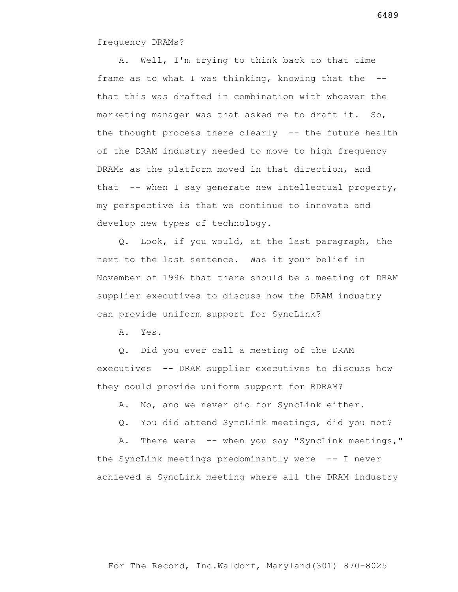frequency DRAMs?

 A. Well, I'm trying to think back to that time frame as to what I was thinking, knowing that the - that this was drafted in combination with whoever the marketing manager was that asked me to draft it. So, the thought process there clearly -- the future health of the DRAM industry needed to move to high frequency DRAMs as the platform moved in that direction, and that -- when I say generate new intellectual property, my perspective is that we continue to innovate and develop new types of technology.

 Q. Look, if you would, at the last paragraph, the next to the last sentence. Was it your belief in November of 1996 that there should be a meeting of DRAM supplier executives to discuss how the DRAM industry can provide uniform support for SyncLink?

A. Yes.

 Q. Did you ever call a meeting of the DRAM executives -- DRAM supplier executives to discuss how they could provide uniform support for RDRAM?

A. No, and we never did for SyncLink either.

Q. You did attend SyncLink meetings, did you not?

A. There were -- when you say "SyncLink meetings," the SyncLink meetings predominantly were -- I never achieved a SyncLink meeting where all the DRAM industry

For The Record, Inc.Waldorf, Maryland(301) 870-8025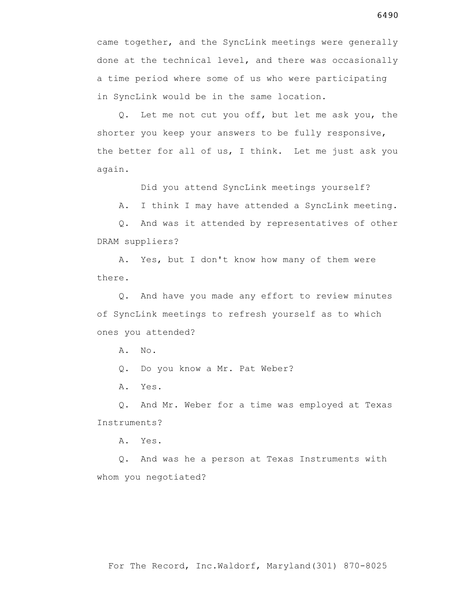came together, and the SyncLink meetings were generally done at the technical level, and there was occasionally a time period where some of us who were participating in SyncLink would be in the same location.

 Q. Let me not cut you off, but let me ask you, the shorter you keep your answers to be fully responsive, the better for all of us, I think. Let me just ask you again.

Did you attend SyncLink meetings yourself?

A. I think I may have attended a SyncLink meeting.

 Q. And was it attended by representatives of other DRAM suppliers?

 A. Yes, but I don't know how many of them were there.

 Q. And have you made any effort to review minutes of SyncLink meetings to refresh yourself as to which ones you attended?

A. No.

Q. Do you know a Mr. Pat Weber?

A. Yes.

 Q. And Mr. Weber for a time was employed at Texas Instruments?

A. Yes.

 Q. And was he a person at Texas Instruments with whom you negotiated?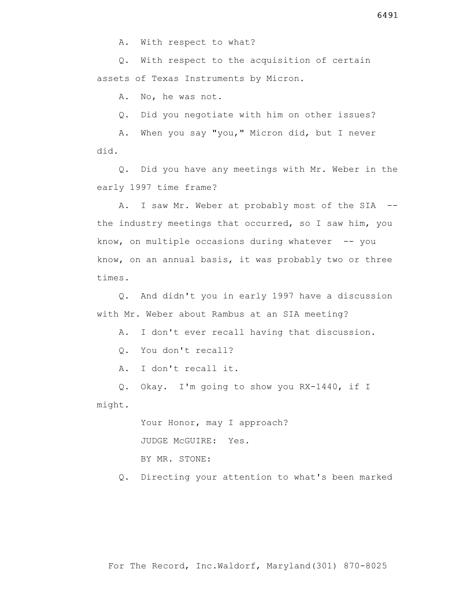A. With respect to what?

 Q. With respect to the acquisition of certain assets of Texas Instruments by Micron.

A. No, he was not.

Q. Did you negotiate with him on other issues?

 A. When you say "you," Micron did, but I never did.

 Q. Did you have any meetings with Mr. Weber in the early 1997 time frame?

A. I saw Mr. Weber at probably most of the SIA -the industry meetings that occurred, so I saw him, you know, on multiple occasions during whatever  $-$ - you know, on an annual basis, it was probably two or three times.

 Q. And didn't you in early 1997 have a discussion with Mr. Weber about Rambus at an SIA meeting?

A. I don't ever recall having that discussion.

Q. You don't recall?

A. I don't recall it.

 Q. Okay. I'm going to show you RX-1440, if I might.

> Your Honor, may I approach? JUDGE McGUIRE: Yes. BY MR. STONE:

Q. Directing your attention to what's been marked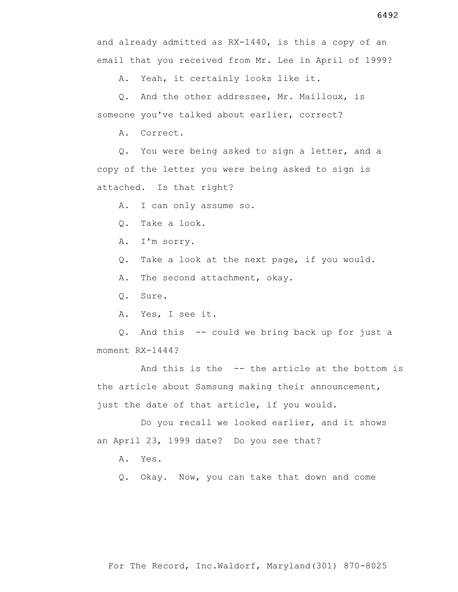A. Yeah, it certainly looks like it.

 Q. And the other addressee, Mr. Mailloux, is someone you've talked about earlier, correct?

A. Correct.

 Q. You were being asked to sign a letter, and a copy of the letter you were being asked to sign is attached. Is that right?

A. I can only assume so.

Q. Take a look.

A. I'm sorry.

Q. Take a look at the next page, if you would.

A. The second attachment, okay.

Q. Sure.

A. Yes, I see it.

 Q. And this -- could we bring back up for just a moment RX-1444?

 And this is the -- the article at the bottom is the article about Samsung making their announcement, just the date of that article, if you would.

 Do you recall we looked earlier, and it shows an April 23, 1999 date? Do you see that?

A. Yes.

Q. Okay. Now, you can take that down and come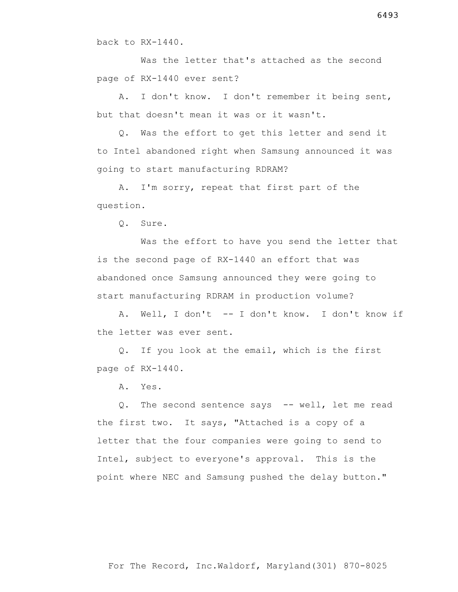back to RX-1440.

 Was the letter that's attached as the second page of RX-1440 ever sent?

 A. I don't know. I don't remember it being sent, but that doesn't mean it was or it wasn't.

 Q. Was the effort to get this letter and send it to Intel abandoned right when Samsung announced it was going to start manufacturing RDRAM?

 A. I'm sorry, repeat that first part of the question.

Q. Sure.

 Was the effort to have you send the letter that is the second page of RX-1440 an effort that was abandoned once Samsung announced they were going to start manufacturing RDRAM in production volume?

 A. Well, I don't -- I don't know. I don't know if the letter was ever sent.

 Q. If you look at the email, which is the first page of RX-1440.

A. Yes.

 Q. The second sentence says -- well, let me read the first two. It says, "Attached is a copy of a letter that the four companies were going to send to Intel, subject to everyone's approval. This is the point where NEC and Samsung pushed the delay button."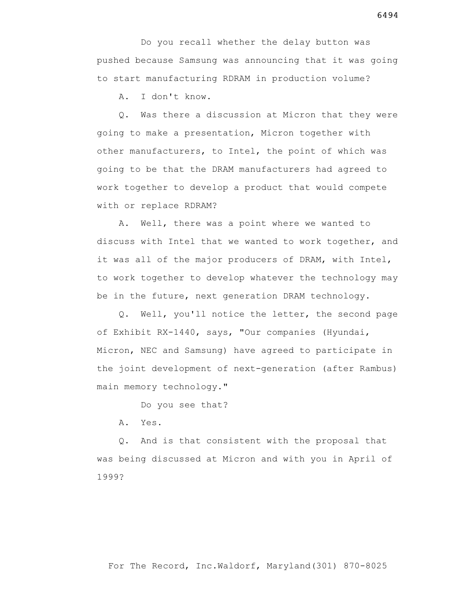Do you recall whether the delay button was pushed because Samsung was announcing that it was going to start manufacturing RDRAM in production volume?

A. I don't know.

 Q. Was there a discussion at Micron that they were going to make a presentation, Micron together with other manufacturers, to Intel, the point of which was going to be that the DRAM manufacturers had agreed to work together to develop a product that would compete with or replace RDRAM?

 A. Well, there was a point where we wanted to discuss with Intel that we wanted to work together, and it was all of the major producers of DRAM, with Intel, to work together to develop whatever the technology may be in the future, next generation DRAM technology.

 Q. Well, you'll notice the letter, the second page of Exhibit RX-1440, says, "Our companies (Hyundai, Micron, NEC and Samsung) have agreed to participate in the joint development of next-generation (after Rambus) main memory technology."

Do you see that?

A. Yes.

 Q. And is that consistent with the proposal that was being discussed at Micron and with you in April of 1999?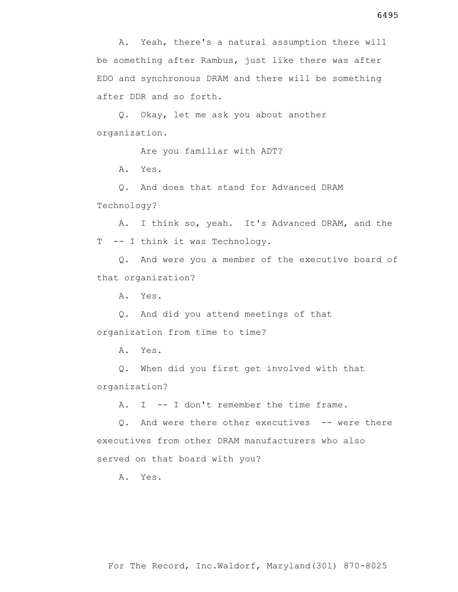Q. Okay, let me ask you about another organization.

Are you familiar with ADT?

A. Yes.

 Q. And does that stand for Advanced DRAM Technology?

 A. I think so, yeah. It's Advanced DRAM, and the T -- I think it was Technology.

 Q. And were you a member of the executive board of that organization?

A. Yes.

 Q. And did you attend meetings of that organization from time to time?

A. Yes.

 Q. When did you first get involved with that organization?

A. I -- I don't remember the time frame.

 Q. And were there other executives -- were there executives from other DRAM manufacturers who also served on that board with you?

A. Yes.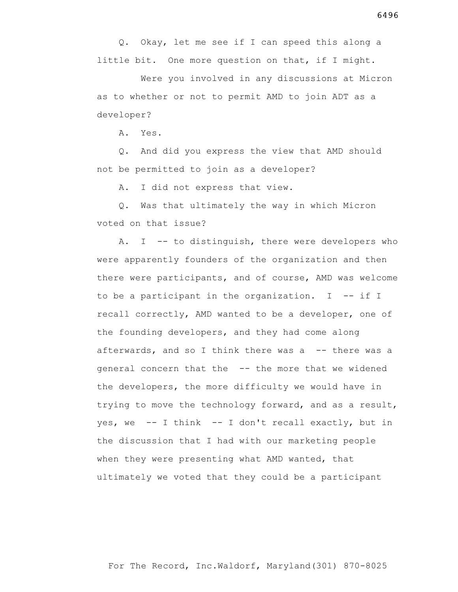Q. Okay, let me see if I can speed this along a little bit. One more question on that, if I might.

 Were you involved in any discussions at Micron as to whether or not to permit AMD to join ADT as a developer?

A. Yes.

 Q. And did you express the view that AMD should not be permitted to join as a developer?

A. I did not express that view.

 Q. Was that ultimately the way in which Micron voted on that issue?

A. I -- to distinguish, there were developers who were apparently founders of the organization and then there were participants, and of course, AMD was welcome to be a participant in the organization. I -- if I recall correctly, AMD wanted to be a developer, one of the founding developers, and they had come along afterwards, and so I think there was a -- there was a general concern that the -- the more that we widened the developers, the more difficulty we would have in trying to move the technology forward, and as a result, yes, we  $-$  I think  $-$  I don't recall exactly, but in the discussion that I had with our marketing people when they were presenting what AMD wanted, that ultimately we voted that they could be a participant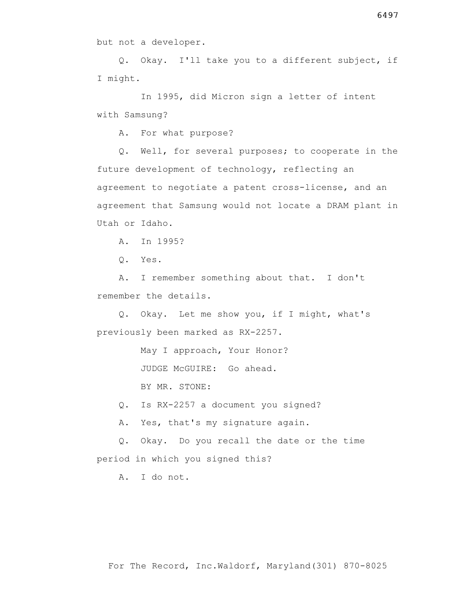but not a developer.

 Q. Okay. I'll take you to a different subject, if I might.

 In 1995, did Micron sign a letter of intent with Samsung?

A. For what purpose?

 Q. Well, for several purposes; to cooperate in the future development of technology, reflecting an agreement to negotiate a patent cross-license, and an agreement that Samsung would not locate a DRAM plant in Utah or Idaho.

A. In 1995?

Q. Yes.

 A. I remember something about that. I don't remember the details.

 Q. Okay. Let me show you, if I might, what's previously been marked as RX-2257.

May I approach, Your Honor?

JUDGE McGUIRE: Go ahead.

BY MR. STONE:

Q. Is RX-2257 a document you signed?

A. Yes, that's my signature again.

 Q. Okay. Do you recall the date or the time period in which you signed this?

A. I do not.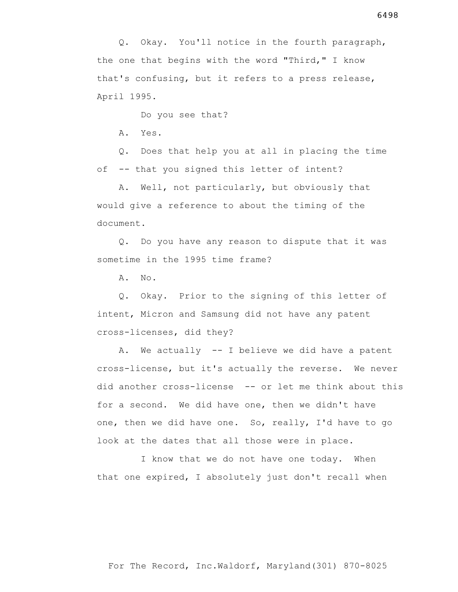Q. Okay. You'll notice in the fourth paragraph, the one that begins with the word "Third," I know that's confusing, but it refers to a press release, April 1995.

Do you see that?

A. Yes.

 Q. Does that help you at all in placing the time of -- that you signed this letter of intent?

 A. Well, not particularly, but obviously that would give a reference to about the timing of the document.

 Q. Do you have any reason to dispute that it was sometime in the 1995 time frame?

A. No.

 Q. Okay. Prior to the signing of this letter of intent, Micron and Samsung did not have any patent cross-licenses, did they?

 A. We actually -- I believe we did have a patent cross-license, but it's actually the reverse. We never did another cross-license -- or let me think about this for a second. We did have one, then we didn't have one, then we did have one. So, really, I'd have to go look at the dates that all those were in place.

 I know that we do not have one today. When that one expired, I absolutely just don't recall when

For The Record, Inc.Waldorf, Maryland(301) 870-8025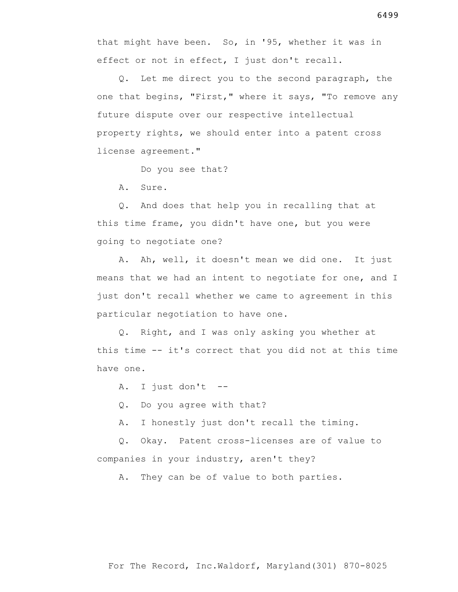that might have been. So, in '95, whether it was in effect or not in effect, I just don't recall.

 Q. Let me direct you to the second paragraph, the one that begins, "First," where it says, "To remove any future dispute over our respective intellectual property rights, we should enter into a patent cross license agreement."

Do you see that?

A. Sure.

 Q. And does that help you in recalling that at this time frame, you didn't have one, but you were going to negotiate one?

 A. Ah, well, it doesn't mean we did one. It just means that we had an intent to negotiate for one, and I just don't recall whether we came to agreement in this particular negotiation to have one.

 Q. Right, and I was only asking you whether at this time -- it's correct that you did not at this time have one.

A. I just don't --

Q. Do you agree with that?

A. I honestly just don't recall the timing.

 Q. Okay. Patent cross-licenses are of value to companies in your industry, aren't they?

A. They can be of value to both parties.

6499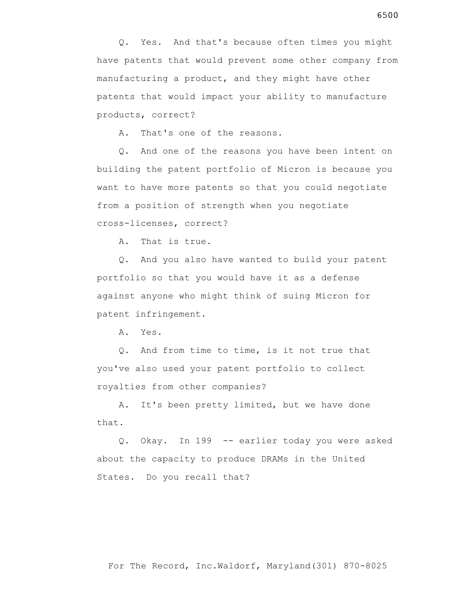products, correct?

A. That's one of the reasons.

 Q. And one of the reasons you have been intent on building the patent portfolio of Micron is because you want to have more patents so that you could negotiate from a position of strength when you negotiate cross-licenses, correct?

A. That is true.

 Q. And you also have wanted to build your patent portfolio so that you would have it as a defense against anyone who might think of suing Micron for patent infringement.

A. Yes.

 Q. And from time to time, is it not true that you've also used your patent portfolio to collect royalties from other companies?

 A. It's been pretty limited, but we have done that.

 Q. Okay. In 199 -- earlier today you were asked about the capacity to produce DRAMs in the United States. Do you recall that?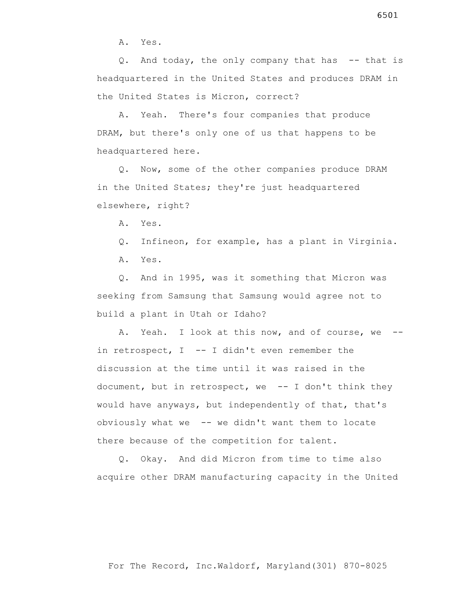A. Yes.

 Q. And today, the only company that has -- that is headquartered in the United States and produces DRAM in the United States is Micron, correct?

 A. Yeah. There's four companies that produce DRAM, but there's only one of us that happens to be headquartered here.

 Q. Now, some of the other companies produce DRAM in the United States; they're just headquartered elsewhere, right?

A. Yes.

Q. Infineon, for example, has a plant in Virginia.

A. Yes.

 Q. And in 1995, was it something that Micron was seeking from Samsung that Samsung would agree not to build a plant in Utah or Idaho?

 A. Yeah. I look at this now, and of course, we - in retrospect,  $I$  -- I didn't even remember the discussion at the time until it was raised in the document, but in retrospect, we -- I don't think they would have anyways, but independently of that, that's obviously what we -- we didn't want them to locate there because of the competition for talent.

 Q. Okay. And did Micron from time to time also acquire other DRAM manufacturing capacity in the United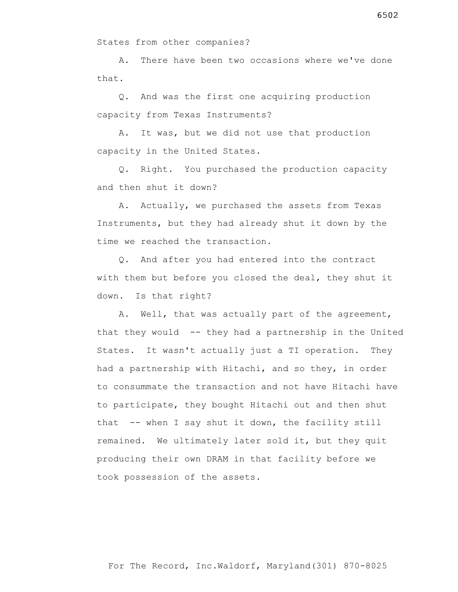States from other companies?

 A. There have been two occasions where we've done that.

 Q. And was the first one acquiring production capacity from Texas Instruments?

 A. It was, but we did not use that production capacity in the United States.

 Q. Right. You purchased the production capacity and then shut it down?

 A. Actually, we purchased the assets from Texas Instruments, but they had already shut it down by the time we reached the transaction.

 Q. And after you had entered into the contract with them but before you closed the deal, they shut it down. Is that right?

 A. Well, that was actually part of the agreement, that they would -- they had a partnership in the United States. It wasn't actually just a TI operation. They had a partnership with Hitachi, and so they, in order to consummate the transaction and not have Hitachi have to participate, they bought Hitachi out and then shut that -- when I say shut it down, the facility still remained. We ultimately later sold it, but they quit producing their own DRAM in that facility before we took possession of the assets.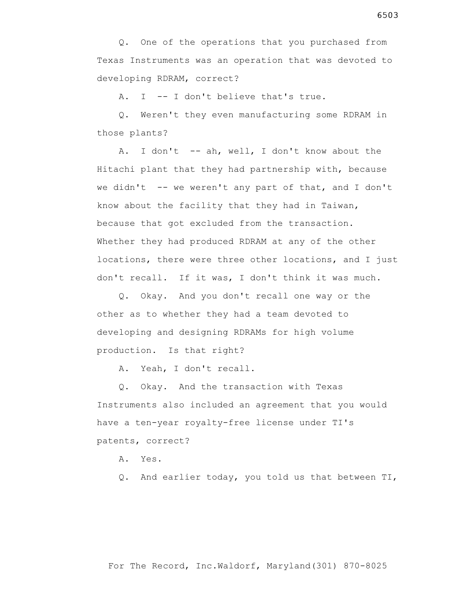Q. One of the operations that you purchased from Texas Instruments was an operation that was devoted to developing RDRAM, correct?

A. I -- I don't believe that's true.

 Q. Weren't they even manufacturing some RDRAM in those plants?

 A. I don't -- ah, well, I don't know about the Hitachi plant that they had partnership with, because we didn't  $-$  we weren't any part of that, and I don't know about the facility that they had in Taiwan, because that got excluded from the transaction. Whether they had produced RDRAM at any of the other locations, there were three other locations, and I just don't recall. If it was, I don't think it was much.

 Q. Okay. And you don't recall one way or the other as to whether they had a team devoted to developing and designing RDRAMs for high volume production. Is that right?

A. Yeah, I don't recall.

 Q. Okay. And the transaction with Texas Instruments also included an agreement that you would have a ten-year royalty-free license under TI's patents, correct?

A. Yes.

Q. And earlier today, you told us that between TI,

## For The Record, Inc.Waldorf, Maryland(301) 870-8025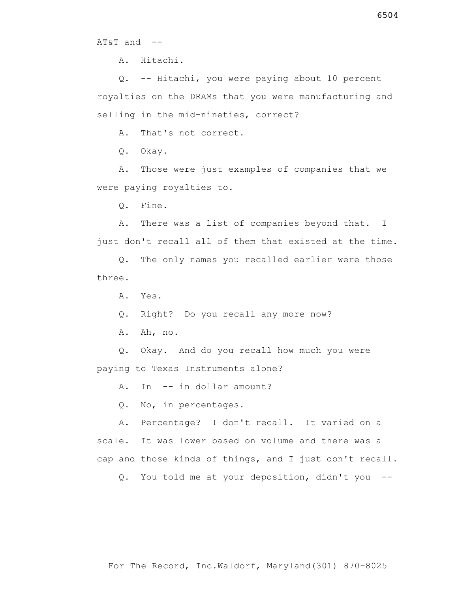AT&T and --

A. Hitachi.

 Q. -- Hitachi, you were paying about 10 percent royalties on the DRAMs that you were manufacturing and selling in the mid-nineties, correct?

A. That's not correct.

Q. Okay.

 A. Those were just examples of companies that we were paying royalties to.

Q. Fine.

 A. There was a list of companies beyond that. I just don't recall all of them that existed at the time.

 Q. The only names you recalled earlier were those three.

A. Yes.

Q. Right? Do you recall any more now?

A. Ah, no.

 Q. Okay. And do you recall how much you were paying to Texas Instruments alone?

A. In -- in dollar amount?

Q. No, in percentages.

 A. Percentage? I don't recall. It varied on a scale. It was lower based on volume and there was a cap and those kinds of things, and I just don't recall.

Q. You told me at your deposition, didn't you --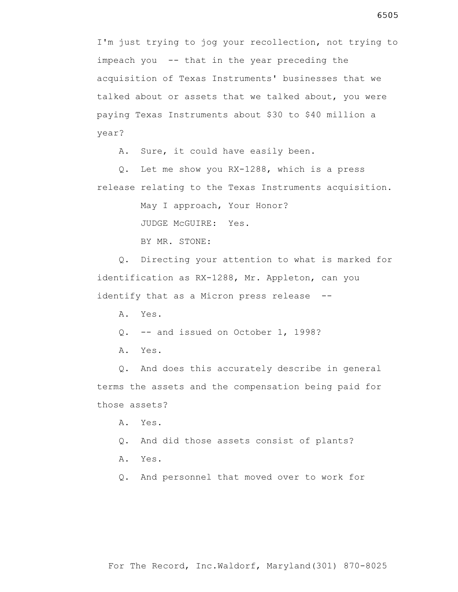I'm just trying to jog your recollection, not trying to impeach you -- that in the year preceding the acquisition of Texas Instruments' businesses that we talked about or assets that we talked about, you were paying Texas Instruments about \$30 to \$40 million a year?

A. Sure, it could have easily been.

 Q. Let me show you RX-1288, which is a press release relating to the Texas Instruments acquisition.

May I approach, Your Honor?

JUDGE McGUIRE: Yes.

BY MR. STONE:

 Q. Directing your attention to what is marked for identification as RX-1288, Mr. Appleton, can you identify that as a Micron press release --

A. Yes.

Q. -- and issued on October 1, 1998?

A. Yes.

 Q. And does this accurately describe in general terms the assets and the compensation being paid for those assets?

A. Yes.

Q. And did those assets consist of plants?

A. Yes.

Q. And personnel that moved over to work for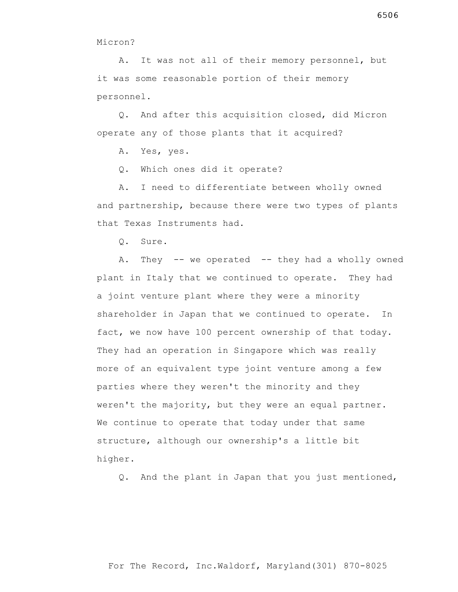Micron?

 A. It was not all of their memory personnel, but it was some reasonable portion of their memory personnel.

 Q. And after this acquisition closed, did Micron operate any of those plants that it acquired?

A. Yes, yes.

Q. Which ones did it operate?

 A. I need to differentiate between wholly owned and partnership, because there were two types of plants that Texas Instruments had.

Q. Sure.

A. They -- we operated -- they had a wholly owned plant in Italy that we continued to operate. They had a joint venture plant where they were a minority shareholder in Japan that we continued to operate. In fact, we now have 100 percent ownership of that today. They had an operation in Singapore which was really more of an equivalent type joint venture among a few parties where they weren't the minority and they weren't the majority, but they were an equal partner. We continue to operate that today under that same structure, although our ownership's a little bit higher.

Q. And the plant in Japan that you just mentioned,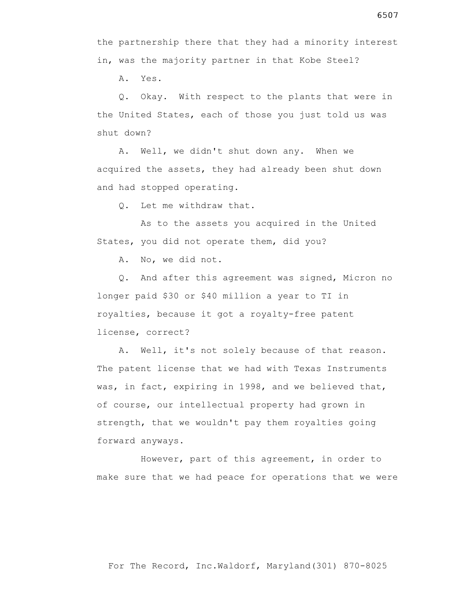A. Yes.

 Q. Okay. With respect to the plants that were in the United States, each of those you just told us was shut down?

 A. Well, we didn't shut down any. When we acquired the assets, they had already been shut down and had stopped operating.

Q. Let me withdraw that.

 As to the assets you acquired in the United States, you did not operate them, did you?

A. No, we did not.

 Q. And after this agreement was signed, Micron no longer paid \$30 or \$40 million a year to TI in royalties, because it got a royalty-free patent license, correct?

 A. Well, it's not solely because of that reason. The patent license that we had with Texas Instruments was, in fact, expiring in 1998, and we believed that, of course, our intellectual property had grown in strength, that we wouldn't pay them royalties going forward anyways.

 However, part of this agreement, in order to make sure that we had peace for operations that we were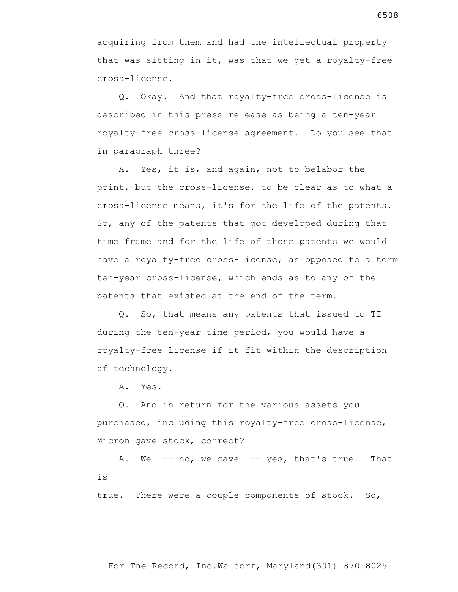acquiring from them and had the intellectual property that was sitting in it, was that we get a royalty-free cross-license.

 Q. Okay. And that royalty-free cross-license is described in this press release as being a ten-year royalty-free cross-license agreement. Do you see that in paragraph three?

 A. Yes, it is, and again, not to belabor the point, but the cross-license, to be clear as to what a cross-license means, it's for the life of the patents. So, any of the patents that got developed during that time frame and for the life of those patents we would have a royalty-free cross-license, as opposed to a term ten-year cross-license, which ends as to any of the patents that existed at the end of the term.

 Q. So, that means any patents that issued to TI during the ten-year time period, you would have a royalty-free license if it fit within the description of technology.

A. Yes.

 Q. And in return for the various assets you purchased, including this royalty-free cross-license, Micron gave stock, correct?

A. We -- no, we gave -- yes, that's true. That is

true. There were a couple components of stock. So,

6508

For The Record, Inc.Waldorf, Maryland(301) 870-8025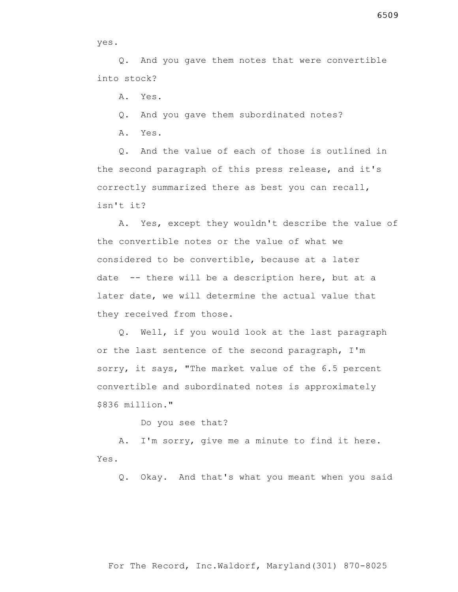yes.

 Q. And you gave them notes that were convertible into stock?

A. Yes.

Q. And you gave them subordinated notes?

A. Yes.

 Q. And the value of each of those is outlined in the second paragraph of this press release, and it's correctly summarized there as best you can recall, isn't it?

 A. Yes, except they wouldn't describe the value of the convertible notes or the value of what we considered to be convertible, because at a later date -- there will be a description here, but at a later date, we will determine the actual value that they received from those.

 Q. Well, if you would look at the last paragraph or the last sentence of the second paragraph, I'm sorry, it says, "The market value of the 6.5 percent convertible and subordinated notes is approximately \$836 million."

Do you see that?

 A. I'm sorry, give me a minute to find it here. Yes.

Q. Okay. And that's what you meant when you said

## For The Record, Inc.Waldorf, Maryland(301) 870-8025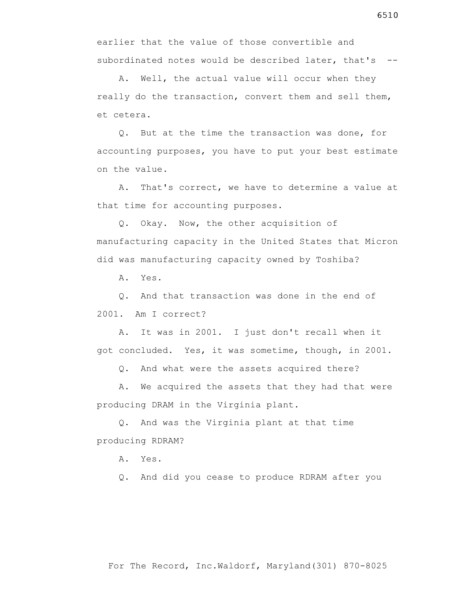earlier that the value of those convertible and subordinated notes would be described later, that's --

 A. Well, the actual value will occur when they really do the transaction, convert them and sell them, et cetera.

 Q. But at the time the transaction was done, for accounting purposes, you have to put your best estimate on the value.

 A. That's correct, we have to determine a value at that time for accounting purposes.

 Q. Okay. Now, the other acquisition of manufacturing capacity in the United States that Micron did was manufacturing capacity owned by Toshiba?

A. Yes.

 Q. And that transaction was done in the end of 2001. Am I correct?

 A. It was in 2001. I just don't recall when it got concluded. Yes, it was sometime, though, in 2001.

Q. And what were the assets acquired there?

 A. We acquired the assets that they had that were producing DRAM in the Virginia plant.

 Q. And was the Virginia plant at that time producing RDRAM?

A. Yes.

Q. And did you cease to produce RDRAM after you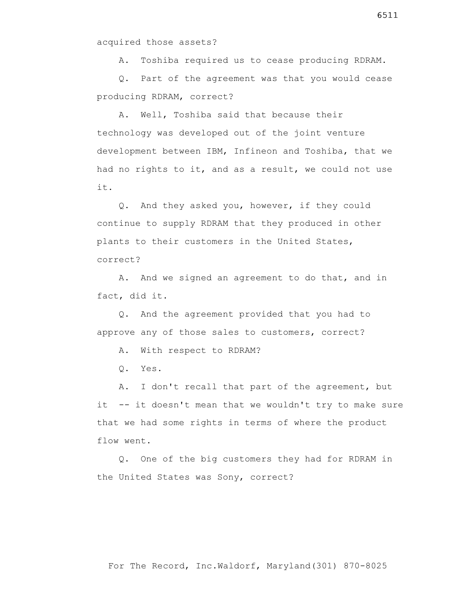acquired those assets?

A. Toshiba required us to cease producing RDRAM.

 Q. Part of the agreement was that you would cease producing RDRAM, correct?

 A. Well, Toshiba said that because their technology was developed out of the joint venture development between IBM, Infineon and Toshiba, that we had no rights to it, and as a result, we could not use it.

 Q. And they asked you, however, if they could continue to supply RDRAM that they produced in other plants to their customers in the United States, correct?

 A. And we signed an agreement to do that, and in fact, did it.

 Q. And the agreement provided that you had to approve any of those sales to customers, correct?

A. With respect to RDRAM?

Q. Yes.

 A. I don't recall that part of the agreement, but it -- it doesn't mean that we wouldn't try to make sure that we had some rights in terms of where the product flow went.

 Q. One of the big customers they had for RDRAM in the United States was Sony, correct?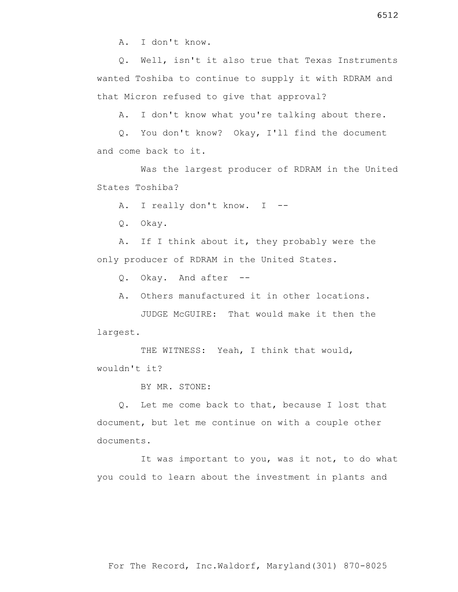Q. Well, isn't it also true that Texas Instruments wanted Toshiba to continue to supply it with RDRAM and that Micron refused to give that approval?

A. I don't know what you're talking about there.

 Q. You don't know? Okay, I'll find the document and come back to it.

 Was the largest producer of RDRAM in the United States Toshiba?

A. I really don't know. I --

Q. Okay.

 A. If I think about it, they probably were the only producer of RDRAM in the United States.

Q. Okay. And after --

A. Others manufactured it in other locations.

 JUDGE McGUIRE: That would make it then the largest.

THE WITNESS: Yeah, I think that would, wouldn't it?

BY MR. STONE:

 Q. Let me come back to that, because I lost that document, but let me continue on with a couple other documents.

 It was important to you, was it not, to do what you could to learn about the investment in plants and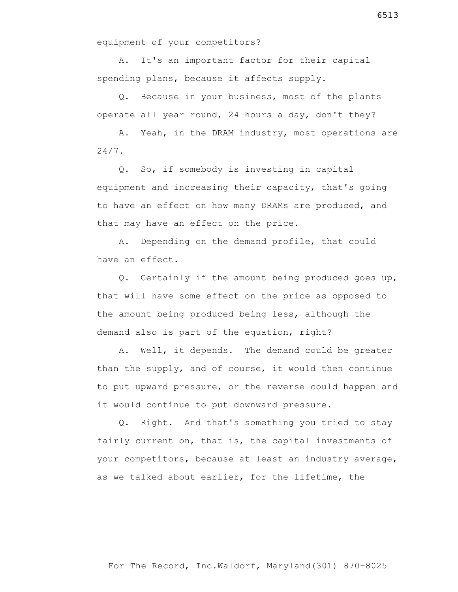equipment of your competitors?

 A. It's an important factor for their capital spending plans, because it affects supply.

 Q. Because in your business, most of the plants operate all year round, 24 hours a day, don't they?

 A. Yeah, in the DRAM industry, most operations are 24/7.

 Q. So, if somebody is investing in capital equipment and increasing their capacity, that's going to have an effect on how many DRAMs are produced, and that may have an effect on the price.

 A. Depending on the demand profile, that could have an effect.

 Q. Certainly if the amount being produced goes up, that will have some effect on the price as opposed to the amount being produced being less, although the demand also is part of the equation, right?

 A. Well, it depends. The demand could be greater than the supply, and of course, it would then continue to put upward pressure, or the reverse could happen and it would continue to put downward pressure.

 Q. Right. And that's something you tried to stay fairly current on, that is, the capital investments of your competitors, because at least an industry average, as we talked about earlier, for the lifetime, the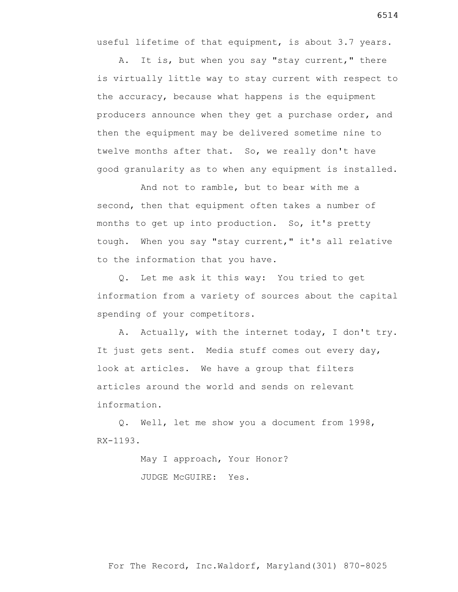useful lifetime of that equipment, is about 3.7 years.

 A. It is, but when you say "stay current," there is virtually little way to stay current with respect to the accuracy, because what happens is the equipment producers announce when they get a purchase order, and then the equipment may be delivered sometime nine to twelve months after that. So, we really don't have good granularity as to when any equipment is installed.

 And not to ramble, but to bear with me a second, then that equipment often takes a number of months to get up into production. So, it's pretty tough. When you say "stay current," it's all relative to the information that you have.

 Q. Let me ask it this way: You tried to get information from a variety of sources about the capital spending of your competitors.

 A. Actually, with the internet today, I don't try. It just gets sent. Media stuff comes out every day, look at articles. We have a group that filters articles around the world and sends on relevant information.

 Q. Well, let me show you a document from 1998, RX-1193.

> May I approach, Your Honor? JUDGE McGUIRE: Yes.

6514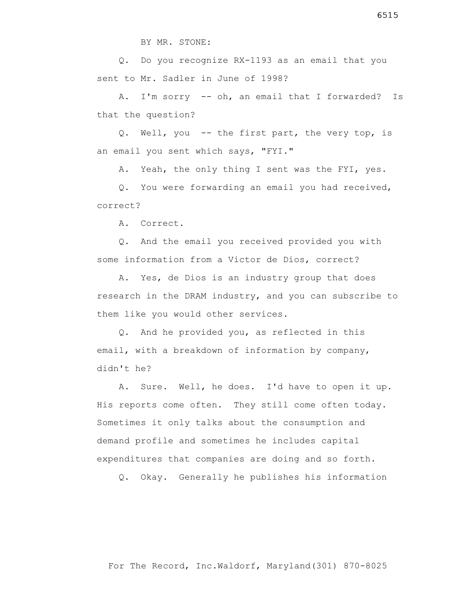Q. Do you recognize RX-1193 as an email that you sent to Mr. Sadler in June of 1998?

 A. I'm sorry -- oh, an email that I forwarded? Is that the question?

 Q. Well, you -- the first part, the very top, is an email you sent which says, "FYI."

A. Yeah, the only thing I sent was the FYI, yes.

 Q. You were forwarding an email you had received, correct?

A. Correct.

 Q. And the email you received provided you with some information from a Victor de Dios, correct?

 A. Yes, de Dios is an industry group that does research in the DRAM industry, and you can subscribe to them like you would other services.

 Q. And he provided you, as reflected in this email, with a breakdown of information by company, didn't he?

 A. Sure. Well, he does. I'd have to open it up. His reports come often. They still come often today. Sometimes it only talks about the consumption and demand profile and sometimes he includes capital expenditures that companies are doing and so forth.

Q. Okay. Generally he publishes his information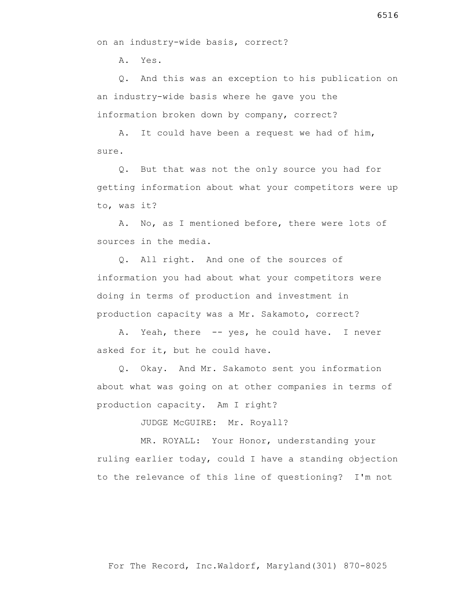on an industry-wide basis, correct?

A. Yes.

 Q. And this was an exception to his publication on an industry-wide basis where he gave you the information broken down by company, correct?

 A. It could have been a request we had of him, sure.

 Q. But that was not the only source you had for getting information about what your competitors were up to, was it?

 A. No, as I mentioned before, there were lots of sources in the media.

 Q. All right. And one of the sources of information you had about what your competitors were doing in terms of production and investment in production capacity was a Mr. Sakamoto, correct?

A. Yeah, there -- yes, he could have. I never asked for it, but he could have.

 Q. Okay. And Mr. Sakamoto sent you information about what was going on at other companies in terms of production capacity. Am I right?

JUDGE McGUIRE: Mr. Royall?

 MR. ROYALL: Your Honor, understanding your ruling earlier today, could I have a standing objection to the relevance of this line of questioning? I'm not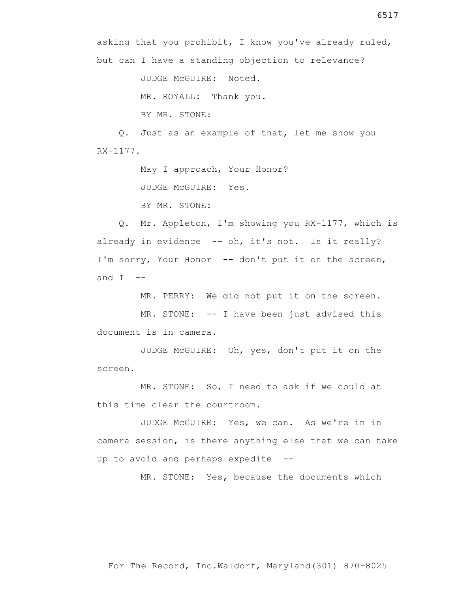JUDGE McGUIRE: Noted.

MR. ROYALL: Thank you.

BY MR. STONE:

 Q. Just as an example of that, let me show you RX-1177.

May I approach, Your Honor?

JUDGE McGUIRE: Yes.

BY MR. STONE:

 Q. Mr. Appleton, I'm showing you RX-1177, which is already in evidence -- oh, it's not. Is it really? I'm sorry, Your Honor -- don't put it on the screen, and  $I$  --

MR. PERRY: We did not put it on the screen.

MR. STONE: -- I have been just advised this document is in camera.

 JUDGE McGUIRE: Oh, yes, don't put it on the screen.

 MR. STONE: So, I need to ask if we could at this time clear the courtroom.

 JUDGE McGUIRE: Yes, we can. As we're in in camera session, is there anything else that we can take up to avoid and perhaps expedite --

MR. STONE: Yes, because the documents which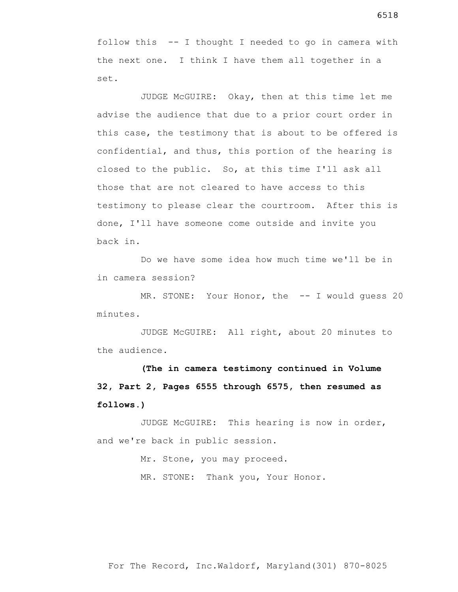follow this -- I thought I needed to go in camera with the next one. I think I have them all together in a set.

 JUDGE McGUIRE: Okay, then at this time let me advise the audience that due to a prior court order in this case, the testimony that is about to be offered is confidential, and thus, this portion of the hearing is closed to the public. So, at this time I'll ask all those that are not cleared to have access to this testimony to please clear the courtroom. After this is done, I'll have someone come outside and invite you back in.

 Do we have some idea how much time we'll be in in camera session?

MR. STONE: Your Honor, the -- I would guess 20 minutes.

 JUDGE McGUIRE: All right, about 20 minutes to the audience.

**(The in camera testimony continued in Volume 32, Part 2, Pages 6555 through 6575, then resumed as follows.)**

 JUDGE McGUIRE: This hearing is now in order, and we're back in public session.

> Mr. Stone, you may proceed. MR. STONE: Thank you, Your Honor.

6518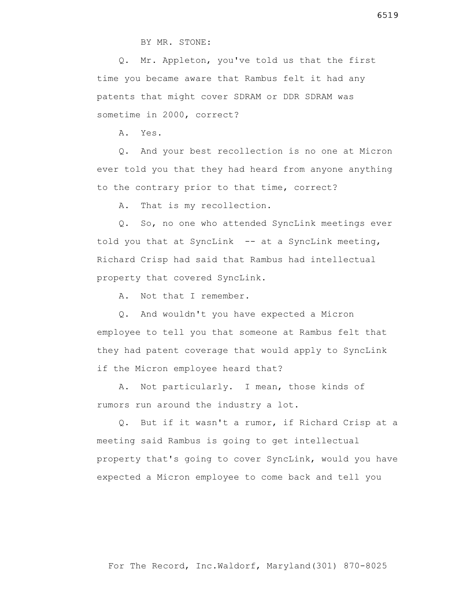BY MR. STONE:

 Q. Mr. Appleton, you've told us that the first time you became aware that Rambus felt it had any patents that might cover SDRAM or DDR SDRAM was sometime in 2000, correct?

A. Yes.

 Q. And your best recollection is no one at Micron ever told you that they had heard from anyone anything to the contrary prior to that time, correct?

A. That is my recollection.

 Q. So, no one who attended SyncLink meetings ever told you that at SyncLink  $-$  at a SyncLink meeting, Richard Crisp had said that Rambus had intellectual property that covered SyncLink.

A. Not that I remember.

 Q. And wouldn't you have expected a Micron employee to tell you that someone at Rambus felt that they had patent coverage that would apply to SyncLink if the Micron employee heard that?

 A. Not particularly. I mean, those kinds of rumors run around the industry a lot.

 Q. But if it wasn't a rumor, if Richard Crisp at a meeting said Rambus is going to get intellectual property that's going to cover SyncLink, would you have expected a Micron employee to come back and tell you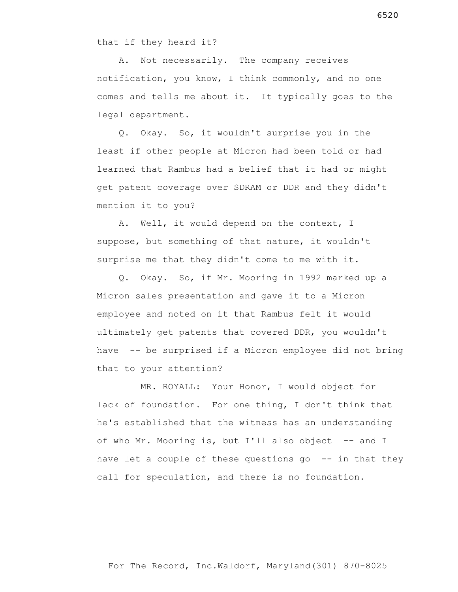that if they heard it?

 A. Not necessarily. The company receives notification, you know, I think commonly, and no one comes and tells me about it. It typically goes to the legal department.

 Q. Okay. So, it wouldn't surprise you in the least if other people at Micron had been told or had learned that Rambus had a belief that it had or might get patent coverage over SDRAM or DDR and they didn't mention it to you?

 A. Well, it would depend on the context, I suppose, but something of that nature, it wouldn't surprise me that they didn't come to me with it.

 Q. Okay. So, if Mr. Mooring in 1992 marked up a Micron sales presentation and gave it to a Micron employee and noted on it that Rambus felt it would ultimately get patents that covered DDR, you wouldn't have -- be surprised if a Micron employee did not bring that to your attention?

 MR. ROYALL: Your Honor, I would object for lack of foundation. For one thing, I don't think that he's established that the witness has an understanding of who Mr. Mooring is, but I'll also object -- and I have let a couple of these questions go -- in that they call for speculation, and there is no foundation.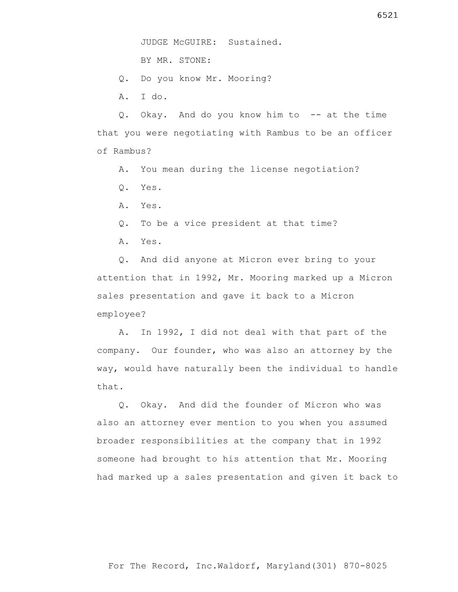BY MR. STONE:

- Q. Do you know Mr. Mooring?
- A. I do.

 Q. Okay. And do you know him to -- at the time that you were negotiating with Rambus to be an officer of Rambus?

- A. You mean during the license negotiation?
- Q. Yes.
- A. Yes.
- Q. To be a vice president at that time?
- A. Yes.

 Q. And did anyone at Micron ever bring to your attention that in 1992, Mr. Mooring marked up a Micron sales presentation and gave it back to a Micron employee?

 A. In 1992, I did not deal with that part of the company. Our founder, who was also an attorney by the way, would have naturally been the individual to handle that.

 Q. Okay. And did the founder of Micron who was also an attorney ever mention to you when you assumed broader responsibilities at the company that in 1992 someone had brought to his attention that Mr. Mooring had marked up a sales presentation and given it back to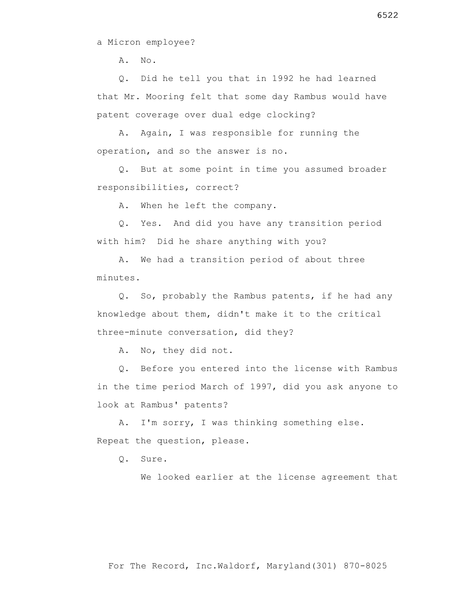a Micron employee?

 $A. NO.$ 

 Q. Did he tell you that in 1992 he had learned that Mr. Mooring felt that some day Rambus would have patent coverage over dual edge clocking?

 A. Again, I was responsible for running the operation, and so the answer is no.

 Q. But at some point in time you assumed broader responsibilities, correct?

A. When he left the company.

 Q. Yes. And did you have any transition period with him? Did he share anything with you?

 A. We had a transition period of about three minutes.

 Q. So, probably the Rambus patents, if he had any knowledge about them, didn't make it to the critical three-minute conversation, did they?

A. No, they did not.

 Q. Before you entered into the license with Rambus in the time period March of 1997, did you ask anyone to look at Rambus' patents?

 A. I'm sorry, I was thinking something else. Repeat the question, please.

Q. Sure.

We looked earlier at the license agreement that

6522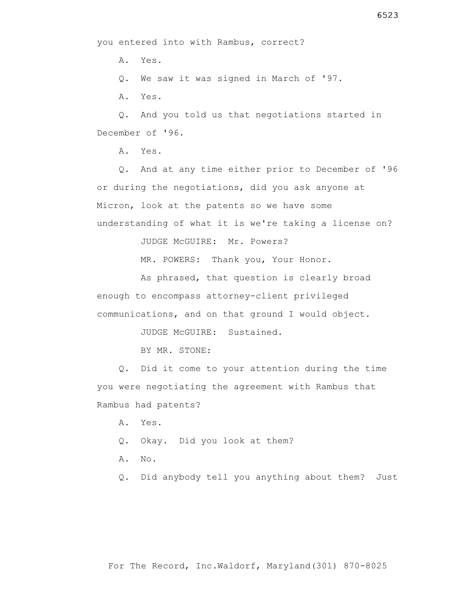A. Yes.

Q. We saw it was signed in March of '97.

A. Yes.

 Q. And you told us that negotiations started in December of '96.

A. Yes.

 Q. And at any time either prior to December of '96 or during the negotiations, did you ask anyone at Micron, look at the patents so we have some understanding of what it is we're taking a license on?

JUDGE McGUIRE: Mr. Powers?

MR. POWERS: Thank you, Your Honor.

 As phrased, that question is clearly broad enough to encompass attorney-client privileged communications, and on that ground I would object.

JUDGE McGUIRE: Sustained.

BY MR. STONE:

 Q. Did it come to your attention during the time you were negotiating the agreement with Rambus that Rambus had patents?

A. Yes.

Q. Okay. Did you look at them?

A. No.

Q. Did anybody tell you anything about them? Just

## For The Record, Inc.Waldorf, Maryland(301) 870-8025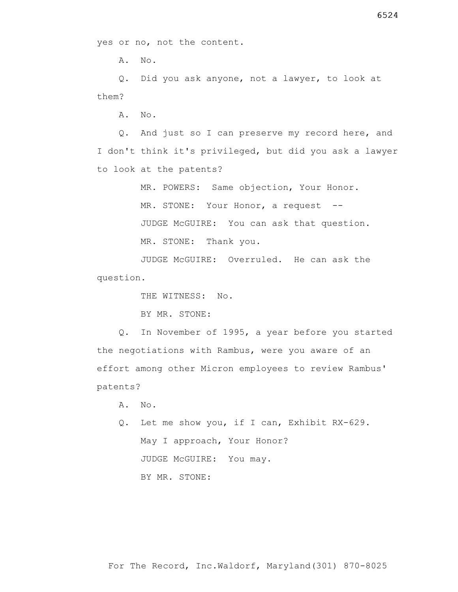A. No.

 Q. Did you ask anyone, not a lawyer, to look at them?

A. No.

 Q. And just so I can preserve my record here, and I don't think it's privileged, but did you ask a lawyer to look at the patents?

MR. POWERS: Same objection, Your Honor.

MR. STONE: Your Honor, a request --

JUDGE McGUIRE: You can ask that question.

MR. STONE: Thank you.

 JUDGE McGUIRE: Overruled. He can ask the question.

THE WITNESS: No.

BY MR. STONE:

 Q. In November of 1995, a year before you started the negotiations with Rambus, were you aware of an effort among other Micron employees to review Rambus' patents?

A. No.

 Q. Let me show you, if I can, Exhibit RX-629. May I approach, Your Honor? JUDGE McGUIRE: You may. BY MR. STONE: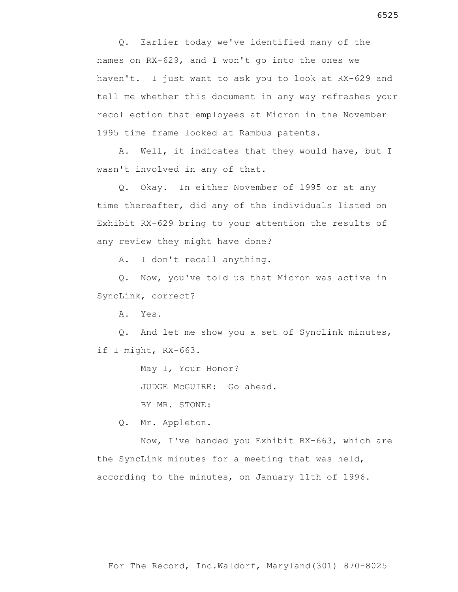Q. Earlier today we've identified many of the names on RX-629, and I won't go into the ones we haven't. I just want to ask you to look at RX-629 and tell me whether this document in any way refreshes your recollection that employees at Micron in the November 1995 time frame looked at Rambus patents.

 A. Well, it indicates that they would have, but I wasn't involved in any of that.

 Q. Okay. In either November of 1995 or at any time thereafter, did any of the individuals listed on Exhibit RX-629 bring to your attention the results of any review they might have done?

A. I don't recall anything.

 Q. Now, you've told us that Micron was active in SyncLink, correct?

A. Yes.

 Q. And let me show you a set of SyncLink minutes, if I might, RX-663.

May I, Your Honor?

JUDGE McGUIRE: Go ahead.

BY MR. STONE:

Q. Mr. Appleton.

 Now, I've handed you Exhibit RX-663, which are the SyncLink minutes for a meeting that was held, according to the minutes, on January 11th of 1996.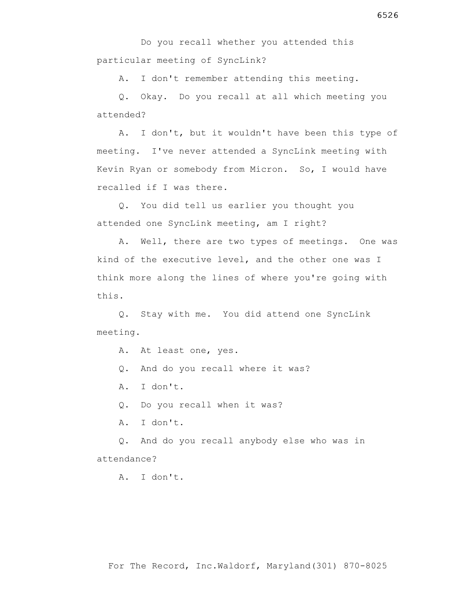A. I don't remember attending this meeting.

 Q. Okay. Do you recall at all which meeting you attended?

 A. I don't, but it wouldn't have been this type of meeting. I've never attended a SyncLink meeting with Kevin Ryan or somebody from Micron. So, I would have recalled if I was there.

 Q. You did tell us earlier you thought you attended one SyncLink meeting, am I right?

 A. Well, there are two types of meetings. One was kind of the executive level, and the other one was I think more along the lines of where you're going with this.

 Q. Stay with me. You did attend one SyncLink meeting.

- A. At least one, yes.
- Q. And do you recall where it was?
- A. I don't.
- Q. Do you recall when it was?
- A. I don't.

 Q. And do you recall anybody else who was in attendance?

A. I don't.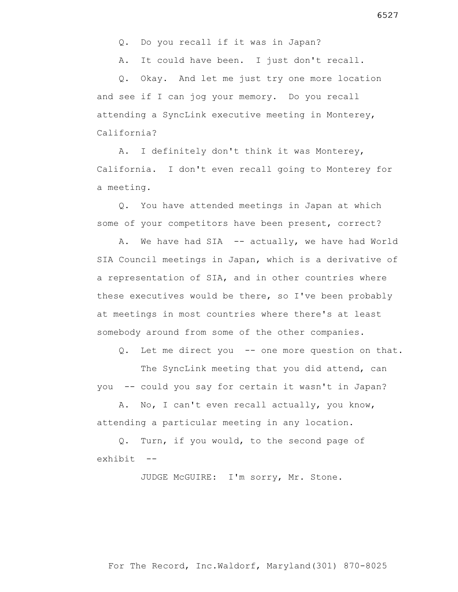Q. Do you recall if it was in Japan?

A. It could have been. I just don't recall.

 Q. Okay. And let me just try one more location and see if I can jog your memory. Do you recall attending a SyncLink executive meeting in Monterey, California?

 A. I definitely don't think it was Monterey, California. I don't even recall going to Monterey for a meeting.

 Q. You have attended meetings in Japan at which some of your competitors have been present, correct?

A. We have had SIA -- actually, we have had World SIA Council meetings in Japan, which is a derivative of a representation of SIA, and in other countries where these executives would be there, so I've been probably at meetings in most countries where there's at least somebody around from some of the other companies.

Q. Let me direct you -- one more question on that.

 The SyncLink meeting that you did attend, can you -- could you say for certain it wasn't in Japan?

 A. No, I can't even recall actually, you know, attending a particular meeting in any location.

 Q. Turn, if you would, to the second page of exhibit --

JUDGE McGUIRE: I'm sorry, Mr. Stone.

For The Record, Inc.Waldorf, Maryland(301) 870-8025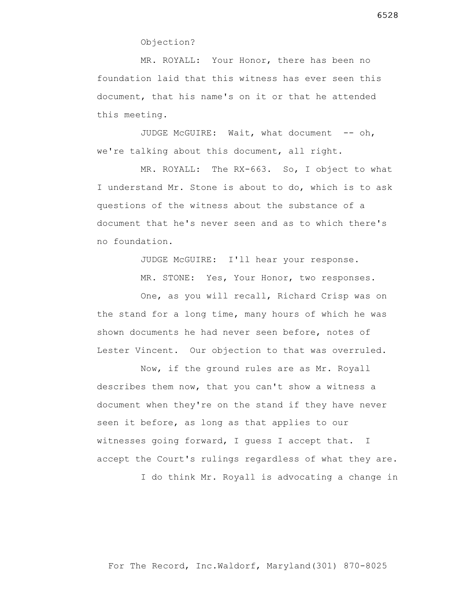MR. ROYALL: Your Honor, there has been no foundation laid that this witness has ever seen this document, that his name's on it or that he attended this meeting.

JUDGE McGUIRE: Wait, what document -- oh, we're talking about this document, all right.

 MR. ROYALL: The RX-663. So, I object to what I understand Mr. Stone is about to do, which is to ask questions of the witness about the substance of a document that he's never seen and as to which there's no foundation.

JUDGE McGUIRE: I'll hear your response.

MR. STONE: Yes, Your Honor, two responses.

 One, as you will recall, Richard Crisp was on the stand for a long time, many hours of which he was shown documents he had never seen before, notes of Lester Vincent. Our objection to that was overruled.

 Now, if the ground rules are as Mr. Royall describes them now, that you can't show a witness a document when they're on the stand if they have never seen it before, as long as that applies to our witnesses going forward, I guess I accept that. I accept the Court's rulings regardless of what they are.

I do think Mr. Royall is advocating a change in

6528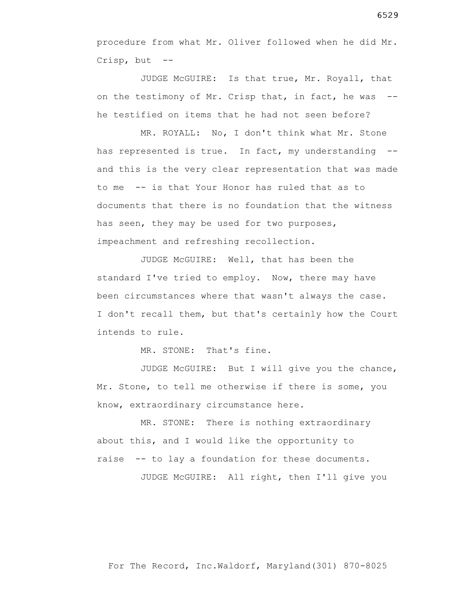procedure from what Mr. Oliver followed when he did Mr. Crisp, but --

 JUDGE McGUIRE: Is that true, Mr. Royall, that on the testimony of Mr. Crisp that, in fact, he was - he testified on items that he had not seen before?

 MR. ROYALL: No, I don't think what Mr. Stone has represented is true. In fact, my understanding - and this is the very clear representation that was made to me -- is that Your Honor has ruled that as to documents that there is no foundation that the witness has seen, they may be used for two purposes, impeachment and refreshing recollection.

 JUDGE McGUIRE: Well, that has been the standard I've tried to employ. Now, there may have been circumstances where that wasn't always the case. I don't recall them, but that's certainly how the Court intends to rule.

MR. STONE: That's fine.

 JUDGE McGUIRE: But I will give you the chance, Mr. Stone, to tell me otherwise if there is some, you know, extraordinary circumstance here.

 MR. STONE: There is nothing extraordinary about this, and I would like the opportunity to raise -- to lay a foundation for these documents.

JUDGE McGUIRE: All right, then I'll give you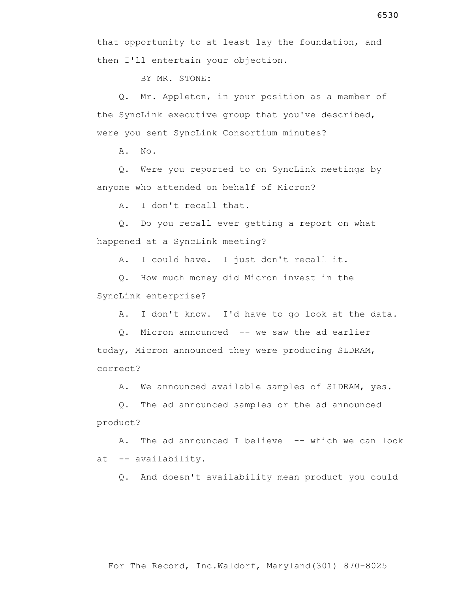then I'll entertain your objection.

BY MR. STONE:

 Q. Mr. Appleton, in your position as a member of the SyncLink executive group that you've described, were you sent SyncLink Consortium minutes?

A. No.

 Q. Were you reported to on SyncLink meetings by anyone who attended on behalf of Micron?

A. I don't recall that.

 Q. Do you recall ever getting a report on what happened at a SyncLink meeting?

A. I could have. I just don't recall it.

 Q. How much money did Micron invest in the SyncLink enterprise?

A. I don't know. I'd have to go look at the data.

 Q. Micron announced -- we saw the ad earlier today, Micron announced they were producing SLDRAM, correct?

A. We announced available samples of SLDRAM, yes.

 Q. The ad announced samples or the ad announced product?

A. The ad announced I believe -- which we can look at -- availability.

Q. And doesn't availability mean product you could

## For The Record, Inc.Waldorf, Maryland(301) 870-8025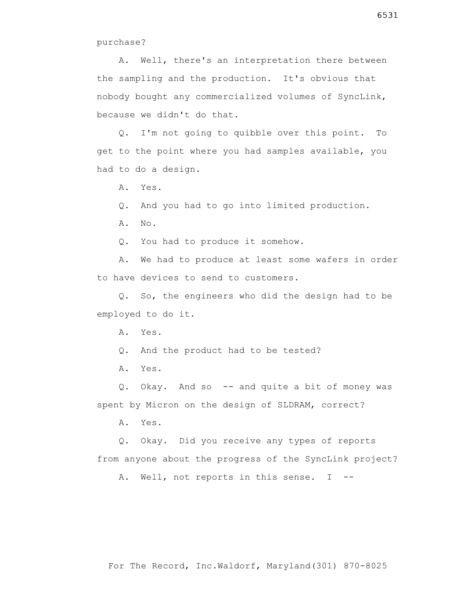A. Well, there's an interpretation there between the sampling and the production. It's obvious that nobody bought any commercialized volumes of SyncLink, because we didn't do that.

 Q. I'm not going to quibble over this point. To get to the point where you had samples available, you had to do a design.

A. Yes.

Q. And you had to go into limited production.

A. No.

Q. You had to produce it somehow.

 A. We had to produce at least some wafers in order to have devices to send to customers.

 Q. So, the engineers who did the design had to be employed to do it.

A. Yes.

Q. And the product had to be tested?

A. Yes.

 Q. Okay. And so -- and quite a bit of money was spent by Micron on the design of SLDRAM, correct?

A. Yes.

 Q. Okay. Did you receive any types of reports from anyone about the progress of the SyncLink project?

A. Well, not reports in this sense. I --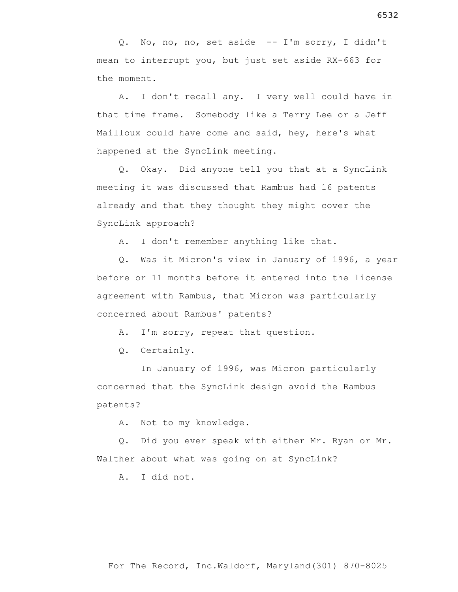Q. No, no, no, set aside -- I'm sorry, I didn't mean to interrupt you, but just set aside RX-663 for the moment.

 A. I don't recall any. I very well could have in that time frame. Somebody like a Terry Lee or a Jeff Mailloux could have come and said, hey, here's what happened at the SyncLink meeting.

 Q. Okay. Did anyone tell you that at a SyncLink meeting it was discussed that Rambus had 16 patents already and that they thought they might cover the SyncLink approach?

A. I don't remember anything like that.

 Q. Was it Micron's view in January of 1996, a year before or 11 months before it entered into the license agreement with Rambus, that Micron was particularly concerned about Rambus' patents?

A. I'm sorry, repeat that question.

Q. Certainly.

 In January of 1996, was Micron particularly concerned that the SyncLink design avoid the Rambus patents?

A. Not to my knowledge.

 Q. Did you ever speak with either Mr. Ryan or Mr. Walther about what was going on at SyncLink?

A. I did not.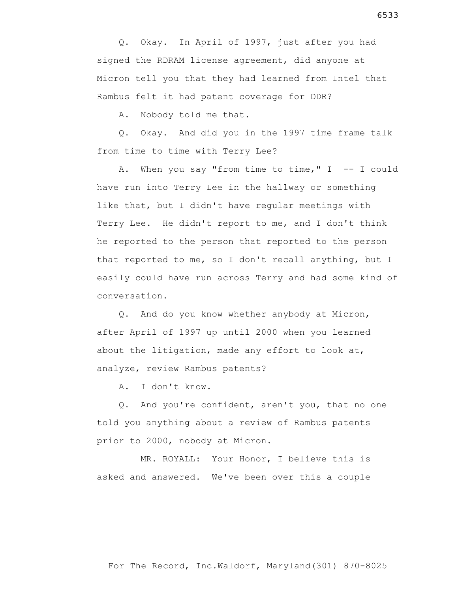Q. Okay. In April of 1997, just after you had signed the RDRAM license agreement, did anyone at Micron tell you that they had learned from Intel that Rambus felt it had patent coverage for DDR?

A. Nobody told me that.

 Q. Okay. And did you in the 1997 time frame talk from time to time with Terry Lee?

A. When you say "from time to time,"  $I$  -- I could have run into Terry Lee in the hallway or something like that, but I didn't have regular meetings with Terry Lee. He didn't report to me, and I don't think he reported to the person that reported to the person that reported to me, so I don't recall anything, but I easily could have run across Terry and had some kind of conversation.

 Q. And do you know whether anybody at Micron, after April of 1997 up until 2000 when you learned about the litigation, made any effort to look at, analyze, review Rambus patents?

A. I don't know.

 Q. And you're confident, aren't you, that no one told you anything about a review of Rambus patents prior to 2000, nobody at Micron.

 MR. ROYALL: Your Honor, I believe this is asked and answered. We've been over this a couple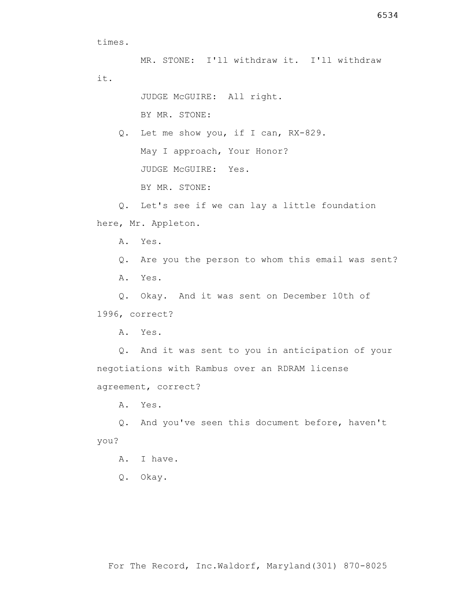times.

MR. STONE: I'll withdraw it. I'll withdraw it.

> JUDGE McGUIRE: All right. BY MR. STONE:

 Q. Let me show you, if I can, RX-829. May I approach, Your Honor? JUDGE McGUIRE: Yes.

BY MR. STONE:

 Q. Let's see if we can lay a little foundation here, Mr. Appleton.

A. Yes.

Q. Are you the person to whom this email was sent?

A. Yes.

Q. Okay. And it was sent on December 10th of

1996, correct?

A. Yes.

 Q. And it was sent to you in anticipation of your negotiations with Rambus over an RDRAM license agreement, correct?

A. Yes.

 Q. And you've seen this document before, haven't you?

A. I have.

Q. Okay.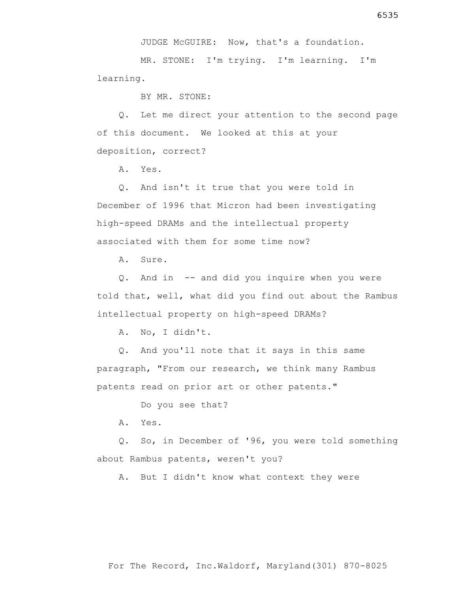JUDGE McGUIRE: Now, that's a foundation.

 MR. STONE: I'm trying. I'm learning. I'm learning.

BY MR. STONE:

 Q. Let me direct your attention to the second page of this document. We looked at this at your deposition, correct?

A. Yes.

 Q. And isn't it true that you were told in December of 1996 that Micron had been investigating high-speed DRAMs and the intellectual property associated with them for some time now?

A. Sure.

 Q. And in -- and did you inquire when you were told that, well, what did you find out about the Rambus intellectual property on high-speed DRAMs?

A. No, I didn't.

 Q. And you'll note that it says in this same paragraph, "From our research, we think many Rambus patents read on prior art or other patents."

Do you see that?

A. Yes.

 Q. So, in December of '96, you were told something about Rambus patents, weren't you?

A. But I didn't know what context they were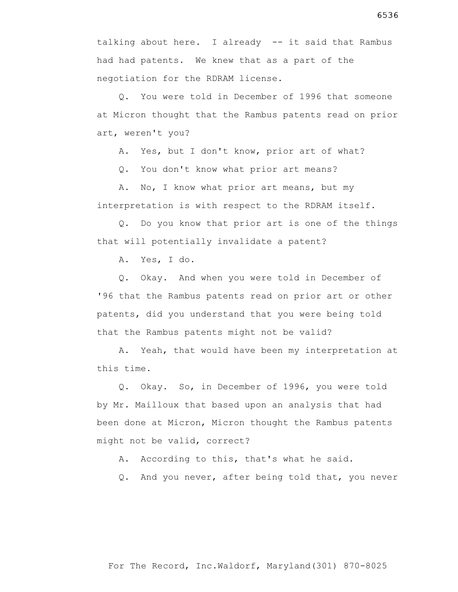talking about here. I already -- it said that Rambus had had patents. We knew that as a part of the negotiation for the RDRAM license.

 Q. You were told in December of 1996 that someone at Micron thought that the Rambus patents read on prior art, weren't you?

A. Yes, but I don't know, prior art of what?

Q. You don't know what prior art means?

 A. No, I know what prior art means, but my interpretation is with respect to the RDRAM itself.

 Q. Do you know that prior art is one of the things that will potentially invalidate a patent?

A. Yes, I do.

 Q. Okay. And when you were told in December of '96 that the Rambus patents read on prior art or other patents, did you understand that you were being told that the Rambus patents might not be valid?

 A. Yeah, that would have been my interpretation at this time.

 Q. Okay. So, in December of 1996, you were told by Mr. Mailloux that based upon an analysis that had been done at Micron, Micron thought the Rambus patents might not be valid, correct?

A. According to this, that's what he said.

Q. And you never, after being told that, you never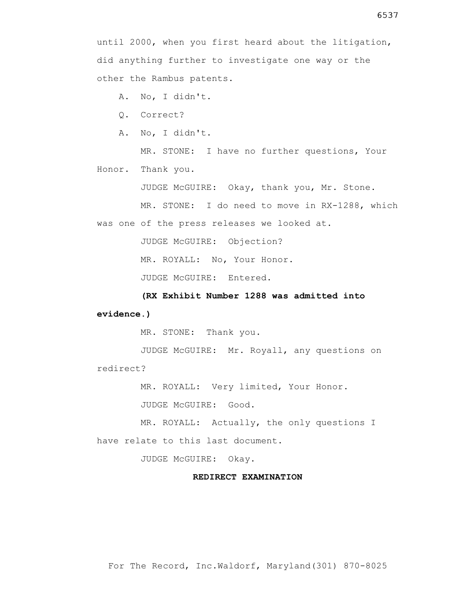A. No, I didn't.

Q. Correct?

A. No, I didn't.

 MR. STONE: I have no further questions, Your Honor. Thank you.

JUDGE McGUIRE: Okay, thank you, Mr. Stone.

MR. STONE: I do need to move in RX-1288, which

was one of the press releases we looked at.

JUDGE McGUIRE: Objection?

MR. ROYALL: No, Your Honor.

JUDGE McGUIRE: Entered.

 **(RX Exhibit Number 1288 was admitted into evidence.)**

MR. STONE: Thank you.

 JUDGE McGUIRE: Mr. Royall, any questions on redirect?

MR. ROYALL: Very limited, Your Honor.

JUDGE McGUIRE: Good.

 MR. ROYALL: Actually, the only questions I have relate to this last document.

JUDGE McGUIRE: Okay.

## **REDIRECT EXAMINATION**

For The Record, Inc.Waldorf, Maryland(301) 870-8025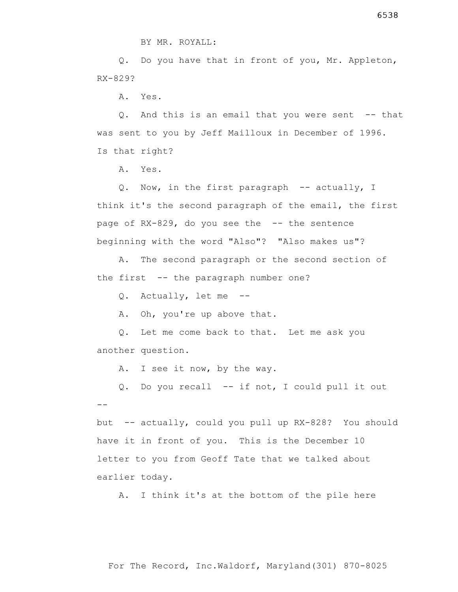Q. Do you have that in front of you, Mr. Appleton, RX-829?

A. Yes.

 Q. And this is an email that you were sent -- that was sent to you by Jeff Mailloux in December of 1996. Is that right?

A. Yes.

Q. Now, in the first paragraph -- actually, I think it's the second paragraph of the email, the first page of RX-829, do you see the -- the sentence beginning with the word "Also"? "Also makes us"?

 A. The second paragraph or the second section of the first -- the paragraph number one?

Q. Actually, let me --

A. Oh, you're up above that.

 Q. Let me come back to that. Let me ask you another question.

A. I see it now, by the way.

 Q. Do you recall -- if not, I could pull it out --

but -- actually, could you pull up RX-828? You should have it in front of you. This is the December 10 letter to you from Geoff Tate that we talked about earlier today.

A. I think it's at the bottom of the pile here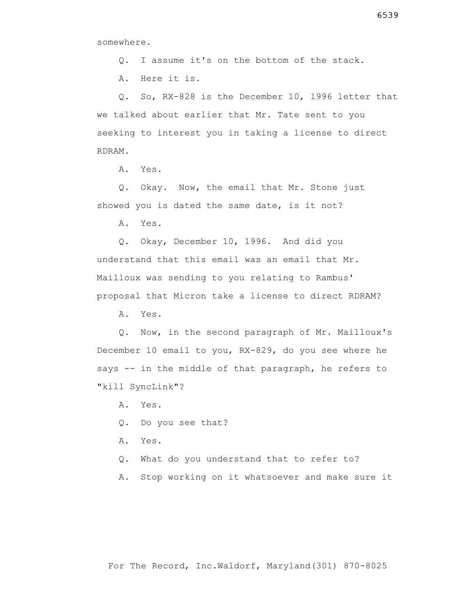Q. I assume it's on the bottom of the stack.

A. Here it is.

 Q. So, RX-828 is the December 10, 1996 letter that we talked about earlier that Mr. Tate sent to you seeking to interest you in taking a license to direct RDRAM.

A. Yes.

 Q. Okay. Now, the email that Mr. Stone just showed you is dated the same date, is it not?

A. Yes.

 Q. Okay, December 10, 1996. And did you understand that this email was an email that Mr. Mailloux was sending to you relating to Rambus' proposal that Micron take a license to direct RDRAM?

A. Yes.

 Q. Now, in the second paragraph of Mr. Mailloux's December 10 email to you, RX-829, do you see where he says -- in the middle of that paragraph, he refers to "kill SyncLink"?

- A. Yes.
- Q. Do you see that?
- A. Yes.
- Q. What do you understand that to refer to?
- A. Stop working on it whatsoever and make sure it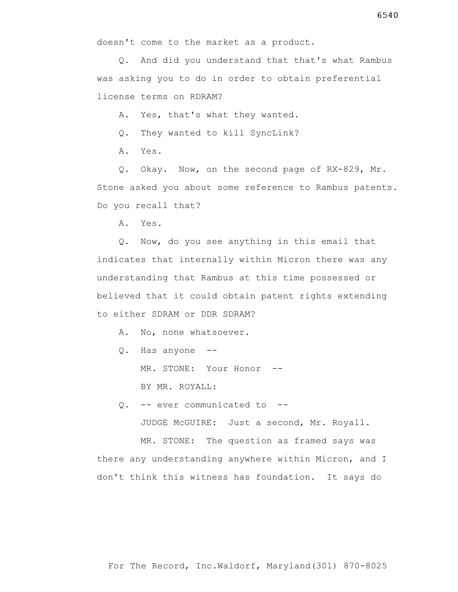Q. And did you understand that that's what Rambus was asking you to do in order to obtain preferential license terms on RDRAM?

A. Yes, that's what they wanted.

Q. They wanted to kill SyncLink?

A. Yes.

 Q. Okay. Now, on the second page of RX-829, Mr. Stone asked you about some reference to Rambus patents. Do you recall that?

A. Yes.

 Q. Now, do you see anything in this email that indicates that internally within Micron there was any understanding that Rambus at this time possessed or believed that it could obtain patent rights extending to either SDRAM or DDR SDRAM?

A. No, none whatsoever.

Q. Has anyone --

MR. STONE: Your Honor --

BY MR. ROYALL:

Q. -- ever communicated to --

JUDGE McGUIRE: Just a second, Mr. Royall.

 MR. STONE: The question as framed says was there any understanding anywhere within Micron, and I don't think this witness has foundation. It says do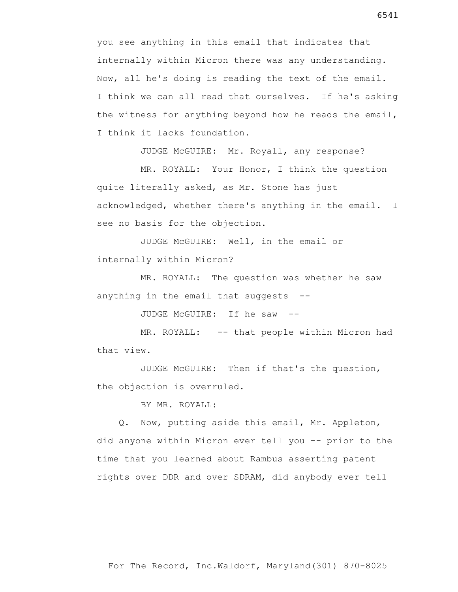you see anything in this email that indicates that internally within Micron there was any understanding. Now, all he's doing is reading the text of the email. I think we can all read that ourselves. If he's asking the witness for anything beyond how he reads the email, I think it lacks foundation.

JUDGE McGUIRE: Mr. Royall, any response?

 MR. ROYALL: Your Honor, I think the question quite literally asked, as Mr. Stone has just acknowledged, whether there's anything in the email. I see no basis for the objection.

 JUDGE McGUIRE: Well, in the email or internally within Micron?

 MR. ROYALL: The question was whether he saw anything in the email that suggests --

JUDGE McGUIRE: If he saw --

MR. ROYALL: -- that people within Micron had that view.

 JUDGE McGUIRE: Then if that's the question, the objection is overruled.

BY MR. ROYALL:

 Q. Now, putting aside this email, Mr. Appleton, did anyone within Micron ever tell you -- prior to the time that you learned about Rambus asserting patent rights over DDR and over SDRAM, did anybody ever tell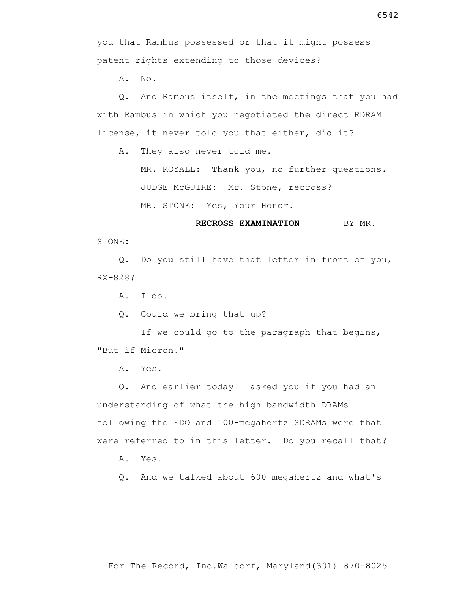A. No.

 Q. And Rambus itself, in the meetings that you had with Rambus in which you negotiated the direct RDRAM license, it never told you that either, did it?

A. They also never told me.

 MR. ROYALL: Thank you, no further questions. JUDGE McGUIRE: Mr. Stone, recross?

MR. STONE: Yes, Your Honor.

**RECROSS EXAMINATION** BY MR.

STONE:

 Q. Do you still have that letter in front of you, RX-828?

A. I do.

Q. Could we bring that up?

If we could go to the paragraph that begins, "But if Micron."

A. Yes.

 Q. And earlier today I asked you if you had an understanding of what the high bandwidth DRAMs following the EDO and 100-megahertz SDRAMs were that were referred to in this letter. Do you recall that?

A. Yes.

Q. And we talked about 600 megahertz and what's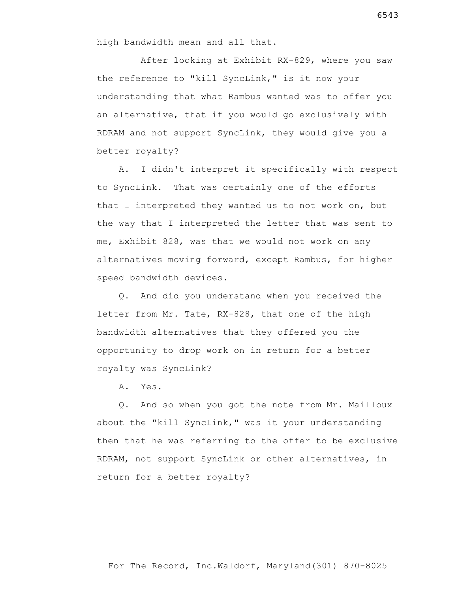After looking at Exhibit RX-829, where you saw the reference to "kill SyncLink," is it now your understanding that what Rambus wanted was to offer you an alternative, that if you would go exclusively with RDRAM and not support SyncLink, they would give you a better royalty?

 A. I didn't interpret it specifically with respect to SyncLink. That was certainly one of the efforts that I interpreted they wanted us to not work on, but the way that I interpreted the letter that was sent to me, Exhibit 828, was that we would not work on any alternatives moving forward, except Rambus, for higher speed bandwidth devices.

 Q. And did you understand when you received the letter from Mr. Tate, RX-828, that one of the high bandwidth alternatives that they offered you the opportunity to drop work on in return for a better royalty was SyncLink?

A. Yes.

 Q. And so when you got the note from Mr. Mailloux about the "kill SyncLink," was it your understanding then that he was referring to the offer to be exclusive RDRAM, not support SyncLink or other alternatives, in return for a better royalty?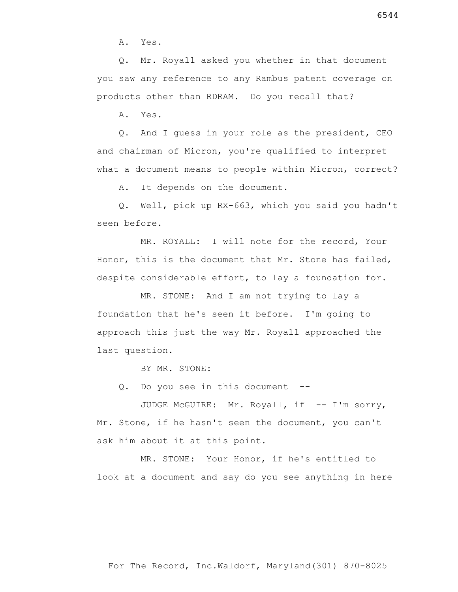A. Yes.

 Q. Mr. Royall asked you whether in that document you saw any reference to any Rambus patent coverage on products other than RDRAM. Do you recall that?

A. Yes.

 Q. And I guess in your role as the president, CEO and chairman of Micron, you're qualified to interpret what a document means to people within Micron, correct?

A. It depends on the document.

 Q. Well, pick up RX-663, which you said you hadn't seen before.

 MR. ROYALL: I will note for the record, Your Honor, this is the document that Mr. Stone has failed, despite considerable effort, to lay a foundation for.

 MR. STONE: And I am not trying to lay a foundation that he's seen it before. I'm going to approach this just the way Mr. Royall approached the last question.

BY MR. STONE:

Q. Do you see in this document --

JUDGE McGUIRE: Mr. Royall, if -- I'm sorry, Mr. Stone, if he hasn't seen the document, you can't ask him about it at this point.

 MR. STONE: Your Honor, if he's entitled to look at a document and say do you see anything in here

6544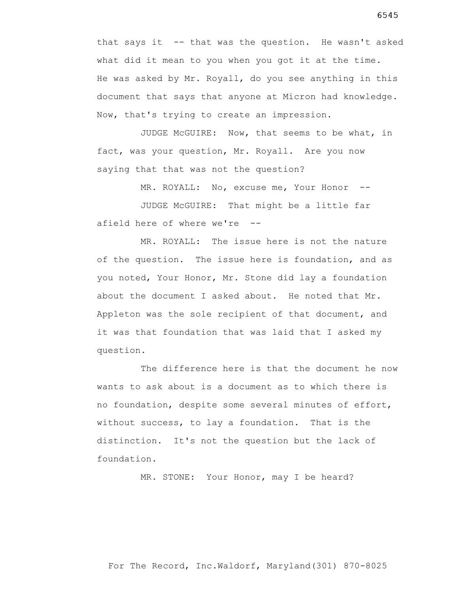that says it -- that was the question. He wasn't asked what did it mean to you when you got it at the time. He was asked by Mr. Royall, do you see anything in this document that says that anyone at Micron had knowledge. Now, that's trying to create an impression.

 JUDGE McGUIRE: Now, that seems to be what, in fact, was your question, Mr. Royall. Are you now saying that that was not the question?

MR. ROYALL: No, excuse me, Your Honor --

 JUDGE McGUIRE: That might be a little far afield here of where we're --

 MR. ROYALL: The issue here is not the nature of the question. The issue here is foundation, and as you noted, Your Honor, Mr. Stone did lay a foundation about the document I asked about. He noted that Mr. Appleton was the sole recipient of that document, and it was that foundation that was laid that I asked my question.

 The difference here is that the document he now wants to ask about is a document as to which there is no foundation, despite some several minutes of effort, without success, to lay a foundation. That is the distinction. It's not the question but the lack of foundation.

MR. STONE: Your Honor, may I be heard?

For The Record, Inc.Waldorf, Maryland(301) 870-8025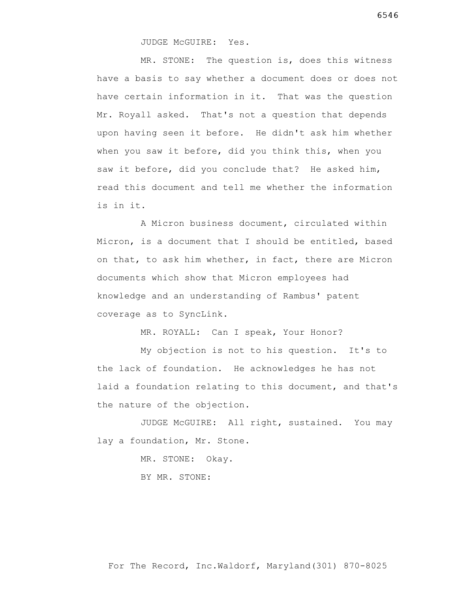JUDGE McGUIRE: Yes.

 MR. STONE: The question is, does this witness have a basis to say whether a document does or does not have certain information in it. That was the question Mr. Royall asked. That's not a question that depends upon having seen it before. He didn't ask him whether when you saw it before, did you think this, when you saw it before, did you conclude that? He asked him, read this document and tell me whether the information is in it.

 A Micron business document, circulated within Micron, is a document that I should be entitled, based on that, to ask him whether, in fact, there are Micron documents which show that Micron employees had knowledge and an understanding of Rambus' patent coverage as to SyncLink.

MR. ROYALL: Can I speak, Your Honor?

 My objection is not to his question. It's to the lack of foundation. He acknowledges he has not laid a foundation relating to this document, and that's the nature of the objection.

 JUDGE McGUIRE: All right, sustained. You may lay a foundation, Mr. Stone.

> MR. STONE: Okay. BY MR. STONE: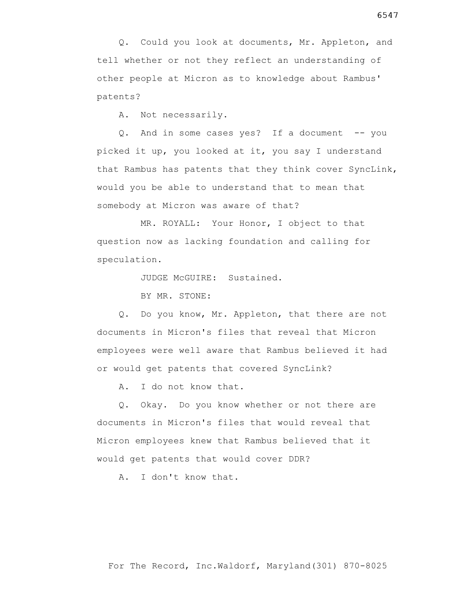Q. Could you look at documents, Mr. Appleton, and tell whether or not they reflect an understanding of other people at Micron as to knowledge about Rambus' patents?

A. Not necessarily.

 Q. And in some cases yes? If a document -- you picked it up, you looked at it, you say I understand that Rambus has patents that they think cover SyncLink, would you be able to understand that to mean that somebody at Micron was aware of that?

 MR. ROYALL: Your Honor, I object to that question now as lacking foundation and calling for speculation.

JUDGE McGUIRE: Sustained.

BY MR. STONE:

 Q. Do you know, Mr. Appleton, that there are not documents in Micron's files that reveal that Micron employees were well aware that Rambus believed it had or would get patents that covered SyncLink?

A. I do not know that.

 Q. Okay. Do you know whether or not there are documents in Micron's files that would reveal that Micron employees knew that Rambus believed that it would get patents that would cover DDR?

A. I don't know that.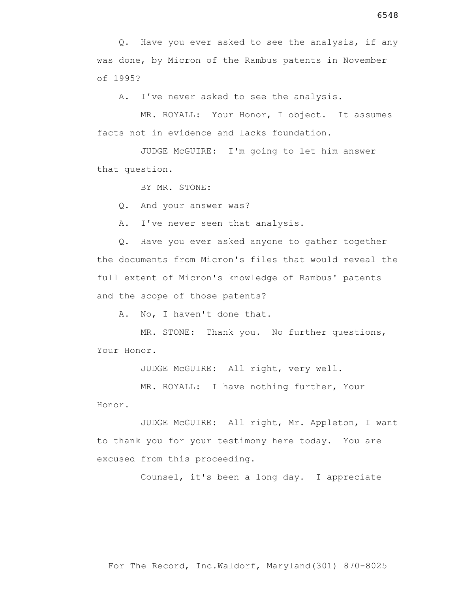Q. Have you ever asked to see the analysis, if any was done, by Micron of the Rambus patents in November of 1995?

A. I've never asked to see the analysis.

 MR. ROYALL: Your Honor, I object. It assumes facts not in evidence and lacks foundation.

 JUDGE McGUIRE: I'm going to let him answer that question.

BY MR. STONE:

Q. And your answer was?

A. I've never seen that analysis.

 Q. Have you ever asked anyone to gather together the documents from Micron's files that would reveal the full extent of Micron's knowledge of Rambus' patents and the scope of those patents?

A. No, I haven't done that.

 MR. STONE: Thank you. No further questions, Your Honor.

JUDGE McGUIRE: All right, very well.

 MR. ROYALL: I have nothing further, Your Honor.

 JUDGE McGUIRE: All right, Mr. Appleton, I want to thank you for your testimony here today. You are excused from this proceeding.

Counsel, it's been a long day. I appreciate

6548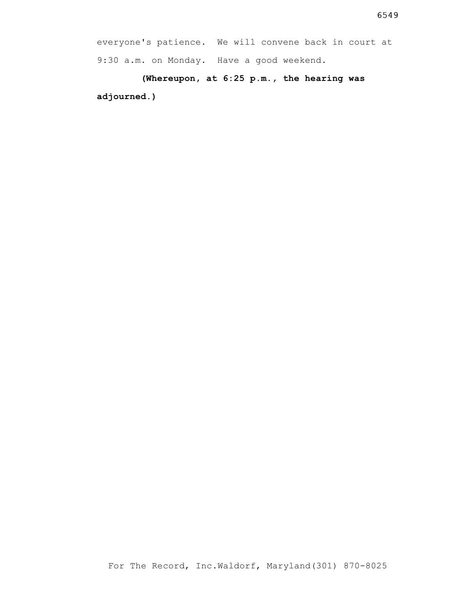**(Whereupon, at 6:25 p.m., the hearing was adjourned.)**